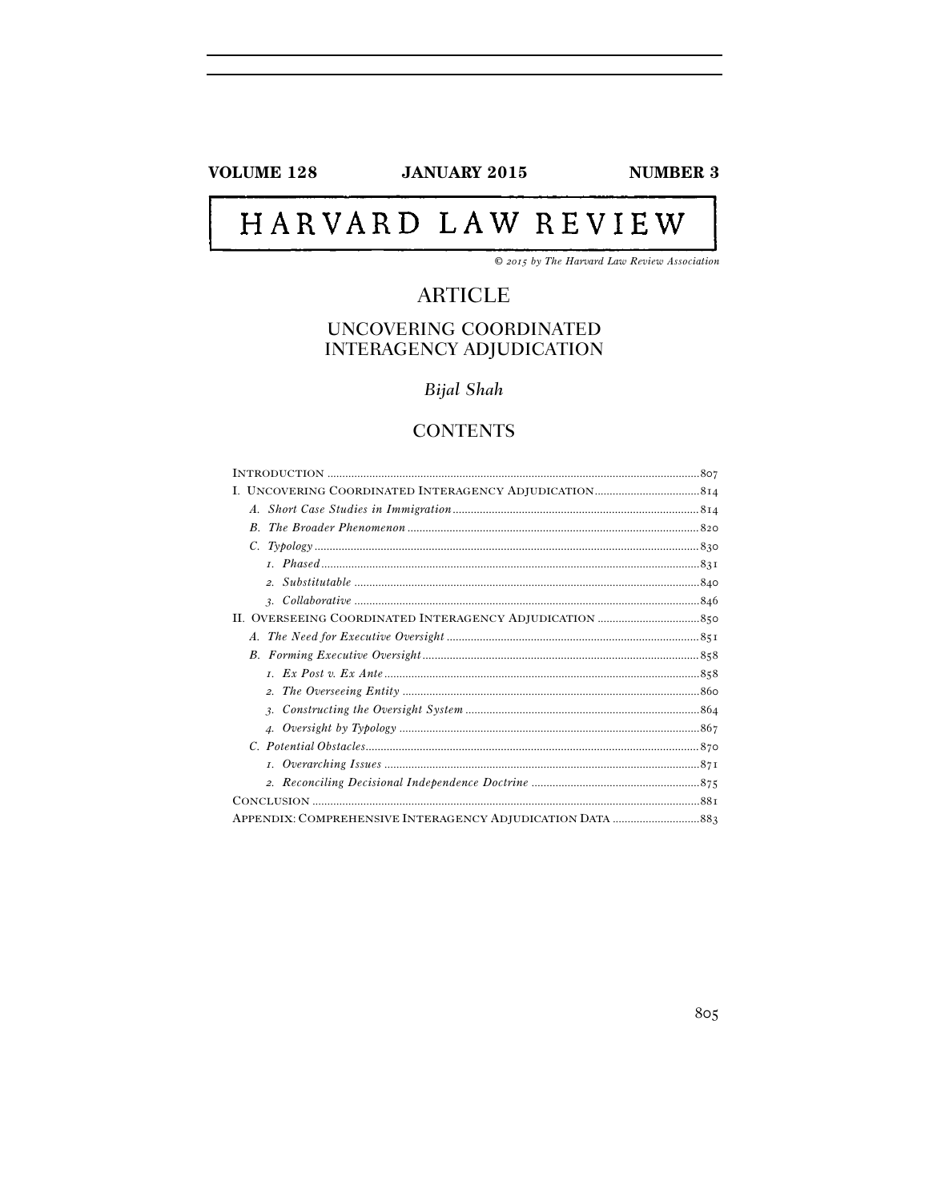**VOLUME 128** 

**JANUARY 2015** 

**NUMBER 3** 

# HARVARD LAW REVIEW

© 2015 by The Harvard Law Review Association

## **ARTICLE**

## UNCOVERING COORDINATED **INTERAGENCY ADJUDICATION**

**Bijal Shah** 

## **CONTENTS**

| A.          |  |
|-------------|--|
| $B_{\cdot}$ |  |
|             |  |
|             |  |
|             |  |
|             |  |
|             |  |
| A.          |  |
|             |  |
|             |  |
|             |  |
|             |  |
|             |  |
|             |  |
|             |  |
|             |  |
|             |  |
|             |  |
|             |  |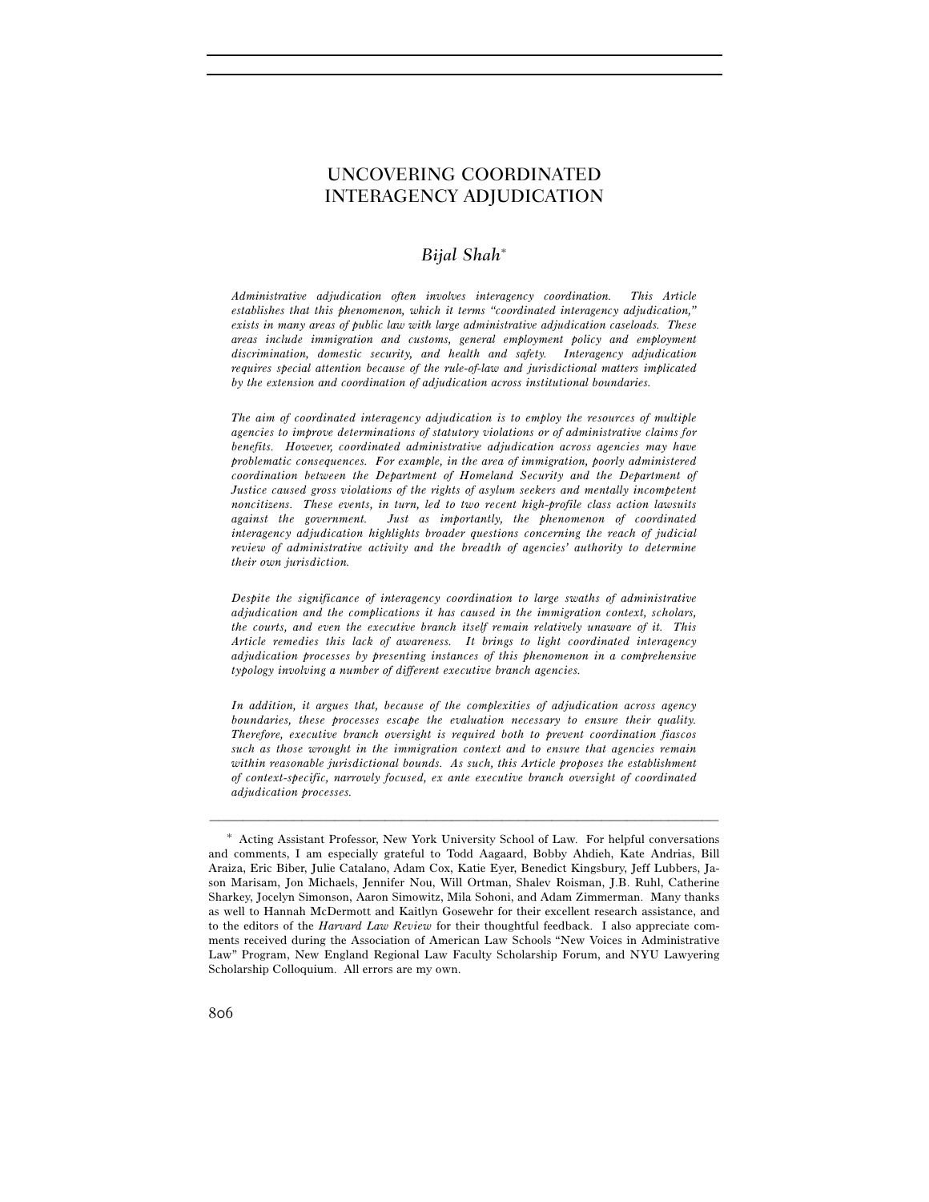## UNCOVERING COORDINATED INTERAGENCY ADJUDICATION

### *Bijal Shah*<sup>∗</sup>

*Administrative adjudication often involves interagency coordination. This Article establishes that this phenomenon, which it terms "coordinated interagency adjudication," exists in many areas of public law with large administrative adjudication caseloads. These areas include immigration and customs, general employment policy and employment discrimination, domestic security, and health and safety. Interagency adjudication requires special attention because of the rule-of-law and jurisdictional matters implicated by the extension and coordination of adjudication across institutional boundaries.* 

*The aim of coordinated interagency adjudication is to employ the resources of multiple agencies to improve determinations of statutory violations or of administrative claims for benefits. However, coordinated administrative adjudication across agencies may have problematic consequences. For example, in the area of immigration, poorly administered coordination between the Department of Homeland Security and the Department of Justice caused gross violations of the rights of asylum seekers and mentally incompetent noncitizens. These events, in turn, led to two recent high-profile class action lawsuits against the government. Just as importantly, the phenomenon of coordinated interagency adjudication highlights broader questions concerning the reach of judicial review of administrative activity and the breadth of agencies' authority to determine their own jurisdiction.* 

*Despite the significance of interagency coordination to large swaths of administrative adjudication and the complications it has caused in the immigration context, scholars, the courts, and even the executive branch itself remain relatively unaware of it. This Article remedies this lack of awareness. It brings to light coordinated interagency adjudication processes by presenting instances of this phenomenon in a comprehensive typology involving a number of different executive branch agencies.* 

*In addition, it argues that, because of the complexities of adjudication across agency boundaries, these processes escape the evaluation necessary to ensure their quality. Therefore, executive branch oversight is required both to prevent coordination fiascos such as those wrought in the immigration context and to ensure that agencies remain within reasonable jurisdictional bounds. As such, this Article proposes the establishment of context-specific, narrowly focused, ex ante executive branch oversight of coordinated adjudication processes.* 

<sup>∗</sup> Acting Assistant Professor, New York University School of Law. For helpful conversations and comments, I am especially grateful to Todd Aagaard, Bobby Ahdieh, Kate Andrias, Bill Araiza, Eric Biber, Julie Catalano, Adam Cox, Katie Eyer, Benedict Kingsbury, Jeff Lubbers, Jason Marisam, Jon Michaels, Jennifer Nou, Will Ortman, Shalev Roisman, J.B. Ruhl, Catherine Sharkey, Jocelyn Simonson, Aaron Simowitz, Mila Sohoni, and Adam Zimmerman. Many thanks as well to Hannah McDermott and Kaitlyn Gosewehr for their excellent research assistance, and to the editors of the *Harvard Law Review* for their thoughtful feedback. I also appreciate comments received during the Association of American Law Schools "New Voices in Administrative Law" Program, New England Regional Law Faculty Scholarship Forum, and NYU Lawyering Scholarship Colloquium. All errors are my own.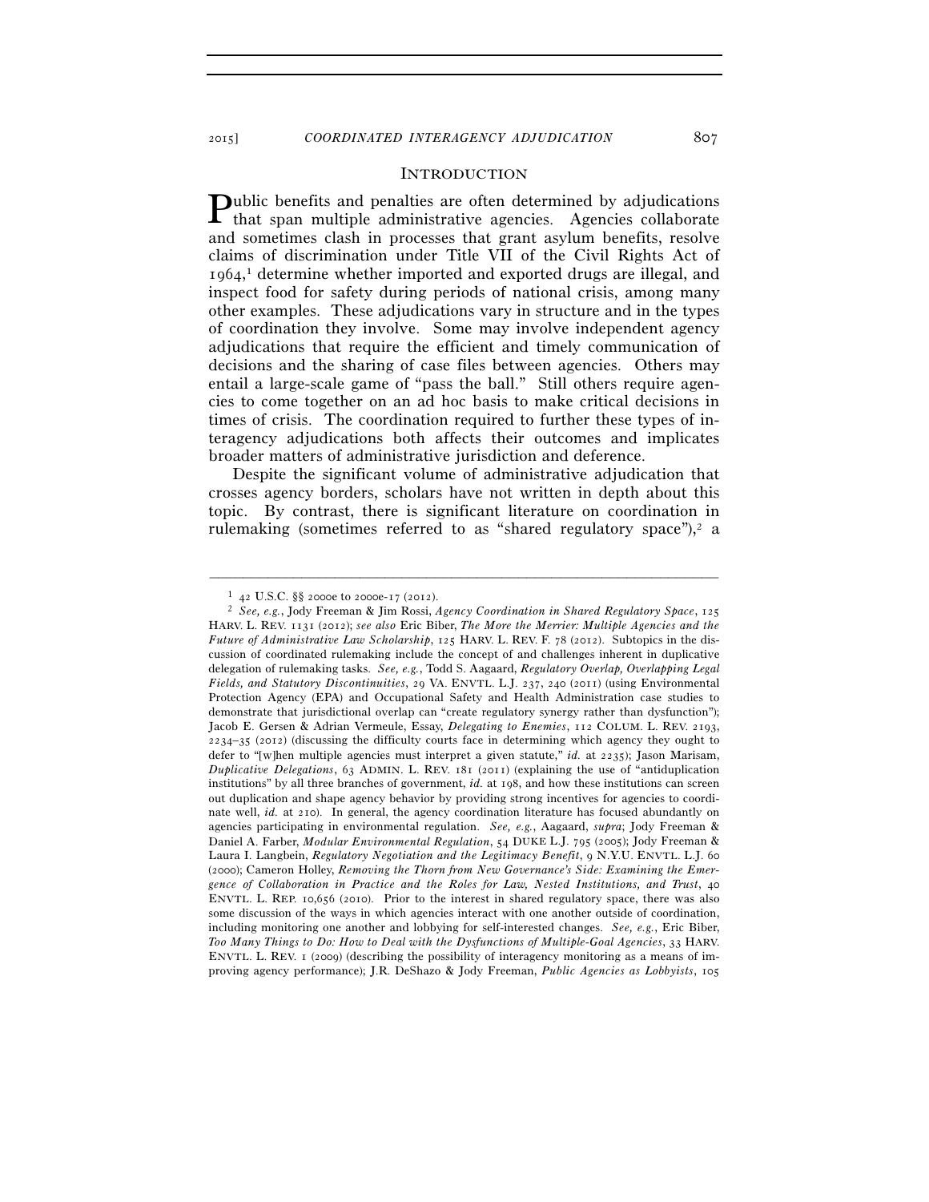#### **INTRODUCTION**

ublic benefits and penalties are often determined by adjudications  $P$ ublic benefits and penalties are often determined by adjudications that span multiple administrative agencies. Agencies collaborate and sometimes clash in processes that grant asylum benefits, resolve claims of discrimination under Title VII of the Civil Rights Act of 1964, 1 determine whether imported and exported drugs are illegal, and inspect food for safety during periods of national crisis, among many other examples. These adjudications vary in structure and in the types of coordination they involve. Some may involve independent agency adjudications that require the efficient and timely communication of decisions and the sharing of case files between agencies. Others may entail a large-scale game of "pass the ball." Still others require agencies to come together on an ad hoc basis to make critical decisions in times of crisis. The coordination required to further these types of interagency adjudications both affects their outcomes and implicates broader matters of administrative jurisdiction and deference.

Despite the significant volume of administrative adjudication that crosses agency borders, scholars have not written in depth about this topic. By contrast, there is significant literature on coordination in rulemaking (sometimes referred to as "shared regulatory space"),<sup>2</sup> a

<sup>1</sup> <sup>42</sup> U.S.C. §§ 2000e to 2000e-17 (2012). 2 *See, e.g.*, Jody Freeman & Jim Rossi, *Agency Coordination in Shared Regulatory Space*, <sup>125</sup> HARV. L. REV. 1131 (2012); *see also* Eric Biber, *The More the Merrier: Multiple Agencies and the Future of Administrative Law Scholarship*, 125 HARV. L. REV. F. 78 (2012). Subtopics in the discussion of coordinated rulemaking include the concept of and challenges inherent in duplicative delegation of rulemaking tasks. *See, e.g.*, Todd S. Aagaard, *Regulatory Overlap, Overlapping Legal Fields, and Statutory Discontinuities*, 29 VA. ENVTL. L.J. 237, 240 (2011) (using Environmental Protection Agency (EPA) and Occupational Safety and Health Administration case studies to demonstrate that jurisdictional overlap can "create regulatory synergy rather than dysfunction"); Jacob E. Gersen & Adrian Vermeule, Essay, *Delegating to Enemies*, 112 COLUM. L. REV. 2193, 2234–35 (2012) (discussing the difficulty courts face in determining which agency they ought to defer to "[w]hen multiple agencies must interpret a given statute," *id.* at 2235); Jason Marisam, *Duplicative Delegations*, 63 ADMIN. L. REV. 181 (2011) (explaining the use of "antiduplication institutions" by all three branches of government, *id.* at 198, and how these institutions can screen out duplication and shape agency behavior by providing strong incentives for agencies to coordinate well, *id.* at 210). In general, the agency coordination literature has focused abundantly on agencies participating in environmental regulation. *See, e.g.*, Aagaard, *supra*; Jody Freeman & Daniel A. Farber, *Modular Environmental Regulation*, 54 DUKE L.J. 795 (2005); Jody Freeman & Laura I. Langbein, *Regulatory Negotiation and the Legitimacy Benefit*, 9 N.Y.U. ENVTL. L.J. 60 (2000); Cameron Holley, *Removing the Thorn from New Governance's Side: Examining the Emergence of Collaboration in Practice and the Roles for Law, Nested Institutions, and Trust*, 40 ENVTL. L. REP. 10,656 (2010). Prior to the interest in shared regulatory space, there was also some discussion of the ways in which agencies interact with one another outside of coordination, including monitoring one another and lobbying for self-interested changes. *See, e.g.*, Eric Biber, *Too Many Things to Do: How to Deal with the Dysfunctions of Multiple-Goal Agencies*, 33 HARV. ENVTL. L. REV. 1 (2009) (describing the possibility of interagency monitoring as a means of improving agency performance); J.R. DeShazo & Jody Freeman, *Public Agencies as Lobbyists*, 105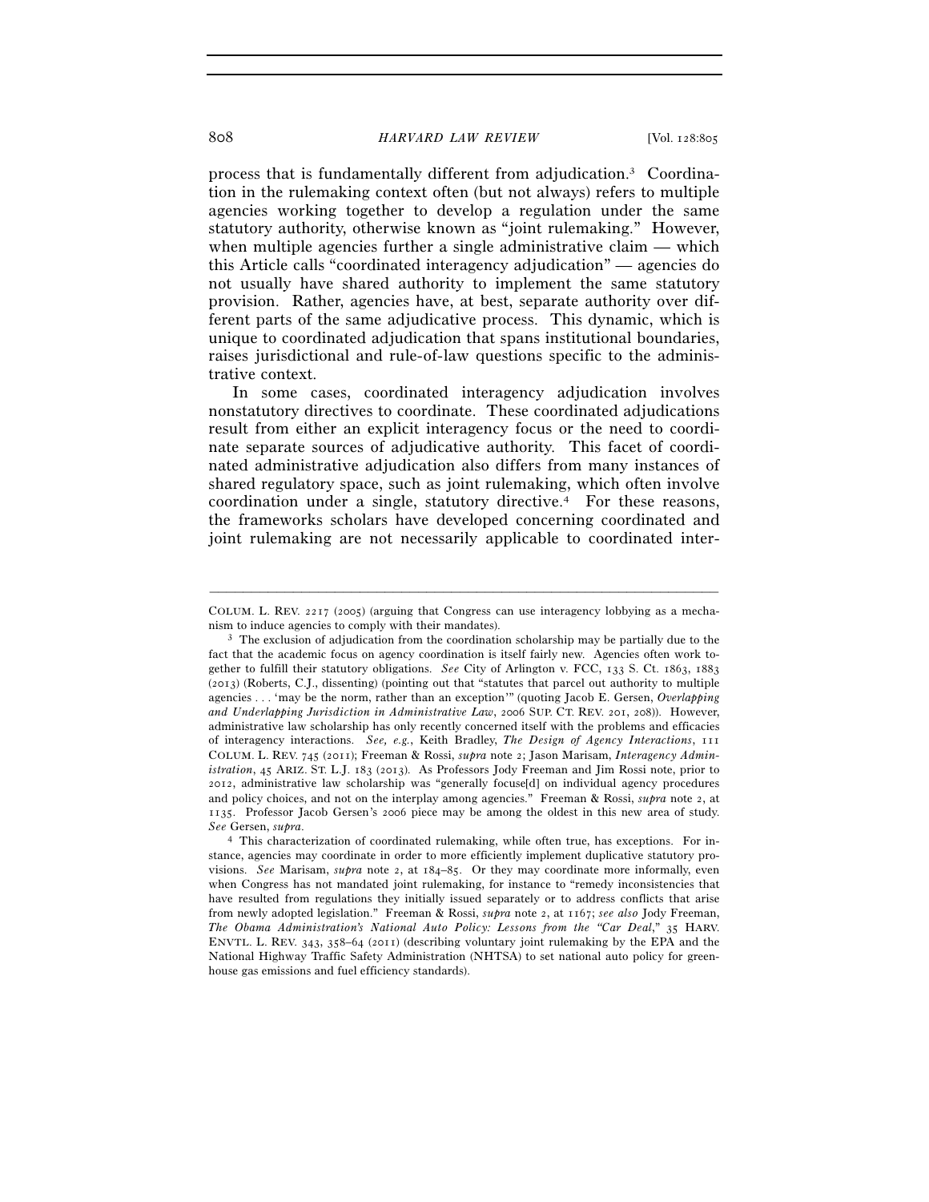process that is fundamentally different from adjudication.3 Coordination in the rulemaking context often (but not always) refers to multiple agencies working together to develop a regulation under the same statutory authority, otherwise known as "joint rulemaking." However, when multiple agencies further a single administrative claim — which this Article calls "coordinated interagency adjudication" — agencies do not usually have shared authority to implement the same statutory provision. Rather, agencies have, at best, separate authority over different parts of the same adjudicative process. This dynamic, which is unique to coordinated adjudication that spans institutional boundaries, raises jurisdictional and rule-of-law questions specific to the administrative context.

In some cases, coordinated interagency adjudication involves nonstatutory directives to coordinate. These coordinated adjudications result from either an explicit interagency focus or the need to coordinate separate sources of adjudicative authority. This facet of coordinated administrative adjudication also differs from many instances of shared regulatory space, such as joint rulemaking, which often involve coordination under a single, statutory directive.4 For these reasons, the frameworks scholars have developed concerning coordinated and joint rulemaking are not necessarily applicable to coordinated inter-

<sup>–––––––––––––––––––––––––––––––––––––––––––––––––––––––––––––</sup> COLUM. L. REV. 2217 (2005) (arguing that Congress can use interagency lobbying as a mechanism to induce agencies to comply with their mandates).<br><sup>3</sup> The exclusion of adjudication from the coordination scholarship may be partially due to the

fact that the academic focus on agency coordination is itself fairly new. Agencies often work together to fulfill their statutory obligations. *See* City of Arlington v. FCC, 133 S. Ct. 1863, 1883 (2013) (Roberts, C.J., dissenting) (pointing out that "statutes that parcel out authority to multiple agencies . . . 'may be the norm, rather than an exception'" (quoting Jacob E. Gersen, *Overlapping and Underlapping Jurisdiction in Administrative Law*, 2006 SUP. CT. REV. 201, 208)). However, administrative law scholarship has only recently concerned itself with the problems and efficacies of interagency interactions. *See, e.g.*, Keith Bradley, *The Design of Agency Interactions*, 111 COLUM. L. REV. 745 (2011); Freeman & Rossi, *supra* note 2; Jason Marisam, *Interagency Administration*, 45 ARIZ. ST. L.J. 183 (2013). As Professors Jody Freeman and Jim Rossi note, prior to 2012, administrative law scholarship was "generally focuse[d] on individual agency procedures and policy choices, and not on the interplay among agencies." Freeman & Rossi, *supra* note 2, at 1135. Professor Jacob Gersen's 2006 piece may be among the oldest in this new area of study. *See* Gersen, *supra*. 4 This characterization of coordinated rulemaking, while often true, has exceptions. For in-

stance, agencies may coordinate in order to more efficiently implement duplicative statutory provisions. *See* Marisam, *supra* note 2, at 184–85. Or they may coordinate more informally, even when Congress has not mandated joint rulemaking, for instance to "remedy inconsistencies that have resulted from regulations they initially issued separately or to address conflicts that arise from newly adopted legislation." Freeman & Rossi, *supra* note 2, at 1167; *see also* Jody Freeman, *The Obama Administration's National Auto Policy: Lessons from the "Car Deal*," 35 HARV. ENVTL. L. REV. 343, 358–64 (2011) (describing voluntary joint rulemaking by the EPA and the National Highway Traffic Safety Administration (NHTSA) to set national auto policy for greenhouse gas emissions and fuel efficiency standards).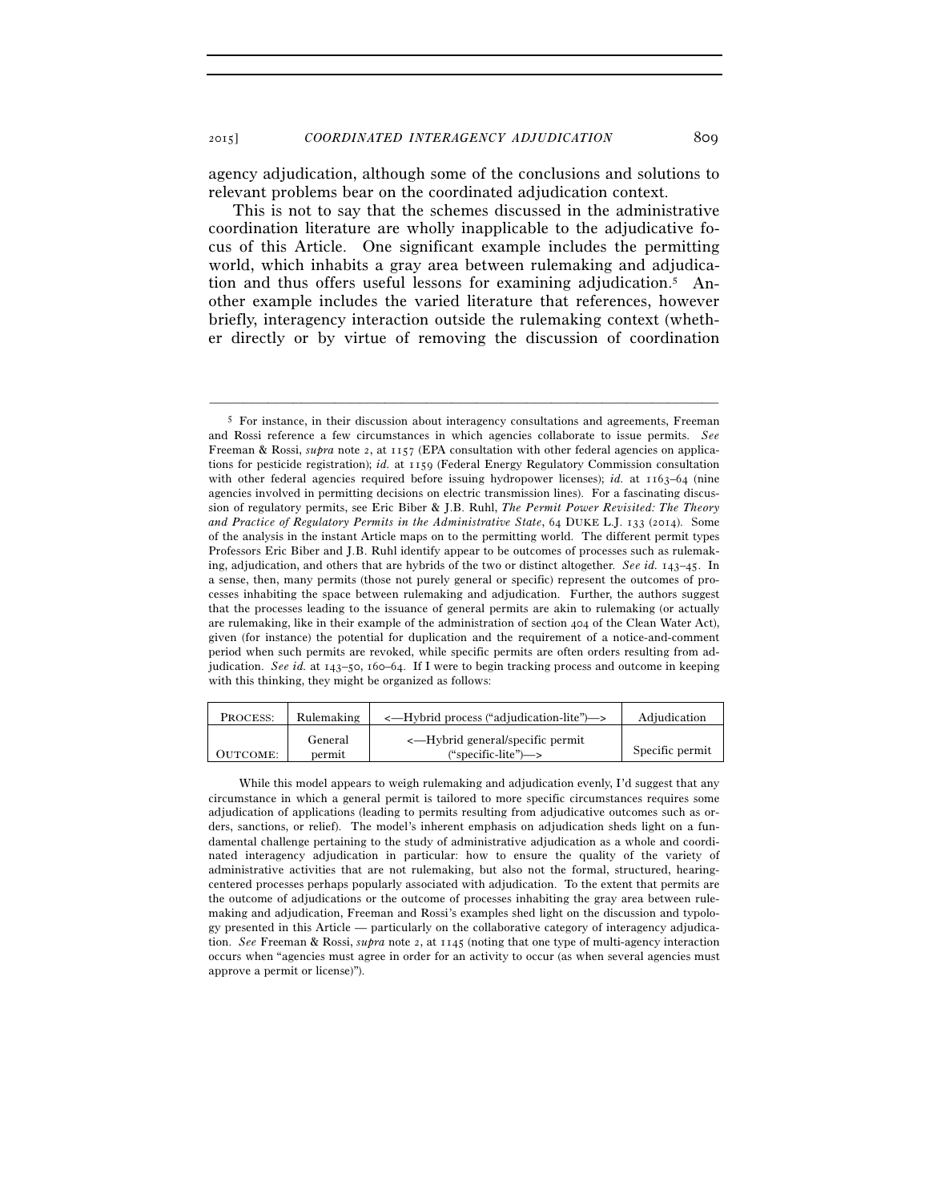agency adjudication, although some of the conclusions and solutions to relevant problems bear on the coordinated adjudication context.

This is not to say that the schemes discussed in the administrative coordination literature are wholly inapplicable to the adjudicative focus of this Article. One significant example includes the permitting world, which inhabits a gray area between rulemaking and adjudication and thus offers useful lessons for examining adjudication.5 Another example includes the varied literature that references, however briefly, interagency interaction outside the rulemaking context (whether directly or by virtue of removing the discussion of coordination

<sup>5</sup> For instance, in their discussion about interagency consultations and agreements, Freeman and Rossi reference a few circumstances in which agencies collaborate to issue permits. *See* Freeman & Rossi, *supra* note 2, at 1157 (EPA consultation with other federal agencies on applications for pesticide registration); *id.* at 1159 (Federal Energy Regulatory Commission consultation with other federal agencies required before issuing hydropower licenses); *id.* at 1163–64 (nine agencies involved in permitting decisions on electric transmission lines). For a fascinating discussion of regulatory permits, see Eric Biber & J.B. Ruhl, *The Permit Power Revisited: The Theory and Practice of Regulatory Permits in the Administrative State*, 64 DUKE L.J. 133 (2014). Some of the analysis in the instant Article maps on to the permitting world. The different permit types Professors Eric Biber and J.B. Ruhl identify appear to be outcomes of processes such as rulemaking, adjudication, and others that are hybrids of the two or distinct altogether. *See id.* 143–45. In a sense, then, many permits (those not purely general or specific) represent the outcomes of processes inhabiting the space between rulemaking and adjudication. Further, the authors suggest that the processes leading to the issuance of general permits are akin to rulemaking (or actually are rulemaking, like in their example of the administration of section 404 of the Clean Water Act), given (for instance) the potential for duplication and the requirement of a notice-and-comment period when such permits are revoked, while specific permits are often orders resulting from adjudication. *See id.* at 143–50, 160–64. If I were to begin tracking process and outcome in keeping with this thinking, they might be organized as follows:

| PROCESS: | Rulemaking        | <—Hybrid process ("adjudication-lite")—>                                | Adjudication    |
|----------|-------------------|-------------------------------------------------------------------------|-----------------|
| OUTCOME: | General<br>permit | <—Hybrid general/specific permit<br>("specific-lite") $\longrightarrow$ | Specific permit |

While this model appears to weigh rulemaking and adjudication evenly, I'd suggest that any circumstance in which a general permit is tailored to more specific circumstances requires some adjudication of applications (leading to permits resulting from adjudicative outcomes such as orders, sanctions, or relief). The model's inherent emphasis on adjudication sheds light on a fundamental challenge pertaining to the study of administrative adjudication as a whole and coordinated interagency adjudication in particular: how to ensure the quality of the variety of administrative activities that are not rulemaking, but also not the formal, structured, hearingcentered processes perhaps popularly associated with adjudication. To the extent that permits are the outcome of adjudications or the outcome of processes inhabiting the gray area between rulemaking and adjudication, Freeman and Rossi's examples shed light on the discussion and typology presented in this Article — particularly on the collaborative category of interagency adjudication. *See* Freeman & Rossi, *supra* note 2, at 1145 (noting that one type of multi-agency interaction occurs when "agencies must agree in order for an activity to occur (as when several agencies must approve a permit or license)").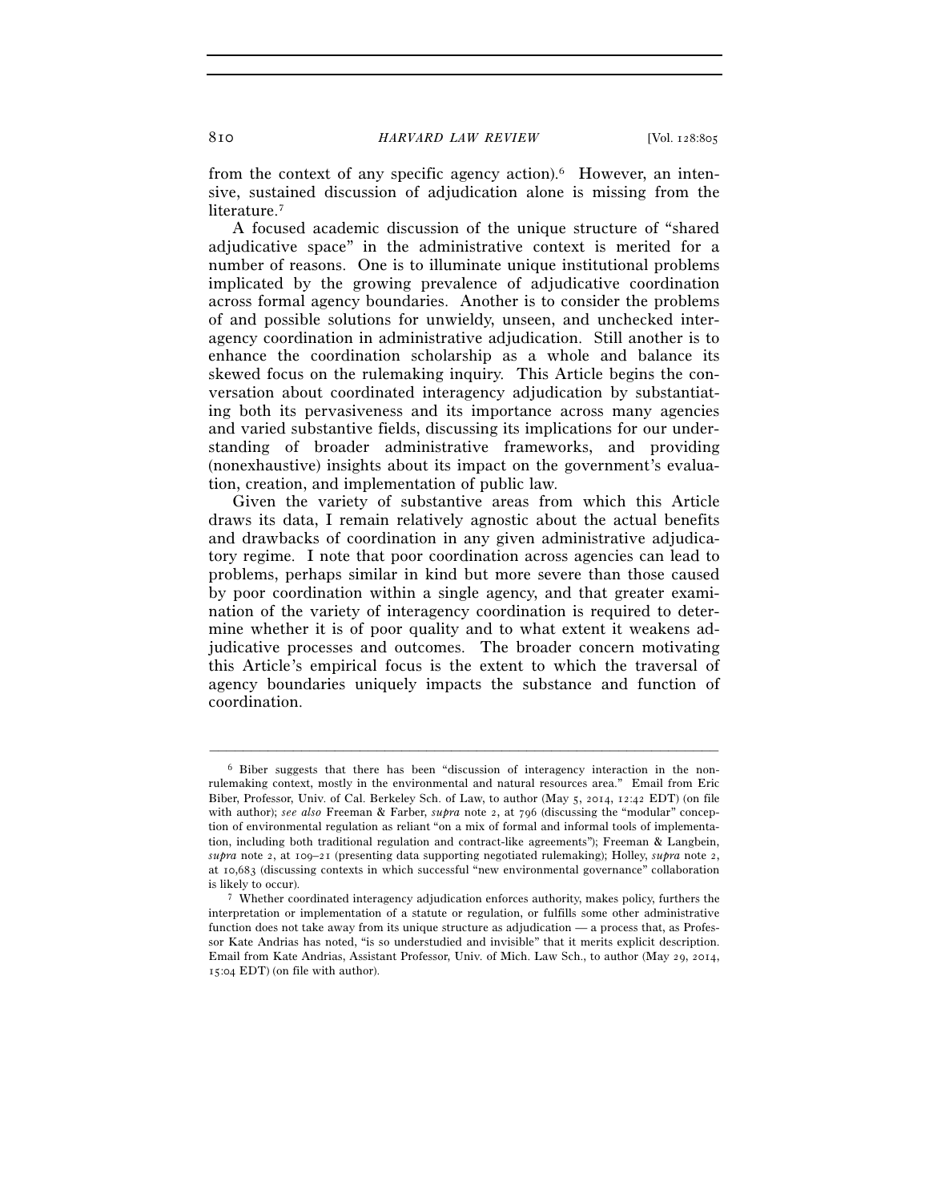from the context of any specific agency action).6 However, an intensive, sustained discussion of adjudication alone is missing from the literature.<sup>7</sup>

A focused academic discussion of the unique structure of "shared adjudicative space" in the administrative context is merited for a number of reasons. One is to illuminate unique institutional problems implicated by the growing prevalence of adjudicative coordination across formal agency boundaries. Another is to consider the problems of and possible solutions for unwieldy, unseen, and unchecked interagency coordination in administrative adjudication. Still another is to enhance the coordination scholarship as a whole and balance its skewed focus on the rulemaking inquiry. This Article begins the conversation about coordinated interagency adjudication by substantiating both its pervasiveness and its importance across many agencies and varied substantive fields, discussing its implications for our understanding of broader administrative frameworks, and providing (nonexhaustive) insights about its impact on the government's evaluation, creation, and implementation of public law.

Given the variety of substantive areas from which this Article draws its data, I remain relatively agnostic about the actual benefits and drawbacks of coordination in any given administrative adjudicatory regime. I note that poor coordination across agencies can lead to problems, perhaps similar in kind but more severe than those caused by poor coordination within a single agency, and that greater examination of the variety of interagency coordination is required to determine whether it is of poor quality and to what extent it weakens adjudicative processes and outcomes. The broader concern motivating this Article's empirical focus is the extent to which the traversal of agency boundaries uniquely impacts the substance and function of coordination.

<sup>6</sup> Biber suggests that there has been "discussion of interagency interaction in the nonrulemaking context, mostly in the environmental and natural resources area." Email from Eric Biber, Professor, Univ. of Cal. Berkeley Sch. of Law, to author (May 5, 2014, 12:42 EDT) (on file with author); *see also* Freeman & Farber, *supra* note 2, at 796 (discussing the "modular" conception of environmental regulation as reliant "on a mix of formal and informal tools of implementation, including both traditional regulation and contract-like agreements"); Freeman & Langbein, *supra* note 2, at 109–21 (presenting data supporting negotiated rulemaking); Holley, *supra* note 2, at 10,683 (discussing contexts in which successful "new environmental governance" collaboration is likely to occur). 7 Whether coordinated interagency adjudication enforces authority, makes policy, furthers the

interpretation or implementation of a statute or regulation, or fulfills some other administrative function does not take away from its unique structure as adjudication — a process that, as Professor Kate Andrias has noted, "is so understudied and invisible" that it merits explicit description. Email from Kate Andrias, Assistant Professor, Univ. of Mich. Law Sch., to author (May 29, 2014, 15:04 EDT) (on file with author).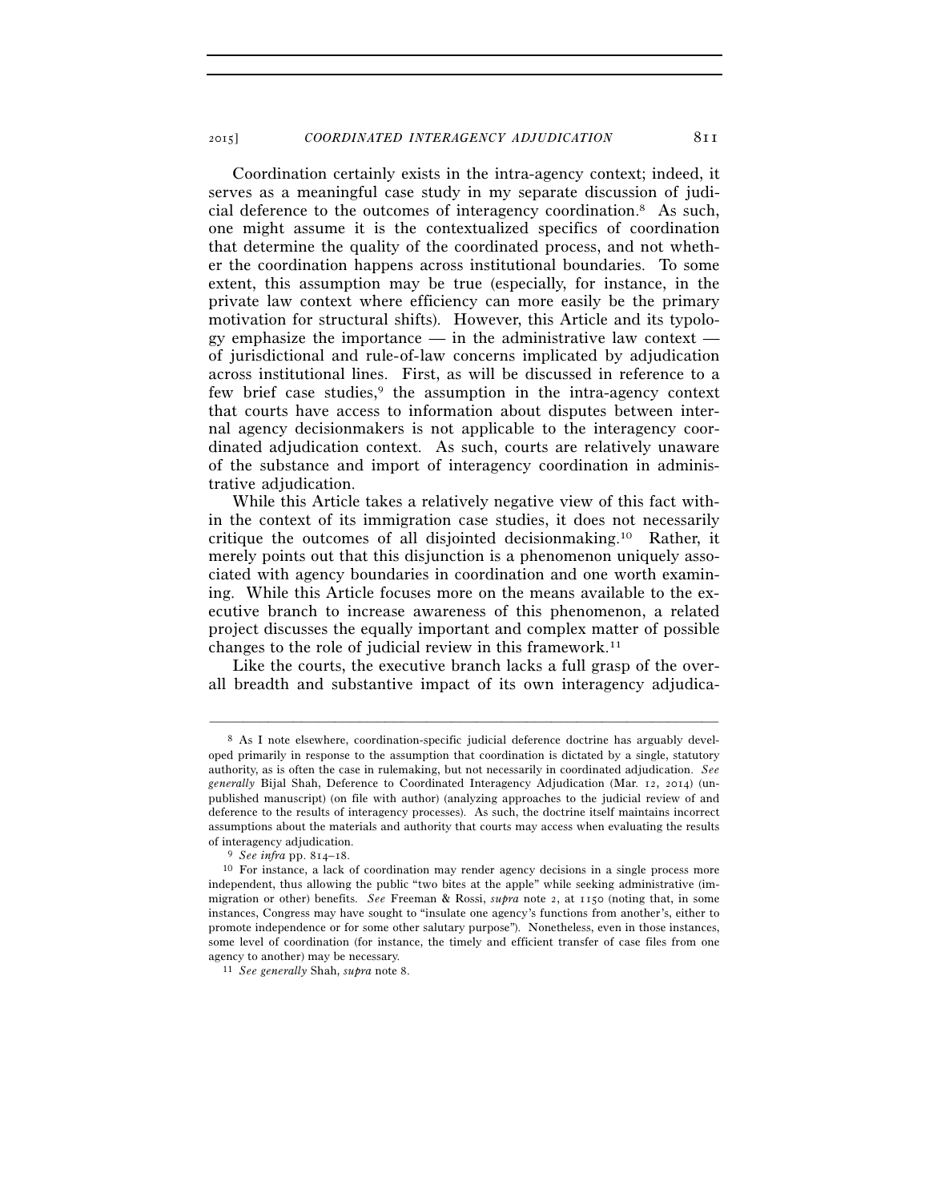Coordination certainly exists in the intra-agency context; indeed, it serves as a meaningful case study in my separate discussion of judicial deference to the outcomes of interagency coordination.8 As such, one might assume it is the contextualized specifics of coordination that determine the quality of the coordinated process, and not whether the coordination happens across institutional boundaries. To some extent, this assumption may be true (especially, for instance, in the private law context where efficiency can more easily be the primary motivation for structural shifts). However, this Article and its typology emphasize the importance — in the administrative law context of jurisdictional and rule-of-law concerns implicated by adjudication across institutional lines. First, as will be discussed in reference to a few brief case studies,<sup>9</sup> the assumption in the intra-agency context that courts have access to information about disputes between internal agency decisionmakers is not applicable to the interagency coordinated adjudication context. As such, courts are relatively unaware of the substance and import of interagency coordination in administrative adjudication.

While this Article takes a relatively negative view of this fact within the context of its immigration case studies, it does not necessarily critique the outcomes of all disjointed decisionmaking.10 Rather, it merely points out that this disjunction is a phenomenon uniquely associated with agency boundaries in coordination and one worth examining. While this Article focuses more on the means available to the executive branch to increase awareness of this phenomenon, a related project discusses the equally important and complex matter of possible changes to the role of judicial review in this framework.<sup>11</sup>

Like the courts, the executive branch lacks a full grasp of the overall breadth and substantive impact of its own interagency adjudica-

<sup>8</sup> As I note elsewhere, coordination-specific judicial deference doctrine has arguably developed primarily in response to the assumption that coordination is dictated by a single, statutory authority, as is often the case in rulemaking, but not necessarily in coordinated adjudication. *See generally* Bijal Shah, Deference to Coordinated Interagency Adjudication (Mar. 12, 2014) (unpublished manuscript) (on file with author) (analyzing approaches to the judicial review of and deference to the results of interagency processes). As such, the doctrine itself maintains incorrect assumptions about the materials and authority that courts may access when evaluating the results of interagency adjudication.<br><sup>9</sup> *See infra* pp. 814–18.<br><sup>10</sup> For instance, a lack of coordination may render agency decisions in a single process more

independent, thus allowing the public "two bites at the apple" while seeking administrative (immigration or other) benefits. *See* Freeman & Rossi, *supra* note 2, at 1150 (noting that, in some instances, Congress may have sought to "insulate one agency's functions from another's, either to promote independence or for some other salutary purpose"). Nonetheless, even in those instances, some level of coordination (for instance, the timely and efficient transfer of case files from one agency to another) may be necessary. 11 *See generally* Shah, *supra* note 8.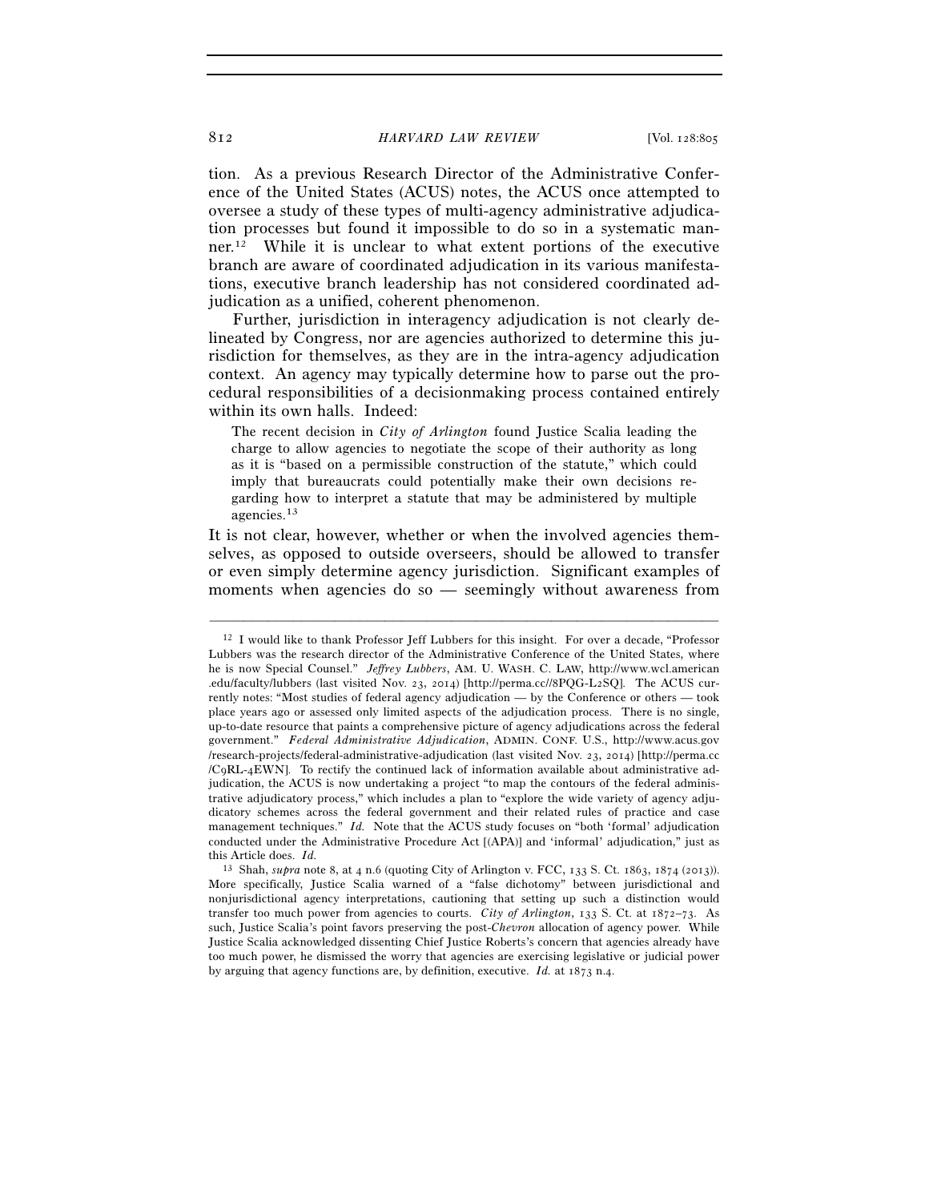tion. As a previous Research Director of the Administrative Conference of the United States (ACUS) notes, the ACUS once attempted to oversee a study of these types of multi-agency administrative adjudication processes but found it impossible to do so in a systematic manner.12 While it is unclear to what extent portions of the executive branch are aware of coordinated adjudication in its various manifestations, executive branch leadership has not considered coordinated adjudication as a unified, coherent phenomenon.

Further, jurisdiction in interagency adjudication is not clearly delineated by Congress, nor are agencies authorized to determine this jurisdiction for themselves, as they are in the intra-agency adjudication context. An agency may typically determine how to parse out the procedural responsibilities of a decisionmaking process contained entirely within its own halls. Indeed:

The recent decision in *City of Arlington* found Justice Scalia leading the charge to allow agencies to negotiate the scope of their authority as long as it is "based on a permissible construction of the statute," which could imply that bureaucrats could potentially make their own decisions regarding how to interpret a statute that may be administered by multiple agencies.13

It is not clear, however, whether or when the involved agencies themselves, as opposed to outside overseers, should be allowed to transfer or even simply determine agency jurisdiction. Significant examples of moments when agencies do so — seemingly without awareness from

<sup>&</sup>lt;sup>12</sup> I would like to thank Professor Jeff Lubbers for this insight. For over a decade, "Professor Lubbers was the research director of the Administrative Conference of the United States, where he is now Special Counsel." *Jeffrey Lubbers*, AM. U. WASH. C. LAW, http://www.wcl.american .edu/faculty/lubbers (last visited Nov. 23, 2014) [http://perma.cc//8PQG-L2SQ]. The ACUS currently notes: "Most studies of federal agency adjudication — by the Conference or others — took place years ago or assessed only limited aspects of the adjudication process. There is no single, up-to-date resource that paints a comprehensive picture of agency adjudications across the federal government." *Federal Administrative Adjudication*, ADMIN. CONF. U.S., http://www.acus.gov /research-projects/federal-administrative-adjudication (last visited Nov. 23, 2014) [http://perma.cc /C9RL-4EWN]. To rectify the continued lack of information available about administrative adjudication, the ACUS is now undertaking a project "to map the contours of the federal administrative adjudicatory process," which includes a plan to "explore the wide variety of agency adjudicatory schemes across the federal government and their related rules of practice and case management techniques." *Id.* Note that the ACUS study focuses on "both 'formal' adjudication conducted under the Administrative Procedure Act [(APA)] and 'informal' adjudication," just as this Article does. *Id.*

<sup>13</sup> Shah, *supra* note 8, at 4 n.6 (quoting City of Arlington v. FCC, 133 S. Ct. 1863, 1874 (2013)). More specifically, Justice Scalia warned of a "false dichotomy" between jurisdictional and nonjurisdictional agency interpretations, cautioning that setting up such a distinction would transfer too much power from agencies to courts. *City of Arlington*, 133 S. Ct. at 1872–73. As such, Justice Scalia's point favors preserving the post-*Chevron* allocation of agency power. While Justice Scalia acknowledged dissenting Chief Justice Roberts's concern that agencies already have too much power, he dismissed the worry that agencies are exercising legislative or judicial power by arguing that agency functions are, by definition, executive. *Id.* at 1873 n.4.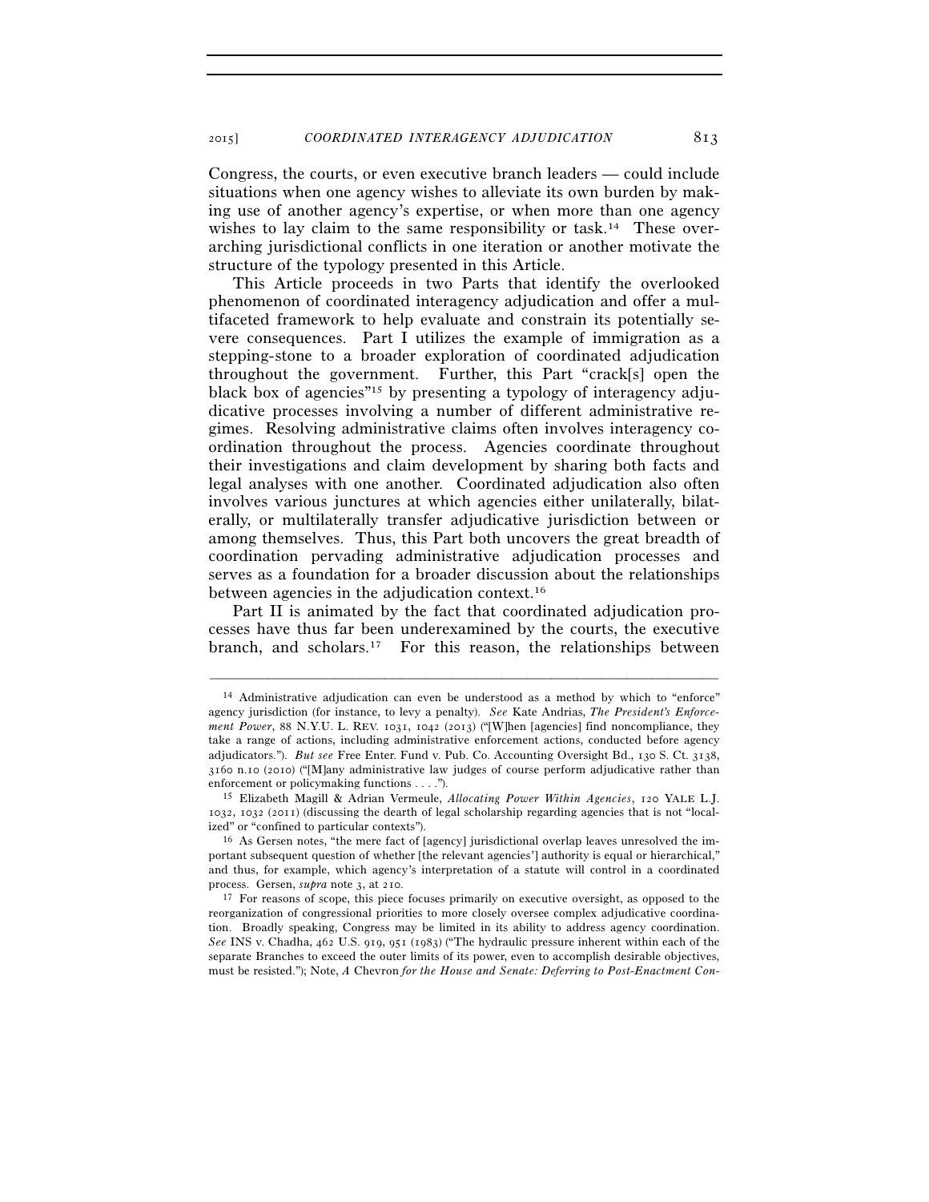Congress, the courts, or even executive branch leaders — could include situations when one agency wishes to alleviate its own burden by making use of another agency's expertise, or when more than one agency wishes to lay claim to the same responsibility or task.<sup>14</sup> These overarching jurisdictional conflicts in one iteration or another motivate the structure of the typology presented in this Article.

This Article proceeds in two Parts that identify the overlooked phenomenon of coordinated interagency adjudication and offer a multifaceted framework to help evaluate and constrain its potentially severe consequences. Part I utilizes the example of immigration as a stepping-stone to a broader exploration of coordinated adjudication throughout the government. Further, this Part "crack[s] open the black box of agencies"15 by presenting a typology of interagency adjudicative processes involving a number of different administrative regimes. Resolving administrative claims often involves interagency coordination throughout the process. Agencies coordinate throughout their investigations and claim development by sharing both facts and legal analyses with one another. Coordinated adjudication also often involves various junctures at which agencies either unilaterally, bilaterally, or multilaterally transfer adjudicative jurisdiction between or among themselves. Thus, this Part both uncovers the great breadth of coordination pervading administrative adjudication processes and serves as a foundation for a broader discussion about the relationships between agencies in the adjudication context.16

Part II is animated by the fact that coordinated adjudication processes have thus far been underexamined by the courts, the executive branch, and scholars.17 For this reason, the relationships between

<sup>14</sup> Administrative adjudication can even be understood as a method by which to "enforce" agency jurisdiction (for instance, to levy a penalty). *See* Kate Andrias, *The President's Enforcement Power*, 88 N.Y.U. L. REV. 1031, 1042 (2013) ("[W]hen [agencies] find noncompliance, they take a range of actions, including administrative enforcement actions, conducted before agency adjudicators."). *But see* Free Enter. Fund v. Pub. Co. Accounting Oversight Bd., 130 S. Ct. 3138, 3160 n.10 (2010) ("[M]any administrative law judges of course perform adjudicative rather than

enforcement or policymaking functions . . . ."). 15 Elizabeth Magill & Adrian Vermeule, *Allocating Power Within Agencies*, 120 YALE L.J. 1032, 1032 (2011) (discussing the dearth of legal scholarship regarding agencies that is not "localized" or "confined to particular contexts").<br><sup>16</sup> As Gersen notes, "the mere fact of [agency] jurisdictional overlap leaves unresolved the im-

portant subsequent question of whether [the relevant agencies'] authority is equal or hierarchical," and thus, for example, which agency's interpretation of a statute will control in a coordinated process. Gersen, *supra* note 3, at 210. 17 For reasons of scope, this piece focuses primarily on executive oversight, as opposed to the

reorganization of congressional priorities to more closely oversee complex adjudicative coordination. Broadly speaking, Congress may be limited in its ability to address agency coordination. *See* INS v. Chadha, 462 U.S. 919, 951 (1983) ("The hydraulic pressure inherent within each of the separate Branches to exceed the outer limits of its power, even to accomplish desirable objectives, must be resisted."); Note, *A* Chevron *for the House and Senate: Deferring to Post-Enactment Con-*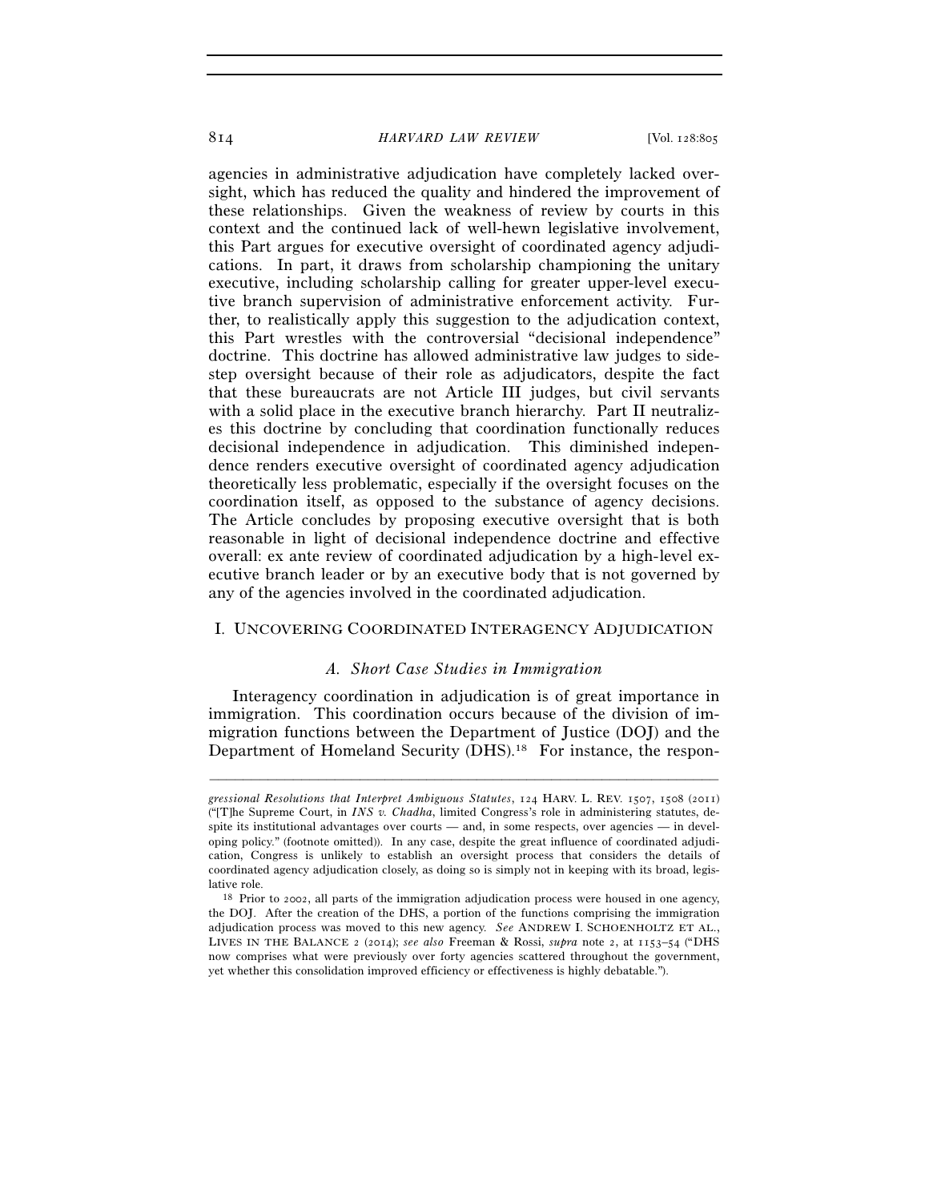agencies in administrative adjudication have completely lacked oversight, which has reduced the quality and hindered the improvement of these relationships. Given the weakness of review by courts in this context and the continued lack of well-hewn legislative involvement, this Part argues for executive oversight of coordinated agency adjudications. In part, it draws from scholarship championing the unitary executive, including scholarship calling for greater upper-level executive branch supervision of administrative enforcement activity. Further, to realistically apply this suggestion to the adjudication context, this Part wrestles with the controversial "decisional independence" doctrine. This doctrine has allowed administrative law judges to sidestep oversight because of their role as adjudicators, despite the fact that these bureaucrats are not Article III judges, but civil servants with a solid place in the executive branch hierarchy. Part II neutralizes this doctrine by concluding that coordination functionally reduces decisional independence in adjudication. This diminished independence renders executive oversight of coordinated agency adjudication theoretically less problematic, especially if the oversight focuses on the coordination itself, as opposed to the substance of agency decisions. The Article concludes by proposing executive oversight that is both reasonable in light of decisional independence doctrine and effective overall: ex ante review of coordinated adjudication by a high-level executive branch leader or by an executive body that is not governed by any of the agencies involved in the coordinated adjudication.

#### I. UNCOVERING COORDINATED INTERAGENCY ADJUDICATION

#### *A. Short Case Studies in Immigration*

Interagency coordination in adjudication is of great importance in immigration. This coordination occurs because of the division of immigration functions between the Department of Justice (DOJ) and the Department of Homeland Security (DHS).<sup>18</sup> For instance, the respon-

*gressional Resolutions that Interpret Ambiguous Statutes*, 124 HARV. L. REV. 1507, 1508 (2011) ("[T]he Supreme Court, in *INS v. Chadha*, limited Congress's role in administering statutes, despite its institutional advantages over courts — and, in some respects, over agencies — in developing policy." (footnote omitted)). In any case, despite the great influence of coordinated adjudication, Congress is unlikely to establish an oversight process that considers the details of coordinated agency adjudication closely, as doing so is simply not in keeping with its broad, legislative role.<br><sup>18</sup> Prior to 2002, all parts of the immigration adjudication process were housed in one agency,

the DOJ. After the creation of the DHS, a portion of the functions comprising the immigration adjudication process was moved to this new agency. *See* ANDREW I. SCHOENHOLTZ ET AL., LIVES IN THE BALANCE 2 (2014); *see also* Freeman & Rossi, *supra* note 2, at 1153–54 ("DHS now comprises what were previously over forty agencies scattered throughout the government, yet whether this consolidation improved efficiency or effectiveness is highly debatable.").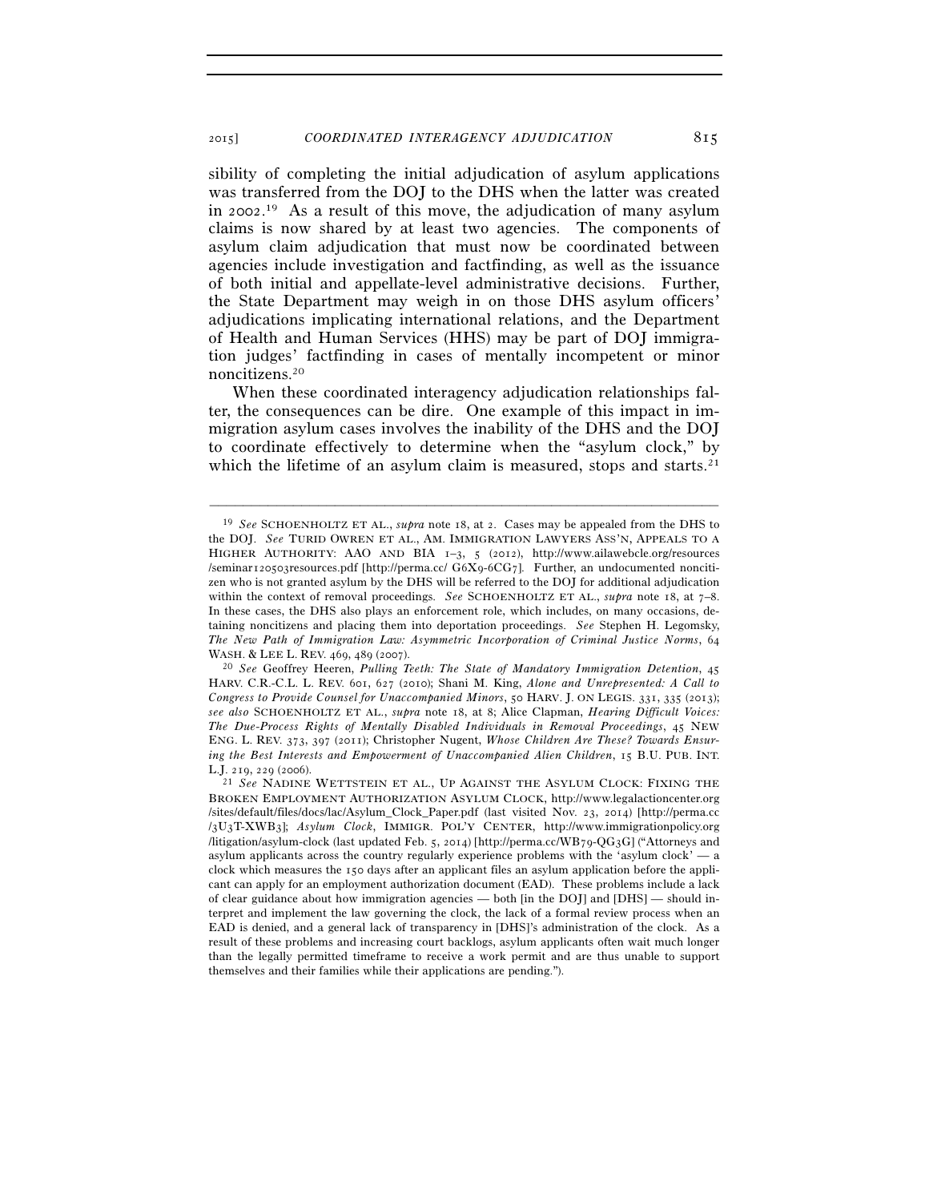sibility of completing the initial adjudication of asylum applications was transferred from the DOJ to the DHS when the latter was created in 2002. 19 As a result of this move, the adjudication of many asylum claims is now shared by at least two agencies. The components of asylum claim adjudication that must now be coordinated between agencies include investigation and factfinding, as well as the issuance of both initial and appellate-level administrative decisions. Further, the State Department may weigh in on those DHS asylum officers' adjudications implicating international relations, and the Department of Health and Human Services (HHS) may be part of DOJ immigration judges' factfinding in cases of mentally incompetent or minor noncitizens.20

When these coordinated interagency adjudication relationships falter, the consequences can be dire. One example of this impact in immigration asylum cases involves the inability of the DHS and the DOJ to coordinate effectively to determine when the "asylum clock," by which the lifetime of an asylum claim is measured, stops and starts.<sup>21</sup>

<sup>19</sup> *See* SCHOENHOLTZ ET AL., *supra* note 18, at 2. Cases may be appealed from the DHS to the DOJ. *See* TURID OWREN ET AL., AM. IMMIGRATION LAWYERS ASS'N, APPEALS TO A HIGHER AUTHORITY: AAO AND BIA 1–3, 5 (2012), http://www.ailawebcle.org/resources /seminar120503resources.pdf [http://perma.cc/ G6X9-6CG7]. Further, an undocumented noncitizen who is not granted asylum by the DHS will be referred to the DOJ for additional adjudication within the context of removal proceedings. *See* SCHOENHOLTZ ET AL., *supra* note 18, at 7-8. In these cases, the DHS also plays an enforcement role, which includes, on many occasions, detaining noncitizens and placing them into deportation proceedings. *See* Stephen H. Legomsky, *The New Path of Immigration Law: Asymmetric Incorporation of Criminal Justice Norms*, 64 WASH. & LEE L. REV. 469, 489 (2007).<br><sup>20</sup> *See* Geoffrey Heeren, *Pulling Teeth: The State of Mandatory Immigration Detention*, 45

HARV. C.R.-C.L. L. REV. 601, 627 (2010); Shani M. King, *Alone and Unrepresented: A Call to Congress to Provide Counsel for Unaccompanied Minors*, 50 HARV. J. ON LEGIS. 331, 335 (2013); *see also* SCHOENHOLTZ ET AL., *supra* note 18, at 8; Alice Clapman, *Hearing Difficult Voices: The Due-Process Rights of Mentally Disabled Individuals in Removal Proceedings*, 45 NEW ENG. L. REV. 373, 397 (2011); Christopher Nugent, *Whose Children Are These? Towards Ensuring the Best Interests and Empowerment of Unaccompanied Alien Children*, 15 B.U. PUB. INT. L.J. 219, 229 (2006). 21 *See* NADINE WETTSTEIN ET AL., UP AGAINST THE ASYLUM CLOCK: FIXING THE

BROKEN EMPLOYMENT AUTHORIZATION ASYLUM CLOCK, http://www.legalactioncenter.org /sites/default/files/docs/lac/Asylum\_Clock\_Paper.pdf (last visited Nov. 23, 2014) [http://perma.cc /3U3T-XWB3]; *Asylum Clock*, IMMIGR. POL'Y CENTER, http://www.immigrationpolicy.org /litigation/asylum-clock (last updated Feb. 5, 2014) [http://perma.cc/WB79-QG3G] ("Attorneys and asylum applicants across the country regularly experience problems with the 'asylum clock'  $-$  a clock which measures the 150 days after an applicant files an asylum application before the applicant can apply for an employment authorization document (EAD). These problems include a lack of clear guidance about how immigration agencies — both [in the DOJ] and [DHS] — should interpret and implement the law governing the clock, the lack of a formal review process when an EAD is denied, and a general lack of transparency in [DHS]'s administration of the clock. As a result of these problems and increasing court backlogs, asylum applicants often wait much longer than the legally permitted timeframe to receive a work permit and are thus unable to support themselves and their families while their applications are pending.").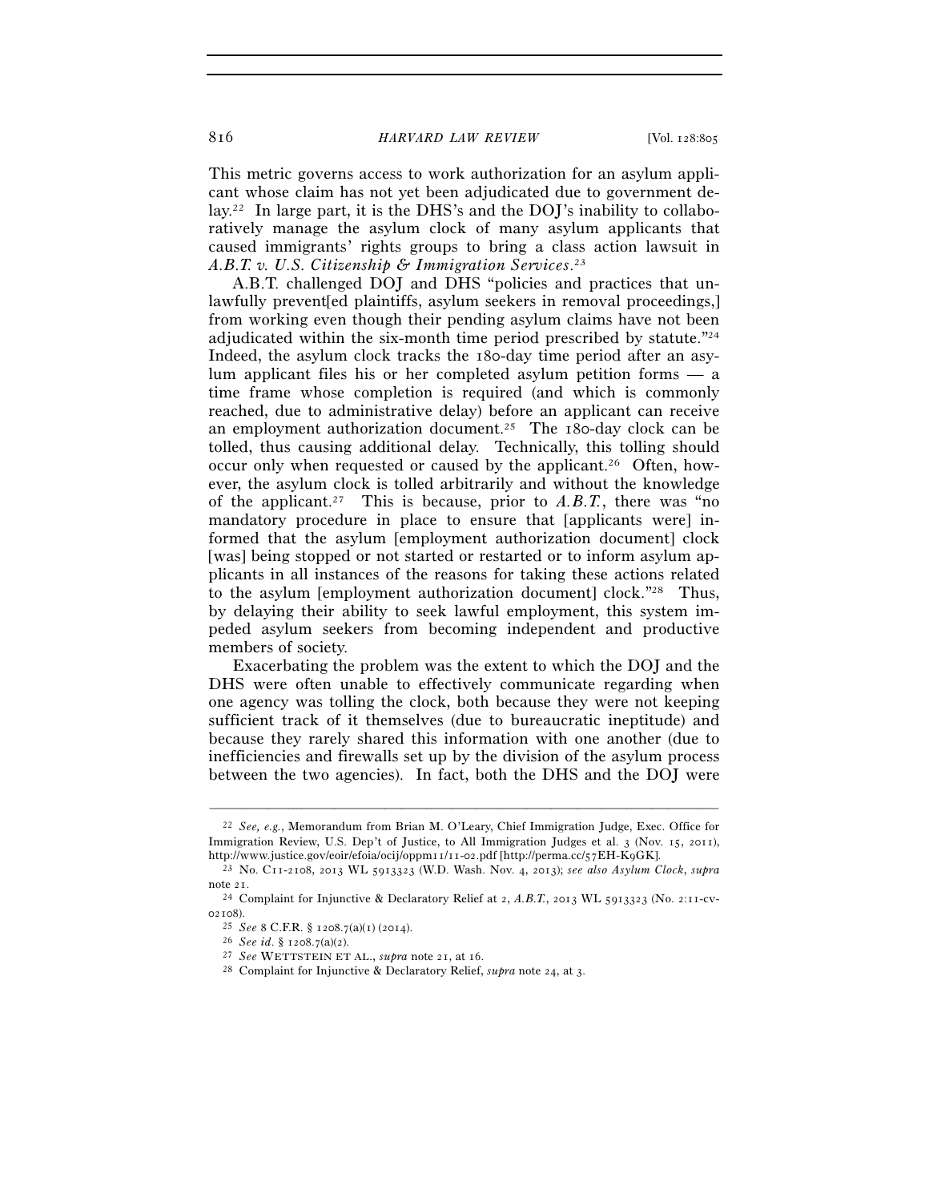This metric governs access to work authorization for an asylum applicant whose claim has not yet been adjudicated due to government delay.22 In large part, it is the DHS's and the DOJ's inability to collaboratively manage the asylum clock of many asylum applicants that caused immigrants' rights groups to bring a class action lawsuit in *A.B.T. v. U.S. Citizenship & Immigration Services*. 23

A.B.T. challenged DOJ and DHS "policies and practices that unlawfully prevent[ed plaintiffs, asylum seekers in removal proceedings,] from working even though their pending asylum claims have not been adjudicated within the six-month time period prescribed by statute."24 Indeed, the asylum clock tracks the 180-day time period after an asylum applicant files his or her completed asylum petition forms — a time frame whose completion is required (and which is commonly reached, due to administrative delay) before an applicant can receive an employment authorization document.25 The 180-day clock can be tolled, thus causing additional delay. Technically, this tolling should occur only when requested or caused by the applicant.<sup>26</sup> Often, however, the asylum clock is tolled arbitrarily and without the knowledge of the applicant.<sup>27</sup> This is because, prior to  $A.B.T.$ , there was "no mandatory procedure in place to ensure that [applicants were] informed that the asylum [employment authorization document] clock [was] being stopped or not started or restarted or to inform asylum applicants in all instances of the reasons for taking these actions related to the asylum [employment authorization document] clock."28 Thus, by delaying their ability to seek lawful employment, this system impeded asylum seekers from becoming independent and productive members of society.

Exacerbating the problem was the extent to which the DOJ and the DHS were often unable to effectively communicate regarding when one agency was tolling the clock, both because they were not keeping sufficient track of it themselves (due to bureaucratic ineptitude) and because they rarely shared this information with one another (due to inefficiencies and firewalls set up by the division of the asylum process between the two agencies). In fact, both the DHS and the DOJ were

<sup>22</sup> *See, e.g.*, Memorandum from Brian M. O'Leary, Chief Immigration Judge, Exec. Office for Immigration Review, U.S. Dep't of Justice, to All Immigration Judges et al. 3 (Nov. 15, 2011), http://www.justice.gov/eoir/efoia/ocij/oppm11/11-02.pdf [http://perma.cc/57EH-K9GK]. 23 No. C11-2108, 2013 WL 5913323 (W.D. Wash. Nov. 4, 2013); *see also Asylum Clock*, *supra*

note 21.<br><sup>24</sup> Complaint for Injunctive & Declaratory Relief at 2, *A.B.T.*, 2013 WL 5913323 (No. 2:11-cv-

<sup>02108).&</sup>lt;br>
<sup>25</sup> See 8 C.F.R. § 1208.7(a)(1) (2014).<br>
<sup>26</sup> See id. § 1208.7(a)(2).<br>
<sup>27</sup> See WETTSTEIN ET AL., *supra* note 21, at 16.<br>
<sup>27</sup> Cee WETTSTEIN ET AL., *supra* note 21, at 16.<br>
<sup>28</sup> Complaint for Injunctive & Decl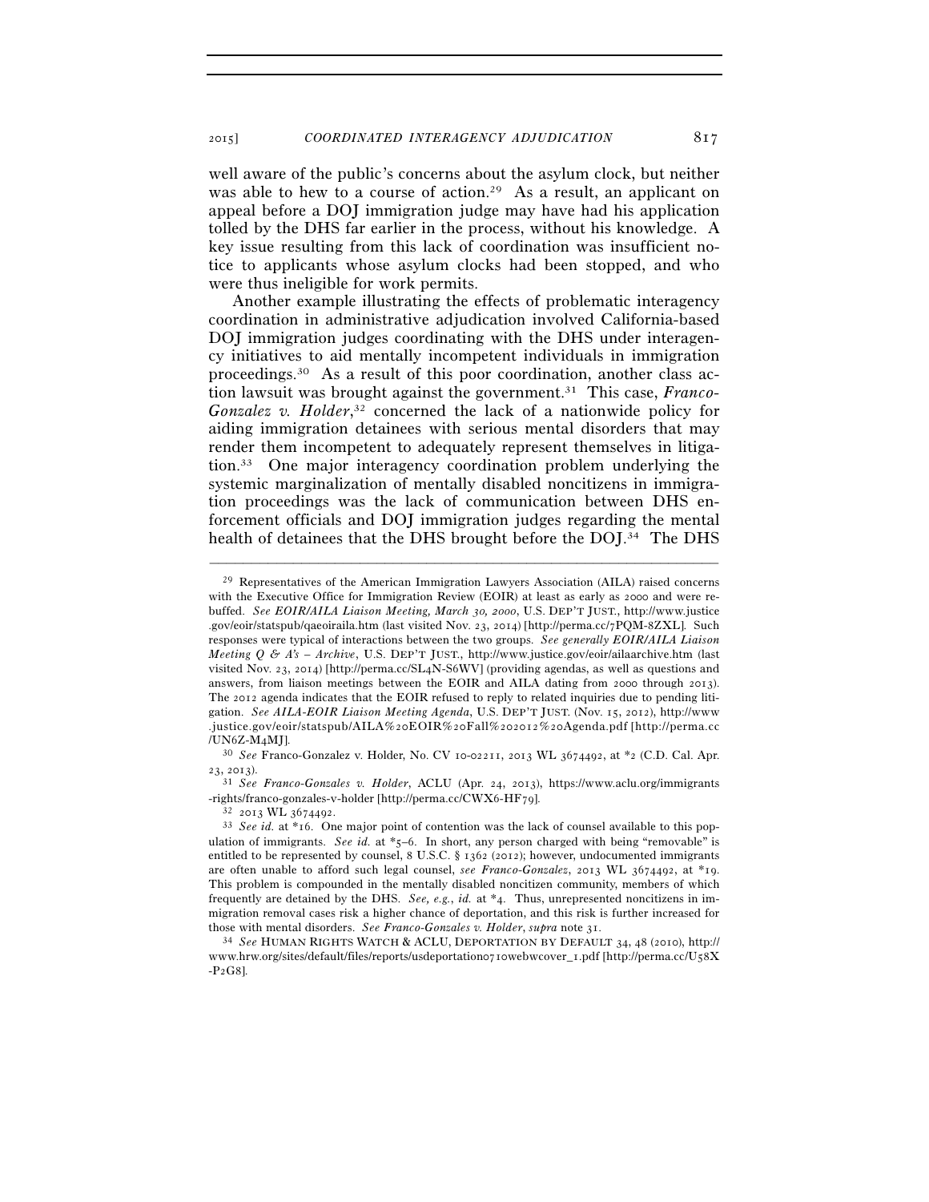well aware of the public's concerns about the asylum clock, but neither was able to hew to a course of action.<sup>29</sup> As a result, an applicant on appeal before a DOJ immigration judge may have had his application tolled by the DHS far earlier in the process, without his knowledge. A key issue resulting from this lack of coordination was insufficient notice to applicants whose asylum clocks had been stopped, and who were thus ineligible for work permits.

Another example illustrating the effects of problematic interagency coordination in administrative adjudication involved California-based DOJ immigration judges coordinating with the DHS under interagency initiatives to aid mentally incompetent individuals in immigration proceedings.30 As a result of this poor coordination, another class action lawsuit was brought against the government.31 This case, *Franco-Gonzalez v. Holder*, 32 concerned the lack of a nationwide policy for aiding immigration detainees with serious mental disorders that may render them incompetent to adequately represent themselves in litigation.33 One major interagency coordination problem underlying the systemic marginalization of mentally disabled noncitizens in immigration proceedings was the lack of communication between DHS enforcement officials and DOJ immigration judges regarding the mental health of detainees that the DHS brought before the DOI.<sup>34</sup> The DHS

–––––––––––––––––––––––––––––––––––––––––––––––––––––––––––––

<sup>23</sup>, 2013). 31 *See Franco-Gonzales v. Holder*, ACLU (Apr. 24, 2013), https://www.aclu.org/immigrants -rights/franco-gonzales-v-holder [http://perma.cc/CWX6-HF79]. 32 <sup>2013</sup> WL 3674492. 33 *See id.* at \*16. One major point of contention was the lack of counsel available to this pop-

<sup>29</sup> Representatives of the American Immigration Lawyers Association (AILA) raised concerns with the Executive Office for Immigration Review (EOIR) at least as early as 2000 and were rebuffed. *See EOIR/AILA Liaison Meeting, March 30, 2000*, U.S. DEP'T JUST., http://www.justice .gov/eoir/statspub/qaeoiraila.htm (last visited Nov. 23, 2014) [http://perma.cc/7PQM-8ZXL]. Such responses were typical of interactions between the two groups. *See generally EOIR/AILA Liaison Meeting Q & A's – Archive*, U.S. DEP'T JUST., http://www.justice.gov/eoir/ailaarchive.htm (last visited Nov. 23, 2014) [http://perma.cc/SL4N-S6WV] (providing agendas, as well as questions and answers, from liaison meetings between the EOIR and AILA dating from 2000 through 2013). The 2012 agenda indicates that the EOIR refused to reply to related inquiries due to pending litigation. *See AILA-EOIR Liaison Meeting Agenda*, U.S. DEP'T JUST. (Nov. 15, 2012), http://www .justice.gov/eoir/statspub/AILA%20EOIR%20Fall%202012%20Agenda.pdf [http://perma.cc /UN6Z-M4MJ]. 30 *See* Franco-Gonzalez v. Holder, No. CV 10-02211, 2013 WL 3674492, at \*2 (C.D. Cal. Apr.

ulation of immigrants. *See id.* at \*5–6. In short, any person charged with being "removable" is entitled to be represented by counsel, 8 U.S.C. § 1362 (2012); however, undocumented immigrants are often unable to afford such legal counsel, *see Franco-Gonzalez*, 2013 WL 3674492, at \*19. This problem is compounded in the mentally disabled noncitizen community, members of which frequently are detained by the DHS. *See, e.g.*, *id.* at \*4. Thus, unrepresented noncitizens in immigration removal cases risk a higher chance of deportation, and this risk is further increased for those with mental disorders. *See Franco-Gonzales v. Holder*, *supra* note 31. 34 *See* HUMAN RIGHTS WATCH & ACLU, DEPORTATION BY DEFAULT <sup>34</sup>, 48 (2010), http://

www.hrw.org/sites/default/files/reports/usdeportation0710webwcover\_1.pdf [http://perma.cc/U58X -P2G8].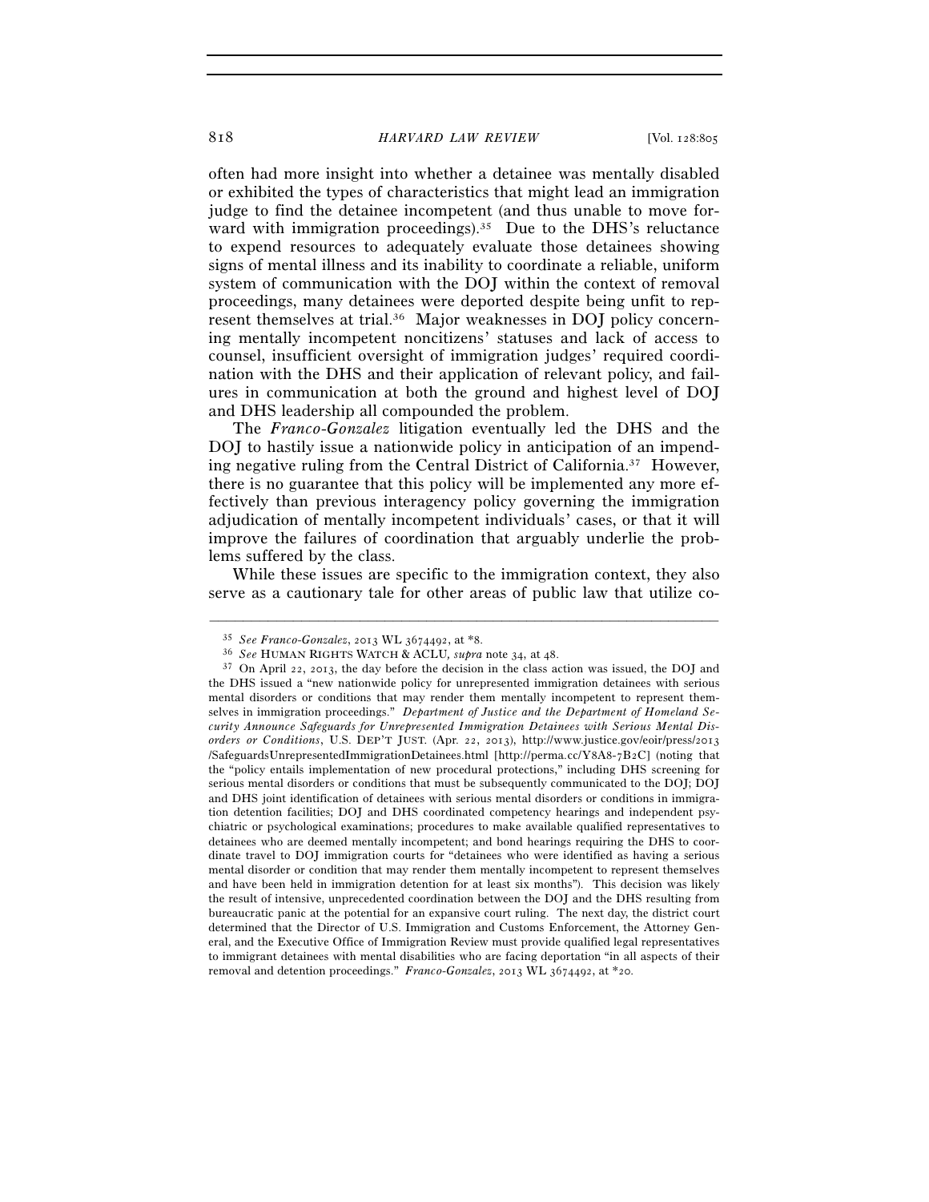often had more insight into whether a detainee was mentally disabled or exhibited the types of characteristics that might lead an immigration judge to find the detainee incompetent (and thus unable to move forward with immigration proceedings).<sup>35</sup> Due to the DHS's reluctance to expend resources to adequately evaluate those detainees showing signs of mental illness and its inability to coordinate a reliable, uniform system of communication with the DOJ within the context of removal proceedings, many detainees were deported despite being unfit to represent themselves at trial.36 Major weaknesses in DOJ policy concerning mentally incompetent noncitizens' statuses and lack of access to counsel, insufficient oversight of immigration judges' required coordination with the DHS and their application of relevant policy, and failures in communication at both the ground and highest level of DOJ and DHS leadership all compounded the problem.

The *Franco-Gonzalez* litigation eventually led the DHS and the DOJ to hastily issue a nationwide policy in anticipation of an impending negative ruling from the Central District of California.<sup>37</sup> However, there is no guarantee that this policy will be implemented any more effectively than previous interagency policy governing the immigration adjudication of mentally incompetent individuals' cases, or that it will improve the failures of coordination that arguably underlie the problems suffered by the class.

While these issues are specific to the immigration context, they also serve as a cautionary tale for other areas of public law that utilize co-

<sup>&</sup>lt;sup>35</sup> See Franco-Gonzalez, 2013 WL 3674492, at \*8.<br><sup>36</sup> See HUMAN RIGHTS WATCH & ACLU, *supra* note 34, at 48.<br><sup>37</sup> On April 22, 2013, the day before the decision in the class action was issued, the DOJ and the DHS issued a "new nationwide policy for unrepresented immigration detainees with serious mental disorders or conditions that may render them mentally incompetent to represent themselves in immigration proceedings." *Department of Justice and the Department of Homeland Security Announce Safeguards for Unrepresented Immigration Detainees with Serious Mental Disorders or Conditions*, U.S. DEP'T JUST. (Apr. 22, 2013), http://www.justice.gov/eoir/press/2013 /SafeguardsUnrepresentedImmigrationDetainees.html [http://perma.cc/Y8A8-7B2C] (noting that the "policy entails implementation of new procedural protections," including DHS screening for serious mental disorders or conditions that must be subsequently communicated to the DOJ; DOJ and DHS joint identification of detainees with serious mental disorders or conditions in immigration detention facilities; DOJ and DHS coordinated competency hearings and independent psychiatric or psychological examinations; procedures to make available qualified representatives to detainees who are deemed mentally incompetent; and bond hearings requiring the DHS to coordinate travel to DOJ immigration courts for "detainees who were identified as having a serious mental disorder or condition that may render them mentally incompetent to represent themselves and have been held in immigration detention for at least six months"). This decision was likely the result of intensive, unprecedented coordination between the DOJ and the DHS resulting from bureaucratic panic at the potential for an expansive court ruling. The next day, the district court determined that the Director of U.S. Immigration and Customs Enforcement, the Attorney General, and the Executive Office of Immigration Review must provide qualified legal representatives to immigrant detainees with mental disabilities who are facing deportation "in all aspects of their removal and detention proceedings." *Franco-Gonzalez*, 2013 WL 3674492, at \*20.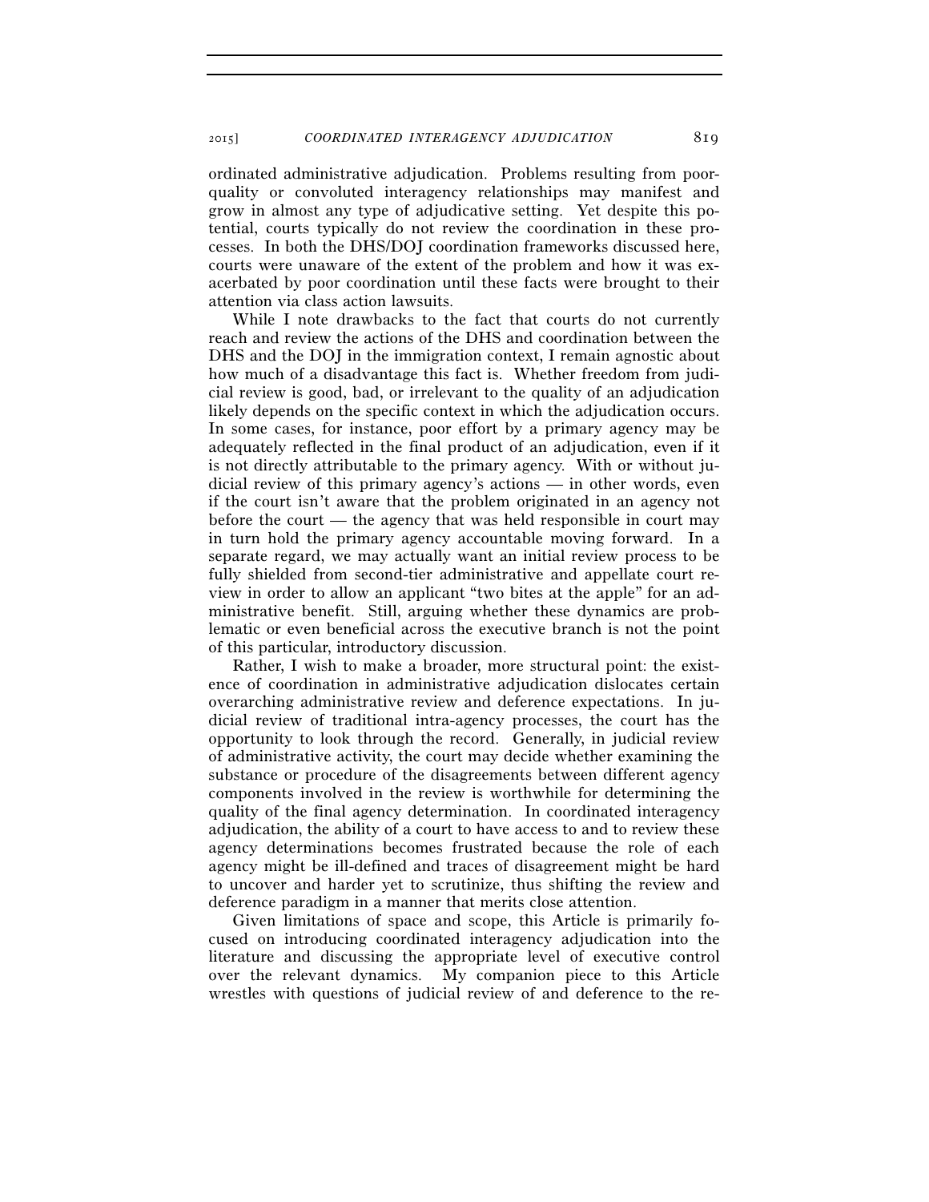ordinated administrative adjudication. Problems resulting from poorquality or convoluted interagency relationships may manifest and grow in almost any type of adjudicative setting. Yet despite this potential, courts typically do not review the coordination in these processes. In both the DHS/DOJ coordination frameworks discussed here, courts were unaware of the extent of the problem and how it was exacerbated by poor coordination until these facts were brought to their attention via class action lawsuits.

While I note drawbacks to the fact that courts do not currently reach and review the actions of the DHS and coordination between the DHS and the DOJ in the immigration context, I remain agnostic about how much of a disadvantage this fact is. Whether freedom from judicial review is good, bad, or irrelevant to the quality of an adjudication likely depends on the specific context in which the adjudication occurs. In some cases, for instance, poor effort by a primary agency may be adequately reflected in the final product of an adjudication, even if it is not directly attributable to the primary agency. With or without judicial review of this primary agency's actions — in other words, even if the court isn't aware that the problem originated in an agency not before the court — the agency that was held responsible in court may in turn hold the primary agency accountable moving forward. In a separate regard, we may actually want an initial review process to be fully shielded from second-tier administrative and appellate court review in order to allow an applicant "two bites at the apple" for an administrative benefit. Still, arguing whether these dynamics are problematic or even beneficial across the executive branch is not the point of this particular, introductory discussion.

Rather, I wish to make a broader, more structural point: the existence of coordination in administrative adjudication dislocates certain overarching administrative review and deference expectations. In judicial review of traditional intra-agency processes, the court has the opportunity to look through the record. Generally, in judicial review of administrative activity, the court may decide whether examining the substance or procedure of the disagreements between different agency components involved in the review is worthwhile for determining the quality of the final agency determination. In coordinated interagency adjudication, the ability of a court to have access to and to review these agency determinations becomes frustrated because the role of each agency might be ill-defined and traces of disagreement might be hard to uncover and harder yet to scrutinize, thus shifting the review and deference paradigm in a manner that merits close attention.

Given limitations of space and scope, this Article is primarily focused on introducing coordinated interagency adjudication into the literature and discussing the appropriate level of executive control over the relevant dynamics. My companion piece to this Article wrestles with questions of judicial review of and deference to the re-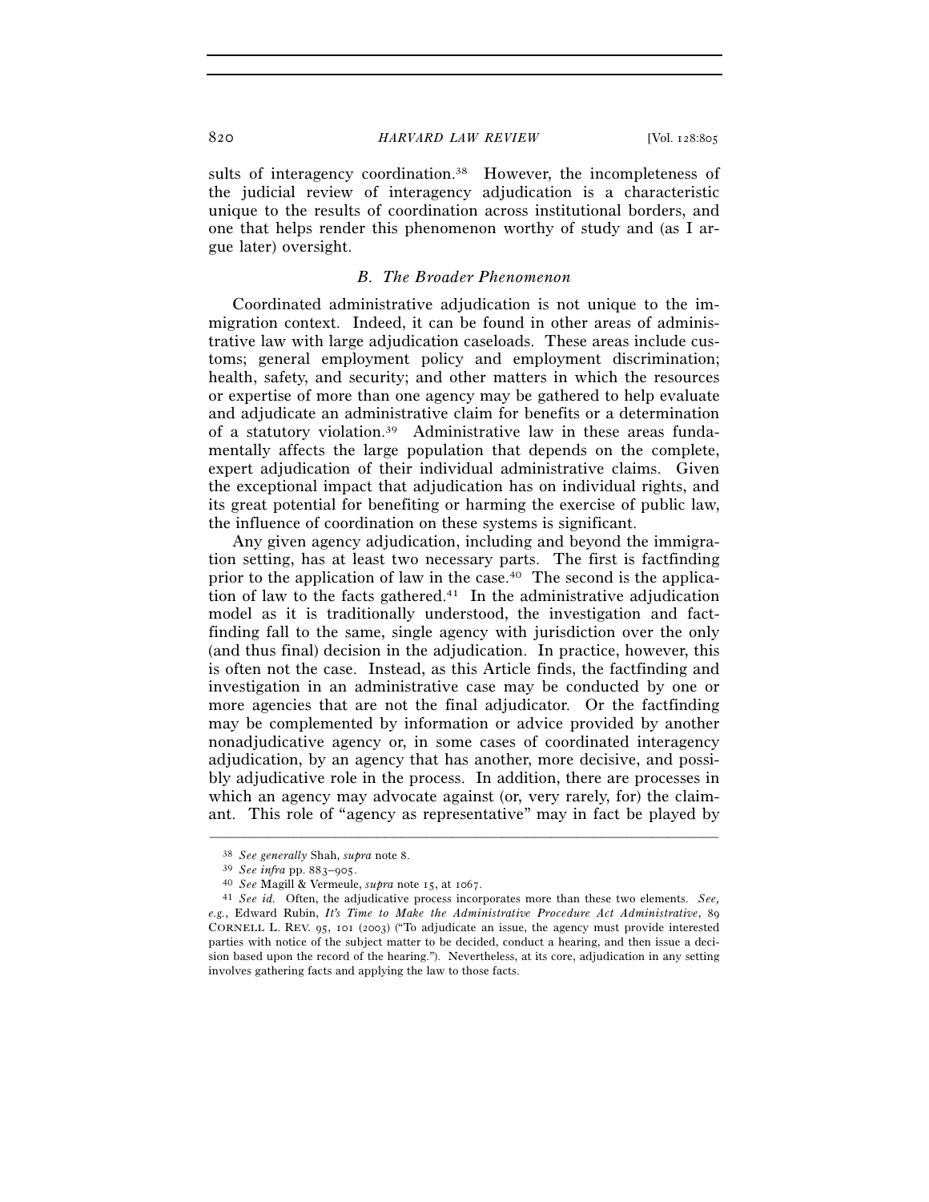sults of interagency coordination.<sup>38</sup> However, the incompleteness of the judicial review of interagency adjudication is a characteristic unique to the results of coordination across institutional borders, and one that helps render this phenomenon worthy of study and (as I argue later) oversight.

#### *B. The Broader Phenomenon*

Coordinated administrative adjudication is not unique to the immigration context. Indeed, it can be found in other areas of administrative law with large adjudication caseloads. These areas include customs; general employment policy and employment discrimination; health, safety, and security; and other matters in which the resources or expertise of more than one agency may be gathered to help evaluate and adjudicate an administrative claim for benefits or a determination of a statutory violation.39 Administrative law in these areas fundamentally affects the large population that depends on the complete, expert adjudication of their individual administrative claims. Given the exceptional impact that adjudication has on individual rights, and its great potential for benefiting or harming the exercise of public law, the influence of coordination on these systems is significant.

Any given agency adjudication, including and beyond the immigration setting, has at least two necessary parts. The first is factfinding prior to the application of law in the case.40 The second is the application of law to the facts gathered.<sup>41</sup> In the administrative adjudication model as it is traditionally understood, the investigation and factfinding fall to the same, single agency with jurisdiction over the only (and thus final) decision in the adjudication. In practice, however, this is often not the case. Instead, as this Article finds, the factfinding and investigation in an administrative case may be conducted by one or more agencies that are not the final adjudicator. Or the factfinding may be complemented by information or advice provided by another nonadjudicative agency or, in some cases of coordinated interagency adjudication, by an agency that has another, more decisive, and possibly adjudicative role in the process. In addition, there are processes in which an agency may advocate against (or, very rarely, for) the claimant. This role of "agency as representative" may in fact be played by

<sup>&</sup>lt;sup>38</sup> See generally Shah, supra note 8.<br><sup>39</sup> See infra pp. 883–905.<br><sup>40</sup> See Magill & Vermeule, *supra* note 15, at 1067.<br><sup>41</sup> See id. Often, the adjudicative process incorporates more than these two elements. See, *e.g.*, Edward Rubin, *It's Time to Make the Administrative Procedure Act Administrative*, 89 CORNELL L. REV. 95, 101 (2003) ("To adjudicate an issue, the agency must provide interested parties with notice of the subject matter to be decided, conduct a hearing, and then issue a decision based upon the record of the hearing."). Nevertheless, at its core, adjudication in any setting involves gathering facts and applying the law to those facts.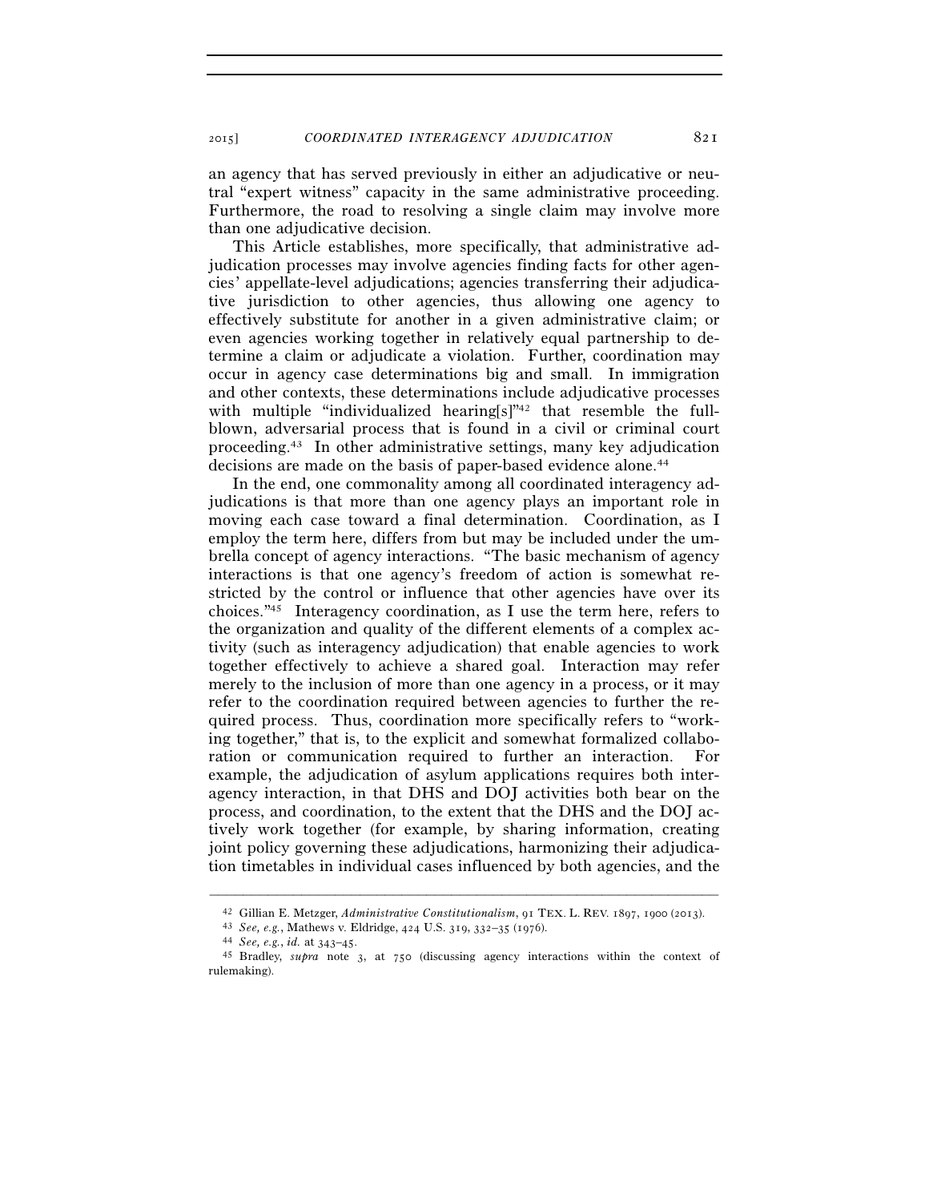an agency that has served previously in either an adjudicative or neutral "expert witness" capacity in the same administrative proceeding. Furthermore, the road to resolving a single claim may involve more than one adjudicative decision.

This Article establishes, more specifically, that administrative adjudication processes may involve agencies finding facts for other agencies' appellate-level adjudications; agencies transferring their adjudicative jurisdiction to other agencies, thus allowing one agency to effectively substitute for another in a given administrative claim; or even agencies working together in relatively equal partnership to determine a claim or adjudicate a violation. Further, coordination may occur in agency case determinations big and small. In immigration and other contexts, these determinations include adjudicative processes with multiple "individualized hearing[s]"<sup>42</sup> that resemble the fullblown, adversarial process that is found in a civil or criminal court proceeding.43 In other administrative settings, many key adjudication decisions are made on the basis of paper-based evidence alone.<sup>44</sup>

In the end, one commonality among all coordinated interagency adjudications is that more than one agency plays an important role in moving each case toward a final determination. Coordination, as I employ the term here, differs from but may be included under the umbrella concept of agency interactions. "The basic mechanism of agency interactions is that one agency's freedom of action is somewhat restricted by the control or influence that other agencies have over its choices."45 Interagency coordination, as I use the term here, refers to the organization and quality of the different elements of a complex activity (such as interagency adjudication) that enable agencies to work together effectively to achieve a shared goal. Interaction may refer merely to the inclusion of more than one agency in a process, or it may refer to the coordination required between agencies to further the required process. Thus, coordination more specifically refers to "working together," that is, to the explicit and somewhat formalized collaboration or communication required to further an interaction. For example, the adjudication of asylum applications requires both interagency interaction, in that DHS and DOJ activities both bear on the process, and coordination, to the extent that the DHS and the DOJ actively work together (for example, by sharing information, creating joint policy governing these adjudications, harmonizing their adjudication timetables in individual cases influenced by both agencies, and the

<sup>–––––––––––––––––––––––––––––––––––––––––––––––––––––––––––––</sup> <sup>42</sup> Gillian E. Metzger, *Administrative Constitutionalism*, 91 TEX. L. REV. 1897, 1900 (2013).<br><sup>43</sup> See, e.g., Mathews v. Eldridge, 424 U.S. 319, 332–35 (1976).<br><sup>44</sup> See, e.g., *id.* at 343–45.<br><sup>45</sup> Bradley, *supra* note

rulemaking).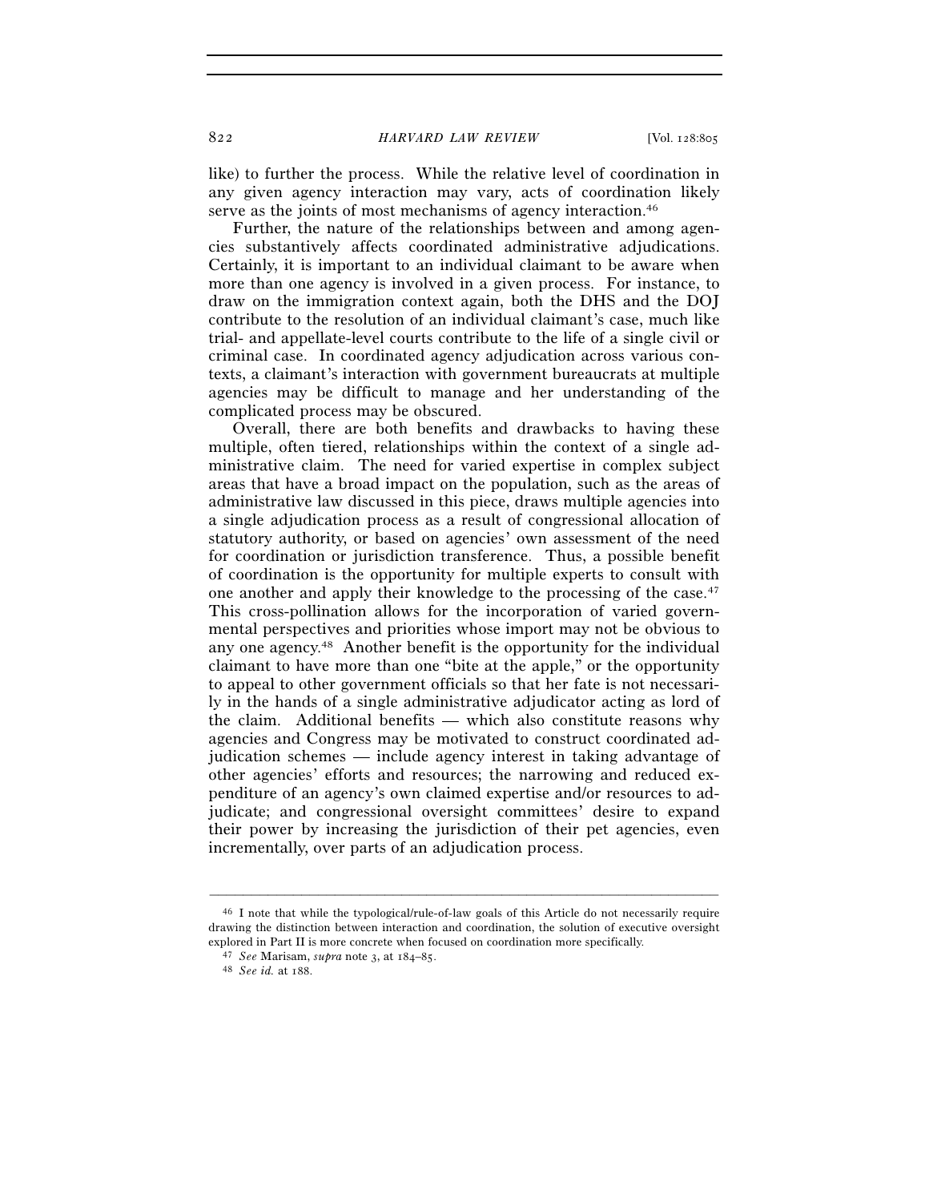like) to further the process. While the relative level of coordination in any given agency interaction may vary, acts of coordination likely serve as the joints of most mechanisms of agency interaction.<sup>46</sup>

Further, the nature of the relationships between and among agencies substantively affects coordinated administrative adjudications. Certainly, it is important to an individual claimant to be aware when more than one agency is involved in a given process. For instance, to draw on the immigration context again, both the DHS and the DOJ contribute to the resolution of an individual claimant's case, much like trial- and appellate-level courts contribute to the life of a single civil or criminal case. In coordinated agency adjudication across various contexts, a claimant's interaction with government bureaucrats at multiple agencies may be difficult to manage and her understanding of the complicated process may be obscured.

Overall, there are both benefits and drawbacks to having these multiple, often tiered, relationships within the context of a single administrative claim. The need for varied expertise in complex subject areas that have a broad impact on the population, such as the areas of administrative law discussed in this piece, draws multiple agencies into a single adjudication process as a result of congressional allocation of statutory authority, or based on agencies' own assessment of the need for coordination or jurisdiction transference. Thus, a possible benefit of coordination is the opportunity for multiple experts to consult with one another and apply their knowledge to the processing of the case.47 This cross-pollination allows for the incorporation of varied governmental perspectives and priorities whose import may not be obvious to any one agency.48 Another benefit is the opportunity for the individual claimant to have more than one "bite at the apple," or the opportunity to appeal to other government officials so that her fate is not necessarily in the hands of a single administrative adjudicator acting as lord of the claim. Additional benefits — which also constitute reasons why agencies and Congress may be motivated to construct coordinated adjudication schemes — include agency interest in taking advantage of other agencies' efforts and resources; the narrowing and reduced expenditure of an agency's own claimed expertise and/or resources to adjudicate; and congressional oversight committees' desire to expand their power by increasing the jurisdiction of their pet agencies, even incrementally, over parts of an adjudication process.

<sup>46</sup> I note that while the typological/rule-of-law goals of this Article do not necessarily require drawing the distinction between interaction and coordination, the solution of executive oversight explored in Part II is more concrete when focused on coordination more specifically. 47 *See* Marisam, *supra* note 3, at 184–85. 48 *See id.* at 188.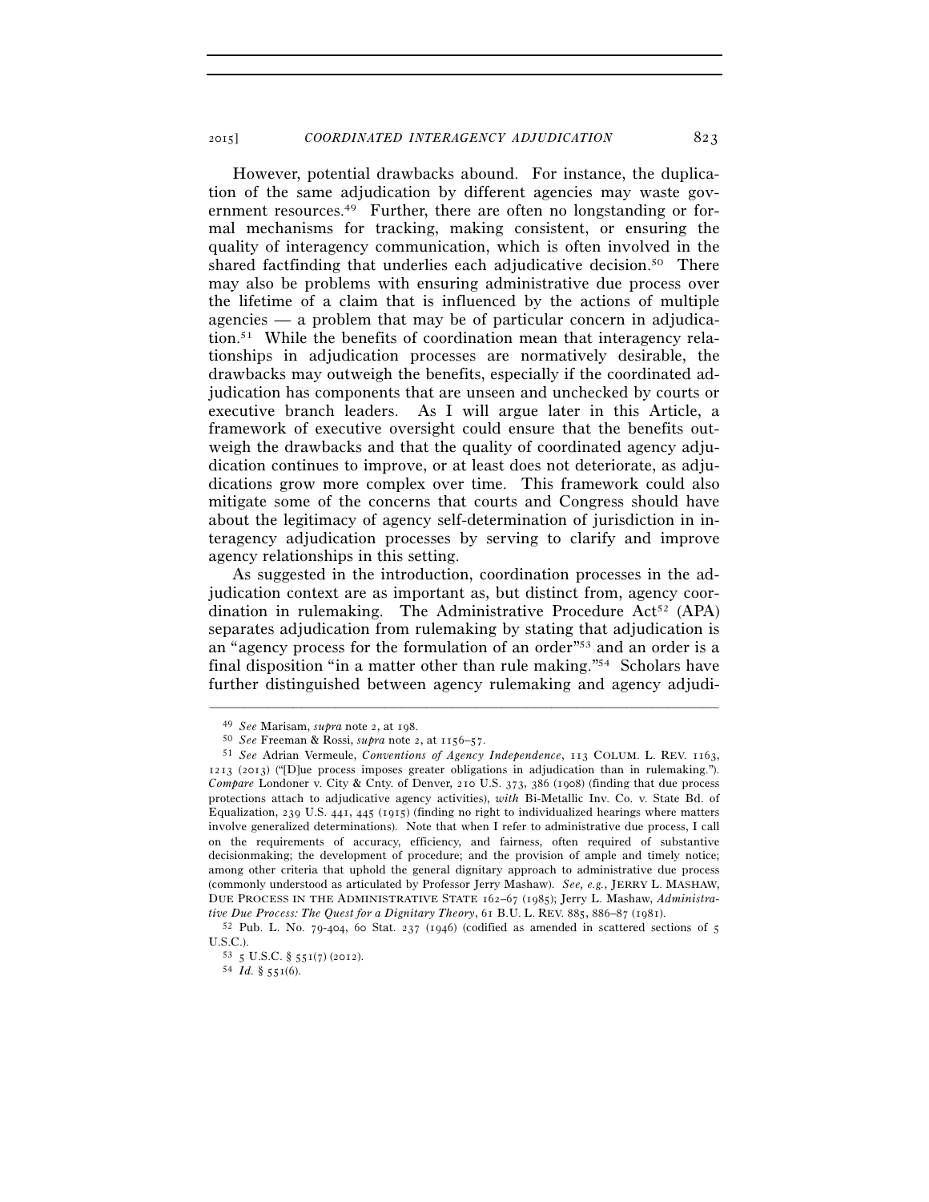However, potential drawbacks abound. For instance, the duplication of the same adjudication by different agencies may waste government resources.<sup>49</sup> Further, there are often no longstanding or formal mechanisms for tracking, making consistent, or ensuring the quality of interagency communication, which is often involved in the shared factfinding that underlies each adjudicative decision.<sup>50</sup> There may also be problems with ensuring administrative due process over the lifetime of a claim that is influenced by the actions of multiple agencies — a problem that may be of particular concern in adjudication.51 While the benefits of coordination mean that interagency relationships in adjudication processes are normatively desirable, the drawbacks may outweigh the benefits, especially if the coordinated adjudication has components that are unseen and unchecked by courts or executive branch leaders. As I will argue later in this Article, a framework of executive oversight could ensure that the benefits outweigh the drawbacks and that the quality of coordinated agency adjudication continues to improve, or at least does not deteriorate, as adjudications grow more complex over time. This framework could also mitigate some of the concerns that courts and Congress should have about the legitimacy of agency self-determination of jurisdiction in interagency adjudication processes by serving to clarify and improve agency relationships in this setting.

As suggested in the introduction, coordination processes in the adjudication context are as important as, but distinct from, agency coordination in rulemaking. The Administrative Procedure Act<sup>52</sup> (APA) separates adjudication from rulemaking by stating that adjudication is an "agency process for the formulation of an order"53 and an order is a final disposition "in a matter other than rule making."54 Scholars have further distinguished between agency rulemaking and agency adjudi-

<sup>49</sup> *See* Marisam, *supra* note 2, at 198. 50 *See* Freeman & Rossi, *supra* note 2, at 1156–57. 51 *See* Adrian Vermeule, *Conventions of Agency Independence*, 113 COLUM. L. REV. 1163, 1213 (2013) ("[D]ue process imposes greater obligations in adjudication than in rulemaking."). *Compare* Londoner v. City & Cnty. of Denver, 210 U.S. 373, 386 (1908) (finding that due process protections attach to adjudicative agency activities), *with* Bi-Metallic Inv. Co. v. State Bd. of Equalization, 239 U.S. 441, 445 (1915) (finding no right to individualized hearings where matters involve generalized determinations). Note that when I refer to administrative due process, I call on the requirements of accuracy, efficiency, and fairness, often required of substantive decisionmaking; the development of procedure; and the provision of ample and timely notice; among other criteria that uphold the general dignitary approach to administrative due process (commonly understood as articulated by Professor Jerry Mashaw). *See, e.g.*, JERRY L. MASHAW, DUE PROCESS IN THE ADMINISTRATIVE STATE 162–67 (1985); Jerry L. Mashaw, *Administra-*

*tive Due Process: The Quest for a Dignitary Theory*, 61 B.U. L. REV. 885, 886–87 (1981).<br><sup>52</sup> Pub. L. No. 79-404, 60 Stat. 237 (1946) (codified as amended in scattered sections of 5<br>U.S.C.).

<sup>53 5</sup> U.S.C. § 551(7) (2012).<br>54 *Id.* § 551(6).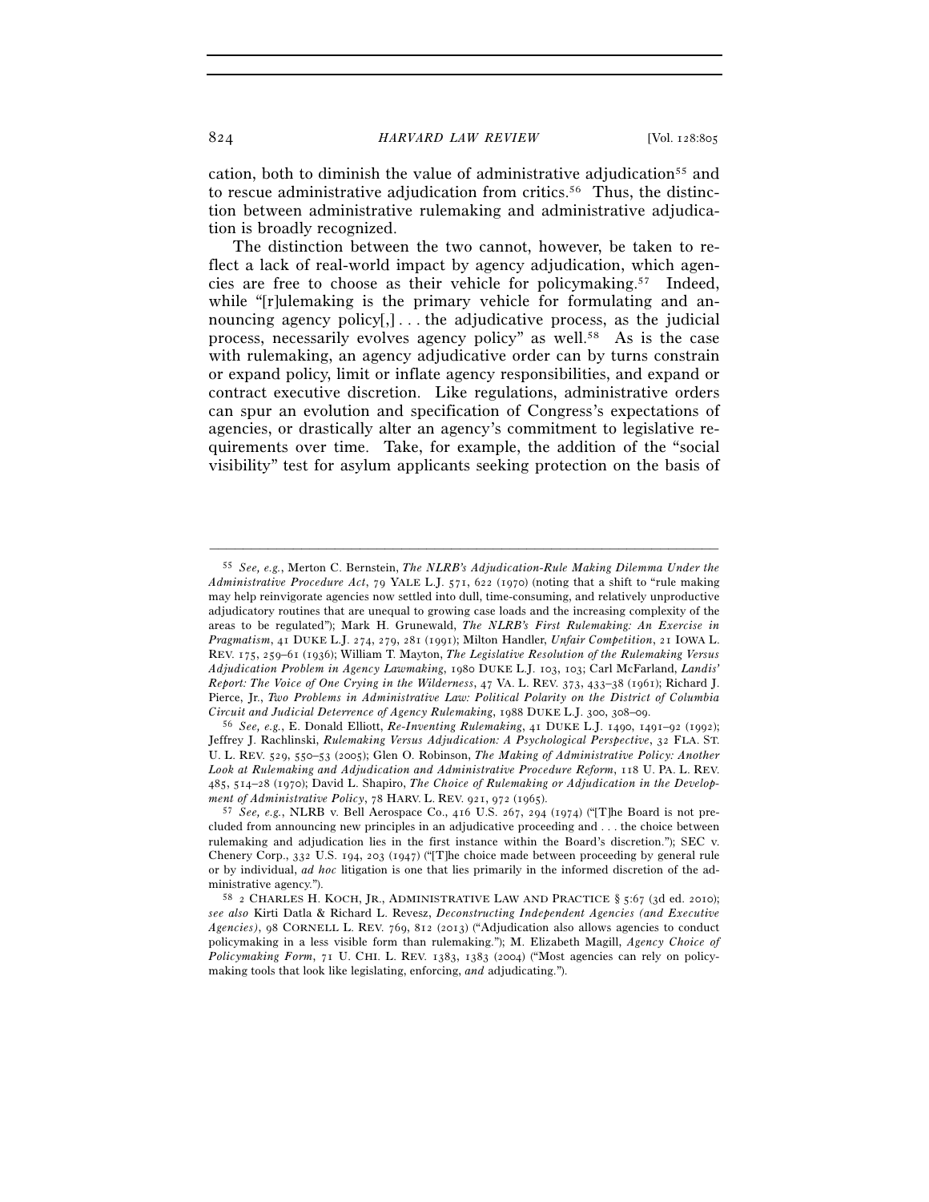cation, both to diminish the value of administrative adjudication<sup>55</sup> and to rescue administrative adjudication from critics.56 Thus, the distinction between administrative rulemaking and administrative adjudication is broadly recognized.

The distinction between the two cannot, however, be taken to reflect a lack of real-world impact by agency adjudication, which agencies are free to choose as their vehicle for policymaking.57 Indeed, while "[r]ulemaking is the primary vehicle for formulating and announcing agency policy[,] . . . the adjudicative process, as the judicial process, necessarily evolves agency policy" as well.58 As is the case with rulemaking, an agency adjudicative order can by turns constrain or expand policy, limit or inflate agency responsibilities, and expand or contract executive discretion. Like regulations, administrative orders can spur an evolution and specification of Congress's expectations of agencies, or drastically alter an agency's commitment to legislative requirements over time. Take, for example, the addition of the "social visibility" test for asylum applicants seeking protection on the basis of

<sup>55</sup> *See, e.g.*, Merton C. Bernstein, *The NLRB's Adjudication-Rule Making Dilemma Under the Administrative Procedure Act*, 79 YALE L.J. 571, 622 (1970) (noting that a shift to "rule making may help reinvigorate agencies now settled into dull, time-consuming, and relatively unproductive adjudicatory routines that are unequal to growing case loads and the increasing complexity of the areas to be regulated"); Mark H. Grunewald, *The NLRB's First Rulemaking: An Exercise in Pragmatism*, 41 DUKE L.J. 274, 279, 281 (1991); Milton Handler, *Unfair Competition*, 21 IOWA L. REV. 175, 259–61 (1936); William T. Mayton, *The Legislative Resolution of the Rulemaking Versus Adjudication Problem in Agency Lawmaking*, 1980 DUKE L.J. 103, 103; Carl McFarland, *Landis' Report: The Voice of One Crying in the Wilderness*, 47 VA. L. REV. 373, 433–38 (1961); Richard J. Pierce, Jr., *Two Problems in Administrative Law: Political Polarity on the District of Columbia Circuit and Judicial Deterrence of Agency Rulemaking*, 1988 DUKE L.J. 300, 308–09. 56 *See, e.g.*, E. Donald Elliott, *Re-Inventing Rulemaking*, 41 DUKE L.J. 1490, 1491–92 (1992);

Jeffrey J. Rachlinski, *Rulemaking Versus Adjudication: A Psychological Perspective*, 32 FLA. ST. U. L. REV. 529, 550–53 (2005); Glen O. Robinson, *The Making of Administrative Policy: Another Look at Rulemaking and Adjudication and Administrative Procedure Reform*, 118 U. PA. L. REV. 485, 514–28 (1970); David L. Shapiro, *The Choice of Rulemaking or Adjudication in the Develop-*

<sup>&</sup>lt;sup>57</sup> *See, e.g.*, NLRB v. Bell Aerospace Co., 416 U.S. 267, 294 (1974) ("[T]he Board is not precluded from announcing new principles in an adjudicative proceeding and . . . the choice between rulemaking and adjudication lies in the first instance within the Board's discretion."); SEC v. Chenery Corp., 332 U.S. 194, 203 (1947) ("[T]he choice made between proceeding by general rule or by individual, *ad hoc* litigation is one that lies primarily in the informed discretion of the ad-

ministrative agency."). 58 2 CHARLES H. KOCH, JR., ADMINISTRATIVE LAW AND PRACTICE § 5:67 (3d ed. 2010); *see also* Kirti Datla & Richard L. Revesz, *Deconstructing Independent Agencies (and Executive Agencies)*, 98 CORNELL L. REV. 769, 812 (2013) ("Adjudication also allows agencies to conduct policymaking in a less visible form than rulemaking."); M. Elizabeth Magill, *Agency Choice of Policymaking Form*, 71 U. CHI. L. REV. 1383, 1383 (2004) ("Most agencies can rely on policymaking tools that look like legislating, enforcing, *and* adjudicating.").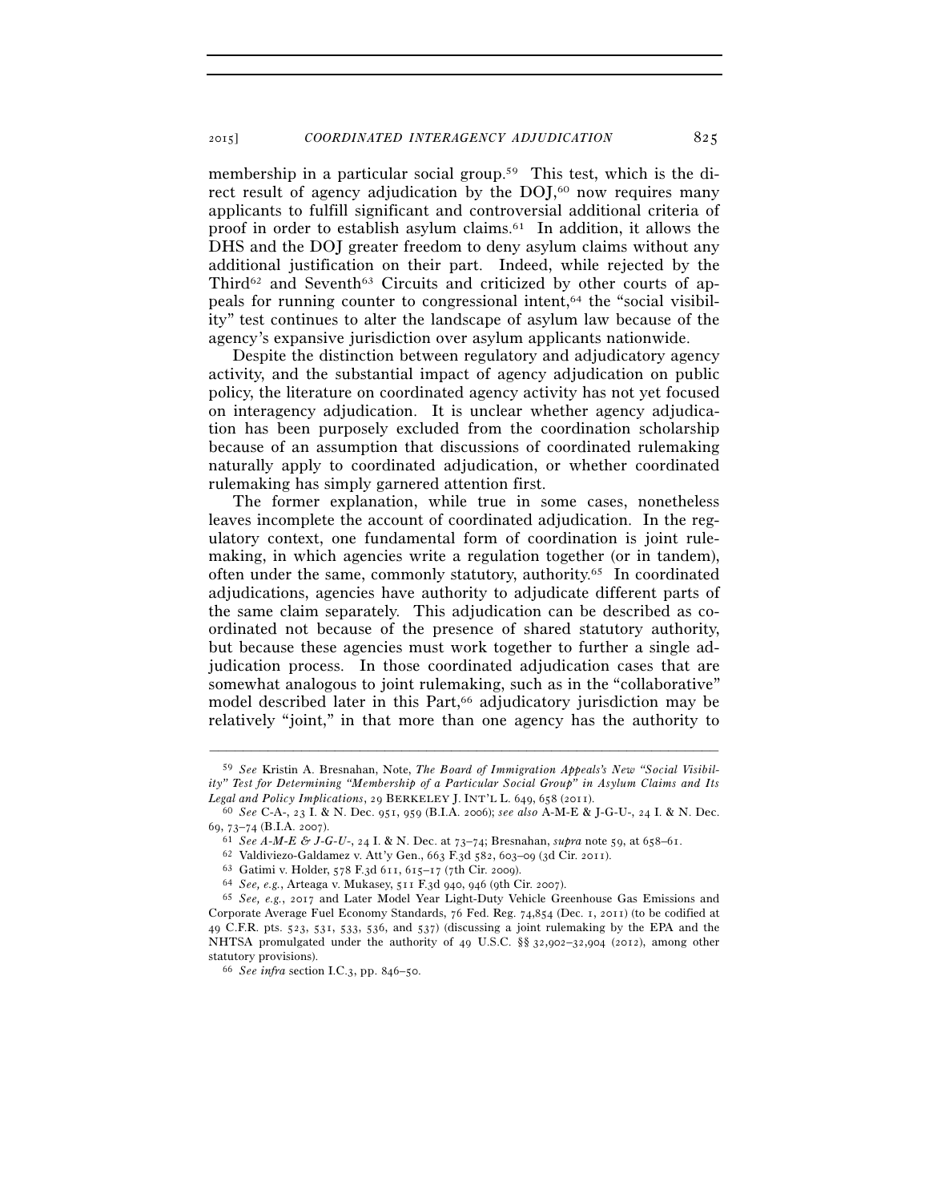membership in a particular social group.<sup>59</sup> This test, which is the direct result of agency adjudication by the DOJ,<sup>60</sup> now requires many applicants to fulfill significant and controversial additional criteria of proof in order to establish asylum claims.<sup>61</sup> In addition, it allows the DHS and the DOJ greater freedom to deny asylum claims without any additional justification on their part. Indeed, while rejected by the Third<sup>62</sup> and Seventh<sup>63</sup> Circuits and criticized by other courts of appeals for running counter to congressional intent,64 the "social visibility" test continues to alter the landscape of asylum law because of the agency's expansive jurisdiction over asylum applicants nationwide.

Despite the distinction between regulatory and adjudicatory agency activity, and the substantial impact of agency adjudication on public policy, the literature on coordinated agency activity has not yet focused on interagency adjudication. It is unclear whether agency adjudication has been purposely excluded from the coordination scholarship because of an assumption that discussions of coordinated rulemaking naturally apply to coordinated adjudication, or whether coordinated rulemaking has simply garnered attention first.

The former explanation, while true in some cases, nonetheless leaves incomplete the account of coordinated adjudication. In the regulatory context, one fundamental form of coordination is joint rulemaking, in which agencies write a regulation together (or in tandem), often under the same, commonly statutory, authority.65 In coordinated adjudications, agencies have authority to adjudicate different parts of the same claim separately. This adjudication can be described as coordinated not because of the presence of shared statutory authority, but because these agencies must work together to further a single adjudication process. In those coordinated adjudication cases that are somewhat analogous to joint rulemaking, such as in the "collaborative" model described later in this Part,<sup>66</sup> adjudicatory jurisdiction may be relatively "joint," in that more than one agency has the authority to

<sup>59</sup> *See* Kristin A. Bresnahan, Note, *The Board of Immigration Appeals's New "Social Visibility" Test for Determining "Membership of a Particular Social Group" in Asylum Claims and Its* 

*Legal and Policy Implications*, 29 BERKELEY J. INT'L L. 649, 658 (2011).<br><sup>60</sup> *See* C-A-, 23 I. & N. Dec. 951, 959 (B.I.A. 2006); *see also* A-M-E & J-G-U-, 24 I. & N. Dec.<br>69, 73–74 (B.I.A. 2007).

<sup>&</sup>lt;sup>61</sup> *See A-M-E & J-G-U-*, 24 I. & N. Dec. at  $73-74$ ; Bresnahan, *supra* note 59, at 658–61.<br><sup>62</sup> Valdiviezo-Galdamez v. Att'y Gen., 663 F.3d 582, 603–09 (3d Cir. 2011).<br><sup>63</sup> Gatimi v. Holder, 578 F.3d 611, 615–17 (7th C Corporate Average Fuel Economy Standards, 76 Fed. Reg. 74,854 (Dec. 1, 2011) (to be codified at 49 C.F.R. pts. 523, 531, 533, 536, and 537) (discussing a joint rulemaking by the EPA and the NHTSA promulgated under the authority of 49 U.S.C. §§ 32,902–32,904 (2012), among other statutory provisions). 66 *See infra* section I.C.3, pp. 846–50.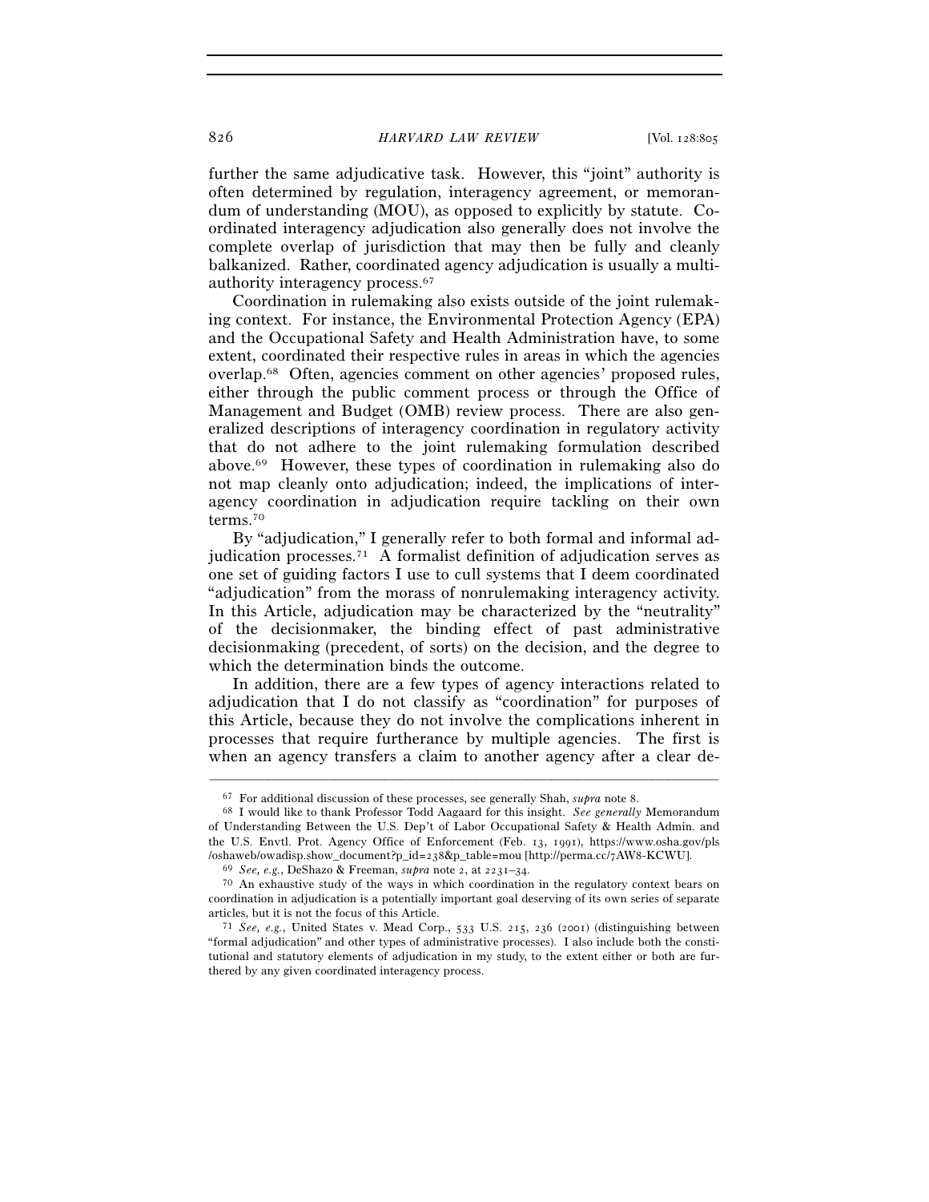further the same adjudicative task. However, this "joint" authority is often determined by regulation, interagency agreement, or memorandum of understanding (MOU), as opposed to explicitly by statute. Coordinated interagency adjudication also generally does not involve the complete overlap of jurisdiction that may then be fully and cleanly balkanized. Rather, coordinated agency adjudication is usually a multiauthority interagency process.67

Coordination in rulemaking also exists outside of the joint rulemaking context. For instance, the Environmental Protection Agency (EPA) and the Occupational Safety and Health Administration have, to some extent, coordinated their respective rules in areas in which the agencies overlap.68 Often, agencies comment on other agencies' proposed rules, either through the public comment process or through the Office of Management and Budget (OMB) review process. There are also generalized descriptions of interagency coordination in regulatory activity that do not adhere to the joint rulemaking formulation described above.69 However, these types of coordination in rulemaking also do not map cleanly onto adjudication; indeed, the implications of interagency coordination in adjudication require tackling on their own terms.70

By "adjudication," I generally refer to both formal and informal adjudication processes.71 A formalist definition of adjudication serves as one set of guiding factors I use to cull systems that I deem coordinated "adjudication" from the morass of nonrulemaking interagency activity. In this Article, adjudication may be characterized by the "neutrality" of the decisionmaker, the binding effect of past administrative decisionmaking (precedent, of sorts) on the decision, and the degree to which the determination binds the outcome.

In addition, there are a few types of agency interactions related to adjudication that I do not classify as "coordination" for purposes of this Article, because they do not involve the complications inherent in processes that require furtherance by multiple agencies. The first is when an agency transfers a claim to another agency after a clear de-

<sup>67</sup> For additional discussion of these processes, see generally Shah, *supra* note 8. 68 I would like to thank Professor Todd Aagaard for this insight. *See generally* Memorandum

of Understanding Between the U.S. Dep't of Labor Occupational Safety & Health Admin. and the U.S. Envtl. Prot. Agency Office of Enforcement (Feb. 13, 1991), https://www.osha.gov/pls /oshaweb/owadisp.show\_document?p\_id=238&p\_table=mou [http://perma.cc/7AW8-KCWU].<br><sup>69</sup> See, e.g., DeShazo & Freeman, *supra* note 2, at 2231–34.<br><sup>70</sup> An exhaustive study of the ways in which coordination in the regulatory

coordination in adjudication is a potentially important goal deserving of its own series of separate articles, but it is not the focus of this Article.<br><sup>71</sup> *See, e.g.*, United States v. Mead Corp., 533 U.S. 215, 236 (2001) (distinguishing between

<sup>&</sup>quot;formal adjudication" and other types of administrative processes). I also include both the constitutional and statutory elements of adjudication in my study, to the extent either or both are furthered by any given coordinated interagency process.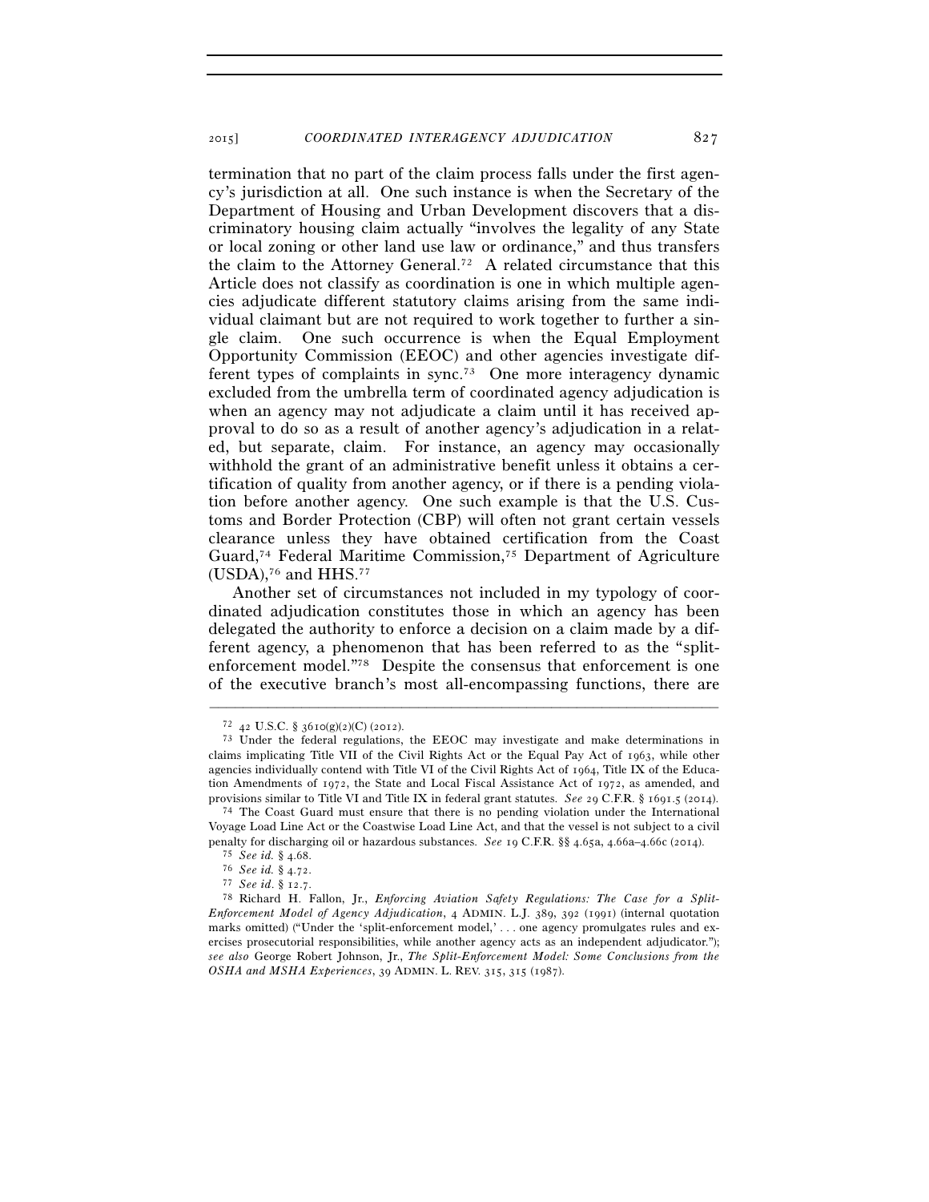termination that no part of the claim process falls under the first agency's jurisdiction at all. One such instance is when the Secretary of the Department of Housing and Urban Development discovers that a discriminatory housing claim actually "involves the legality of any State or local zoning or other land use law or ordinance," and thus transfers the claim to the Attorney General.72 A related circumstance that this Article does not classify as coordination is one in which multiple agencies adjudicate different statutory claims arising from the same individual claimant but are not required to work together to further a single claim. One such occurrence is when the Equal Employment Opportunity Commission (EEOC) and other agencies investigate different types of complaints in sync.73 One more interagency dynamic excluded from the umbrella term of coordinated agency adjudication is when an agency may not adjudicate a claim until it has received approval to do so as a result of another agency's adjudication in a related, but separate, claim. For instance, an agency may occasionally withhold the grant of an administrative benefit unless it obtains a certification of quality from another agency, or if there is a pending violation before another agency. One such example is that the U.S. Customs and Border Protection (CBP) will often not grant certain vessels clearance unless they have obtained certification from the Coast Guard,74 Federal Maritime Commission,75 Department of Agriculture  $(USDA)$ ,<sup>76</sup> and HHS.<sup>77</sup>

Another set of circumstances not included in my typology of coordinated adjudication constitutes those in which an agency has been delegated the authority to enforce a decision on a claim made by a different agency, a phenomenon that has been referred to as the "splitenforcement model."78 Despite the consensus that enforcement is one of the executive branch's most all-encompassing functions, there are

<sup>&</sup>lt;sup>72</sup> 42 U.S.C. § 3610(g)(2)(C) (2012).<br><sup>73</sup> Under the federal regulations, the EEOC may investigate and make determinations in claims implicating Title VII of the Civil Rights Act or the Equal Pay Act of 1963, while other agencies individually contend with Title VI of the Civil Rights Act of 1964, Title IX of the Education Amendments of 1972, the State and Local Fiscal Assistance Act of 1972, as amended, and provisions similar to Title VI and Title IX in federal grant statutes. See 29 C.F.R. § 1691.5 (2014).

<sup>&</sup>lt;sup>74</sup> The Coast Guard must ensure that there is no pending violation under the International Voyage Load Line Act or the Coastwise Load Line Act, and that the vessel is not subject to a civil penalty for discharging oil or hazardous substances. See 19 C.F.R.  $\$  4.65a, 4.66a–4.66c (2014).<br>
<sup>75</sup> See id. § 4.68.<br>
<sup>76</sup> See id. § 4.72.<br>
<sup>77</sup> See id. § 12.7.<br>
<sup>77</sup> See id. § 12.7.

*Enforcement Model of Agency Adjudication*, 4 ADMIN. L.J. 389, 392 (1991) (internal quotation marks omitted) ("Under the 'split-enforcement model,' . . . one agency promulgates rules and exercises prosecutorial responsibilities, while another agency acts as an independent adjudicator."); *see also* George Robert Johnson, Jr., *The Split-Enforcement Model: Some Conclusions from the OSHA and MSHA Experiences*, 39 ADMIN. L. REV. 315, 315 (1987).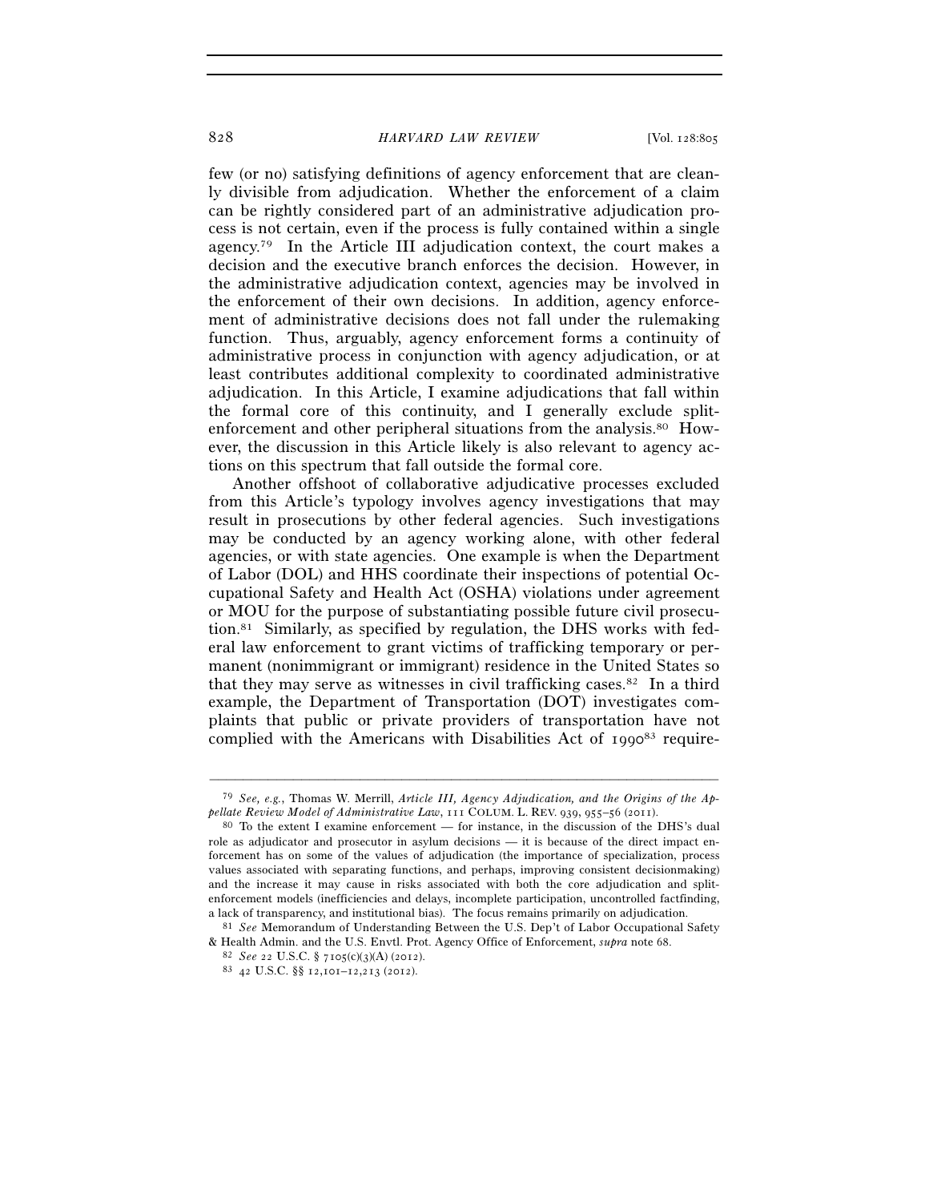few (or no) satisfying definitions of agency enforcement that are cleanly divisible from adjudication. Whether the enforcement of a claim can be rightly considered part of an administrative adjudication process is not certain, even if the process is fully contained within a single agency.79 In the Article III adjudication context, the court makes a decision and the executive branch enforces the decision. However, in the administrative adjudication context, agencies may be involved in the enforcement of their own decisions. In addition, agency enforcement of administrative decisions does not fall under the rulemaking function. Thus, arguably, agency enforcement forms a continuity of administrative process in conjunction with agency adjudication, or at least contributes additional complexity to coordinated administrative adjudication. In this Article, I examine adjudications that fall within the formal core of this continuity, and I generally exclude splitenforcement and other peripheral situations from the analysis.80 However, the discussion in this Article likely is also relevant to agency actions on this spectrum that fall outside the formal core.

Another offshoot of collaborative adjudicative processes excluded from this Article's typology involves agency investigations that may result in prosecutions by other federal agencies. Such investigations may be conducted by an agency working alone, with other federal agencies, or with state agencies. One example is when the Department of Labor (DOL) and HHS coordinate their inspections of potential Occupational Safety and Health Act (OSHA) violations under agreement or MOU for the purpose of substantiating possible future civil prosecution.<sup>81</sup> Similarly, as specified by regulation, the DHS works with federal law enforcement to grant victims of trafficking temporary or permanent (nonimmigrant or immigrant) residence in the United States so that they may serve as witnesses in civil trafficking cases.82 In a third example, the Department of Transportation (DOT) investigates complaints that public or private providers of transportation have not complied with the Americans with Disabilities Act of  $1990^{83}$  require-

<sup>–––––––––––––––––––––––––––––––––––––––––––––––––––––––––––––</sup> 79 *See, e.g.*, Thomas W. Merrill, *Article III, Agency Adjudication, and the Origins of the Appellate Review Model of Administrative Law*, 111 COLUM. L. REV. 939, 955–56 (2011).<br><sup>80</sup> To the extent I examine enforcement — for instance, in the discussion of the DHS's dual

role as adjudicator and prosecutor in asylum decisions — it is because of the direct impact enforcement has on some of the values of adjudication (the importance of specialization, process values associated with separating functions, and perhaps, improving consistent decisionmaking) and the increase it may cause in risks associated with both the core adjudication and splitenforcement models (inefficiencies and delays, incomplete participation, uncontrolled factfinding, a lack of transparency, and institutional bias). The focus remains primarily on adjudication. 81 *See* Memorandum of Understanding Between the U.S. Dep't of Labor Occupational Safety

<sup>&</sup>amp; Health Admin. and the U.S. Envtl. Prot. Agency Office of Enforcement, *supra* note 68. 82 *See* 22 U.S.C. § 7105(c)(3)(A) (2012). 83 <sup>42</sup> U.S.C. §§ 12,101–12,213 (2012).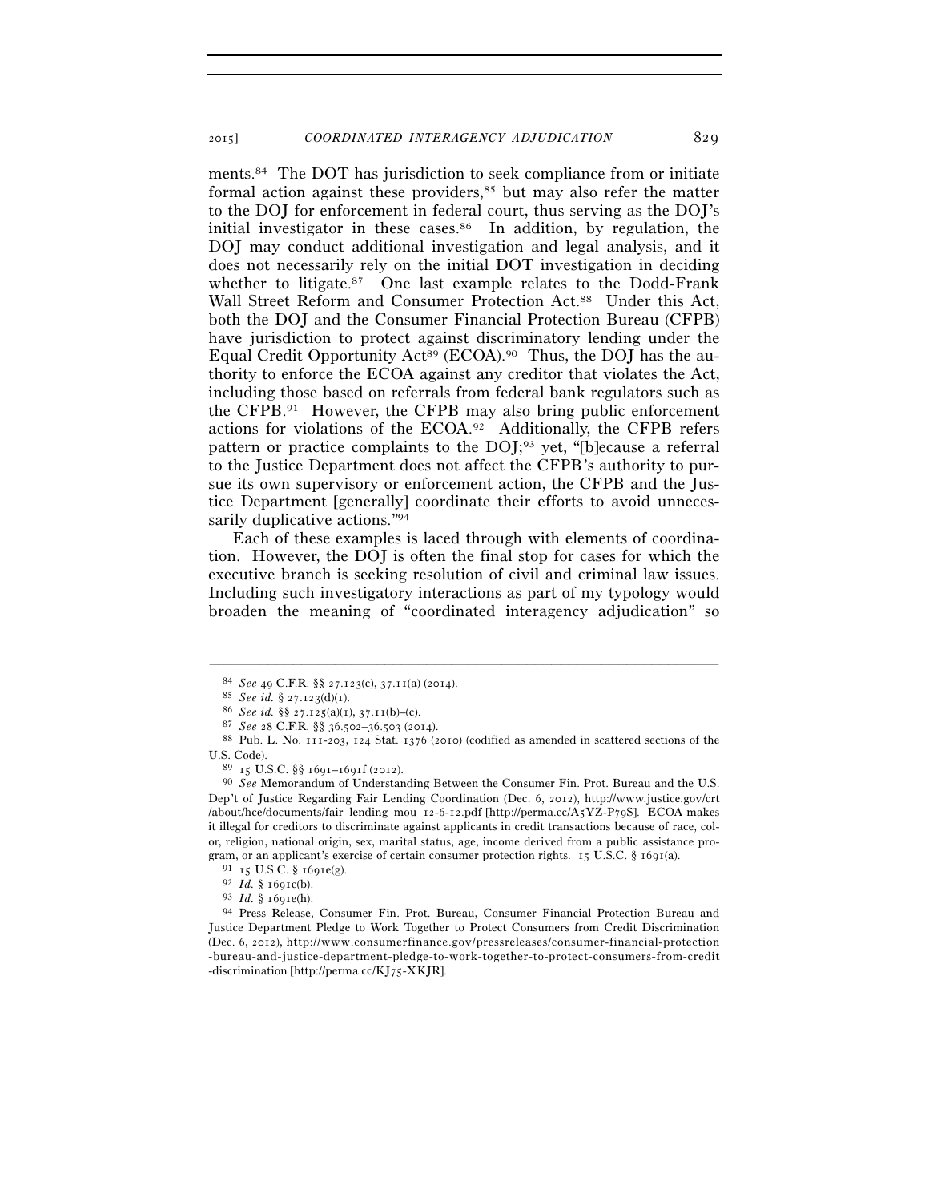ments.84 The DOT has jurisdiction to seek compliance from or initiate formal action against these providers,<sup>85</sup> but may also refer the matter to the DOJ for enforcement in federal court, thus serving as the DOJ's initial investigator in these cases.<sup>86</sup> In addition, by regulation, the DOJ may conduct additional investigation and legal analysis, and it does not necessarily rely on the initial DOT investigation in deciding whether to litigate.<sup>87</sup> One last example relates to the Dodd-Frank Wall Street Reform and Consumer Protection Act.<sup>88</sup> Under this Act, both the DOJ and the Consumer Financial Protection Bureau (CFPB) have jurisdiction to protect against discriminatory lending under the Equal Credit Opportunity Act<sup>89</sup> (ECOA).<sup>90</sup> Thus, the DOJ has the authority to enforce the ECOA against any creditor that violates the Act, including those based on referrals from federal bank regulators such as the CFPB.91 However, the CFPB may also bring public enforcement actions for violations of the ECOA.92 Additionally, the CFPB refers pattern or practice complaints to the DOJ;93 yet, "[b]ecause a referral to the Justice Department does not affect the CFPB's authority to pursue its own supervisory or enforcement action, the CFPB and the Justice Department [generally] coordinate their efforts to avoid unnecessarily duplicative actions."94

Each of these examples is laced through with elements of coordination. However, the DOJ is often the final stop for cases for which the executive branch is seeking resolution of civil and criminal law issues. Including such investigatory interactions as part of my typology would broaden the meaning of "coordinated interagency adjudication" so

<sup>&</sup>lt;sup>84</sup> *See* 49 C.F.R. §§ 27.123(c), 37.11(a) (2014).<br><sup>85</sup> *See id.* § 27.123(d)(1).<br><sup>86</sup> *See id.* §§ 27.125(a)(1), 37.11(b)–(c).<br><sup>87</sup> *See* 28 C.F.R. §§ 36.502–36.503 (2014).<br><sup>87</sup> *See* 28 C.F.R. §§ 36.502–36.503 (2014).<br>

U.S. Code). 89 <sup>15</sup> U.S.C. §§ 1691–1691f (2012). 90 *See* Memorandum of Understanding Between the Consumer Fin. Prot. Bureau and the U.S. Dep't of Justice Regarding Fair Lending Coordination (Dec. 6, 2012), http://www.justice.gov/crt /about/hce/documents/fair\_lending\_mou\_12-6-12.pdf [http://perma.cc/A5YZ-P79S]. ECOA makes it illegal for creditors to discriminate against applicants in credit transactions because of race, color, religion, national origin, sex, marital status, age, income derived from a public assistance program, or an applicant's exercise of certain consumer protection rights. 15 U.S.C. § 1691(a).<br><sup>91</sup> 15 U.S.C. § 1691e(g).<br><sup>92</sup> *Id.* § 1691e(b).<br><sup>93</sup> *Id.* § 1691e(h).<br><sup>93</sup> *Id.* § 1691e(h).<br><sup>94</sup> Press Release, Consumer Fin

Justice Department Pledge to Work Together to Protect Consumers from Credit Discrimination (Dec. 6, 2012), http://www.consumerfinance.gov/pressreleases/consumer-financial-protection -bureau-and-justice-department-pledge-to-work-together-to-protect-consumers-from-credit -discrimination [http://perma.cc/KJ75-XKJR].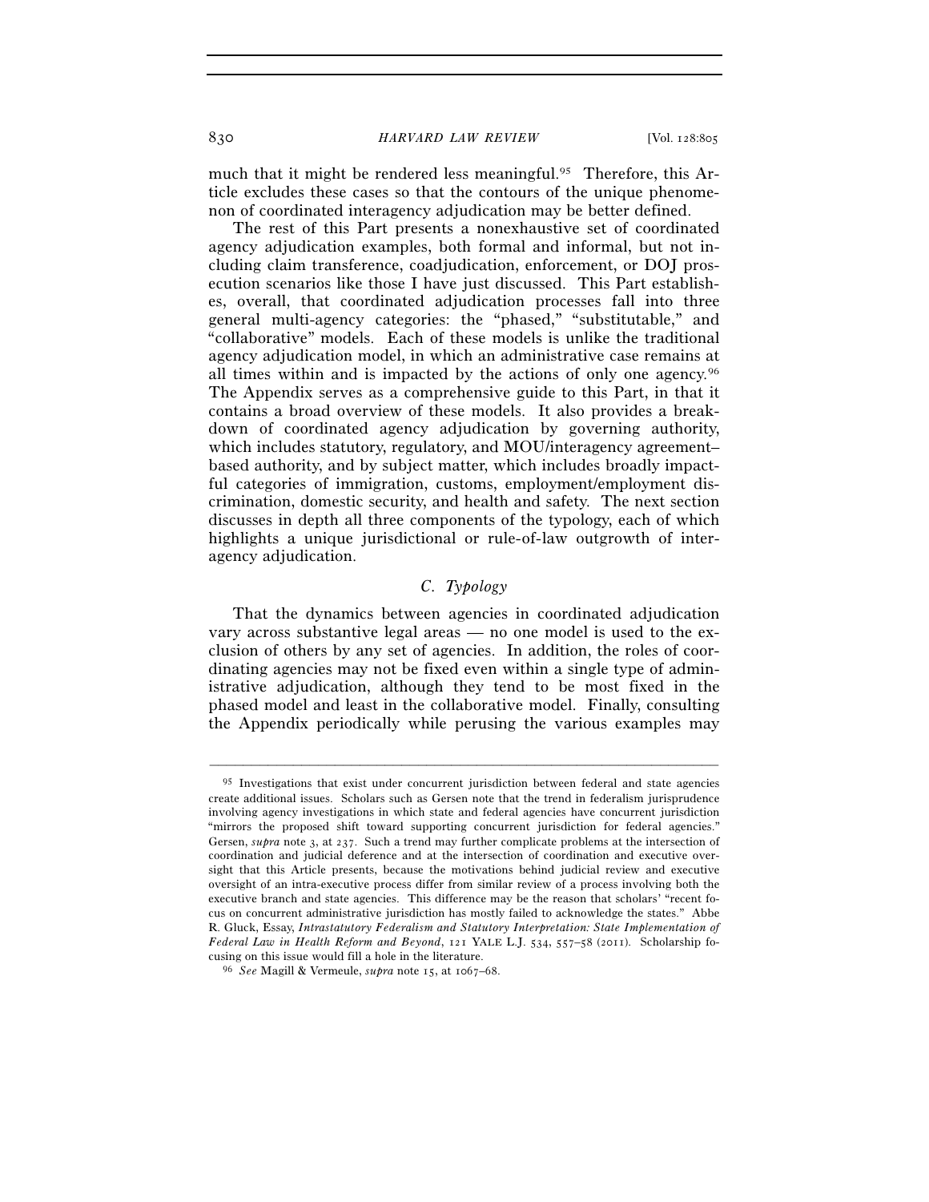much that it might be rendered less meaningful.<sup>95</sup> Therefore, this Article excludes these cases so that the contours of the unique phenomenon of coordinated interagency adjudication may be better defined.

The rest of this Part presents a nonexhaustive set of coordinated agency adjudication examples, both formal and informal, but not including claim transference, coadjudication, enforcement, or DOJ prosecution scenarios like those I have just discussed. This Part establishes, overall, that coordinated adjudication processes fall into three general multi-agency categories: the "phased," "substitutable," and "collaborative" models. Each of these models is unlike the traditional agency adjudication model, in which an administrative case remains at all times within and is impacted by the actions of only one agency.96 The Appendix serves as a comprehensive guide to this Part, in that it contains a broad overview of these models. It also provides a breakdown of coordinated agency adjudication by governing authority, which includes statutory, regulatory, and MOU/interagency agreement– based authority, and by subject matter, which includes broadly impactful categories of immigration, customs, employment/employment discrimination, domestic security, and health and safety. The next section discusses in depth all three components of the typology, each of which highlights a unique jurisdictional or rule-of-law outgrowth of interagency adjudication.

## *C. Typology*

That the dynamics between agencies in coordinated adjudication vary across substantive legal areas — no one model is used to the exclusion of others by any set of agencies. In addition, the roles of coordinating agencies may not be fixed even within a single type of administrative adjudication, although they tend to be most fixed in the phased model and least in the collaborative model. Finally, consulting the Appendix periodically while perusing the various examples may

<sup>&</sup>lt;sup>95</sup> Investigations that exist under concurrent jurisdiction between federal and state agencies create additional issues. Scholars such as Gersen note that the trend in federalism jurisprudence involving agency investigations in which state and federal agencies have concurrent jurisdiction "mirrors the proposed shift toward supporting concurrent jurisdiction for federal agencies." Gersen, *supra* note 3, at 237. Such a trend may further complicate problems at the intersection of coordination and judicial deference and at the intersection of coordination and executive oversight that this Article presents, because the motivations behind judicial review and executive oversight of an intra-executive process differ from similar review of a process involving both the executive branch and state agencies. This difference may be the reason that scholars' "recent focus on concurrent administrative jurisdiction has mostly failed to acknowledge the states." Abbe R. Gluck, Essay, *Intrastatutory Federalism and Statutory Interpretation: State Implementation of Federal Law in Health Reform and Beyond*, 121 YALE L.J. 534, 557–58 (2011). Scholarship fo-

cusing on this issue would fill a hole in the literature. 96 *See* Magill & Vermeule, *supra* note 15, at 1067–68.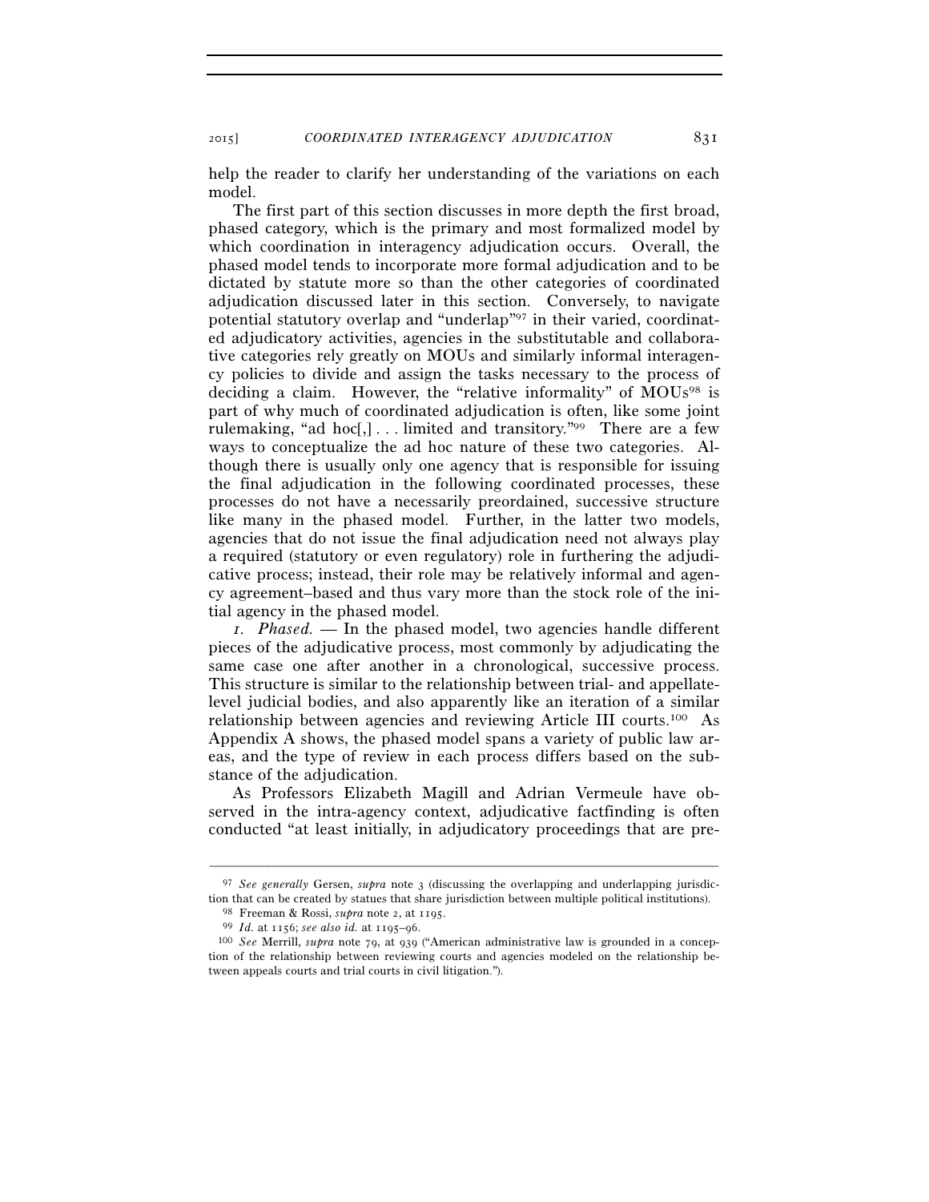2015] *COORDINATED INTERAGENCY ADJUDICATION* 831

help the reader to clarify her understanding of the variations on each model.

The first part of this section discusses in more depth the first broad, phased category, which is the primary and most formalized model by which coordination in interagency adjudication occurs. Overall, the phased model tends to incorporate more formal adjudication and to be dictated by statute more so than the other categories of coordinated adjudication discussed later in this section. Conversely, to navigate potential statutory overlap and "underlap"97 in their varied, coordinated adjudicatory activities, agencies in the substitutable and collaborative categories rely greatly on MOUs and similarly informal interagency policies to divide and assign the tasks necessary to the process of deciding a claim. However, the "relative informality" of MOUs<sup>98</sup> is part of why much of coordinated adjudication is often, like some joint rulemaking, "ad hoc $\lceil$ , ... limited and transitory."<sup>99</sup> There are a few ways to conceptualize the ad hoc nature of these two categories. Although there is usually only one agency that is responsible for issuing the final adjudication in the following coordinated processes, these processes do not have a necessarily preordained, successive structure like many in the phased model. Further, in the latter two models, agencies that do not issue the final adjudication need not always play a required (statutory or even regulatory) role in furthering the adjudicative process; instead, their role may be relatively informal and agency agreement–based and thus vary more than the stock role of the initial agency in the phased model.

*1. Phased.* — In the phased model, two agencies handle different pieces of the adjudicative process, most commonly by adjudicating the same case one after another in a chronological, successive process. This structure is similar to the relationship between trial- and appellatelevel judicial bodies, and also apparently like an iteration of a similar relationship between agencies and reviewing Article III courts.100 As Appendix A shows, the phased model spans a variety of public law areas, and the type of review in each process differs based on the substance of the adjudication.

As Professors Elizabeth Magill and Adrian Vermeule have observed in the intra-agency context, adjudicative factfinding is often conducted "at least initially, in adjudicatory proceedings that are pre-

<sup>&</sup>lt;sup>97</sup> *See generally* Gersen, *supra* note 3 (discussing the overlapping and underlapping jurisdiction that can be created by statues that share jurisdiction between multiple political institutions).

<sup>&</sup>lt;sup>98</sup> Freeman & Rossi, *supra* note 2, at 1195.<br><sup>99</sup> *Id.* at 1156; see also id. at 1195–96.<br><sup>99</sup> *Id.* at 1156; see also id. at 1195–96.<br><sup>100</sup> *See* Merrill, *supra* note 79, at 939 ("American administrative law is ground tion of the relationship between reviewing courts and agencies modeled on the relationship between appeals courts and trial courts in civil litigation.").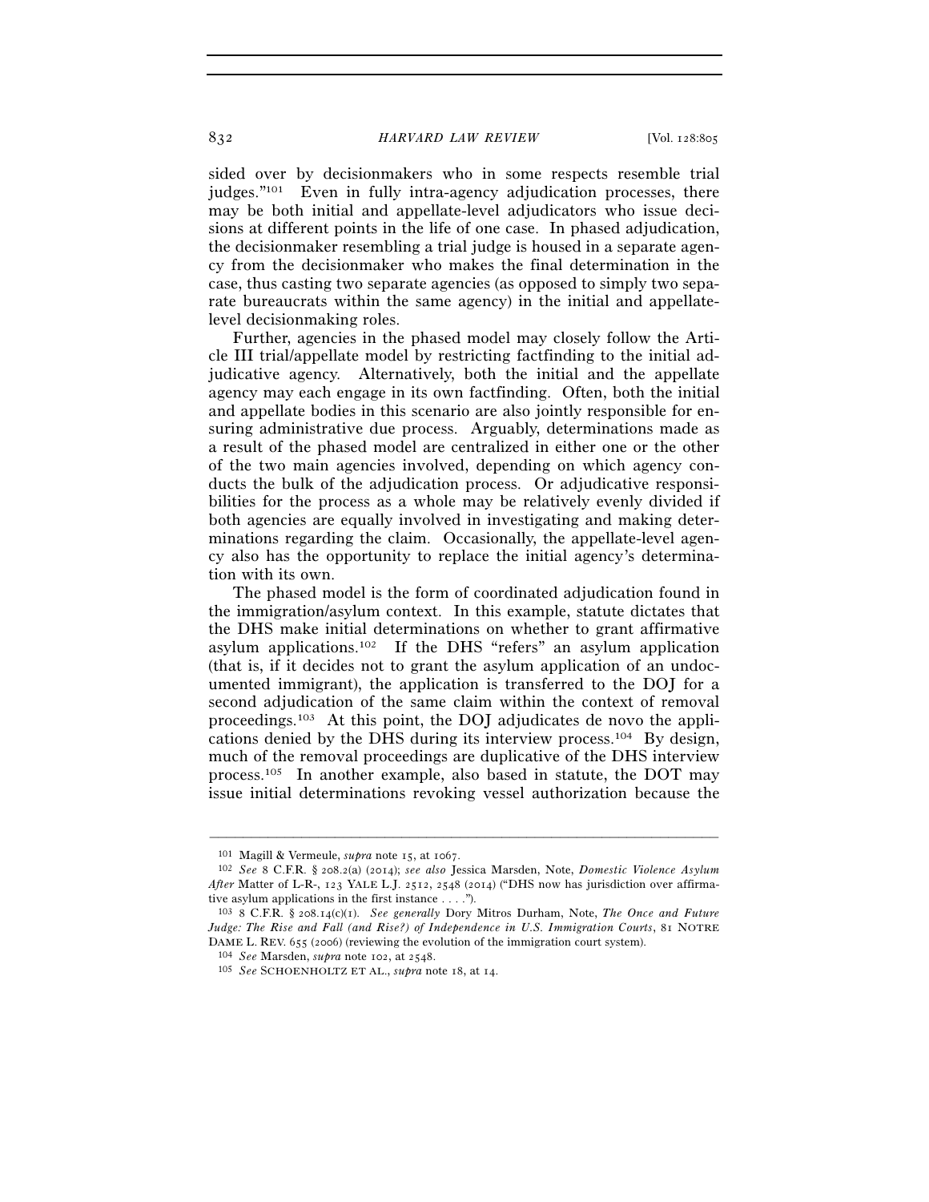sided over by decisionmakers who in some respects resemble trial judges."101 Even in fully intra-agency adjudication processes, there may be both initial and appellate-level adjudicators who issue decisions at different points in the life of one case. In phased adjudication, the decisionmaker resembling a trial judge is housed in a separate agency from the decisionmaker who makes the final determination in the case, thus casting two separate agencies (as opposed to simply two separate bureaucrats within the same agency) in the initial and appellatelevel decisionmaking roles.

Further, agencies in the phased model may closely follow the Article III trial/appellate model by restricting factfinding to the initial adjudicative agency. Alternatively, both the initial and the appellate agency may each engage in its own factfinding. Often, both the initial and appellate bodies in this scenario are also jointly responsible for ensuring administrative due process. Arguably, determinations made as a result of the phased model are centralized in either one or the other of the two main agencies involved, depending on which agency conducts the bulk of the adjudication process. Or adjudicative responsibilities for the process as a whole may be relatively evenly divided if both agencies are equally involved in investigating and making determinations regarding the claim. Occasionally, the appellate-level agency also has the opportunity to replace the initial agency's determination with its own.

The phased model is the form of coordinated adjudication found in the immigration/asylum context. In this example, statute dictates that the DHS make initial determinations on whether to grant affirmative asylum applications.102 If the DHS "refers" an asylum application (that is, if it decides not to grant the asylum application of an undocumented immigrant), the application is transferred to the DOJ for a second adjudication of the same claim within the context of removal proceedings.103 At this point, the DOJ adjudicates de novo the applications denied by the DHS during its interview process.104 By design, much of the removal proceedings are duplicative of the DHS interview process.105 In another example, also based in statute, the DOT may issue initial determinations revoking vessel authorization because the

<sup>101</sup> Magill & Vermeule, *supra* note 15, at 1067. 102 *See* 8 C.F.R. § 208.2(a) (2014); *see also* Jessica Marsden, Note, *Domestic Violence Asylum After* Matter of L-R-, 123 YALE L.J. 2512, 2548 (2014) ("DHS now has jurisdiction over affirmative asylum applications in the first instance . . . .").

<sup>103</sup> 8 C.F.R. § 208.14(c)(1). *See generally* Dory Mitros Durham, Note, *The Once and Future Judge: The Rise and Fall (and Rise?) of Independence in U.S. Immigration Courts*, 81 NOTRE DAME L. REV. 655 (2006) (reviewing the evolution of the immigration court system). 104 *See* Marsden, *supra* note 102, at 2548. 105 *See* SCHOENHOLTZ ET AL., *supra* note 18, at 14.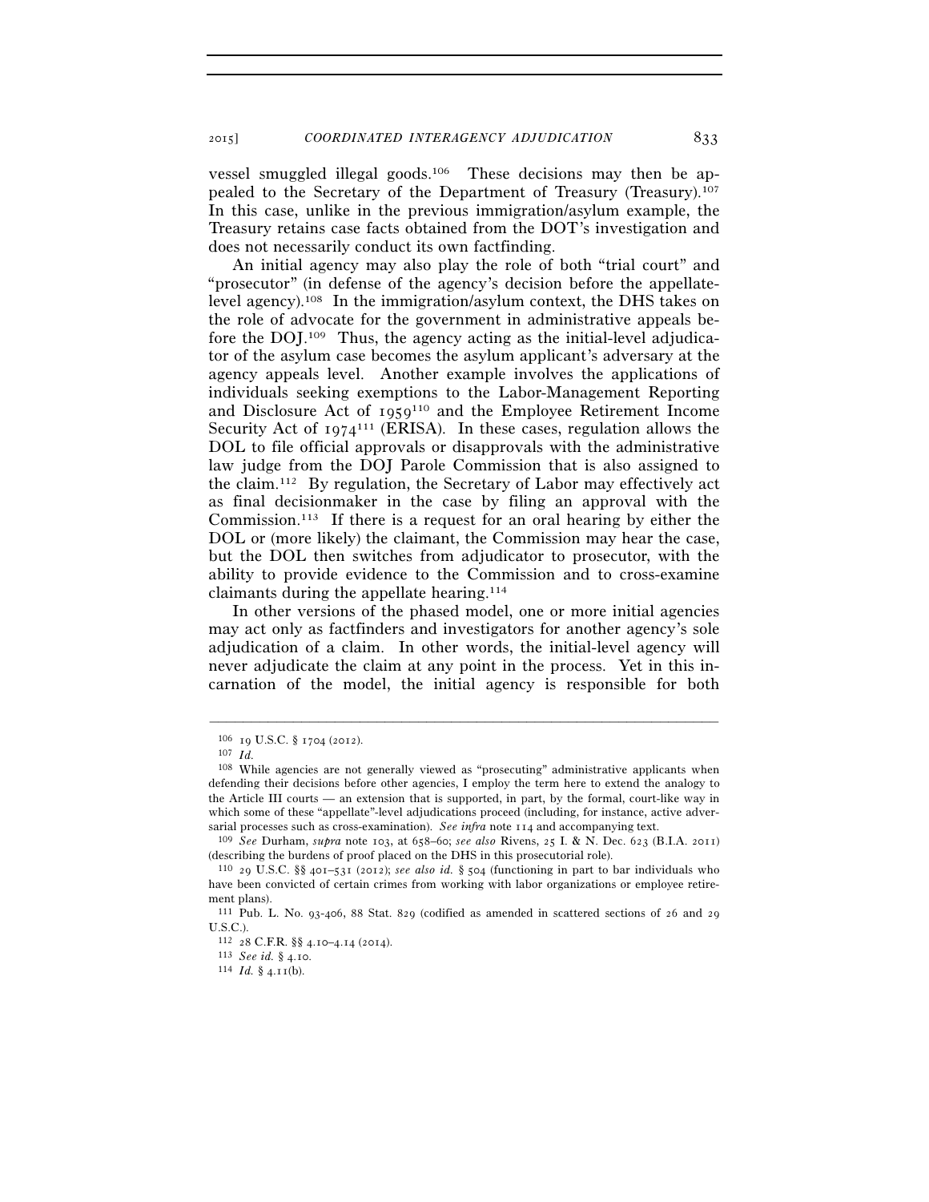vessel smuggled illegal goods.106 These decisions may then be appealed to the Secretary of the Department of Treasury (Treasury).107 In this case, unlike in the previous immigration/asylum example, the Treasury retains case facts obtained from the DOT's investigation and does not necessarily conduct its own factfinding.

An initial agency may also play the role of both "trial court" and "prosecutor" (in defense of the agency's decision before the appellatelevel agency).108 In the immigration/asylum context, the DHS takes on the role of advocate for the government in administrative appeals before the DOJ.109 Thus, the agency acting as the initial-level adjudicator of the asylum case becomes the asylum applicant's adversary at the agency appeals level. Another example involves the applications of individuals seeking exemptions to the Labor-Management Reporting and Disclosure Act of 1959110 and the Employee Retirement Income Security Act of  $1974^{111}$  (ERISA). In these cases, regulation allows the DOL to file official approvals or disapprovals with the administrative law judge from the DOJ Parole Commission that is also assigned to the claim.112 By regulation, the Secretary of Labor may effectively act as final decisionmaker in the case by filing an approval with the Commission.113 If there is a request for an oral hearing by either the DOL or (more likely) the claimant, the Commission may hear the case, but the DOL then switches from adjudicator to prosecutor, with the ability to provide evidence to the Commission and to cross-examine claimants during the appellate hearing.114

In other versions of the phased model, one or more initial agencies may act only as factfinders and investigators for another agency's sole adjudication of a claim. In other words, the initial-level agency will never adjudicate the claim at any point in the process. Yet in this incarnation of the model, the initial agency is responsible for both

<sup>106</sup> <sup>19</sup> U.S.C. § 1704 (2012). 107 *Id.*

<sup>108</sup> While agencies are not generally viewed as "prosecuting" administrative applicants when defending their decisions before other agencies, I employ the term here to extend the analogy to the Article III courts — an extension that is supported, in part, by the formal, court-like way in which some of these "appellate"-level adjudications proceed (including, for instance, active adversarial processes such as cross-examination). *See infra* note 114 and accompanying text. 109 *See* Durham, *supra* note 103, at 658–60; *see also* Rivens, 25 I. & N. Dec. 623 (B.I.A. 2011)

<sup>(</sup>describing the burdens of proof placed on the DHS in this prosecutorial role).

<sup>110</sup> 29 U.S.C. §§ 401–531 (2012); *see also id.* § 504 (functioning in part to bar individuals who have been convicted of certain crimes from working with labor organizations or employee retirement plans).

<sup>111</sup> Pub. L. No. 93-406, 88 Stat. 829 (codified as amended in scattered sections of 26 and 29 U.S.C.).

<sup>112</sup> <sup>28</sup> C.F.R. §§ 4.10–4.14 (2014). 113 *See id.* § 4.10. 114 *Id.* § 4.11(b).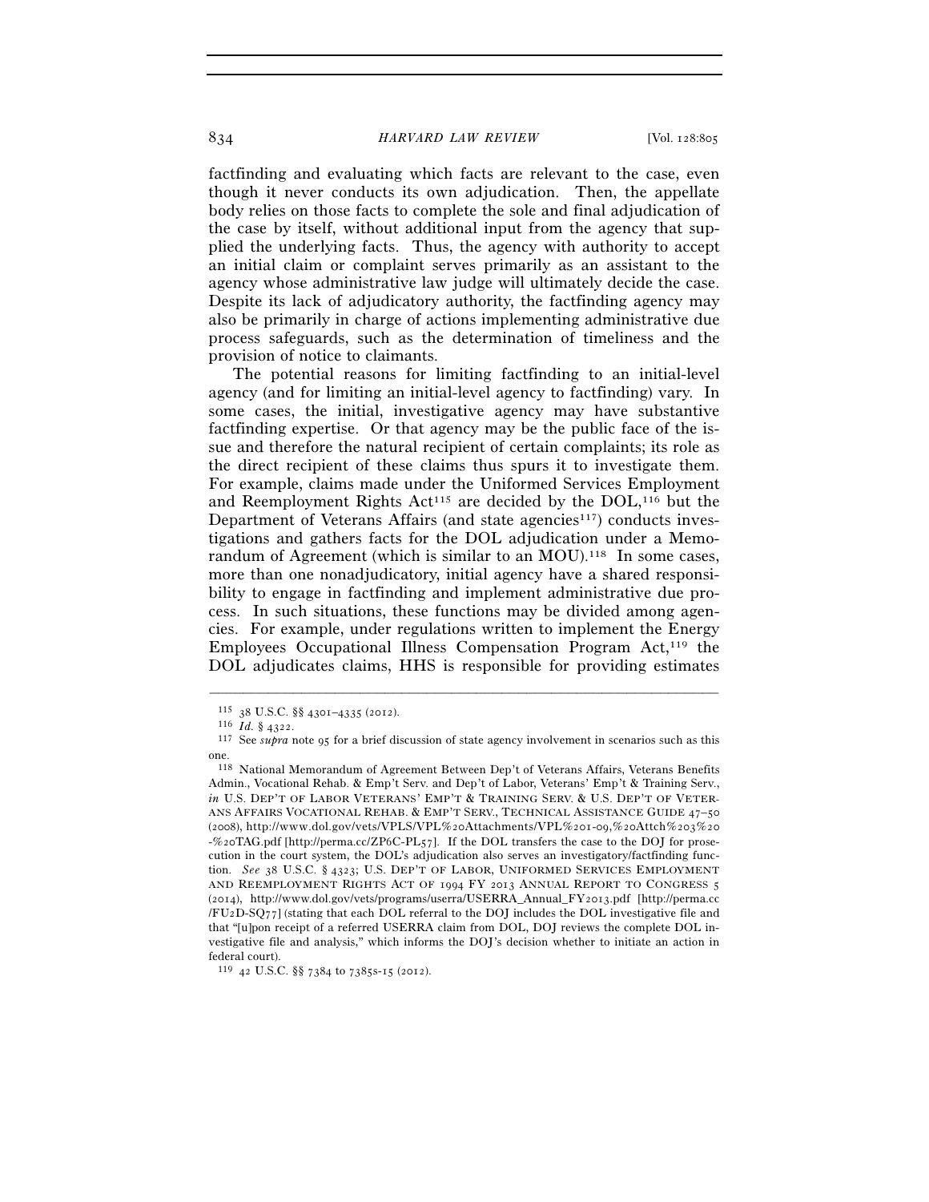factfinding and evaluating which facts are relevant to the case, even though it never conducts its own adjudication. Then, the appellate body relies on those facts to complete the sole and final adjudication of the case by itself, without additional input from the agency that supplied the underlying facts. Thus, the agency with authority to accept an initial claim or complaint serves primarily as an assistant to the agency whose administrative law judge will ultimately decide the case. Despite its lack of adjudicatory authority, the factfinding agency may also be primarily in charge of actions implementing administrative due process safeguards, such as the determination of timeliness and the provision of notice to claimants.

The potential reasons for limiting factfinding to an initial-level agency (and for limiting an initial-level agency to factfinding) vary. In some cases, the initial, investigative agency may have substantive factfinding expertise. Or that agency may be the public face of the issue and therefore the natural recipient of certain complaints; its role as the direct recipient of these claims thus spurs it to investigate them. For example, claims made under the Uniformed Services Employment and Reemployment Rights Act<sup>115</sup> are decided by the DOL,<sup>116</sup> but the Department of Veterans Affairs (and state agencies<sup>117</sup>) conducts investigations and gathers facts for the DOL adjudication under a Memorandum of Agreement (which is similar to an  $MOU$ ).<sup>118</sup> In some cases, more than one nonadjudicatory, initial agency have a shared responsibility to engage in factfinding and implement administrative due process. In such situations, these functions may be divided among agencies. For example, under regulations written to implement the Energy Employees Occupational Illness Compensation Program Act,119 the DOL adjudicates claims, HHS is responsible for providing estimates

<sup>115</sup> <sup>38</sup> U.S.C. §§ 4301–4335 (2012). 116 *Id.* § 4322. 117 See *supra* note 95 for a brief discussion of state agency involvement in scenarios such as this one.

<sup>118</sup> National Memorandum of Agreement Between Dep't of Veterans Affairs, Veterans Benefits Admin., Vocational Rehab. & Emp't Serv. and Dep't of Labor, Veterans' Emp't & Training Serv., *in* U.S. DEP'T OF LABOR VETERANS' EMP'T & TRAINING SERV. & U.S. DEP'T OF VETER-ANS AFFAIRS VOCATIONAL REHAB. & EMP'T SERV., TECHNICAL ASSISTANCE GUIDE 47–50 (2008), http://www.dol.gov/vets/VPLS/VPL%20Attachments/VPL%201-09,%20Attch%203%20 -%20TAG.pdf [http://perma.cc/ZP6C-PL57]. If the DOL transfers the case to the DOJ for prosecution in the court system, the DOL's adjudication also serves an investigatory/factfinding function. *See* 38 U.S.C. § 4323; U.S. DEP'T OF LABOR, UNIFORMED SERVICES EMPLOYMENT AND REEMPLOYMENT RIGHTS ACT OF 1994 FY 2013 ANNUAL REPORT TO CONGRESS 5 (2014), http://www.dol.gov/vets/programs/userra/USERRA\_Annual\_FY2013.pdf [http://perma.cc /FU2D-SQ77] (stating that each DOL referral to the DOJ includes the DOL investigative file and that "[u]pon receipt of a referred USERRA claim from DOL, DOJ reviews the complete DOL investigative file and analysis," which informs the DOJ's decision whether to initiate an action in federal court).

<sup>119</sup> 42 U.S.C. §§ 7384 to 7385s-15 (2012).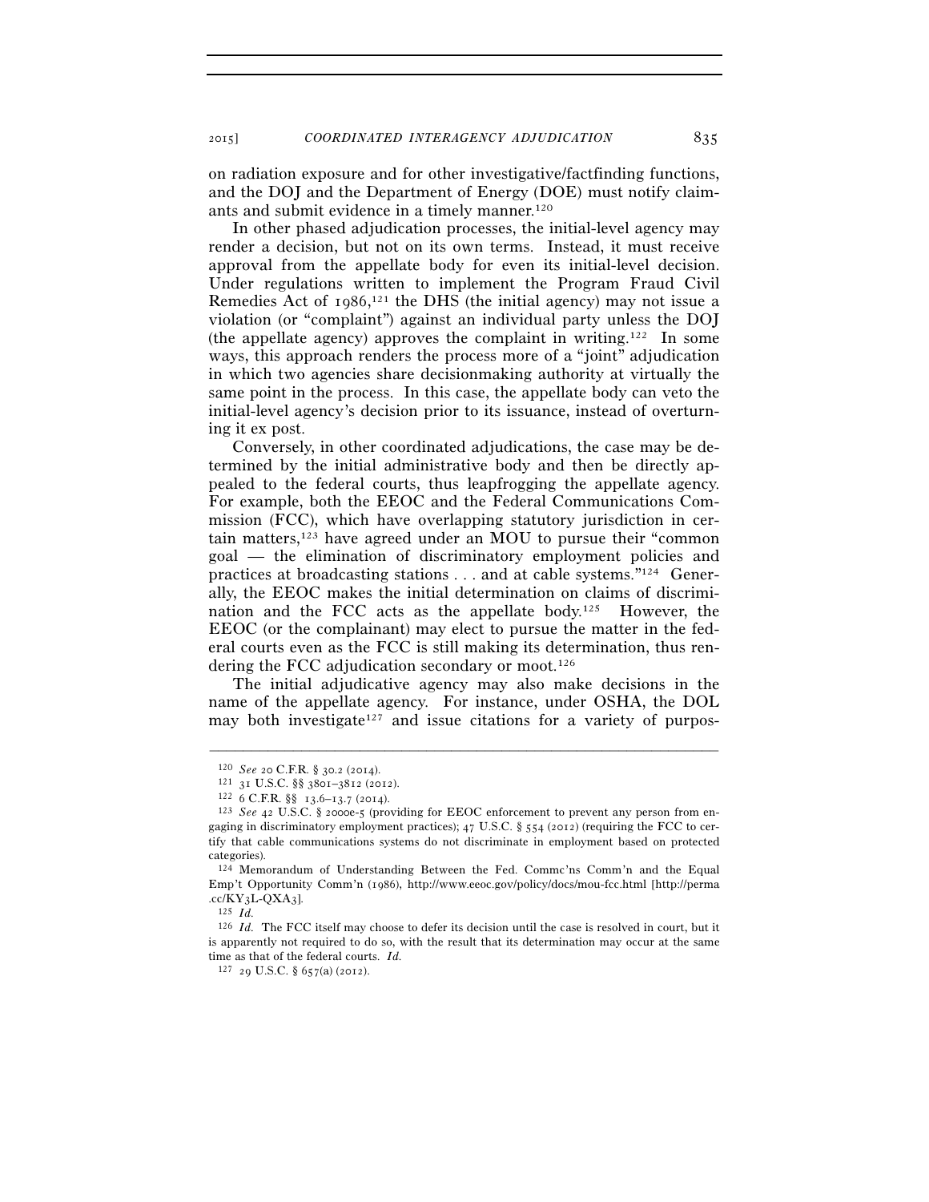on radiation exposure and for other investigative/factfinding functions, and the DOJ and the Department of Energy (DOE) must notify claimants and submit evidence in a timely manner.120

In other phased adjudication processes, the initial-level agency may render a decision, but not on its own terms. Instead, it must receive approval from the appellate body for even its initial-level decision. Under regulations written to implement the Program Fraud Civil Remedies Act of 1986, 121 the DHS (the initial agency) may not issue a violation (or "complaint") against an individual party unless the DOJ (the appellate agency) approves the complaint in writing.122 In some ways, this approach renders the process more of a "joint" adjudication in which two agencies share decisionmaking authority at virtually the same point in the process. In this case, the appellate body can veto the initial-level agency's decision prior to its issuance, instead of overturning it ex post.

Conversely, in other coordinated adjudications, the case may be determined by the initial administrative body and then be directly appealed to the federal courts, thus leapfrogging the appellate agency. For example, both the EEOC and the Federal Communications Commission (FCC), which have overlapping statutory jurisdiction in certain matters,123 have agreed under an MOU to pursue their "common goal — the elimination of discriminatory employment policies and practices at broadcasting stations . . . and at cable systems."124 Generally, the EEOC makes the initial determination on claims of discrimination and the FCC acts as the appellate body.125 However, the EEOC (or the complainant) may elect to pursue the matter in the federal courts even as the FCC is still making its determination, thus rendering the FCC adjudication secondary or moot.126

The initial adjudicative agency may also make decisions in the name of the appellate agency. For instance, under OSHA, the DOL may both investigate<sup>127</sup> and issue citations for a variety of purpos-

<sup>120</sup> *See* 20 C.F.R. § 30.2 (2014).<br>
121 31 U.S.C. §§ 3801–3812 (2012).<br>
122 6 C.F.R. §§ 13.6–13.7 (2014).<br>
123 *See* 42 U.S.C. § 2000e-5 (providing for EEOC enforcement to prevent any person from engaging in discriminatory employment practices); 47 U.S.C. § 554 (2012) (requiring the FCC to certify that cable communications systems do not discriminate in employment based on protected categories).

<sup>124</sup> Memorandum of Understanding Between the Fed. Commc'ns Comm'n and the Equal Emp't Opportunity Comm'n (1986), http://www.eeoc.gov/policy/docs/mou-fcc.html [http://perma .cc/KY3L-QXA3]. 125 *Id.*

<sup>126</sup> *Id.* The FCC itself may choose to defer its decision until the case is resolved in court, but it is apparently not required to do so, with the result that its determination may occur at the same time as that of the federal courts. *Id.*

<sup>127 29</sup> U.S.C. § 657(a) (2012).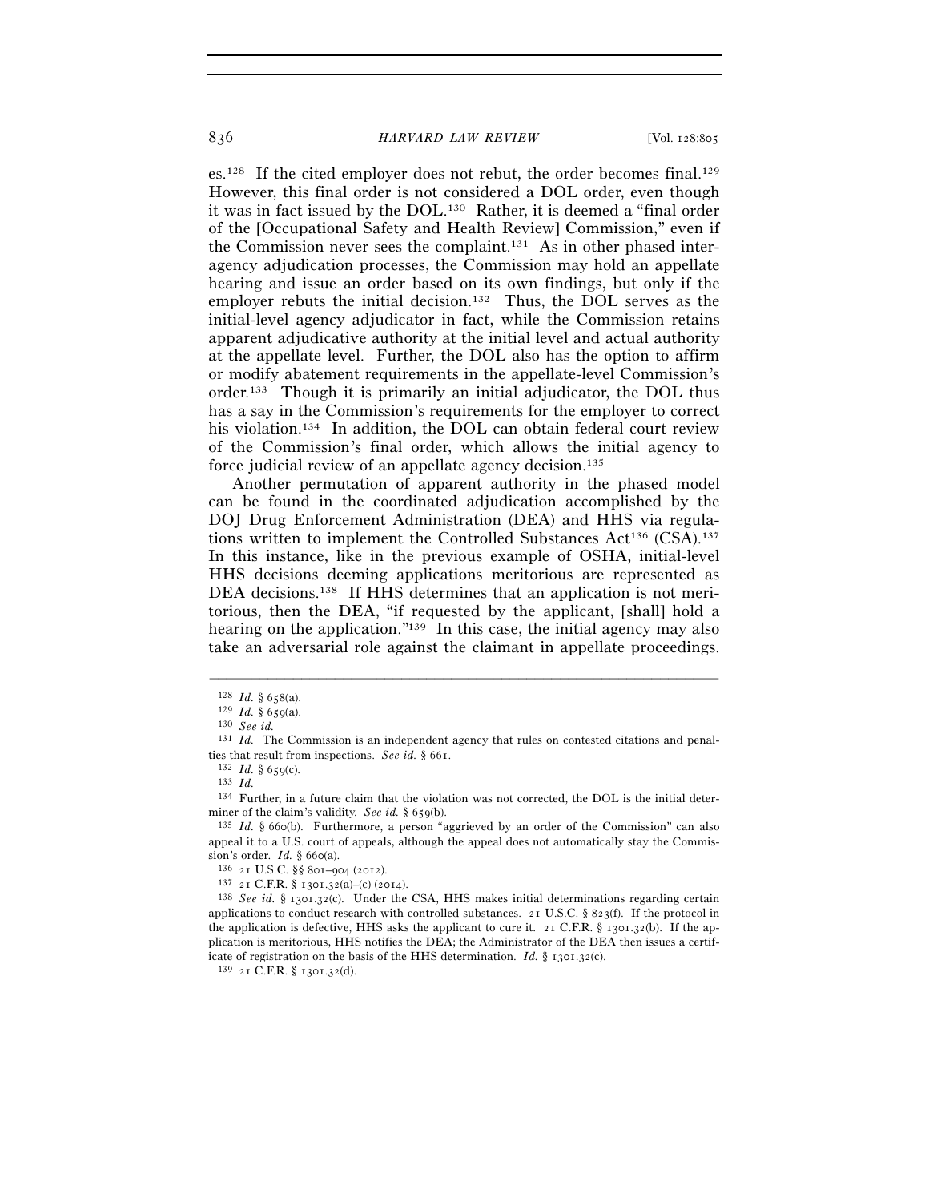es.128 If the cited employer does not rebut, the order becomes final.129 However, this final order is not considered a DOL order, even though it was in fact issued by the DOL.130 Rather, it is deemed a "final order of the [Occupational Safety and Health Review] Commission," even if the Commission never sees the complaint.131 As in other phased interagency adjudication processes, the Commission may hold an appellate hearing and issue an order based on its own findings, but only if the employer rebuts the initial decision.<sup>132</sup> Thus, the DOL serves as the initial-level agency adjudicator in fact, while the Commission retains apparent adjudicative authority at the initial level and actual authority at the appellate level. Further, the DOL also has the option to affirm or modify abatement requirements in the appellate-level Commission's order.133 Though it is primarily an initial adjudicator, the DOL thus has a say in the Commission's requirements for the employer to correct his violation.134 In addition, the DOL can obtain federal court review of the Commission's final order, which allows the initial agency to force judicial review of an appellate agency decision.135

Another permutation of apparent authority in the phased model can be found in the coordinated adjudication accomplished by the DOJ Drug Enforcement Administration (DEA) and HHS via regulations written to implement the Controlled Substances  $Act^{136} (CSA)^{137}$ In this instance, like in the previous example of OSHA, initial-level HHS decisions deeming applications meritorious are represented as DEA decisions.<sup>138</sup> If HHS determines that an application is not meritorious, then the DEA, "if requested by the applicant, [shall] hold a hearing on the application."<sup>139</sup> In this case, the initial agency may also take an adversarial role against the claimant in appellate proceedings.

<sup>128</sup> *Id.* § 658(a). 129 *Id.* § 659(a). 130 *See id.*

<sup>131</sup> *Id.* The Commission is an independent agency that rules on contested citations and penalties that result from inspections. *See id.* § 661.<br><sup>132</sup> *Id.* § 659(c).<br><sup>133</sup> *Id.* 

<sup>134</sup> Further, in a future claim that the violation was not corrected, the DOL is the initial determiner of the claim's validity. *See id.* § 659(b).<br><sup>135</sup> *Id.* § 660(b). Furthermore, a person "aggrieved by an order of the Commission" can also

appeal it to a U.S. court of appeals, although the appeal does not automatically stay the Commission's order. *Id.* § 660(a).<br><sup>136</sup> 21 U.S.C. §§ 801–904 (2012).<br><sup>137</sup> 21 C.F.R. § 1301.32(a)–(c) (2014).<br><sup>138</sup> *See id.* § 1301.32(c). Under the CSA, HHS makes initial determinations regarding certain

applications to conduct research with controlled substances.  $2I$  U.S.C. § 823(f). If the protocol in the application is defective, HHS asks the applicant to cure it. 21 C.F.R. § 1301.32(b). If the application is meritorious, HHS notifies the DEA; the Administrator of the DEA then issues a certificate of registration on the basis of the HHS determination. *Id.* § 1301.32(c). <sup>139</sup> 21 C.F.R. § 1301.32(d).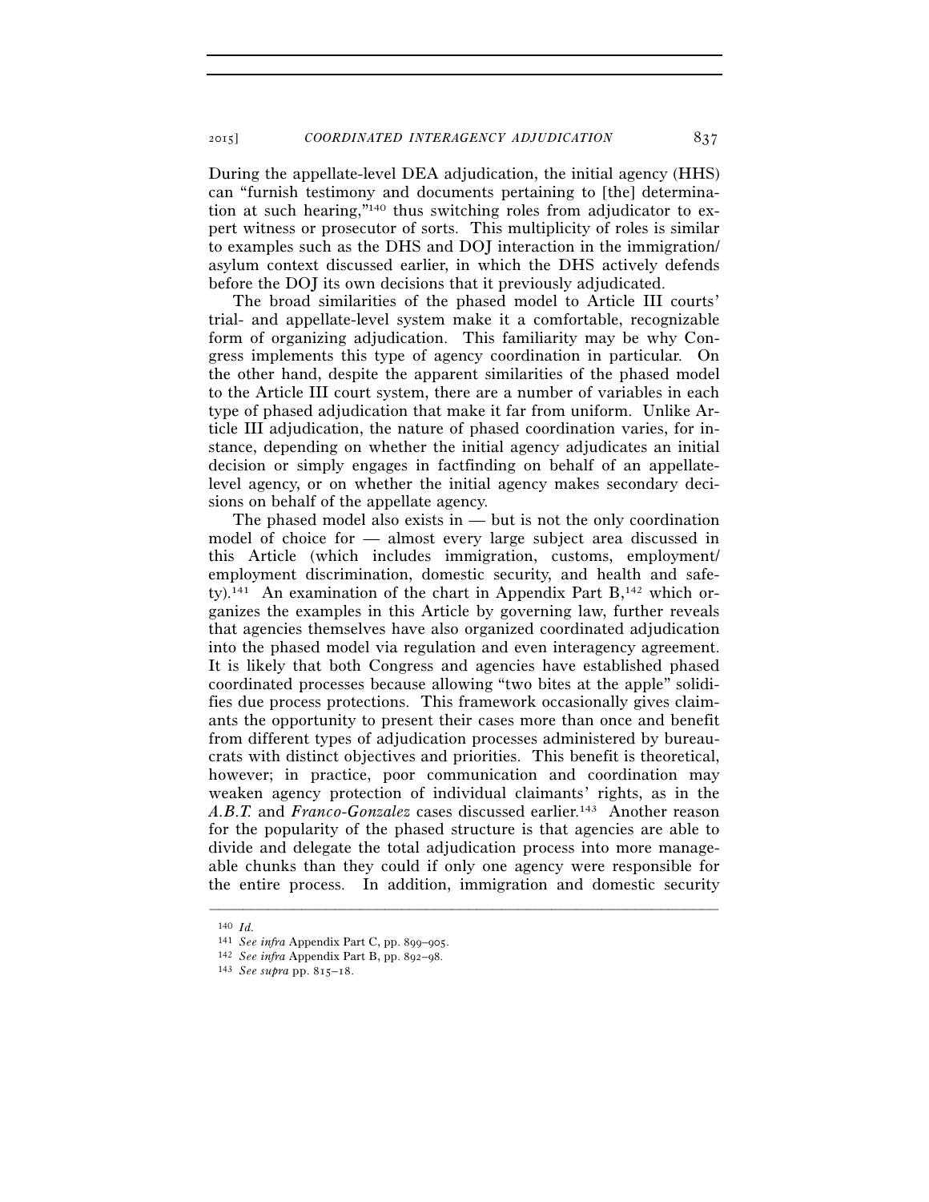During the appellate-level DEA adjudication, the initial agency (HHS) can "furnish testimony and documents pertaining to [the] determination at such hearing,"140 thus switching roles from adjudicator to expert witness or prosecutor of sorts. This multiplicity of roles is similar to examples such as the DHS and DOJ interaction in the immigration/ asylum context discussed earlier, in which the DHS actively defends before the DOJ its own decisions that it previously adjudicated.

The broad similarities of the phased model to Article III courts' trial- and appellate-level system make it a comfortable, recognizable form of organizing adjudication. This familiarity may be why Congress implements this type of agency coordination in particular. On the other hand, despite the apparent similarities of the phased model to the Article III court system, there are a number of variables in each type of phased adjudication that make it far from uniform. Unlike Article III adjudication, the nature of phased coordination varies, for instance, depending on whether the initial agency adjudicates an initial decision or simply engages in factfinding on behalf of an appellatelevel agency, or on whether the initial agency makes secondary decisions on behalf of the appellate agency.

The phased model also exists in — but is not the only coordination model of choice for — almost every large subject area discussed in this Article (which includes immigration, customs, employment/ employment discrimination, domestic security, and health and safety).141 An examination of the chart in Appendix Part B,142 which organizes the examples in this Article by governing law, further reveals that agencies themselves have also organized coordinated adjudication into the phased model via regulation and even interagency agreement. It is likely that both Congress and agencies have established phased coordinated processes because allowing "two bites at the apple" solidifies due process protections. This framework occasionally gives claimants the opportunity to present their cases more than once and benefit from different types of adjudication processes administered by bureaucrats with distinct objectives and priorities. This benefit is theoretical, however; in practice, poor communication and coordination may weaken agency protection of individual claimants' rights, as in the *A.B.T.* and *Franco-Gonzalez* cases discussed earlier.143 Another reason for the popularity of the phased structure is that agencies are able to divide and delegate the total adjudication process into more manageable chunks than they could if only one agency were responsible for the entire process. In addition, immigration and domestic security

<sup>140</sup> *Id.*<br>141 *See infra* Appendix Part C, pp. 899–905.

<sup>141</sup> *See infra* Appendix Part C, pp. 899–905. 142 *See infra* Appendix Part B, pp. 892–98. 143 *See supra* pp. 815–18.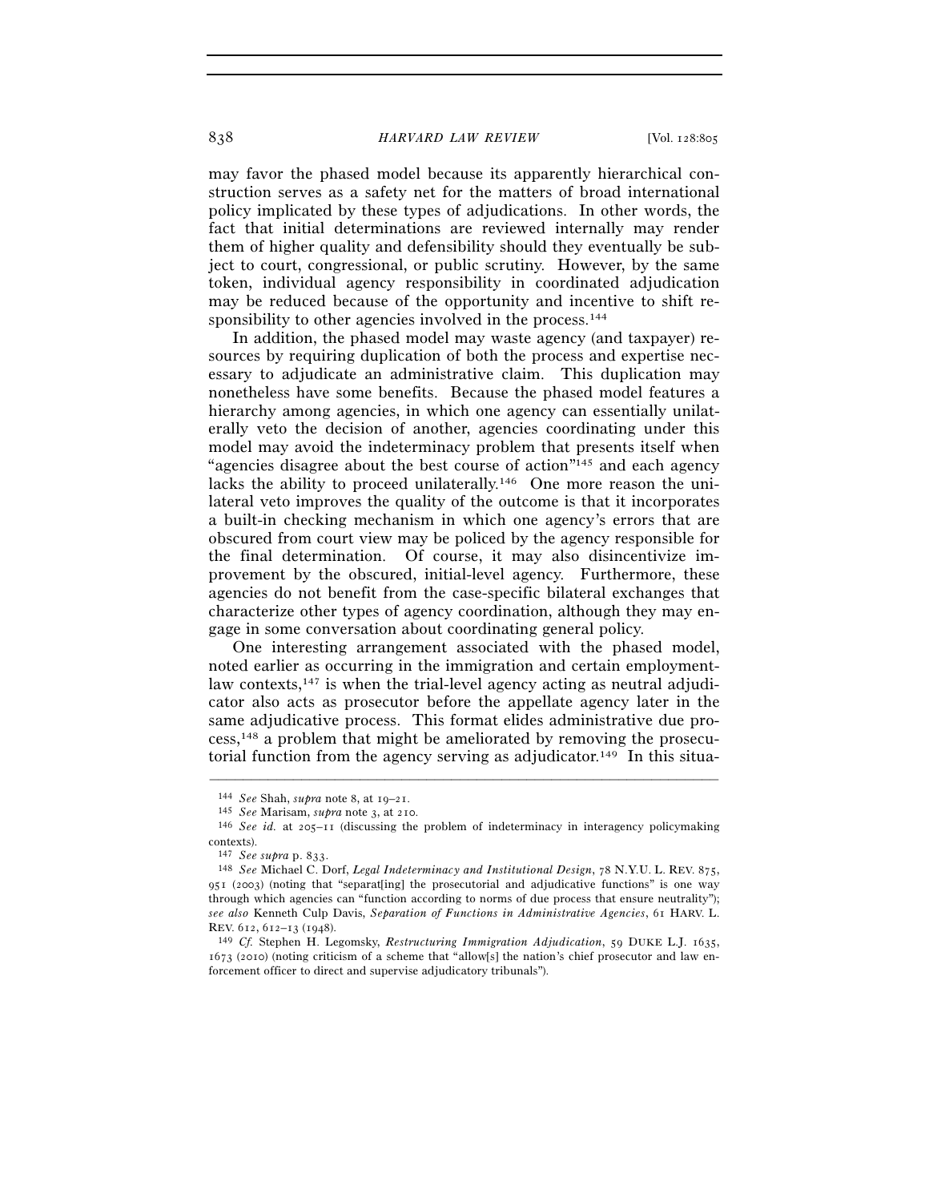may favor the phased model because its apparently hierarchical construction serves as a safety net for the matters of broad international policy implicated by these types of adjudications. In other words, the fact that initial determinations are reviewed internally may render them of higher quality and defensibility should they eventually be subject to court, congressional, or public scrutiny. However, by the same token, individual agency responsibility in coordinated adjudication may be reduced because of the opportunity and incentive to shift responsibility to other agencies involved in the process.<sup>144</sup>

In addition, the phased model may waste agency (and taxpayer) resources by requiring duplication of both the process and expertise necessary to adjudicate an administrative claim. This duplication may nonetheless have some benefits. Because the phased model features a hierarchy among agencies, in which one agency can essentially unilaterally veto the decision of another, agencies coordinating under this model may avoid the indeterminacy problem that presents itself when "agencies disagree about the best course of action"<sup>145</sup> and each agency lacks the ability to proceed unilaterally.146 One more reason the unilateral veto improves the quality of the outcome is that it incorporates a built-in checking mechanism in which one agency's errors that are obscured from court view may be policed by the agency responsible for the final determination. Of course, it may also disincentivize improvement by the obscured, initial-level agency. Furthermore, these agencies do not benefit from the case-specific bilateral exchanges that characterize other types of agency coordination, although they may engage in some conversation about coordinating general policy.

One interesting arrangement associated with the phased model, noted earlier as occurring in the immigration and certain employmentlaw contexts,<sup>147</sup> is when the trial-level agency acting as neutral adjudicator also acts as prosecutor before the appellate agency later in the same adjudicative process. This format elides administrative due process,148 a problem that might be ameliorated by removing the prosecutorial function from the agency serving as adjudicator.<sup>149</sup> In this situa-

<sup>144</sup> *See* Shah, *supra* note 8, at 19–21. 145 *See* Marisam, *supra* note 3, at 210.

<sup>146</sup> *See id.* at 205–11 (discussing the problem of indeterminacy in interagency policymaking contexts).<br><sup>147</sup> See supra p. 833.

<sup>&</sup>lt;sup>148</sup> See Michael C. Dorf, *Legal Indeterminacy and Institutional Design*, 78 N.Y.U. L. REV. 875, 951 (2003) (noting that "separat[ing] the prosecutorial and adjudicative functions" is one way through which agencies can "function according to norms of due process that ensure neutrality"); *see also* Kenneth Culp Davis, *Separation of Functions in Administrative Agencies*, 61 HARV. L. REV. 612, 612–13 (1948). 149 *Cf.* Stephen H. Legomsky, *Restructuring Immigration Adjudication*, 59 DUKE L.J. 1635,

<sup>1673</sup> (2010) (noting criticism of a scheme that "allow[s] the nation's chief prosecutor and law enforcement officer to direct and supervise adjudicatory tribunals").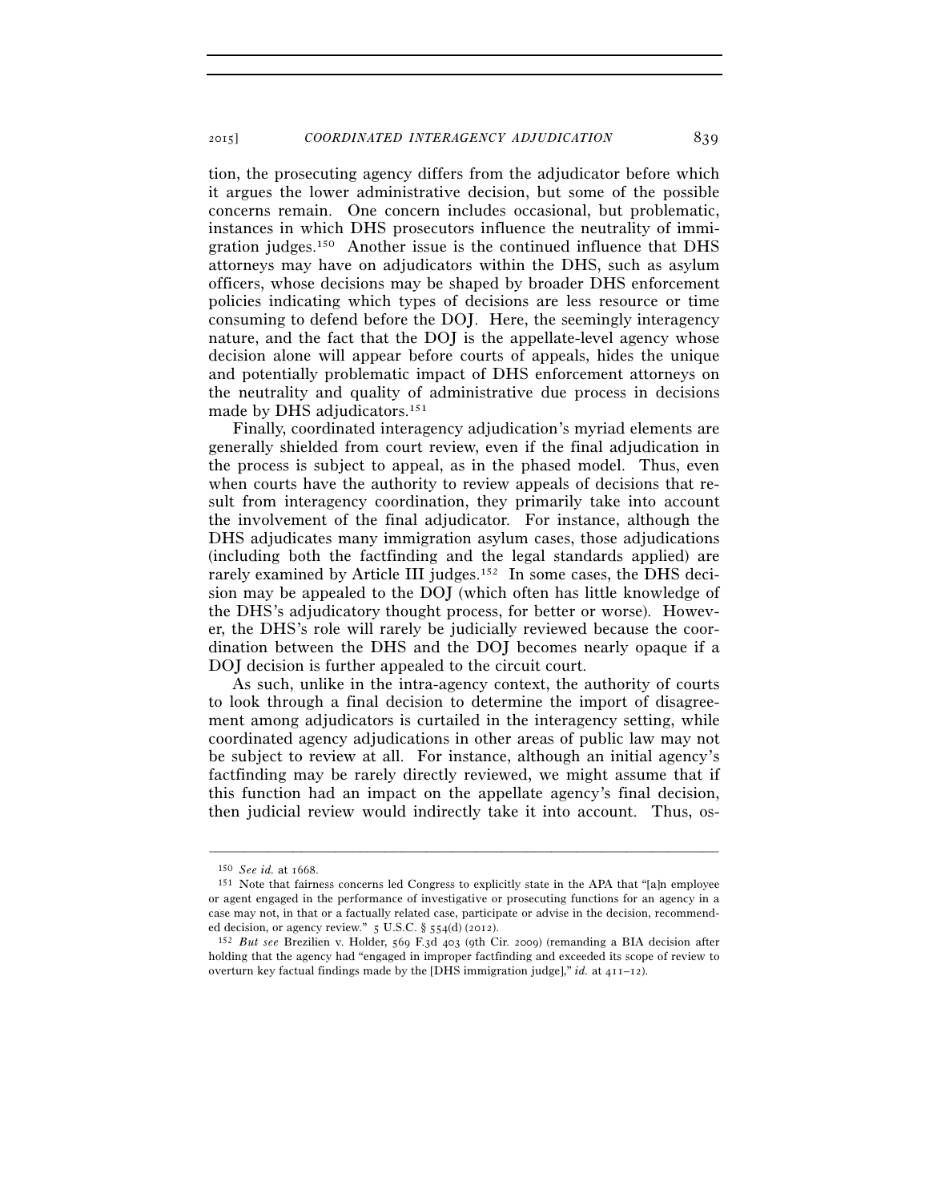tion, the prosecuting agency differs from the adjudicator before which it argues the lower administrative decision, but some of the possible concerns remain. One concern includes occasional, but problematic, instances in which DHS prosecutors influence the neutrality of immigration judges.150 Another issue is the continued influence that DHS attorneys may have on adjudicators within the DHS, such as asylum officers, whose decisions may be shaped by broader DHS enforcement policies indicating which types of decisions are less resource or time consuming to defend before the DOJ. Here, the seemingly interagency nature, and the fact that the DOJ is the appellate-level agency whose decision alone will appear before courts of appeals, hides the unique and potentially problematic impact of DHS enforcement attorneys on the neutrality and quality of administrative due process in decisions made by DHS adjudicators.<sup>151</sup>

Finally, coordinated interagency adjudication's myriad elements are generally shielded from court review, even if the final adjudication in the process is subject to appeal, as in the phased model. Thus, even when courts have the authority to review appeals of decisions that result from interagency coordination, they primarily take into account the involvement of the final adjudicator. For instance, although the DHS adjudicates many immigration asylum cases, those adjudications (including both the factfinding and the legal standards applied) are rarely examined by Article III judges.<sup>152</sup> In some cases, the DHS decision may be appealed to the DOJ (which often has little knowledge of the DHS's adjudicatory thought process, for better or worse). However, the DHS's role will rarely be judicially reviewed because the coordination between the DHS and the DOJ becomes nearly opaque if a DOJ decision is further appealed to the circuit court.

As such, unlike in the intra-agency context, the authority of courts to look through a final decision to determine the import of disagreement among adjudicators is curtailed in the interagency setting, while coordinated agency adjudications in other areas of public law may not be subject to review at all. For instance, although an initial agency's factfinding may be rarely directly reviewed, we might assume that if this function had an impact on the appellate agency's final decision, then judicial review would indirectly take it into account. Thus, os-

<sup>150</sup> *See id.* at 1668. 151 Note that fairness concerns led Congress to explicitly state in the APA that "[a]n employee or agent engaged in the performance of investigative or prosecuting functions for an agency in a case may not, in that or a factually related case, participate or advise in the decision, recommend-

ed decision, or agency review." 5 U.S.C. § 554(d) (2012). 152 *But see* Brezilien v. Holder, 569 F.3d 403 (9th Cir. 2009) (remanding a BIA decision after holding that the agency had "engaged in improper factfinding and exceeded its scope of review to overturn key factual findings made by the [DHS immigration judge]," *id.* at 411–12).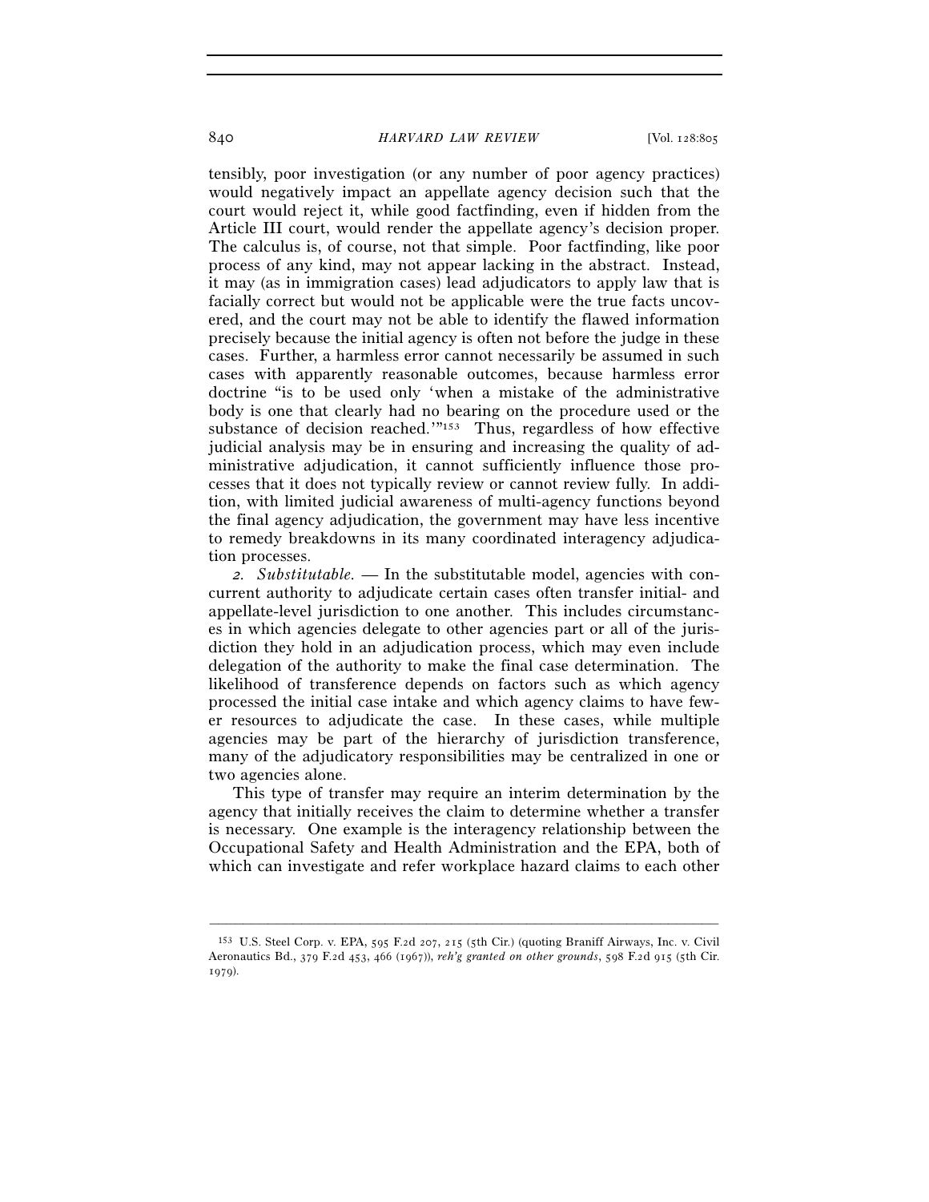tensibly, poor investigation (or any number of poor agency practices) would negatively impact an appellate agency decision such that the court would reject it, while good factfinding, even if hidden from the Article III court, would render the appellate agency's decision proper. The calculus is, of course, not that simple. Poor factfinding, like poor process of any kind, may not appear lacking in the abstract. Instead, it may (as in immigration cases) lead adjudicators to apply law that is facially correct but would not be applicable were the true facts uncovered, and the court may not be able to identify the flawed information precisely because the initial agency is often not before the judge in these cases. Further, a harmless error cannot necessarily be assumed in such cases with apparently reasonable outcomes, because harmless error doctrine "is to be used only 'when a mistake of the administrative body is one that clearly had no bearing on the procedure used or the substance of decision reached.'"153 Thus, regardless of how effective judicial analysis may be in ensuring and increasing the quality of administrative adjudication, it cannot sufficiently influence those processes that it does not typically review or cannot review fully. In addition, with limited judicial awareness of multi-agency functions beyond the final agency adjudication, the government may have less incentive to remedy breakdowns in its many coordinated interagency adjudication processes.

*2. Substitutable.* — In the substitutable model, agencies with concurrent authority to adjudicate certain cases often transfer initial- and appellate-level jurisdiction to one another. This includes circumstances in which agencies delegate to other agencies part or all of the jurisdiction they hold in an adjudication process, which may even include delegation of the authority to make the final case determination. The likelihood of transference depends on factors such as which agency processed the initial case intake and which agency claims to have fewer resources to adjudicate the case. In these cases, while multiple agencies may be part of the hierarchy of jurisdiction transference, many of the adjudicatory responsibilities may be centralized in one or two agencies alone.

This type of transfer may require an interim determination by the agency that initially receives the claim to determine whether a transfer is necessary. One example is the interagency relationship between the Occupational Safety and Health Administration and the EPA, both of which can investigate and refer workplace hazard claims to each other

<sup>153</sup> U.S. Steel Corp. v. EPA, 595 F.2d 207, 215 (5th Cir.) (quoting Braniff Airways, Inc. v. Civil Aeronautics Bd., 379 F.2d 453, 466 (1967)), *reh'g granted on other grounds*, 598 F.2d 915 (5th Cir. 1979).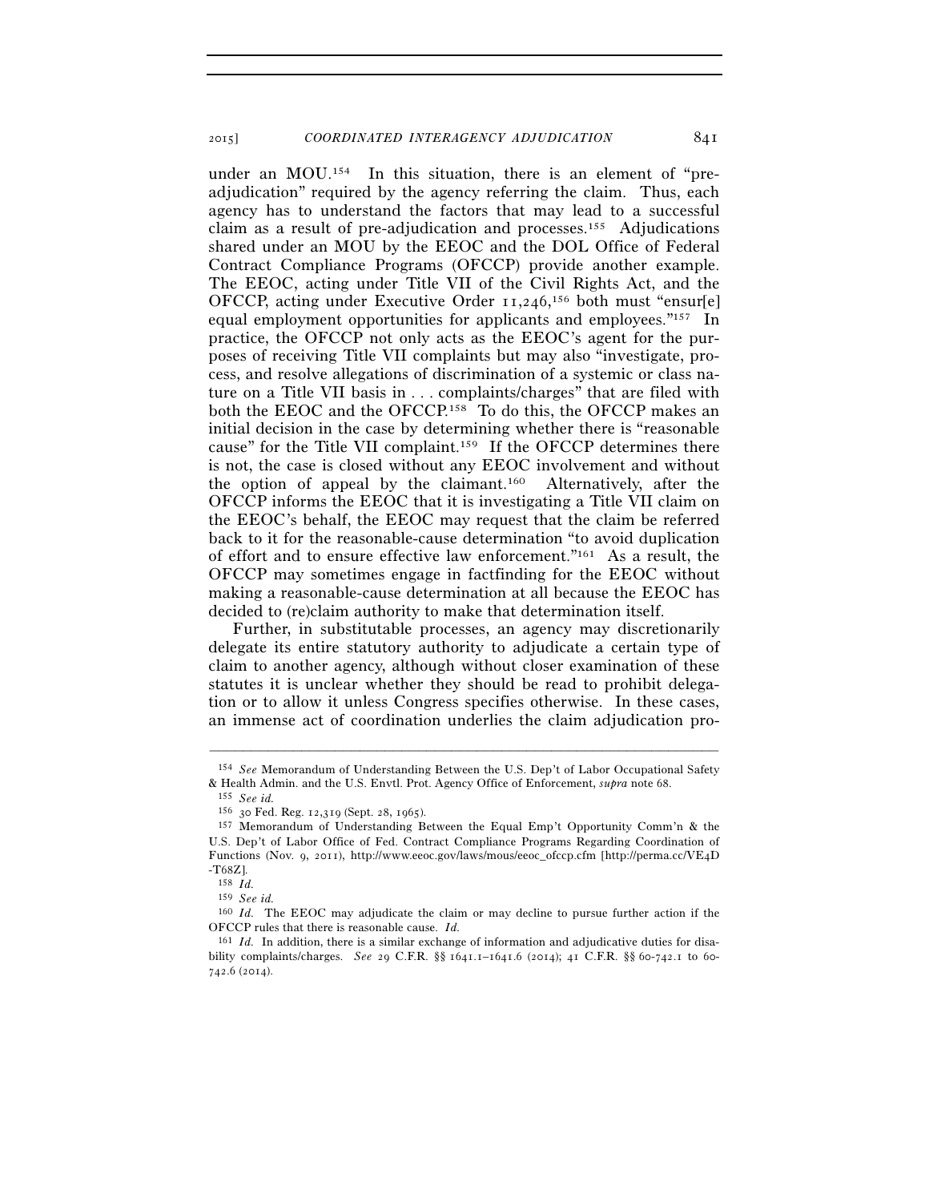under an MOU.154 In this situation, there is an element of "preadjudication" required by the agency referring the claim. Thus, each agency has to understand the factors that may lead to a successful claim as a result of pre-adjudication and processes.<sup>155</sup> Adjudications shared under an MOU by the EEOC and the DOL Office of Federal Contract Compliance Programs (OFCCP) provide another example. The EEOC, acting under Title VII of the Civil Rights Act, and the OFCCP, acting under Executive Order 11,246, 156 both must "ensur[e] equal employment opportunities for applicants and employees."157 In practice, the OFCCP not only acts as the EEOC's agent for the purposes of receiving Title VII complaints but may also "investigate, process, and resolve allegations of discrimination of a systemic or class nature on a Title VII basis in . . . complaints/charges" that are filed with both the EEOC and the OFCCP.158 To do this, the OFCCP makes an initial decision in the case by determining whether there is "reasonable cause" for the Title VII complaint.159 If the OFCCP determines there is not, the case is closed without any EEOC involvement and without the option of appeal by the claimant.160 Alternatively, after the OFCCP informs the EEOC that it is investigating a Title VII claim on the EEOC's behalf, the EEOC may request that the claim be referred back to it for the reasonable-cause determination "to avoid duplication of effort and to ensure effective law enforcement."161 As a result, the OFCCP may sometimes engage in factfinding for the EEOC without making a reasonable-cause determination at all because the EEOC has decided to (re)claim authority to make that determination itself.

Further, in substitutable processes, an agency may discretionarily delegate its entire statutory authority to adjudicate a certain type of claim to another agency, although without closer examination of these statutes it is unclear whether they should be read to prohibit delegation or to allow it unless Congress specifies otherwise. In these cases, an immense act of coordination underlies the claim adjudication pro-

<sup>–––––––––––––––––––––––––––––––––––––––––––––––––––––––––––––</sup> 154 *See* Memorandum of Understanding Between the U.S. Dep't of Labor Occupational Safety & Health Admin. and the U.S. Envtl. Prot. Agency Office of Enforcement, *supra* note 68. 155 *See id.*

<sup>157</sup> Memorandum of Understanding Between the Equal Emp't Opportunity Comm'n & the U.S. Dep't of Labor Office of Fed. Contract Compliance Programs Regarding Coordination of Functions (Nov. 9, 2011), http://www.eeoc.gov/laws/mous/eeoc\_ofccp.cfm [http://perma.cc/VE4D  $\left\langle \begin{matrix} -\mathrm{T}68\mathrm{Z} \ 158 \ \ \mathrm{Id.} \end{matrix} \right\rangle$ 

<sup>159</sup> *See id.*

<sup>160</sup> *Id.* The EEOC may adjudicate the claim or may decline to pursue further action if the OFCCP rules that there is reasonable cause. *Id.*

<sup>161</sup> *Id.* In addition, there is a similar exchange of information and adjudicative duties for disability complaints/charges. *See* 29 C.F.R. §§ 1641.1–1641.6 (2014); 41 C.F.R. §§ 60-742.1 to 60- 742.6 (2014).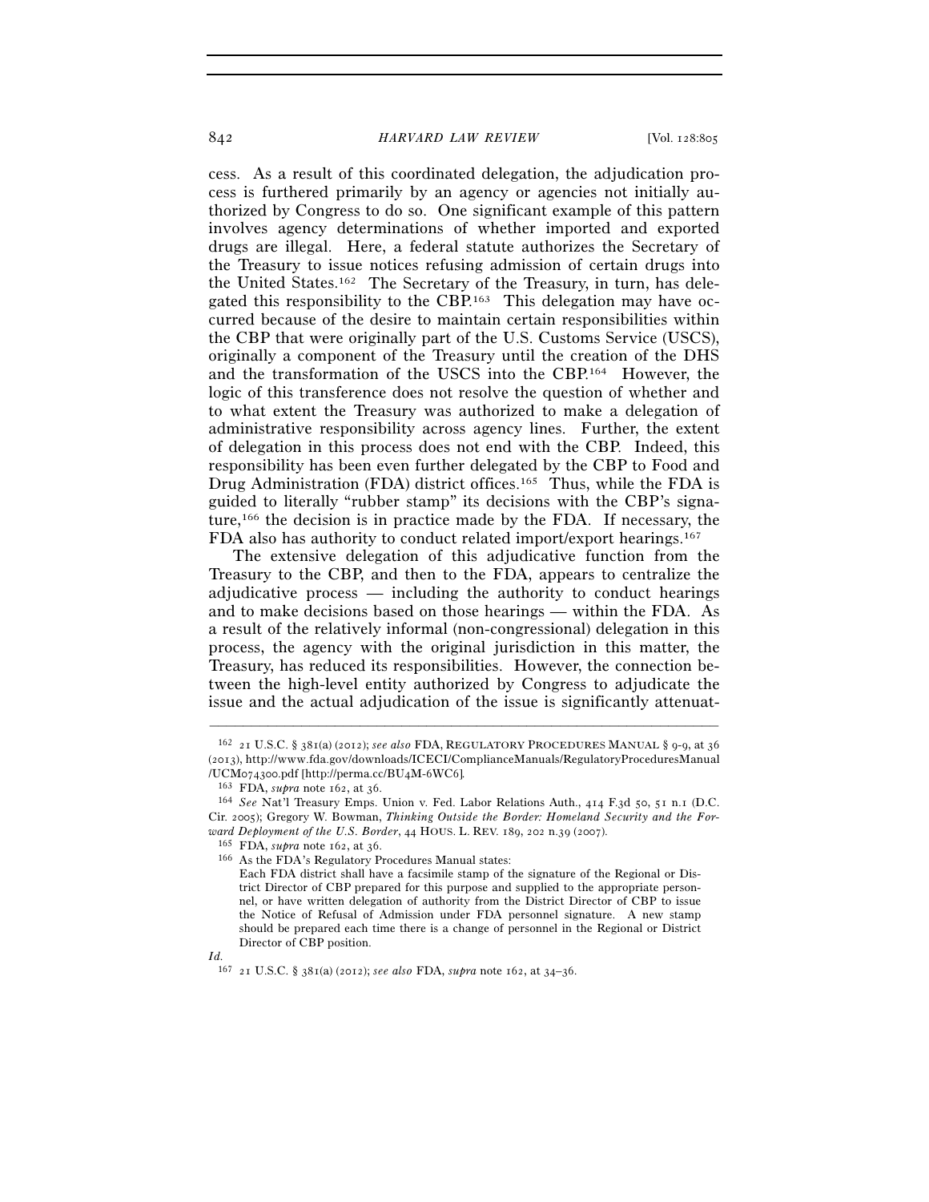cess. As a result of this coordinated delegation, the adjudication process is furthered primarily by an agency or agencies not initially authorized by Congress to do so. One significant example of this pattern involves agency determinations of whether imported and exported drugs are illegal. Here, a federal statute authorizes the Secretary of the Treasury to issue notices refusing admission of certain drugs into the United States.162 The Secretary of the Treasury, in turn, has delegated this responsibility to the CBP.163 This delegation may have occurred because of the desire to maintain certain responsibilities within the CBP that were originally part of the U.S. Customs Service (USCS), originally a component of the Treasury until the creation of the DHS and the transformation of the USCS into the CBP.164 However, the logic of this transference does not resolve the question of whether and to what extent the Treasury was authorized to make a delegation of administrative responsibility across agency lines. Further, the extent of delegation in this process does not end with the CBP. Indeed, this responsibility has been even further delegated by the CBP to Food and Drug Administration (FDA) district offices.<sup>165</sup> Thus, while the FDA is guided to literally "rubber stamp" its decisions with the CBP's signature,166 the decision is in practice made by the FDA. If necessary, the FDA also has authority to conduct related import/export hearings.167

The extensive delegation of this adjudicative function from the Treasury to the CBP, and then to the FDA, appears to centralize the adjudicative process — including the authority to conduct hearings and to make decisions based on those hearings — within the FDA. As a result of the relatively informal (non-congressional) delegation in this process, the agency with the original jurisdiction in this matter, the Treasury, has reduced its responsibilities. However, the connection between the high-level entity authorized by Congress to adjudicate the issue and the actual adjudication of the issue is significantly attenuat-

<sup>162</sup> 21 U.S.C. § 381(a) (2012); *see also* FDA, REGULATORY PROCEDURES MANUAL § 9-9, at 36 (2013), http://www.fda.gov/downloads/ICECI/ComplianceManuals/RegulatoryProceduresManual /UCM074300.pdf [http://perma.cc/BU4M-6WC6]*.*

<sup>163</sup> FDA, *supra* note 162, at 36. 164 *See* Nat'l Treasury Emps. Union v. Fed. Labor Relations Auth., 414 F.3d 50, 51 n.1 (D.C. Cir. 2005); Gregory W. Bowman, *Thinking Outside the Border: Homeland Security and the Forward Deployment of the U.S. Border*, 44 HOUS. L. REV. 189, 202 n.39 (2007).

<sup>&</sup>lt;sup>166</sup> As the FDA's Regulatory Procedures Manual states:

Each FDA district shall have a facsimile stamp of the signature of the Regional or District Director of CBP prepared for this purpose and supplied to the appropriate personnel, or have written delegation of authority from the District Director of CBP to issue the Notice of Refusal of Admission under FDA personnel signature. A new stamp should be prepared each time there is a change of personnel in the Regional or District Director of CBP position.

*Id.*

<sup>167</sup> 21 U.S.C. § 381(a) (2012); *see also* FDA, *supra* note 162, at 34–36.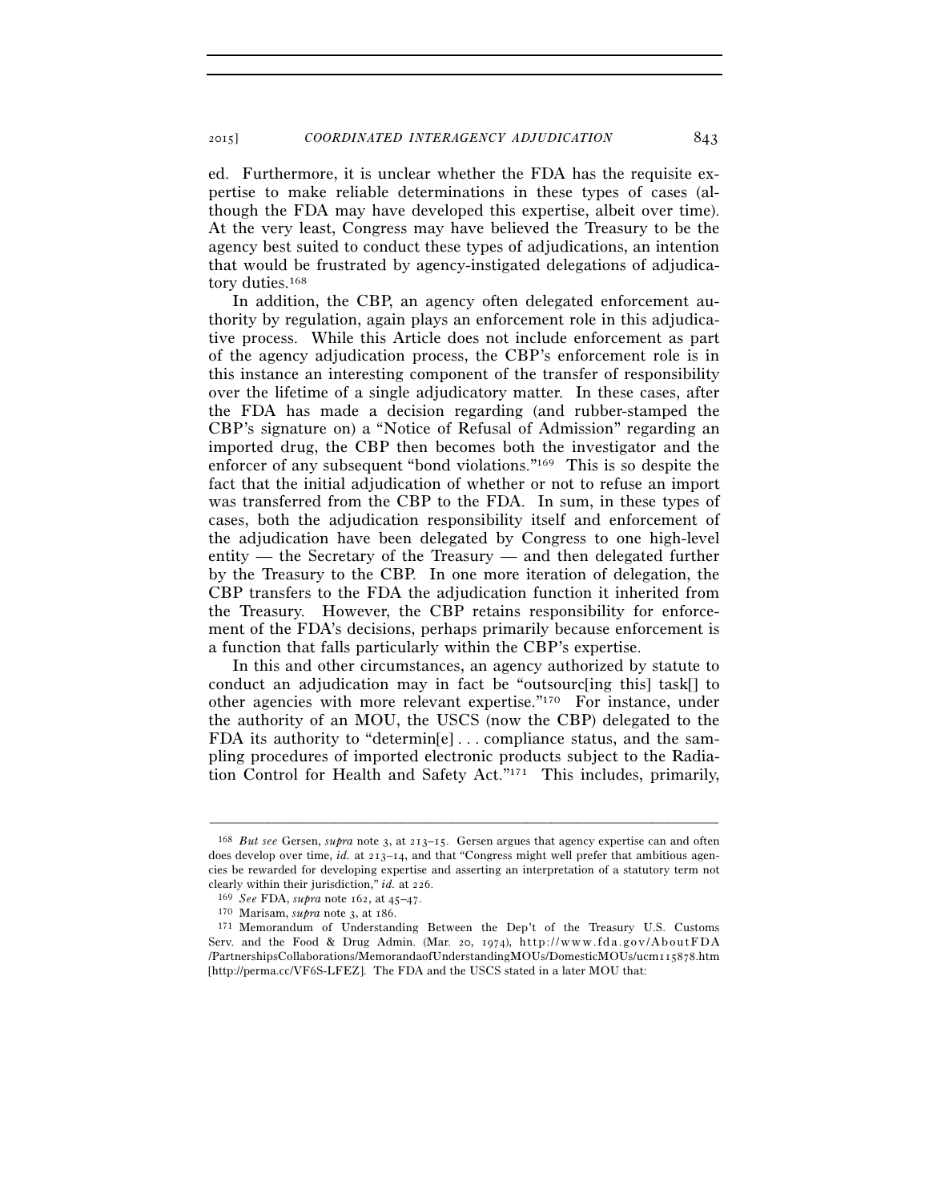ed. Furthermore, it is unclear whether the FDA has the requisite expertise to make reliable determinations in these types of cases (although the FDA may have developed this expertise, albeit over time). At the very least, Congress may have believed the Treasury to be the agency best suited to conduct these types of adjudications, an intention that would be frustrated by agency-instigated delegations of adjudicatory duties.<sup>168</sup>

In addition, the CBP, an agency often delegated enforcement authority by regulation, again plays an enforcement role in this adjudicative process. While this Article does not include enforcement as part of the agency adjudication process, the CBP's enforcement role is in this instance an interesting component of the transfer of responsibility over the lifetime of a single adjudicatory matter. In these cases, after the FDA has made a decision regarding (and rubber-stamped the CBP's signature on) a "Notice of Refusal of Admission" regarding an imported drug, the CBP then becomes both the investigator and the enforcer of any subsequent "bond violations."169 This is so despite the fact that the initial adjudication of whether or not to refuse an import was transferred from the CBP to the FDA. In sum, in these types of cases, both the adjudication responsibility itself and enforcement of the adjudication have been delegated by Congress to one high-level entity — the Secretary of the Treasury — and then delegated further by the Treasury to the CBP. In one more iteration of delegation, the CBP transfers to the FDA the adjudication function it inherited from the Treasury. However, the CBP retains responsibility for enforcement of the FDA's decisions, perhaps primarily because enforcement is a function that falls particularly within the CBP's expertise.

In this and other circumstances, an agency authorized by statute to conduct an adjudication may in fact be "outsourc[ing this] task[] to other agencies with more relevant expertise."170 For instance, under the authority of an MOU, the USCS (now the CBP) delegated to the FDA its authority to "determin[e] . . . compliance status, and the sampling procedures of imported electronic products subject to the Radiation Control for Health and Safety Act."171 This includes, primarily,

<sup>168</sup> *But see* Gersen, *supra* note 3, at 213–15. Gersen argues that agency expertise can and often does develop over time, *id.* at 213–14, and that "Congress might well prefer that ambitious agencies be rewarded for developing expertise and asserting an interpretation of a statutory term not

clearly within their jurisdiction," *id.* at 226.<br>
<sup>169</sup> See FDA, supra note 162, at 45–47.<br>
<sup>170</sup> Marisam, supra note 3, at 186.<br>
<sup>171</sup> Memorandum of Understanding Between the Dep't of the Treasury U.S. Customs Serv. and the Food & Drug Admin. (Mar. 20, 1974),  $http://www.fda.gov/AboutFDA)$ /PartnershipsCollaborations/MemorandaofUnderstandingMOUs/DomesticMOUs/ucm115878.htm [http://perma.cc/VF6S-LFEZ]. The FDA and the USCS stated in a later MOU that: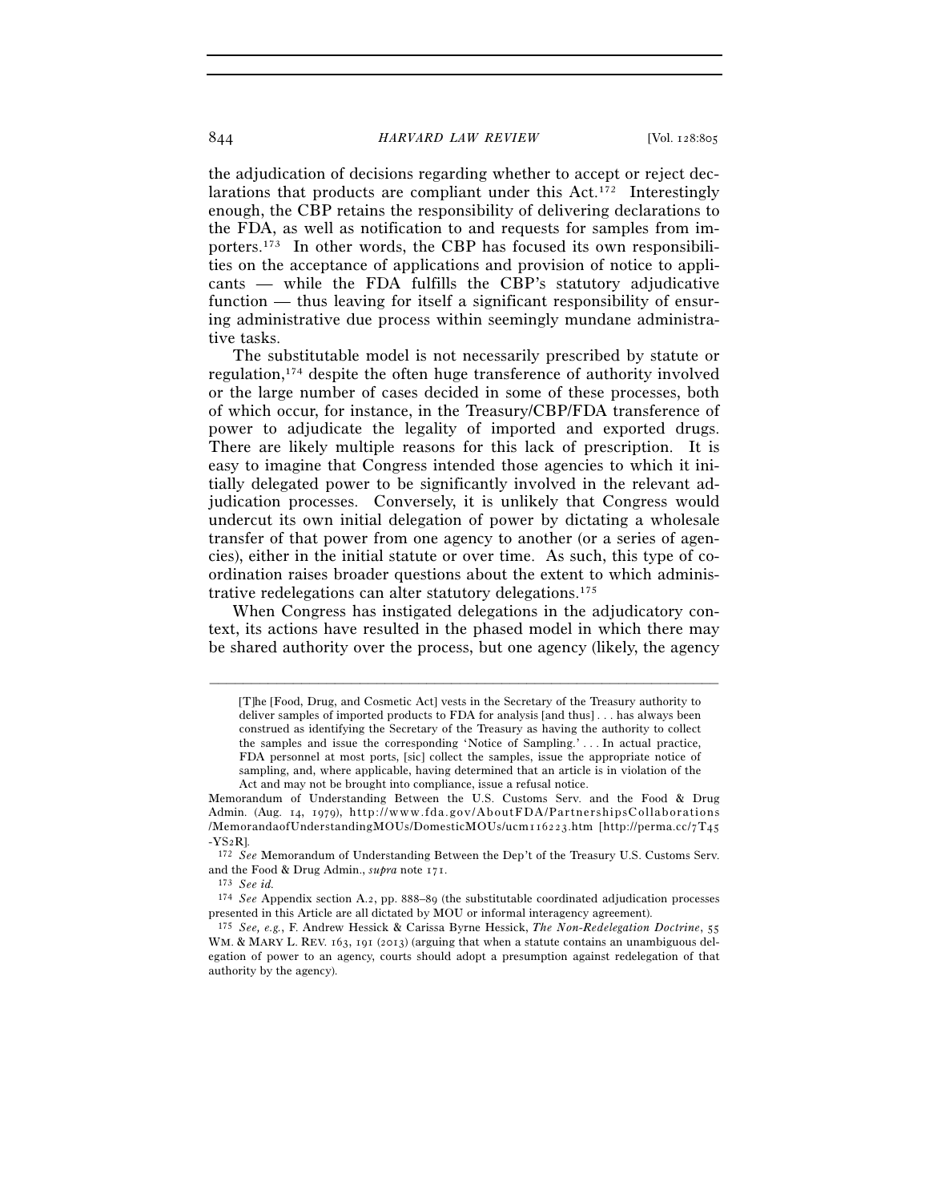### 844 *HARVARD LAW REVIEW* [Vol. 128:805

the adjudication of decisions regarding whether to accept or reject declarations that products are compliant under this Act.172 Interestingly enough, the CBP retains the responsibility of delivering declarations to the FDA, as well as notification to and requests for samples from importers.173 In other words, the CBP has focused its own responsibilities on the acceptance of applications and provision of notice to applicants — while the FDA fulfills the CBP's statutory adjudicative function — thus leaving for itself a significant responsibility of ensuring administrative due process within seemingly mundane administrative tasks.

The substitutable model is not necessarily prescribed by statute or regulation,174 despite the often huge transference of authority involved or the large number of cases decided in some of these processes, both of which occur, for instance, in the Treasury/CBP/FDA transference of power to adjudicate the legality of imported and exported drugs. There are likely multiple reasons for this lack of prescription. It is easy to imagine that Congress intended those agencies to which it initially delegated power to be significantly involved in the relevant adjudication processes. Conversely, it is unlikely that Congress would undercut its own initial delegation of power by dictating a wholesale transfer of that power from one agency to another (or a series of agencies), either in the initial statute or over time. As such, this type of coordination raises broader questions about the extent to which administrative redelegations can alter statutory delegations.175

When Congress has instigated delegations in the adjudicatory context, its actions have resulted in the phased model in which there may be shared authority over the process, but one agency (likely, the agency

<sup>[</sup>T]he [Food, Drug, and Cosmetic Act] vests in the Secretary of the Treasury authority to deliver samples of imported products to FDA for analysis [and thus] . . . has always been construed as identifying the Secretary of the Treasury as having the authority to collect the samples and issue the corresponding 'Notice of Sampling.' . . . In actual practice, FDA personnel at most ports, [sic] collect the samples, issue the appropriate notice of sampling, and, where applicable, having determined that an article is in violation of the Act and may not be brought into compliance, issue a refusal notice.

Memorandum of Understanding Between the U.S. Customs Serv. and the Food & Drug Admin. (Aug. 14, 1979), http://www.fda.gov/AboutFDA/PartnershipsCollaborations /MemorandaofUnderstandingMOUs/DomesticMOUs/ucm116223.htm [http://perma.cc/7T45 -YS2R]. 172 *See* Memorandum of Understanding Between the Dep't of the Treasury U.S. Customs Serv.

and the Food & Drug Admin., *supra* note 171. 173 *See id.*

<sup>174</sup> *See* Appendix section A.2, pp. 888–89 (the substitutable coordinated adjudication processes presented in this Article are all dictated by MOU or informal interagency agreement).

<sup>175</sup> *See, e.g.*, F. Andrew Hessick & Carissa Byrne Hessick, *The Non-Redelegation Doctrine*, 55 WM. & MARY L. REV. 163, 191 (2013) (arguing that when a statute contains an unambiguous delegation of power to an agency, courts should adopt a presumption against redelegation of that authority by the agency).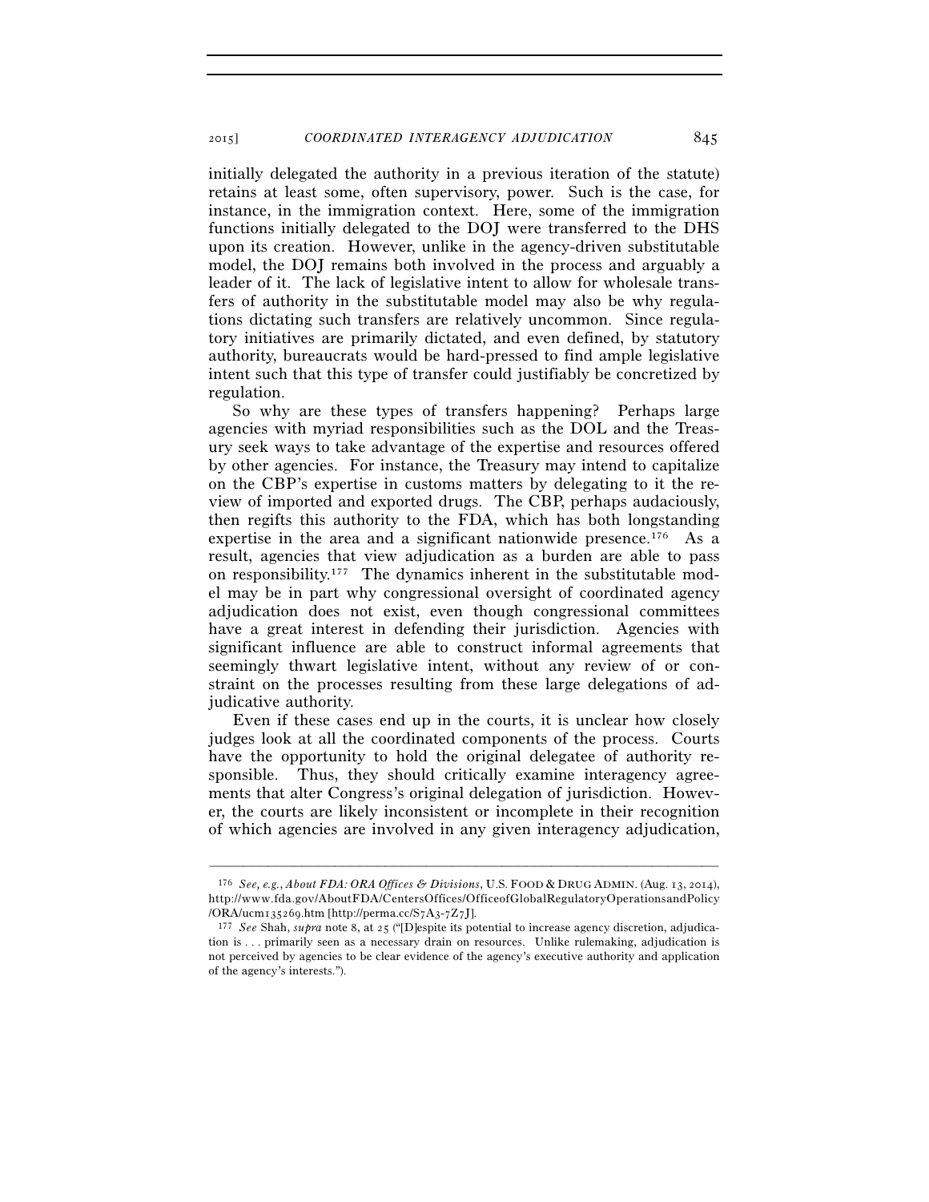initially delegated the authority in a previous iteration of the statute) retains at least some, often supervisory, power. Such is the case, for instance, in the immigration context. Here, some of the immigration functions initially delegated to the DOJ were transferred to the DHS upon its creation. However, unlike in the agency-driven substitutable model, the DOJ remains both involved in the process and arguably a leader of it. The lack of legislative intent to allow for wholesale transfers of authority in the substitutable model may also be why regulations dictating such transfers are relatively uncommon. Since regulatory initiatives are primarily dictated, and even defined, by statutory authority, bureaucrats would be hard-pressed to find ample legislative intent such that this type of transfer could justifiably be concretized by regulation.

So why are these types of transfers happening? Perhaps large agencies with myriad responsibilities such as the DOL and the Treasury seek ways to take advantage of the expertise and resources offered by other agencies. For instance, the Treasury may intend to capitalize on the CBP's expertise in customs matters by delegating to it the review of imported and exported drugs. The CBP, perhaps audaciously, then regifts this authority to the FDA, which has both longstanding expertise in the area and a significant nationwide presence.<sup>176</sup> As a result, agencies that view adjudication as a burden are able to pass on responsibility.177 The dynamics inherent in the substitutable model may be in part why congressional oversight of coordinated agency adjudication does not exist, even though congressional committees have a great interest in defending their jurisdiction. Agencies with significant influence are able to construct informal agreements that seemingly thwart legislative intent, without any review of or constraint on the processes resulting from these large delegations of adjudicative authority.

Even if these cases end up in the courts, it is unclear how closely judges look at all the coordinated components of the process. Courts have the opportunity to hold the original delegatee of authority responsible. Thus, they should critically examine interagency agreements that alter Congress's original delegation of jurisdiction. However, the courts are likely inconsistent or incomplete in their recognition of which agencies are involved in any given interagency adjudication,

<sup>176</sup> *See, e.g.*, *About FDA: ORA Offices & Divisions*, U.S. FOOD & DRUG ADMIN. (Aug. 13, 2014), http://www.fda.gov/AboutFDA/CentersOffices/OfficeofGlobalRegulatoryOperationsandPolicy /ORA/ucm135269.htm [http://perma.cc/S7A3-7Z7J]. 177 *See* Shah, *supra* note 8, at 25 ("[D]espite its potential to increase agency discretion, adjudica-

tion is . . . primarily seen as a necessary drain on resources. Unlike rulemaking, adjudication is not perceived by agencies to be clear evidence of the agency's executive authority and application of the agency's interests.").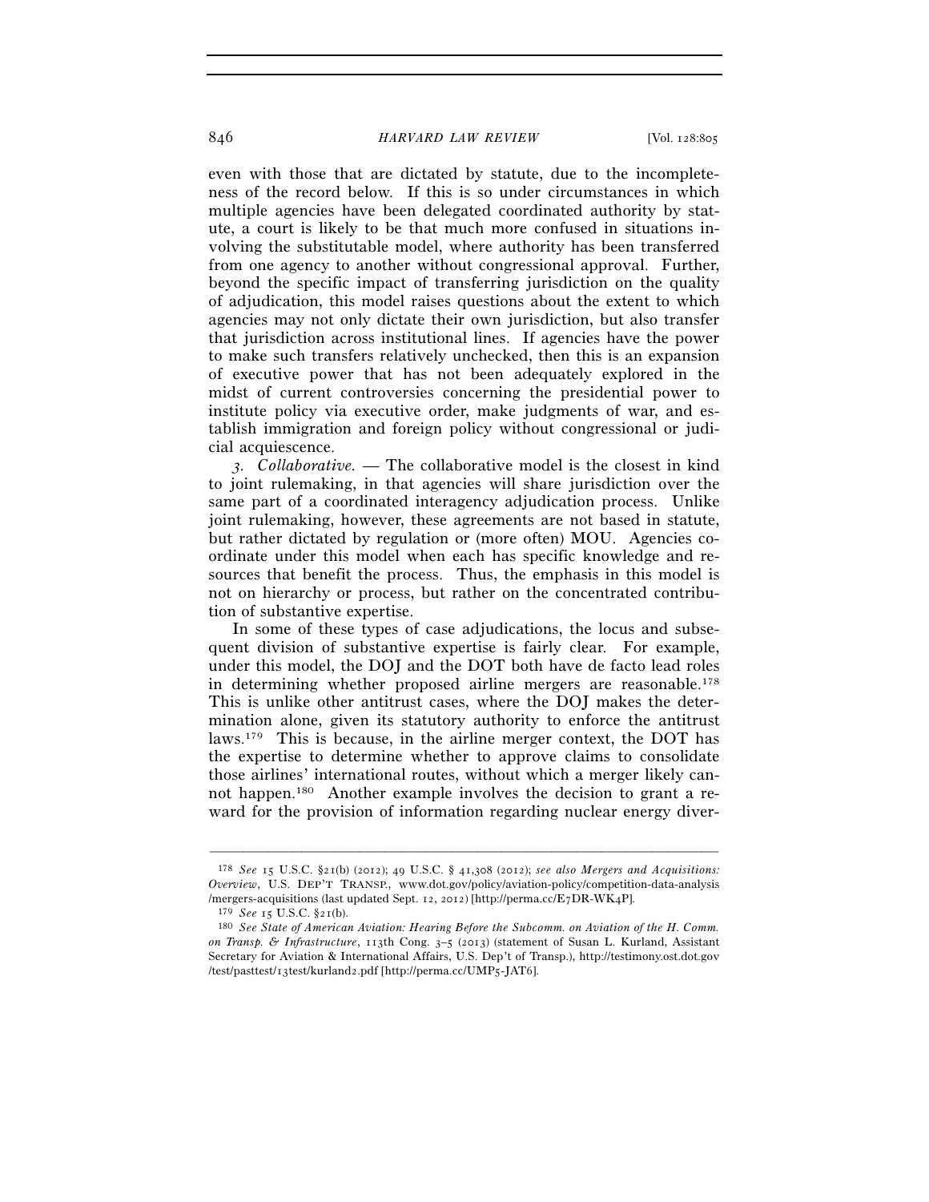### 846 *HARVARD LAW REVIEW* [Vol. 128:805

even with those that are dictated by statute, due to the incompleteness of the record below. If this is so under circumstances in which multiple agencies have been delegated coordinated authority by statute, a court is likely to be that much more confused in situations involving the substitutable model, where authority has been transferred from one agency to another without congressional approval. Further, beyond the specific impact of transferring jurisdiction on the quality of adjudication, this model raises questions about the extent to which agencies may not only dictate their own jurisdiction, but also transfer that jurisdiction across institutional lines. If agencies have the power to make such transfers relatively unchecked, then this is an expansion of executive power that has not been adequately explored in the midst of current controversies concerning the presidential power to institute policy via executive order, make judgments of war, and establish immigration and foreign policy without congressional or judicial acquiescence.

*3. Collaborative.* — The collaborative model is the closest in kind to joint rulemaking, in that agencies will share jurisdiction over the same part of a coordinated interagency adjudication process. Unlike joint rulemaking, however, these agreements are not based in statute, but rather dictated by regulation or (more often) MOU. Agencies coordinate under this model when each has specific knowledge and resources that benefit the process. Thus, the emphasis in this model is not on hierarchy or process, but rather on the concentrated contribution of substantive expertise.

In some of these types of case adjudications, the locus and subsequent division of substantive expertise is fairly clear. For example, under this model, the DOJ and the DOT both have de facto lead roles in determining whether proposed airline mergers are reasonable.178 This is unlike other antitrust cases, where the DOJ makes the determination alone, given its statutory authority to enforce the antitrust laws.179 This is because, in the airline merger context, the DOT has the expertise to determine whether to approve claims to consolidate those airlines' international routes, without which a merger likely cannot happen.180 Another example involves the decision to grant a reward for the provision of information regarding nuclear energy diver-

<sup>178</sup> *See* 15 U.S.C. §21(b) (2012); 49 U.S.C. § 41,308 (2012); *see also Mergers and Acquisitions: Overview*, U.S. DEP'T TRANSP., www.dot.gov/policy/aviation-policy/competition-data-analysis /mergers-acquisitions (last updated Sept. 12, 2012) [http://perma.cc/E7DR-WK4P].

<sup>179</sup> *See* <sup>15</sup> U.S.C. §21(b). 180 *See State of American Aviation: Hearing Before the Subcomm. on Aviation of the H. Comm. on Transp. & Infrastructure*, 113th Cong. 3–5 (2013) (statement of Susan L. Kurland, Assistant Secretary for Aviation & International Affairs, U.S. Dep't of Transp.), http://testimony.ost.dot.gov /test/pasttest/13test/kurland2.pdf [http://perma.cc/UMP5-JAT6].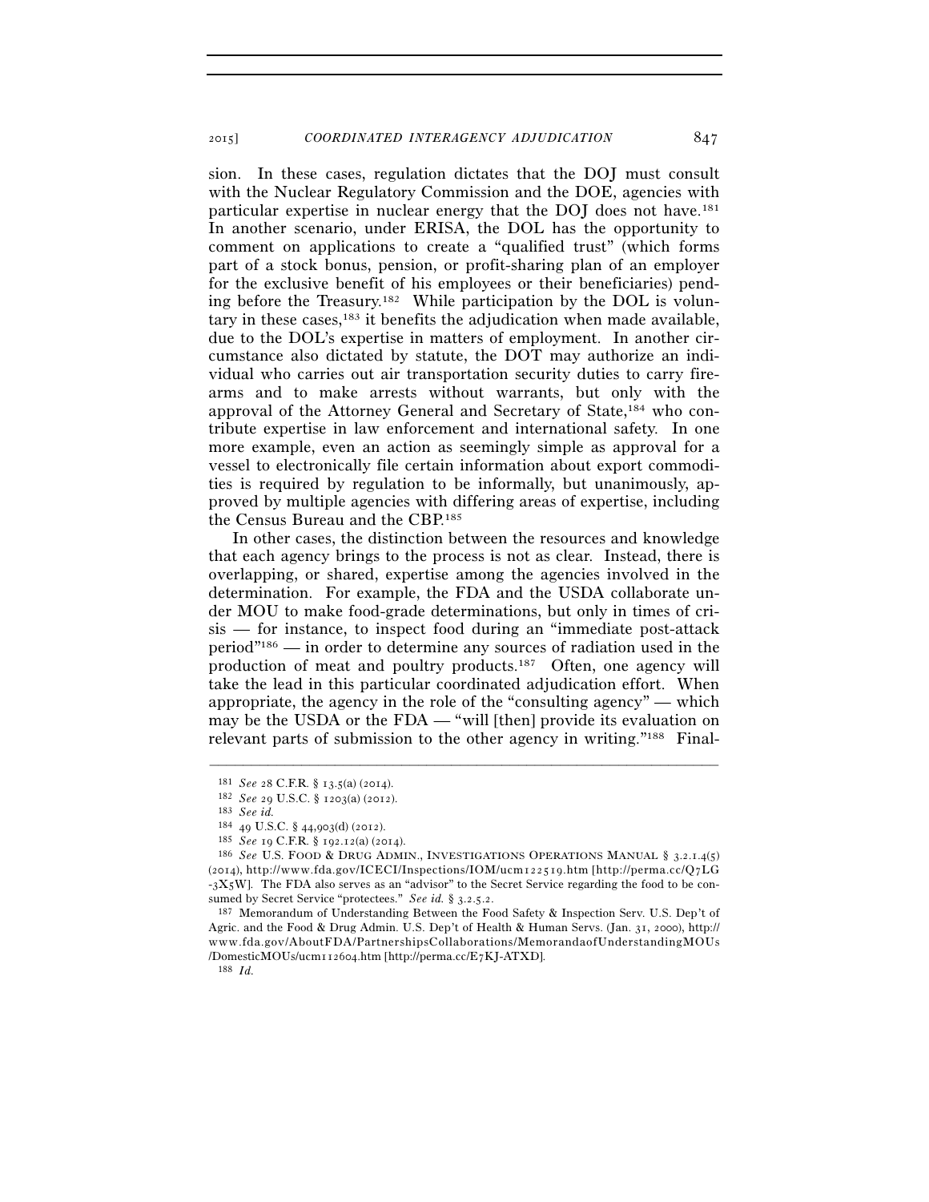sion. In these cases, regulation dictates that the DOJ must consult with the Nuclear Regulatory Commission and the DOE, agencies with particular expertise in nuclear energy that the DOJ does not have.181 In another scenario, under ERISA, the DOL has the opportunity to comment on applications to create a "qualified trust" (which forms part of a stock bonus, pension, or profit-sharing plan of an employer for the exclusive benefit of his employees or their beneficiaries) pending before the Treasury.182 While participation by the DOL is voluntary in these cases, $183$  it benefits the adjudication when made available, due to the DOL's expertise in matters of employment. In another circumstance also dictated by statute, the DOT may authorize an individual who carries out air transportation security duties to carry firearms and to make arrests without warrants, but only with the approval of the Attorney General and Secretary of State,184 who contribute expertise in law enforcement and international safety. In one more example, even an action as seemingly simple as approval for a vessel to electronically file certain information about export commodities is required by regulation to be informally, but unanimously, approved by multiple agencies with differing areas of expertise, including the Census Bureau and the CBP.185

In other cases, the distinction between the resources and knowledge that each agency brings to the process is not as clear. Instead, there is overlapping, or shared, expertise among the agencies involved in the determination. For example, the FDA and the USDA collaborate under MOU to make food-grade determinations, but only in times of crisis — for instance, to inspect food during an "immediate post-attack period"186 — in order to determine any sources of radiation used in the production of meat and poultry products.187 Often, one agency will take the lead in this particular coordinated adjudication effort. When appropriate, the agency in the role of the "consulting agency" — which may be the USDA or the FDA — "will [then] provide its evaluation on relevant parts of submission to the other agency in writing."188 Final-

<sup>181</sup> *See* <sup>28</sup> C.F.R. § 13.5(a) (2014). 182 *See* <sup>29</sup> U.S.C. § 1203(a) (2012). 183 *See id.*

<sup>&</sup>lt;sup>185</sup> *See* 19 C.F.R. § 192.12(a) (2014).<br><sup>186</sup> *See* U.S. FOOD & DRUG ADMIN., INVESTIGATIONS OPERATIONS MANUAL § 3.2.1.4(5) (2014), http://www.fda.gov/ICECI/Inspections/IOM/ucm122519.htm [http://perma.cc/Q7LG -3X5W]. The FDA also serves as an "advisor" to the Secret Service regarding the food to be con-<br>sumed by Secret Service "protectees." See id. § 3.2.5.2.

<sup>&</sup>lt;sup>187</sup> Memorandum of Understanding Between the Food Safety & Inspection Serv. U.S. Dep't of Agric. and the Food & Drug Admin. U.S. Dep't of Health & Human Servs. (Jan. 31, 2000), http:// www.fda.gov/AboutFDA/PartnershipsCollaborations/MemorandaofUnderstandingMOUs /DomesticMOUs/ucm112604.htm [http://perma.cc/E7KJ-ATXD]. 188 *Id.*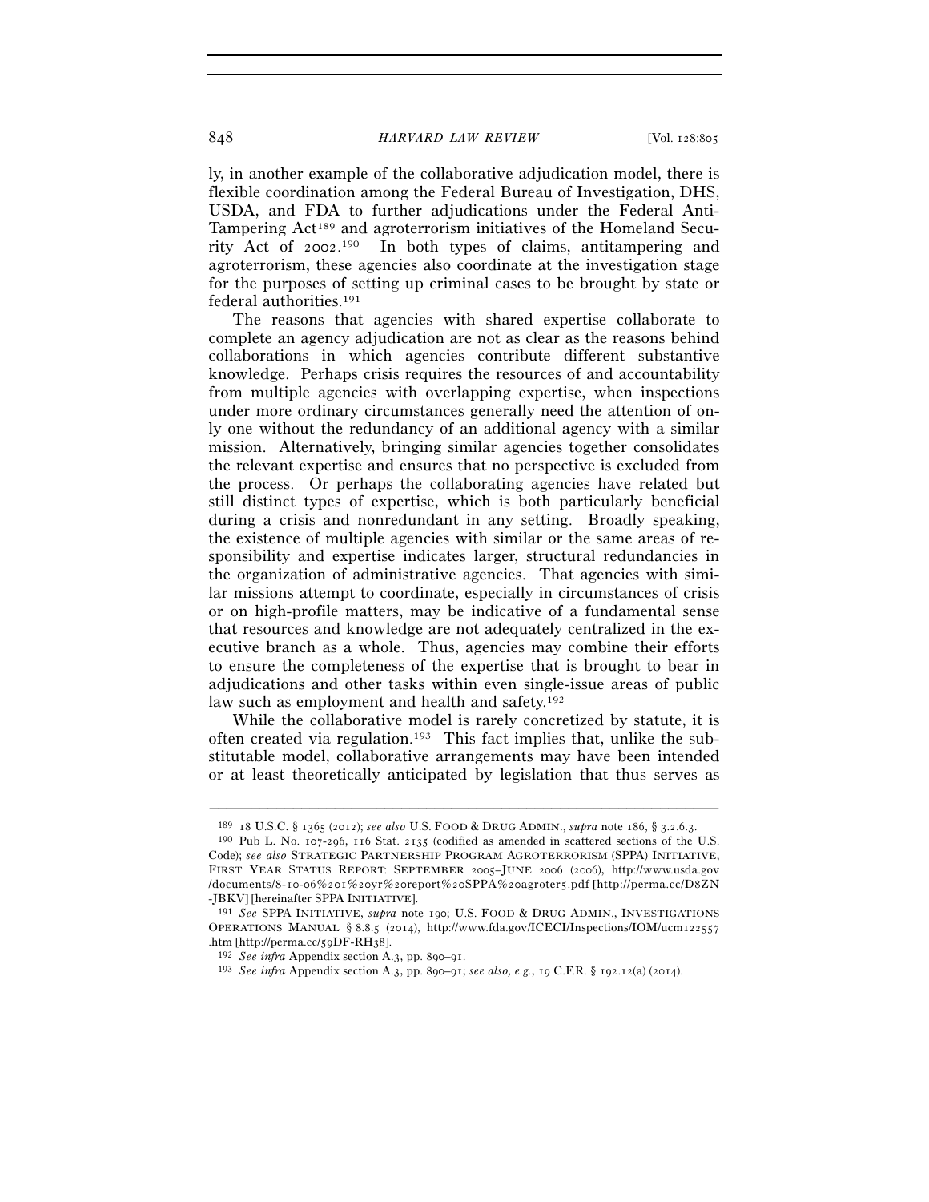ly, in another example of the collaborative adjudication model, there is flexible coordination among the Federal Bureau of Investigation, DHS, USDA, and FDA to further adjudications under the Federal Anti-Tampering Act189 and agroterrorism initiatives of the Homeland Security Act of 2002. 190 In both types of claims, antitampering and agroterrorism, these agencies also coordinate at the investigation stage for the purposes of setting up criminal cases to be brought by state or federal authorities.191

The reasons that agencies with shared expertise collaborate to complete an agency adjudication are not as clear as the reasons behind collaborations in which agencies contribute different substantive knowledge. Perhaps crisis requires the resources of and accountability from multiple agencies with overlapping expertise, when inspections under more ordinary circumstances generally need the attention of only one without the redundancy of an additional agency with a similar mission. Alternatively, bringing similar agencies together consolidates the relevant expertise and ensures that no perspective is excluded from the process. Or perhaps the collaborating agencies have related but still distinct types of expertise, which is both particularly beneficial during a crisis and nonredundant in any setting. Broadly speaking, the existence of multiple agencies with similar or the same areas of responsibility and expertise indicates larger, structural redundancies in the organization of administrative agencies. That agencies with similar missions attempt to coordinate, especially in circumstances of crisis or on high-profile matters, may be indicative of a fundamental sense that resources and knowledge are not adequately centralized in the executive branch as a whole. Thus, agencies may combine their efforts to ensure the completeness of the expertise that is brought to bear in adjudications and other tasks within even single-issue areas of public law such as employment and health and safety.<sup>192</sup>

While the collaborative model is rarely concretized by statute, it is often created via regulation.193 This fact implies that, unlike the substitutable model, collaborative arrangements may have been intended or at least theoretically anticipated by legislation that thus serves as

<sup>–––––––––––––––––––––––––––––––––––––––––––––––––––––––––––––</sup> <sup>189</sup> <sup>18</sup> U.S.C. § 1365 (2012); *see also* U.S. FOOD & DRUG ADMIN., *supra* note 186, § 3.2.6.3. 190 Pub L. No. 107-296, 116 Stat. 2135 (codified as amended in scattered sections of the U.S.

Code); *see also* STRATEGIC PARTNERSHIP PROGRAM AGROTERRORISM (SPPA) INITIATIVE, FIRST YEAR STATUS REPORT: SEPTEMBER 2005–JUNE 2006 (2006), http://www.usda.gov /documents/8-10-06%201%20yr%20report%20SPPA%20agroter5.pdf [http://perma.cc/D8ZN<br>-JBKV] [hereinafter SPPA INITIATIVE].

<sup>&</sup>lt;sup>191</sup> See SPPA INITIATIVE, *supra* note 190; U.S. FOOD & DRUG ADMIN., INVESTIGATIONS OPERATIONS MANUAL § 8.8.5 (2014), http://www.fda.gov/ICECI/Inspections/IOM/ucm122557<br>htm [http://perma.cc/5qDF-RH38].

<sup>&</sup>lt;sup>192</sup> *See infra* Appendix section A.3, pp. 890–91.<br><sup>193</sup> *See infra* Appendix section A.3, pp. 890–91; *see also, e.g.*, 19 C.F.R. § 192.12(a) (2014).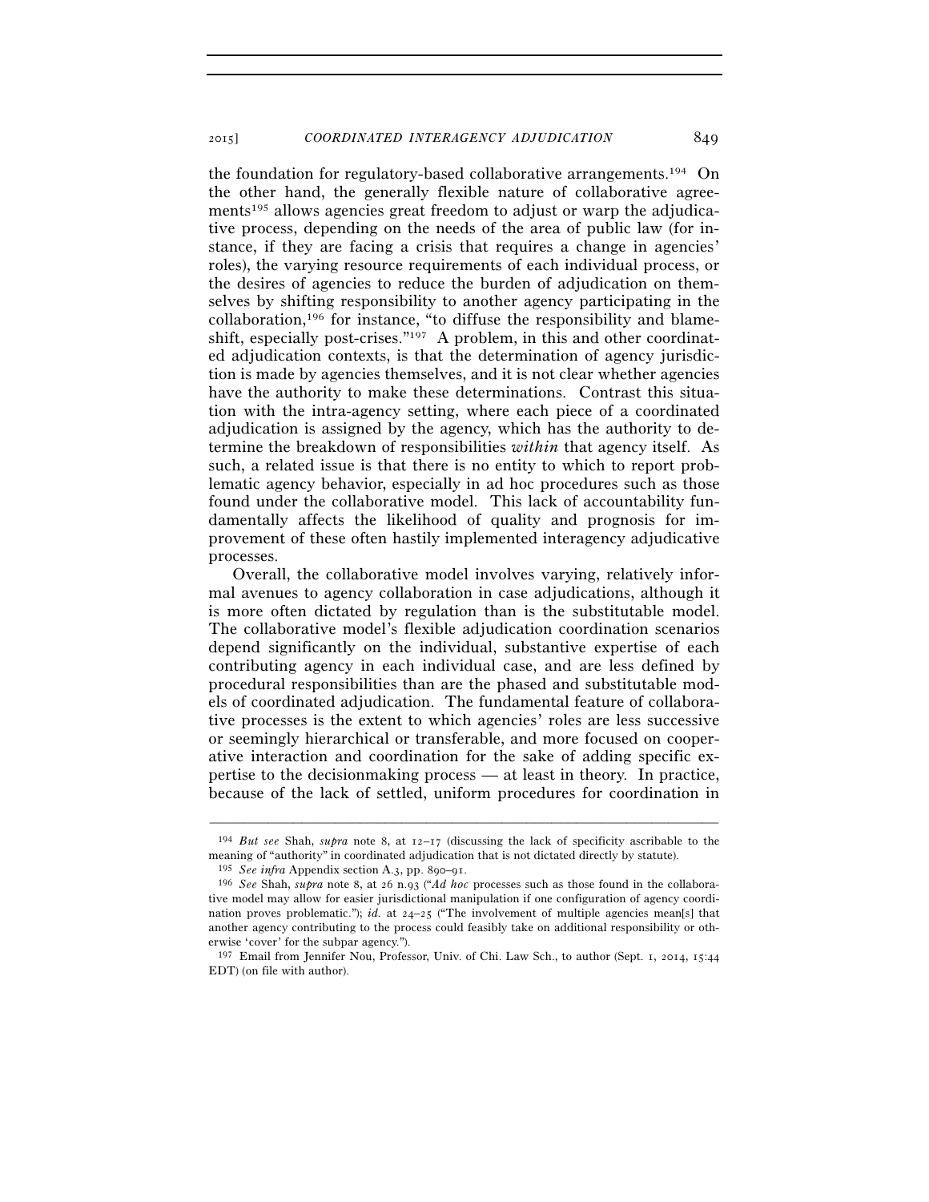the foundation for regulatory-based collaborative arrangements.194 On the other hand, the generally flexible nature of collaborative agreements<sup>195</sup> allows agencies great freedom to adjust or warp the adjudicative process, depending on the needs of the area of public law (for instance, if they are facing a crisis that requires a change in agencies' roles), the varying resource requirements of each individual process, or the desires of agencies to reduce the burden of adjudication on themselves by shifting responsibility to another agency participating in the collaboration,196 for instance, "to diffuse the responsibility and blameshift, especially post-crises."<sup>197</sup> A problem, in this and other coordinated adjudication contexts, is that the determination of agency jurisdiction is made by agencies themselves, and it is not clear whether agencies have the authority to make these determinations. Contrast this situation with the intra-agency setting, where each piece of a coordinated adjudication is assigned by the agency, which has the authority to determine the breakdown of responsibilities *within* that agency itself. As such, a related issue is that there is no entity to which to report problematic agency behavior, especially in ad hoc procedures such as those found under the collaborative model. This lack of accountability fundamentally affects the likelihood of quality and prognosis for improvement of these often hastily implemented interagency adjudicative processes.

Overall, the collaborative model involves varying, relatively informal avenues to agency collaboration in case adjudications, although it is more often dictated by regulation than is the substitutable model. The collaborative model's flexible adjudication coordination scenarios depend significantly on the individual, substantive expertise of each contributing agency in each individual case, and are less defined by procedural responsibilities than are the phased and substitutable models of coordinated adjudication. The fundamental feature of collaborative processes is the extent to which agencies' roles are less successive or seemingly hierarchical or transferable, and more focused on cooperative interaction and coordination for the sake of adding specific expertise to the decisionmaking process — at least in theory. In practice, because of the lack of settled, uniform procedures for coordination in

<sup>–––––––––––––––––––––––––––––––––––––––––––––––––––––––––––––</sup> 194 *But see* Shah, *supra* note 8, at 12–17 (discussing the lack of specificity ascribable to the meaning of "authority" in coordinated adjudication that is not dictated directly by statute).

<sup>195</sup> *See infra* Appendix section A.3, pp. 890–91. 196 *See* Shah, *supra* note 8, at 26 n.93 ("*Ad hoc* processes such as those found in the collaborative model may allow for easier jurisdictional manipulation if one configuration of agency coordination proves problematic."); *id.* at  $24-25$  ("The involvement of multiple agencies mean[s] that another agency contributing to the process could feasibly take on additional responsibility or otherwise 'cover' for the subpar agency.").

<sup>197</sup> Email from Jennifer Nou, Professor, Univ. of Chi. Law Sch., to author (Sept. 1, 2014, 15:44 EDT) (on file with author).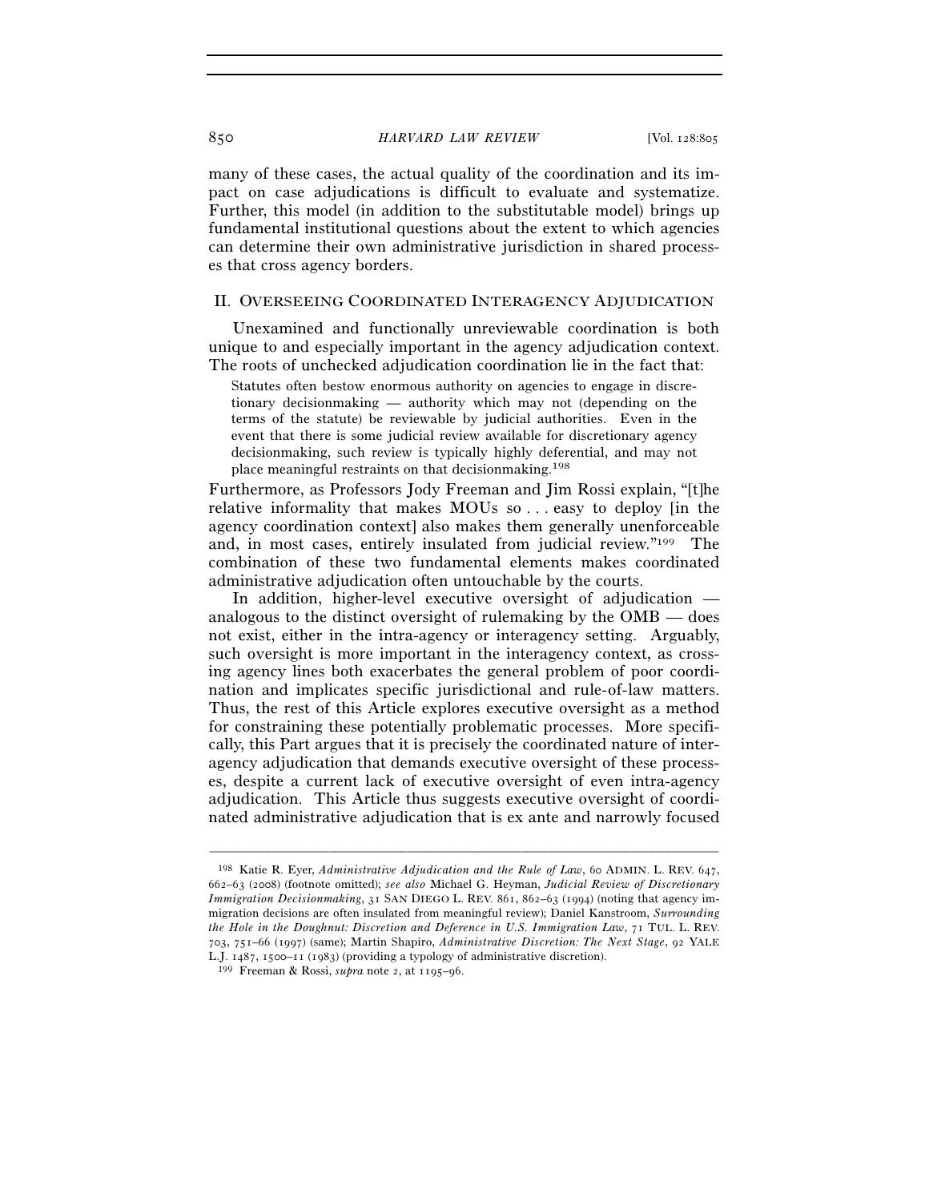many of these cases, the actual quality of the coordination and its impact on case adjudications is difficult to evaluate and systematize. Further, this model (in addition to the substitutable model) brings up fundamental institutional questions about the extent to which agencies can determine their own administrative jurisdiction in shared processes that cross agency borders.

# II. OVERSEEING COORDINATED INTERAGENCY ADJUDICATION

Unexamined and functionally unreviewable coordination is both unique to and especially important in the agency adjudication context. The roots of unchecked adjudication coordination lie in the fact that:

Statutes often bestow enormous authority on agencies to engage in discretionary decisionmaking — authority which may not (depending on the terms of the statute) be reviewable by judicial authorities. Even in the event that there is some judicial review available for discretionary agency decisionmaking, such review is typically highly deferential, and may not place meaningful restraints on that decisionmaking.198

Furthermore, as Professors Jody Freeman and Jim Rossi explain, "[t]he relative informality that makes MOUs so . . . easy to deploy [in the agency coordination context] also makes them generally unenforceable and, in most cases, entirely insulated from judicial review."199 The combination of these two fundamental elements makes coordinated administrative adjudication often untouchable by the courts.

In addition, higher-level executive oversight of adjudication analogous to the distinct oversight of rulemaking by the OMB — does not exist, either in the intra-agency or interagency setting. Arguably, such oversight is more important in the interagency context, as crossing agency lines both exacerbates the general problem of poor coordination and implicates specific jurisdictional and rule-of-law matters. Thus, the rest of this Article explores executive oversight as a method for constraining these potentially problematic processes. More specifically, this Part argues that it is precisely the coordinated nature of interagency adjudication that demands executive oversight of these processes, despite a current lack of executive oversight of even intra-agency adjudication. This Article thus suggests executive oversight of coordinated administrative adjudication that is ex ante and narrowly focused

<sup>198</sup> Katie R. Eyer, *Administrative Adjudication and the Rule of Law*, 60 ADMIN. L. REV. 647, 662–63 (2008) (footnote omitted); *see also* Michael G. Heyman, *Judicial Review of Discretionary Immigration Decisionmaking*, 31 SAN DIEGO L. REV. 861, 862–63 (1994) (noting that agency immigration decisions are often insulated from meaningful review); Daniel Kanstroom, *Surrounding the Hole in the Doughnut: Discretion and Deference in U.S. Immigration Law*, 71 TUL. L. REV. 703, 751–66 (1997) (same); Martin Shapiro, *Administrative Discretion: The Next Stage*, 92 YALE L.J. 1487, 1500–11 (1983) (providing a typology of administrative discretion). 199 Freeman & Rossi, *supra* note 2, at 1195–96.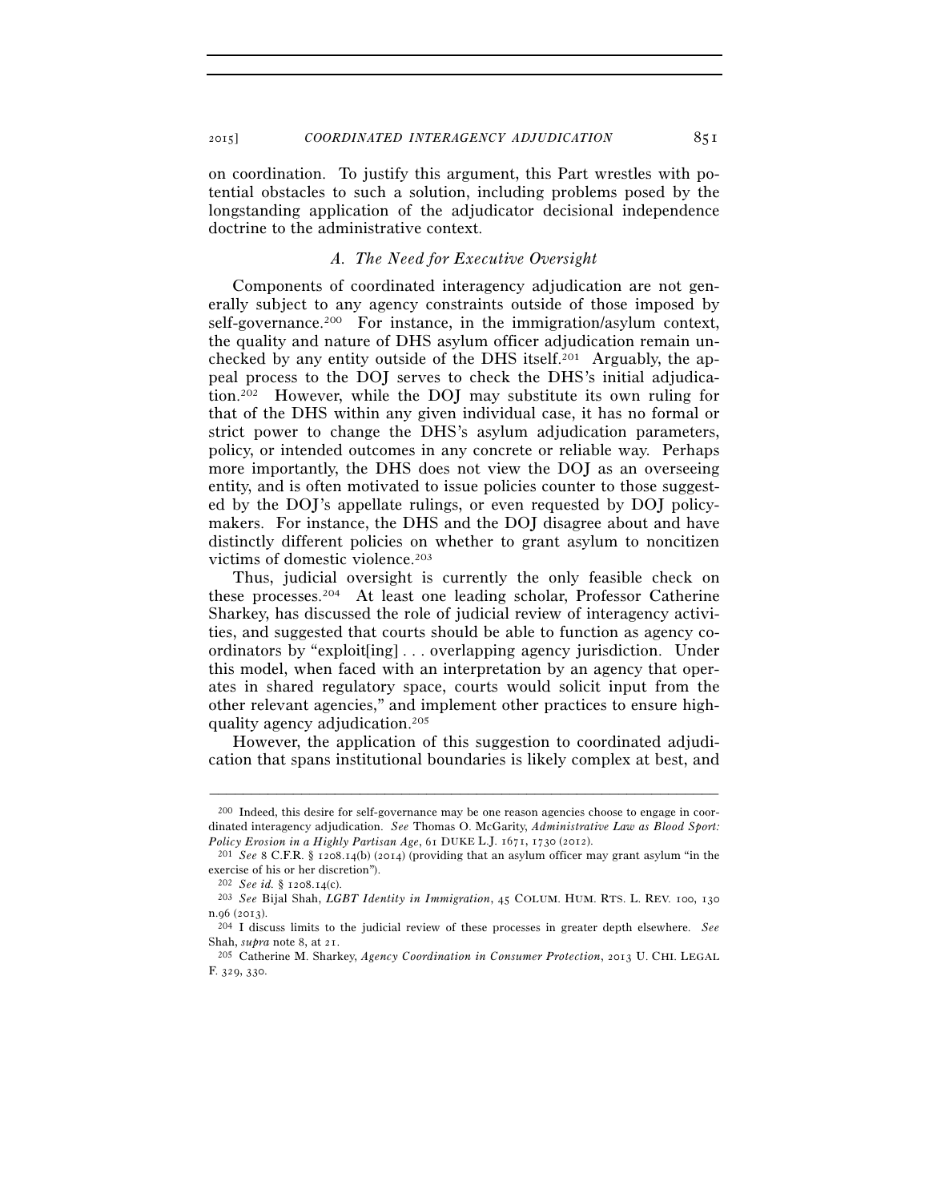on coordination. To justify this argument, this Part wrestles with potential obstacles to such a solution, including problems posed by the longstanding application of the adjudicator decisional independence doctrine to the administrative context.

## *A. The Need for Executive Oversight*

Components of coordinated interagency adjudication are not generally subject to any agency constraints outside of those imposed by self-governance.<sup>200</sup> For instance, in the immigration/asylum context, the quality and nature of DHS asylum officer adjudication remain unchecked by any entity outside of the DHS itself.201 Arguably, the appeal process to the DOJ serves to check the DHS's initial adjudication.202 However, while the DOJ may substitute its own ruling for that of the DHS within any given individual case, it has no formal or strict power to change the DHS's asylum adjudication parameters, policy, or intended outcomes in any concrete or reliable way. Perhaps more importantly, the DHS does not view the DOJ as an overseeing entity, and is often motivated to issue policies counter to those suggested by the DOJ's appellate rulings, or even requested by DOJ policymakers. For instance, the DHS and the DOJ disagree about and have distinctly different policies on whether to grant asylum to noncitizen victims of domestic violence.203

Thus, judicial oversight is currently the only feasible check on these processes.204 At least one leading scholar, Professor Catherine Sharkey, has discussed the role of judicial review of interagency activities, and suggested that courts should be able to function as agency coordinators by "exploit[ing] . . . overlapping agency jurisdiction. Under this model, when faced with an interpretation by an agency that operates in shared regulatory space, courts would solicit input from the other relevant agencies," and implement other practices to ensure highquality agency adjudication.205

However, the application of this suggestion to coordinated adjudication that spans institutional boundaries is likely complex at best, and

<sup>200</sup> Indeed, this desire for self-governance may be one reason agencies choose to engage in coordinated interagency adjudication. *See* Thomas O. McGarity, *Administrative Law as Blood Sport: Policy Erosion in a Highly Partisan Age*, 61 DUKE L.J. 1671, 1730 (2012).<br><sup>201</sup> *See* 8 C.F.R. § 1208.14(b) (2014) (providing that an asylum officer may grant asylum "in the

exercise of his or her discretion").

<sup>202</sup> *See id.* § 1208.14(c). 203 *See* Bijal Shah, *LGBT Identity in Immigration*, 45 COLUM. HUM. RTS. L. REV. 100, <sup>130</sup> n.96 (2013). 204 I discuss limits to the judicial review of these processes in greater depth elsewhere. *See*

Shah, *supra* note 8, at 21. 205 Catherine M. Sharkey, *Agency Coordination in Consumer Protection*, 2013 U. CHI. LEGAL

F. 329, 330.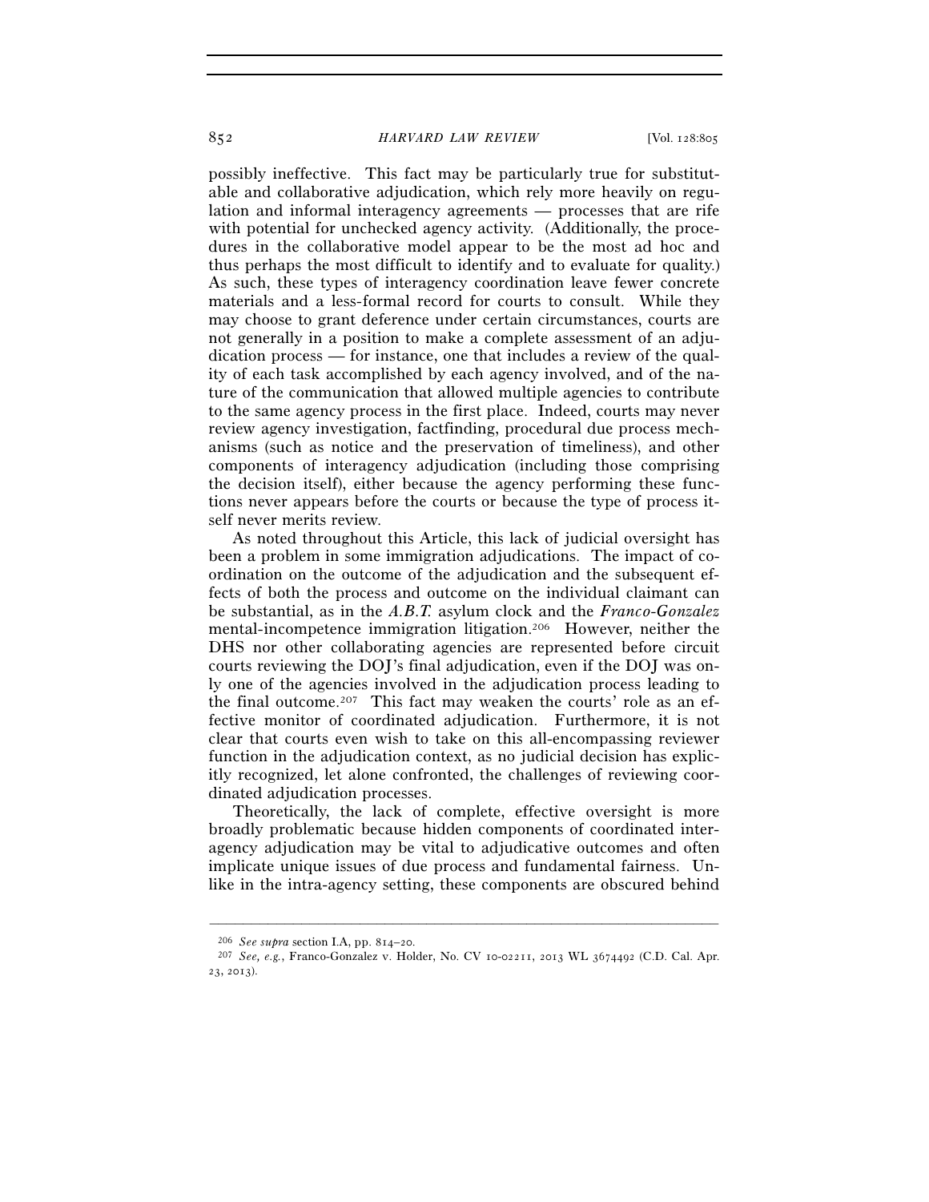possibly ineffective. This fact may be particularly true for substitutable and collaborative adjudication, which rely more heavily on regulation and informal interagency agreements — processes that are rife with potential for unchecked agency activity. (Additionally, the procedures in the collaborative model appear to be the most ad hoc and thus perhaps the most difficult to identify and to evaluate for quality.) As such, these types of interagency coordination leave fewer concrete materials and a less-formal record for courts to consult. While they may choose to grant deference under certain circumstances, courts are not generally in a position to make a complete assessment of an adjudication process — for instance, one that includes a review of the quality of each task accomplished by each agency involved, and of the nature of the communication that allowed multiple agencies to contribute to the same agency process in the first place. Indeed, courts may never review agency investigation, factfinding, procedural due process mechanisms (such as notice and the preservation of timeliness), and other components of interagency adjudication (including those comprising the decision itself), either because the agency performing these functions never appears before the courts or because the type of process itself never merits review.

As noted throughout this Article, this lack of judicial oversight has been a problem in some immigration adjudications. The impact of coordination on the outcome of the adjudication and the subsequent effects of both the process and outcome on the individual claimant can be substantial, as in the *A.B.T.* asylum clock and the *Franco-Gonzalez* mental-incompetence immigration litigation.206 However, neither the DHS nor other collaborating agencies are represented before circuit courts reviewing the DOJ's final adjudication, even if the DOJ was only one of the agencies involved in the adjudication process leading to the final outcome.<sup>207</sup> This fact may weaken the courts' role as an effective monitor of coordinated adjudication. Furthermore, it is not clear that courts even wish to take on this all-encompassing reviewer function in the adjudication context, as no judicial decision has explicitly recognized, let alone confronted, the challenges of reviewing coordinated adjudication processes.

Theoretically, the lack of complete, effective oversight is more broadly problematic because hidden components of coordinated interagency adjudication may be vital to adjudicative outcomes and often implicate unique issues of due process and fundamental fairness. Unlike in the intra-agency setting, these components are obscured behind

<sup>206</sup> *See supra* section I.A, pp. 814–20. 207 *See, e.g.*, Franco-Gonzalez v. Holder, No. CV 10-02211, 2013 WL 3674492 (C.D. Cal. Apr. 23, 2013).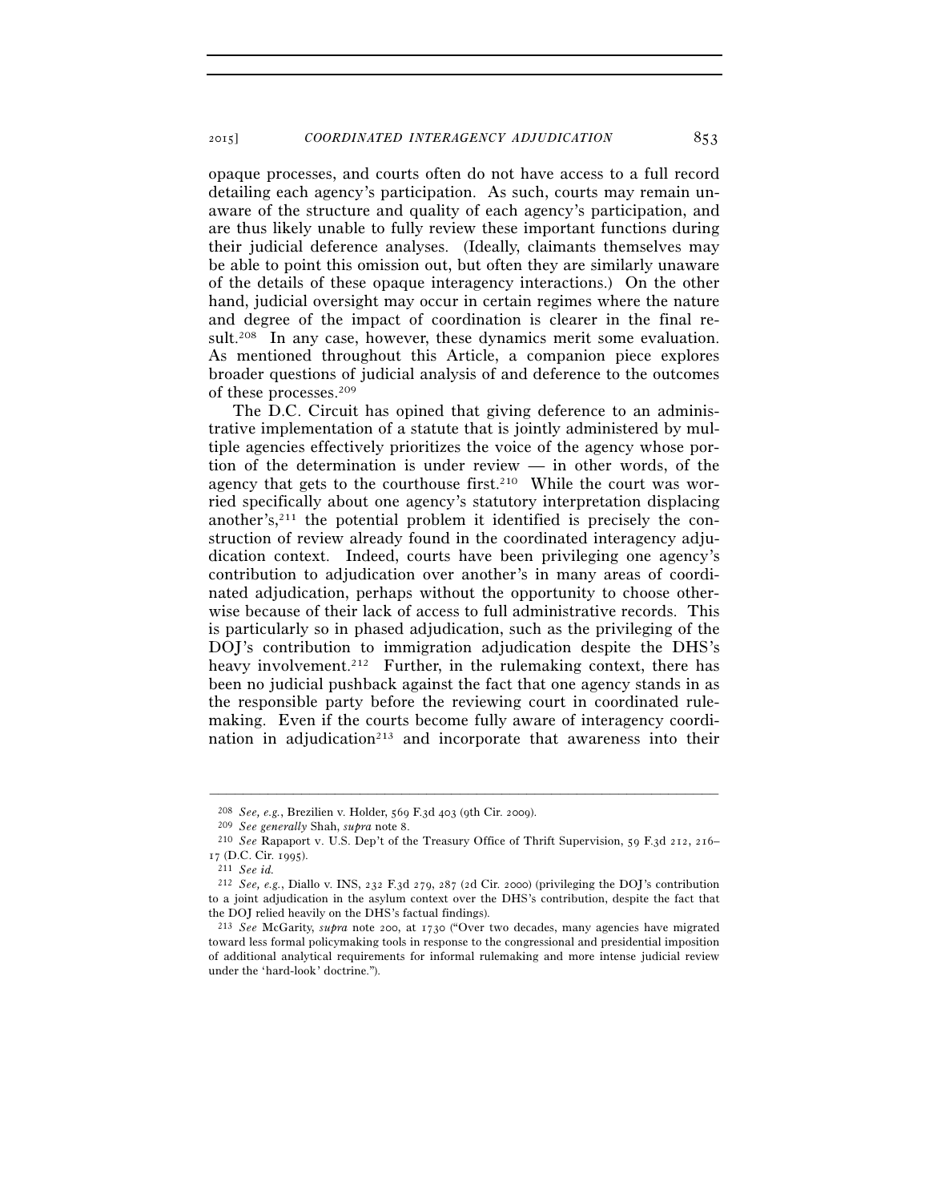opaque processes, and courts often do not have access to a full record detailing each agency's participation. As such, courts may remain unaware of the structure and quality of each agency's participation, and are thus likely unable to fully review these important functions during their judicial deference analyses. (Ideally, claimants themselves may be able to point this omission out, but often they are similarly unaware of the details of these opaque interagency interactions.) On the other hand, judicial oversight may occur in certain regimes where the nature and degree of the impact of coordination is clearer in the final result.<sup>208</sup> In any case, however, these dynamics merit some evaluation. As mentioned throughout this Article, a companion piece explores broader questions of judicial analysis of and deference to the outcomes of these processes.209

The D.C. Circuit has opined that giving deference to an administrative implementation of a statute that is jointly administered by multiple agencies effectively prioritizes the voice of the agency whose portion of the determination is under review — in other words, of the agency that gets to the courthouse first.<sup>210</sup> While the court was worried specifically about one agency's statutory interpretation displacing another's, $2^{11}$  the potential problem it identified is precisely the construction of review already found in the coordinated interagency adjudication context. Indeed, courts have been privileging one agency's contribution to adjudication over another's in many areas of coordinated adjudication, perhaps without the opportunity to choose otherwise because of their lack of access to full administrative records. This is particularly so in phased adjudication, such as the privileging of the DOJ's contribution to immigration adjudication despite the DHS's heavy involvement.<sup>212</sup> Further, in the rulemaking context, there has been no judicial pushback against the fact that one agency stands in as the responsible party before the reviewing court in coordinated rulemaking. Even if the courts become fully aware of interagency coordination in adjudication<sup>213</sup> and incorporate that awareness into their

<sup>&</sup>lt;sup>208</sup> *See, e.g.*, Brezilien v. Holder, 569 F.3d 403 (9th Cir. 2009).<br>
<sup>209</sup> *See generally* Shah, *supra* note 8.<br>
<sup>210</sup> *See* Rapaport v. U.S. Dep't of the Treasury Office of Thrift Supervision, 59 F.3d 212, 216– <sup>17</sup> (D.C. Cir. 1995). 211 *See id.*

<sup>212</sup> *See, e.g.*, Diallo v. INS, 232 F.3d 279, 287 (2d Cir. 2000) (privileging the DOJ's contribution to a joint adjudication in the asylum context over the DHS's contribution, despite the fact that the DOJ relied heavily on the DHS's factual findings).

<sup>213</sup> *See* McGarity, *supra* note 200, at 1730 ("Over two decades, many agencies have migrated toward less formal policymaking tools in response to the congressional and presidential imposition of additional analytical requirements for informal rulemaking and more intense judicial review under the 'hard-look' doctrine.").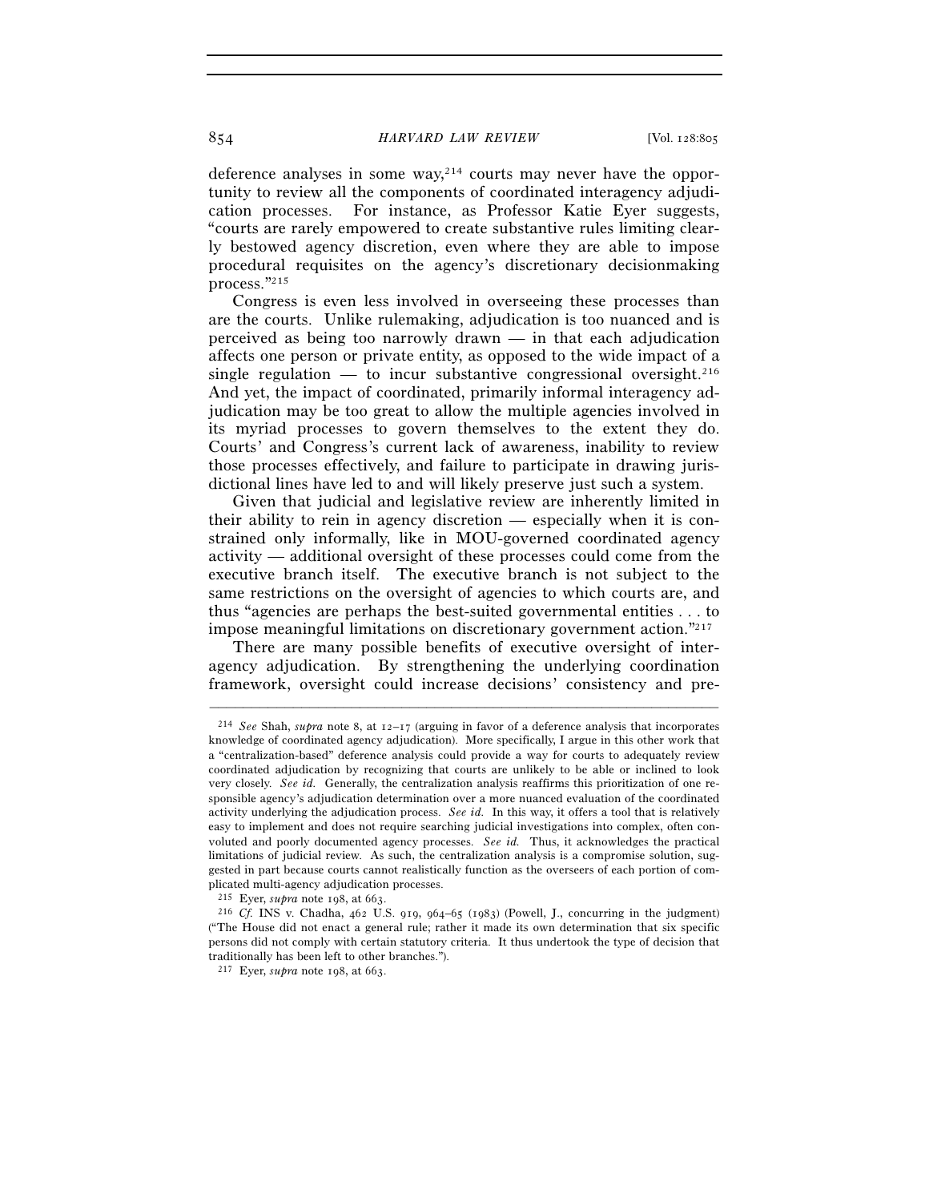deference analyses in some way,214 courts may never have the opportunity to review all the components of coordinated interagency adjudication processes. For instance, as Professor Katie Eyer suggests, "courts are rarely empowered to create substantive rules limiting clearly bestowed agency discretion, even where they are able to impose procedural requisites on the agency's discretionary decisionmaking process."215

Congress is even less involved in overseeing these processes than are the courts. Unlike rulemaking, adjudication is too nuanced and is perceived as being too narrowly drawn — in that each adjudication affects one person or private entity, as opposed to the wide impact of a single regulation — to incur substantive congressional oversight.<sup>216</sup> And yet, the impact of coordinated, primarily informal interagency adjudication may be too great to allow the multiple agencies involved in its myriad processes to govern themselves to the extent they do. Courts' and Congress's current lack of awareness, inability to review those processes effectively, and failure to participate in drawing jurisdictional lines have led to and will likely preserve just such a system.

Given that judicial and legislative review are inherently limited in their ability to rein in agency discretion — especially when it is constrained only informally, like in MOU-governed coordinated agency activity — additional oversight of these processes could come from the executive branch itself. The executive branch is not subject to the same restrictions on the oversight of agencies to which courts are, and thus "agencies are perhaps the best-suited governmental entities . . . to impose meaningful limitations on discretionary government action."217

There are many possible benefits of executive oversight of interagency adjudication. By strengthening the underlying coordination framework, oversight could increase decisions' consistency and pre-

<sup>214</sup> *See* Shah, *supra* note 8, at 12–17 (arguing in favor of a deference analysis that incorporates knowledge of coordinated agency adjudication). More specifically, I argue in this other work that a "centralization-based" deference analysis could provide a way for courts to adequately review coordinated adjudication by recognizing that courts are unlikely to be able or inclined to look very closely. *See id.* Generally, the centralization analysis reaffirms this prioritization of one responsible agency's adjudication determination over a more nuanced evaluation of the coordinated activity underlying the adjudication process. *See id.* In this way, it offers a tool that is relatively easy to implement and does not require searching judicial investigations into complex, often convoluted and poorly documented agency processes. *See id.* Thus, it acknowledges the practical limitations of judicial review. As such, the centralization analysis is a compromise solution, suggested in part because courts cannot realistically function as the overseers of each portion of complicated multi-agency adjudication processes.<br> $^{215}$  Eyer, *supra* note 198, at 663.

<sup>&</sup>lt;sup>216</sup> Cf. INS v. Chadha,  $462$  U.S. 919, 964–65 (1983) (Powell, J., concurring in the judgment) ("The House did not enact a general rule; rather it made its own determination that six specific persons did not comply with certain statutory criteria. It thus undertook the type of decision that traditionally has been left to other branches.").

<sup>217</sup> Eyer, *supra* note 198, at 663.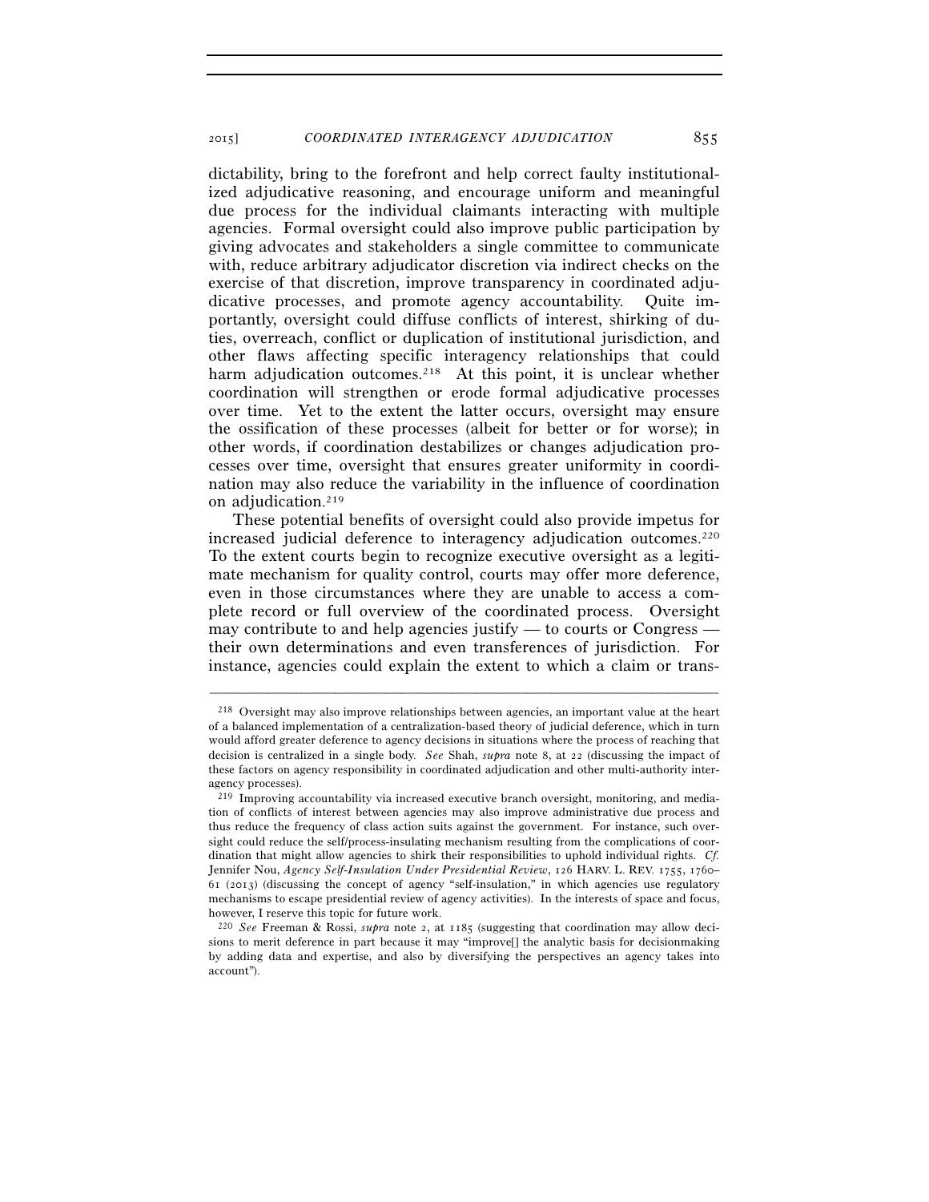dictability, bring to the forefront and help correct faulty institutionalized adjudicative reasoning, and encourage uniform and meaningful due process for the individual claimants interacting with multiple agencies. Formal oversight could also improve public participation by giving advocates and stakeholders a single committee to communicate with, reduce arbitrary adjudicator discretion via indirect checks on the exercise of that discretion, improve transparency in coordinated adjudicative processes, and promote agency accountability. Quite importantly, oversight could diffuse conflicts of interest, shirking of duties, overreach, conflict or duplication of institutional jurisdiction, and other flaws affecting specific interagency relationships that could harm adjudication outcomes.<sup>218</sup> At this point, it is unclear whether coordination will strengthen or erode formal adjudicative processes over time. Yet to the extent the latter occurs, oversight may ensure the ossification of these processes (albeit for better or for worse); in other words, if coordination destabilizes or changes adjudication processes over time, oversight that ensures greater uniformity in coordination may also reduce the variability in the influence of coordination on adjudication.219

These potential benefits of oversight could also provide impetus for increased judicial deference to interagency adjudication outcomes.220 To the extent courts begin to recognize executive oversight as a legitimate mechanism for quality control, courts may offer more deference, even in those circumstances where they are unable to access a complete record or full overview of the coordinated process. Oversight may contribute to and help agencies justify — to courts or Congress their own determinations and even transferences of jurisdiction. For instance, agencies could explain the extent to which a claim or trans-

<sup>218</sup> Oversight may also improve relationships between agencies, an important value at the heart of a balanced implementation of a centralization-based theory of judicial deference, which in turn would afford greater deference to agency decisions in situations where the process of reaching that decision is centralized in a single body. *See* Shah, *supra* note 8, at 22 (discussing the impact of these factors on agency responsibility in coordinated adjudication and other multi-authority interagency processes).

<sup>219</sup> Improving accountability via increased executive branch oversight, monitoring, and mediation of conflicts of interest between agencies may also improve administrative due process and thus reduce the frequency of class action suits against the government. For instance, such oversight could reduce the self/process-insulating mechanism resulting from the complications of coordination that might allow agencies to shirk their responsibilities to uphold individual rights. *Cf.* Jennifer Nou, *Agency Self-Insulation Under Presidential Review*, 126 HARV. L. REV. 1755, 1760– 61 (2013) (discussing the concept of agency "self-insulation," in which agencies use regulatory mechanisms to escape presidential review of agency activities). In the interests of space and focus, however, I reserve this topic for future work.

<sup>220</sup> *See* Freeman & Rossi, *supra* note 2, at 1185 (suggesting that coordination may allow decisions to merit deference in part because it may "improve[] the analytic basis for decisionmaking by adding data and expertise, and also by diversifying the perspectives an agency takes into account").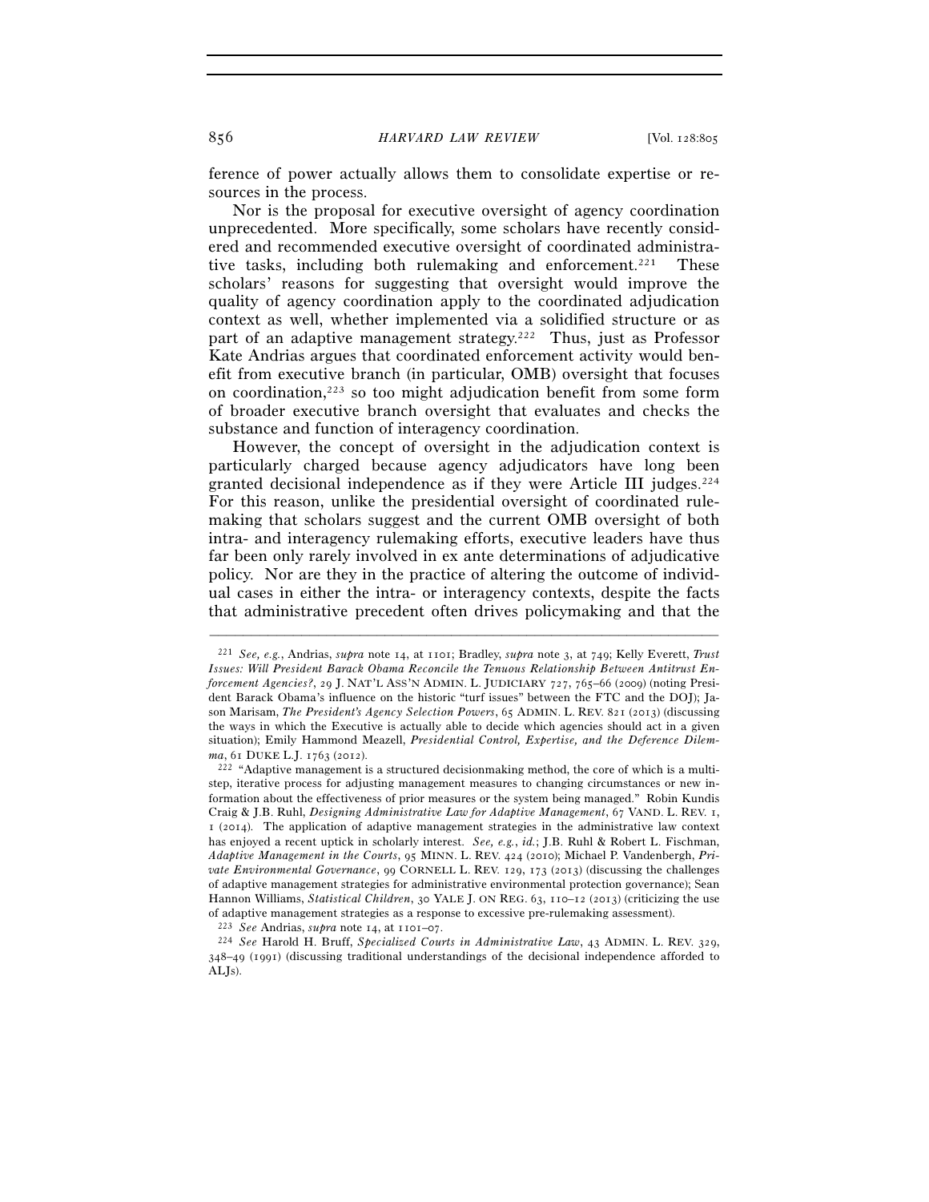ference of power actually allows them to consolidate expertise or resources in the process.

Nor is the proposal for executive oversight of agency coordination unprecedented. More specifically, some scholars have recently considered and recommended executive oversight of coordinated administrative tasks, including both rulemaking and enforcement.<sup>221</sup> These scholars' reasons for suggesting that oversight would improve the quality of agency coordination apply to the coordinated adjudication context as well, whether implemented via a solidified structure or as part of an adaptive management strategy.222 Thus, just as Professor Kate Andrias argues that coordinated enforcement activity would benefit from executive branch (in particular, OMB) oversight that focuses on coordination,223 so too might adjudication benefit from some form of broader executive branch oversight that evaluates and checks the substance and function of interagency coordination.

However, the concept of oversight in the adjudication context is particularly charged because agency adjudicators have long been granted decisional independence as if they were Article III judges.<sup>224</sup> For this reason, unlike the presidential oversight of coordinated rulemaking that scholars suggest and the current OMB oversight of both intra- and interagency rulemaking efforts, executive leaders have thus far been only rarely involved in ex ante determinations of adjudicative policy. Nor are they in the practice of altering the outcome of individual cases in either the intra- or interagency contexts, despite the facts that administrative precedent often drives policymaking and that the

<sup>221</sup> *See, e.g.*, Andrias, *supra* note 14, at 1101; Bradley, *supra* note 3, at 749; Kelly Everett, *Trust Issues: Will President Barack Obama Reconcile the Tenuous Relationship Between Antitrust Enforcement Agencies?*, 29 J. NAT'L ASS'N ADMIN. L. JUDICIARY 727, 765–66 (2009) (noting President Barack Obama's influence on the historic "turf issues" between the FTC and the DOJ); Jason Marisam, *The President's Agency Selection Powers*, 65 ADMIN. L. REV. 821 (2013) (discussing the ways in which the Executive is actually able to decide which agencies should act in a given situation); Emily Hammond Meazell, *Presidential Control, Expertise, and the Deference Dilemma*, 61 DUKE L.J. 1763 (2012).<br><sup>222</sup> "Adaptive management is a structured decisionmaking method, the core of which is a multi-

step, iterative process for adjusting management measures to changing circumstances or new information about the effectiveness of prior measures or the system being managed." Robin Kundis Craig & J.B. Ruhl, *Designing Administrative Law for Adaptive Management*, 67 VAND. L. REV. 1, 1 (2014). The application of adaptive management strategies in the administrative law context has enjoyed a recent uptick in scholarly interest. *See, e.g.*, *id.*; J.B. Ruhl & Robert L. Fischman, *Adaptive Management in the Courts*, 95 MINN. L. REV. 424 (2010); Michael P. Vandenbergh, *Private Environmental Governance*, 99 CORNELL L. REV. 129, 173 (2013) (discussing the challenges of adaptive management strategies for administrative environmental protection governance); Sean Hannon Williams, *Statistical Children*, 30 YALE J. ON REG. 63, 110–12 (2013) (criticizing the use of adaptive management strategies as a response to excessive pre-rulemaking assessment).

<sup>223</sup> *See* Andrias, *supra* note 14, at 1101–07. 224 *See* Harold H. Bruff, *Specialized Courts in Administrative Law*, 43 ADMIN. L. REV. 329, 348–49 (1991) (discussing traditional understandings of the decisional independence afforded to ALJs).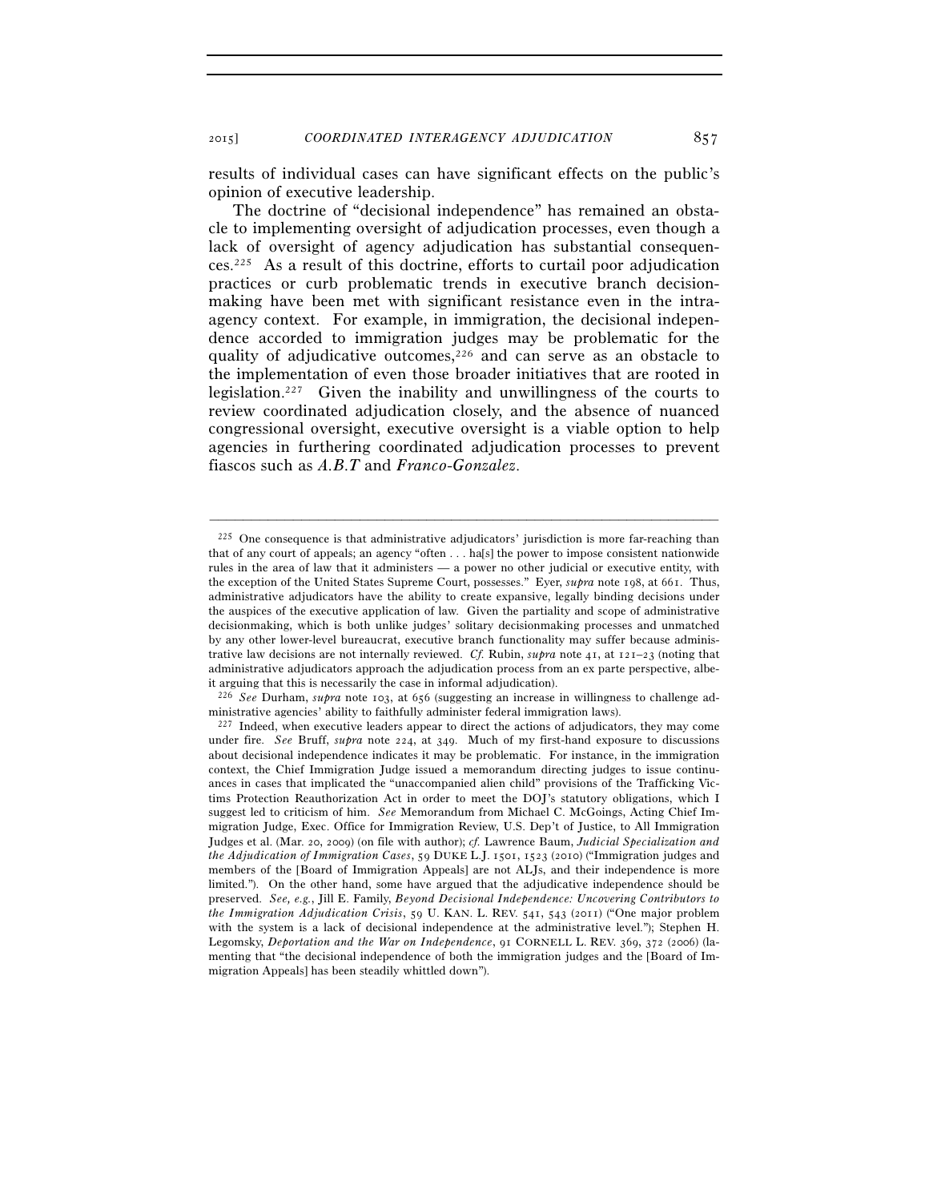results of individual cases can have significant effects on the public's opinion of executive leadership.

The doctrine of "decisional independence" has remained an obstacle to implementing oversight of adjudication processes, even though a lack of oversight of agency adjudication has substantial consequences.225 As a result of this doctrine, efforts to curtail poor adjudication practices or curb problematic trends in executive branch decisionmaking have been met with significant resistance even in the intraagency context. For example, in immigration, the decisional independence accorded to immigration judges may be problematic for the quality of adjudicative outcomes,226 and can serve as an obstacle to the implementation of even those broader initiatives that are rooted in legislation.227 Given the inability and unwillingness of the courts to review coordinated adjudication closely, and the absence of nuanced congressional oversight, executive oversight is a viable option to help agencies in furthering coordinated adjudication processes to prevent fiascos such as *A.B.T* and *Franco-Gonzalez*.

<sup>225</sup> One consequence is that administrative adjudicators' jurisdiction is more far-reaching than that of any court of appeals; an agency "often . . . ha[s] the power to impose consistent nationwide rules in the area of law that it administers — a power no other judicial or executive entity, with the exception of the United States Supreme Court, possesses." Eyer, *supra* note 198, at 661. Thus, administrative adjudicators have the ability to create expansive, legally binding decisions under the auspices of the executive application of law. Given the partiality and scope of administrative decisionmaking, which is both unlike judges' solitary decisionmaking processes and unmatched by any other lower-level bureaucrat, executive branch functionality may suffer because administrative law decisions are not internally reviewed. *Cf.* Rubin, *supra* note 41, at  $121-23$  (noting that administrative adjudicators approach the adjudication process from an ex parte perspective, albeit arguing that this is necessarily the case in informal adjudication).

<sup>226</sup> *See* Durham, *supra* note 103, at 656 (suggesting an increase in willingness to challenge administrative agencies' ability to faithfully administer federal immigration laws).<br><sup>227</sup> Indeed, when executive leaders appear to direct the actions of adjudicators, they may come

under fire. *See* Bruff, *supra* note 224, at 349. Much of my first-hand exposure to discussions about decisional independence indicates it may be problematic. For instance, in the immigration context, the Chief Immigration Judge issued a memorandum directing judges to issue continuances in cases that implicated the "unaccompanied alien child" provisions of the Trafficking Victims Protection Reauthorization Act in order to meet the DOJ's statutory obligations, which I suggest led to criticism of him. *See* Memorandum from Michael C. McGoings, Acting Chief Immigration Judge, Exec. Office for Immigration Review, U.S. Dep't of Justice, to All Immigration Judges et al. (Mar. 20, 2009) (on file with author); *cf.* Lawrence Baum, *Judicial Specialization and the Adjudication of Immigration Cases*, 59 DUKE L.J. 1501, 1523 (2010) ("Immigration judges and members of the [Board of Immigration Appeals] are not ALJs, and their independence is more limited."). On the other hand, some have argued that the adjudicative independence should be preserved. *See, e.g.*, Jill E. Family, *Beyond Decisional Independence: Uncovering Contributors to the Immigration Adjudication Crisis*, 59 U. KAN. L. REV. 541, 543 (2011) ("One major problem with the system is a lack of decisional independence at the administrative level."); Stephen H. Legomsky, *Deportation and the War on Independence*, 91 CORNELL L. REV. 369, 372 (2006) (lamenting that "the decisional independence of both the immigration judges and the [Board of Immigration Appeals] has been steadily whittled down").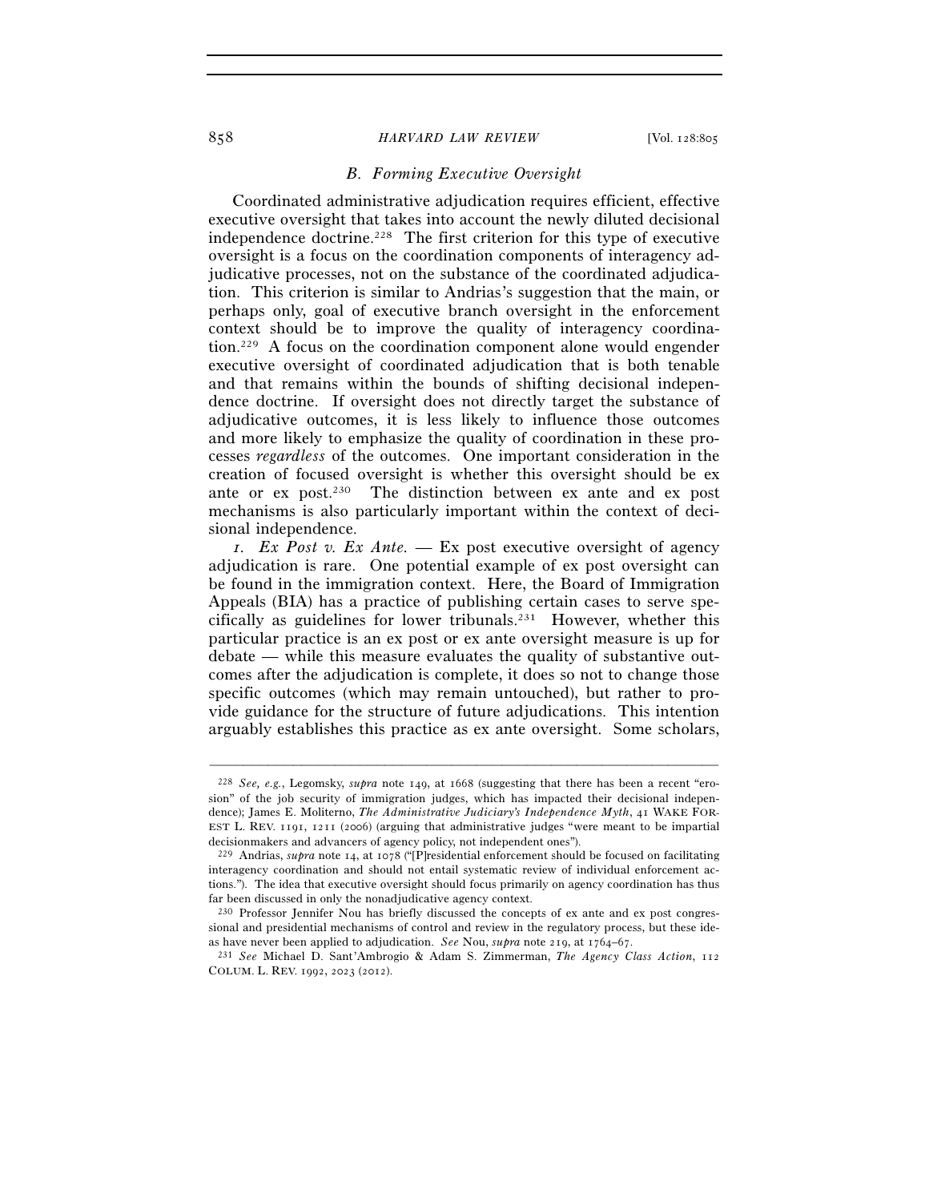#### 858 *HARVARD LAW REVIEW* [Vol. 128:805

## *B. Forming Executive Oversight*

Coordinated administrative adjudication requires efficient, effective executive oversight that takes into account the newly diluted decisional independence doctrine.228 The first criterion for this type of executive oversight is a focus on the coordination components of interagency adjudicative processes, not on the substance of the coordinated adjudication. This criterion is similar to Andrias's suggestion that the main, or perhaps only, goal of executive branch oversight in the enforcement context should be to improve the quality of interagency coordination.229 A focus on the coordination component alone would engender executive oversight of coordinated adjudication that is both tenable and that remains within the bounds of shifting decisional independence doctrine. If oversight does not directly target the substance of adjudicative outcomes, it is less likely to influence those outcomes and more likely to emphasize the quality of coordination in these processes *regardless* of the outcomes. One important consideration in the creation of focused oversight is whether this oversight should be ex ante or ex post.230 The distinction between ex ante and ex post mechanisms is also particularly important within the context of decisional independence.

*1. Ex Post v. Ex Ante.* — Ex post executive oversight of agency adjudication is rare. One potential example of ex post oversight can be found in the immigration context. Here, the Board of Immigration Appeals (BIA) has a practice of publishing certain cases to serve specifically as guidelines for lower tribunals.231 However, whether this particular practice is an ex post or ex ante oversight measure is up for debate — while this measure evaluates the quality of substantive outcomes after the adjudication is complete, it does so not to change those specific outcomes (which may remain untouched), but rather to provide guidance for the structure of future adjudications. This intention arguably establishes this practice as ex ante oversight. Some scholars,

<sup>228</sup> *See, e.g.*, Legomsky, *supra* note 149, at 1668 (suggesting that there has been a recent "erosion" of the job security of immigration judges, which has impacted their decisional independence); James E. Moliterno, *The Administrative Judiciary's Independence Myth*, 41 WAKE FOR-EST L. REV. 1191, 1211 (2006) (arguing that administrative judges "were meant to be impartial decisionmakers and advancers of agency policy, not independent ones").

<sup>229</sup> Andrias, *supra* note 14, at 1078 ("[P]residential enforcement should be focused on facilitating interagency coordination and should not entail systematic review of individual enforcement actions."). The idea that executive oversight should focus primarily on agency coordination has thus far been discussed in only the nonadjudicative agency context.<br><sup>230</sup> Professor Jennifer Nou has briefly discussed the concepts of ex ante and ex post congres-

sional and presidential mechanisms of control and review in the regulatory process, but these ide-<br>as have never been applied to adjudication. See Nou, subvariant equal to  $\frac{1}{2}$  and  $\frac{1}{2}$  and  $\frac{1}{2}$  and  $\frac{1}{2$ 

as have never been applied to adjudication. *See* Nou, *supra* note 219, at 1764–67. 231 *See* Michael D. Sant'Ambrogio & Adam S. Zimmerman, *The Agency Class Action*, <sup>112</sup> COLUM. L. REV. 1992, 2023 (2012).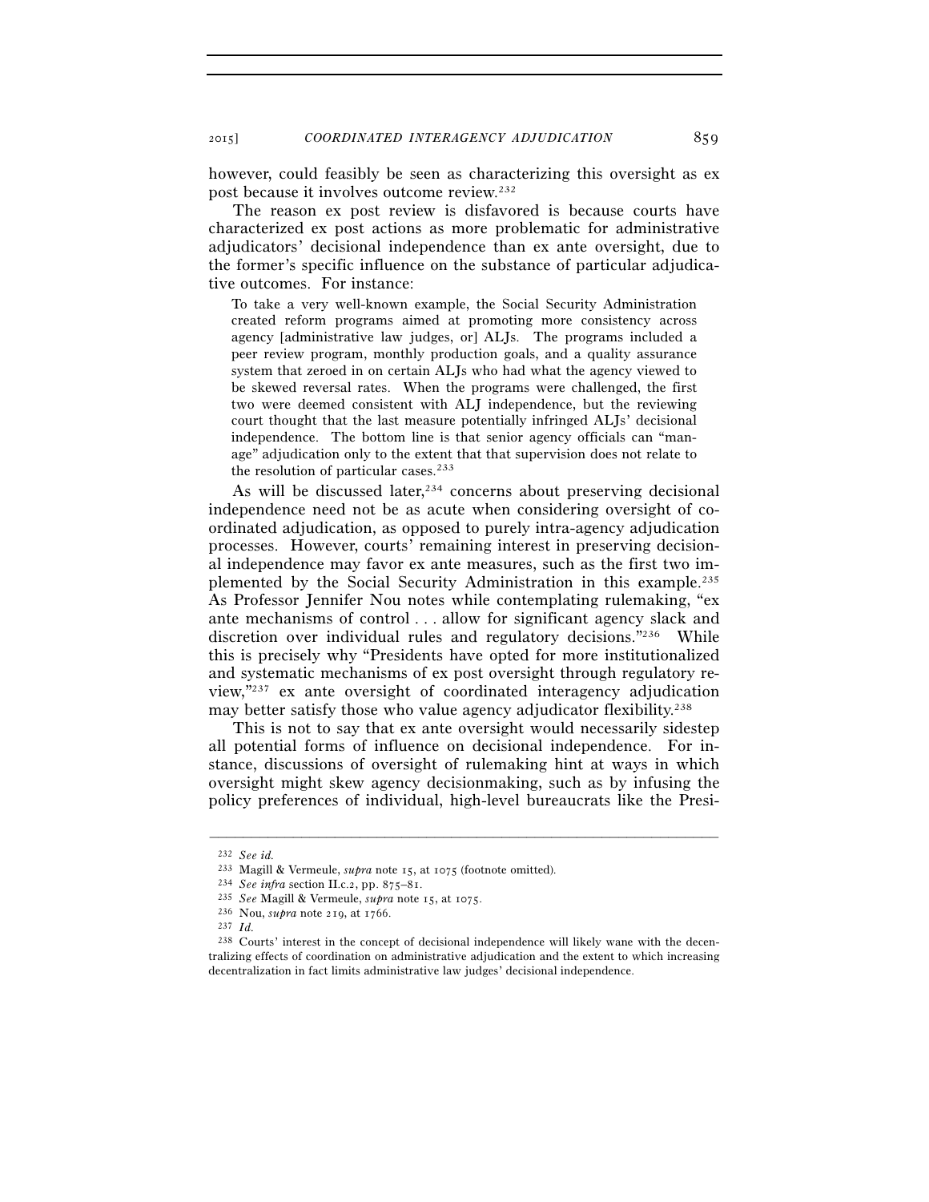however, could feasibly be seen as characterizing this oversight as ex post because it involves outcome review.232

The reason ex post review is disfavored is because courts have characterized ex post actions as more problematic for administrative adjudicators' decisional independence than ex ante oversight, due to the former's specific influence on the substance of particular adjudicative outcomes. For instance:

To take a very well-known example, the Social Security Administration created reform programs aimed at promoting more consistency across agency [administrative law judges, or] ALJs. The programs included a peer review program, monthly production goals, and a quality assurance system that zeroed in on certain ALJs who had what the agency viewed to be skewed reversal rates. When the programs were challenged, the first two were deemed consistent with ALJ independence, but the reviewing court thought that the last measure potentially infringed ALJs' decisional independence. The bottom line is that senior agency officials can "manage" adjudication only to the extent that that supervision does not relate to the resolution of particular cases.<sup>233</sup>

As will be discussed later, $234$  concerns about preserving decisional independence need not be as acute when considering oversight of coordinated adjudication, as opposed to purely intra-agency adjudication processes. However, courts' remaining interest in preserving decisional independence may favor ex ante measures, such as the first two implemented by the Social Security Administration in this example.235 As Professor Jennifer Nou notes while contemplating rulemaking, "ex ante mechanisms of control . . . allow for significant agency slack and discretion over individual rules and regulatory decisions."236 While this is precisely why "Presidents have opted for more institutionalized and systematic mechanisms of ex post oversight through regulatory review,"237 ex ante oversight of coordinated interagency adjudication may better satisfy those who value agency adjudicator flexibility.<sup>238</sup>

This is not to say that ex ante oversight would necessarily sidestep all potential forms of influence on decisional independence. For instance, discussions of oversight of rulemaking hint at ways in which oversight might skew agency decisionmaking, such as by infusing the policy preferences of individual, high-level bureaucrats like the Presi-

<sup>232</sup> *See id.*

<sup>&</sup>lt;sup>233</sup> Magill & Vermeule, *supra* note 15, at 1075 (footnote omitted).<br><sup>234</sup> See infra section II.c.2, pp. 875–81.<br><sup>235</sup> See Magill & Vermeule, *supra* note 15, at 1075.<br><sup>236</sup> Nou, *supra* note 219, at 1766.<br><sup>237</sup> Id.

<sup>238</sup> Courts' interest in the concept of decisional independence will likely wane with the decentralizing effects of coordination on administrative adjudication and the extent to which increasing decentralization in fact limits administrative law judges' decisional independence.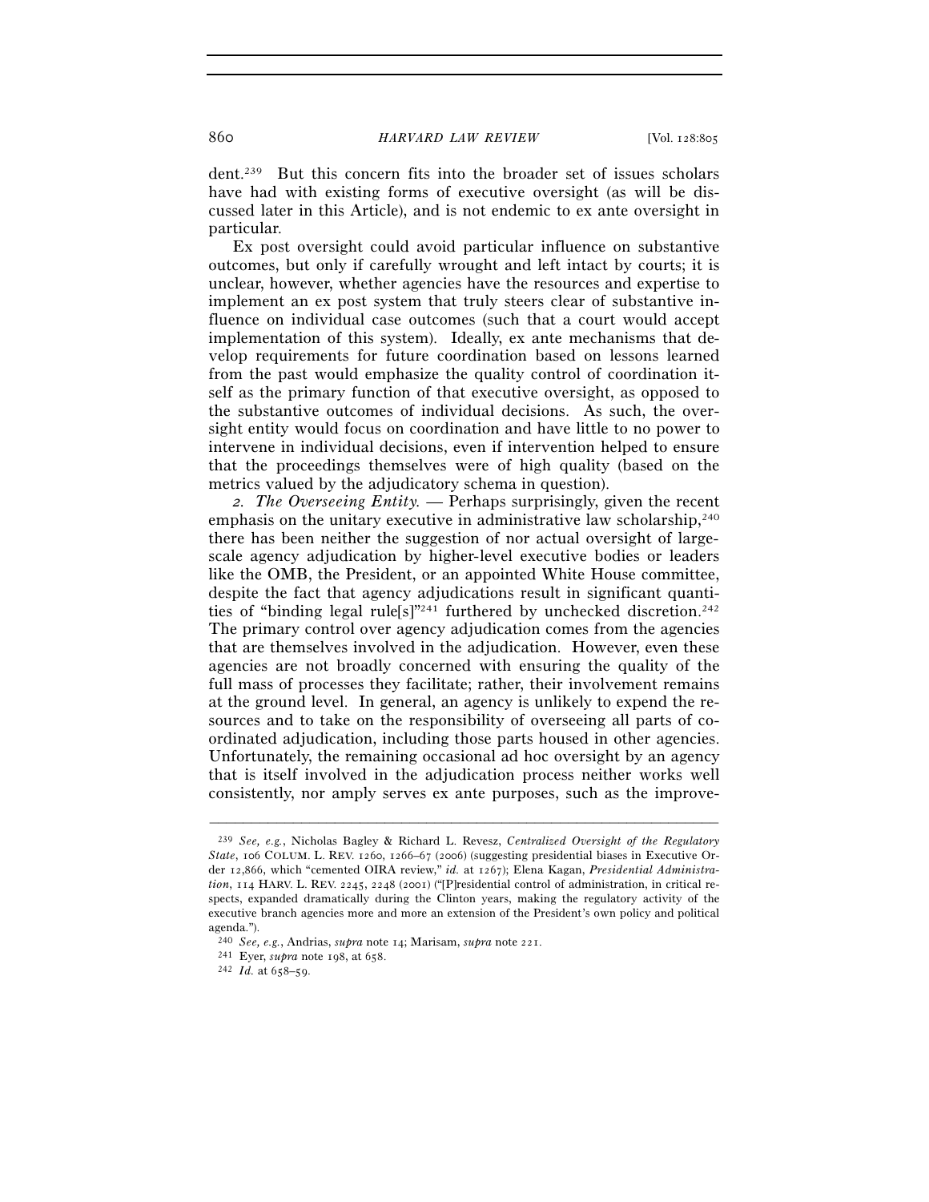dent.239 But this concern fits into the broader set of issues scholars have had with existing forms of executive oversight (as will be discussed later in this Article), and is not endemic to ex ante oversight in particular.

Ex post oversight could avoid particular influence on substantive outcomes, but only if carefully wrought and left intact by courts; it is unclear, however, whether agencies have the resources and expertise to implement an ex post system that truly steers clear of substantive influence on individual case outcomes (such that a court would accept implementation of this system). Ideally, ex ante mechanisms that develop requirements for future coordination based on lessons learned from the past would emphasize the quality control of coordination itself as the primary function of that executive oversight, as opposed to the substantive outcomes of individual decisions. As such, the oversight entity would focus on coordination and have little to no power to intervene in individual decisions, even if intervention helped to ensure that the proceedings themselves were of high quality (based on the metrics valued by the adjudicatory schema in question).

*2. The Overseeing Entity.* — Perhaps surprisingly, given the recent emphasis on the unitary executive in administrative law scholarship,<sup>240</sup> there has been neither the suggestion of nor actual oversight of largescale agency adjudication by higher-level executive bodies or leaders like the OMB, the President, or an appointed White House committee, despite the fact that agency adjudications result in significant quantities of "binding legal rule[s]"<sup>241</sup> furthered by unchecked discretion.<sup>242</sup> The primary control over agency adjudication comes from the agencies that are themselves involved in the adjudication. However, even these agencies are not broadly concerned with ensuring the quality of the full mass of processes they facilitate; rather, their involvement remains at the ground level. In general, an agency is unlikely to expend the resources and to take on the responsibility of overseeing all parts of coordinated adjudication, including those parts housed in other agencies. Unfortunately, the remaining occasional ad hoc oversight by an agency that is itself involved in the adjudication process neither works well consistently, nor amply serves ex ante purposes, such as the improve-

<sup>239</sup> *See, e.g.*, Nicholas Bagley & Richard L. Revesz, *Centralized Oversight of the Regulatory State*, 106 COLUM. L. REV. 1260, 1266–67 (2006) (suggesting presidential biases in Executive Order 12,866, which "cemented OIRA review," *id.* at 1267); Elena Kagan, *Presidential Administration*, 114 HARV. L. REV. 2245, 2248 (2001) ("[P]residential control of administration, in critical respects, expanded dramatically during the Clinton years, making the regulatory activity of the executive branch agencies more and more an extension of the President's own policy and political agenda.").

<sup>240</sup> *See, e.g.*, Andrias, *supra* note 14; Marisam, *supra* note 221. 241 Eyer, *supra* note 198, at 658. 242 *Id.* at 658–59.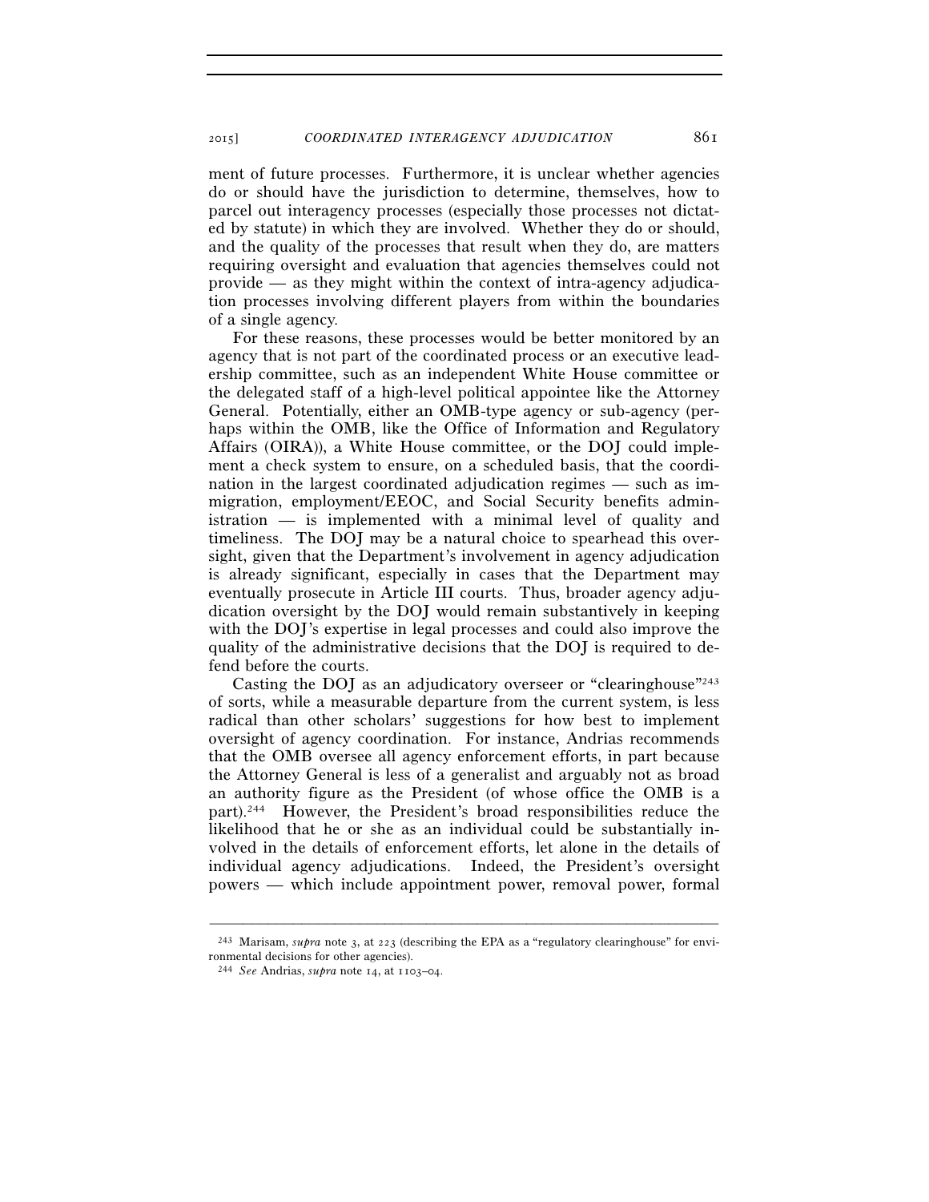ment of future processes. Furthermore, it is unclear whether agencies do or should have the jurisdiction to determine, themselves, how to parcel out interagency processes (especially those processes not dictated by statute) in which they are involved. Whether they do or should, and the quality of the processes that result when they do, are matters requiring oversight and evaluation that agencies themselves could not provide — as they might within the context of intra-agency adjudication processes involving different players from within the boundaries of a single agency.

For these reasons, these processes would be better monitored by an agency that is not part of the coordinated process or an executive leadership committee, such as an independent White House committee or the delegated staff of a high-level political appointee like the Attorney General. Potentially, either an OMB-type agency or sub-agency (perhaps within the OMB, like the Office of Information and Regulatory Affairs (OIRA)), a White House committee, or the DOJ could implement a check system to ensure, on a scheduled basis, that the coordination in the largest coordinated adjudication regimes — such as immigration, employment/EEOC, and Social Security benefits administration — is implemented with a minimal level of quality and timeliness. The DOJ may be a natural choice to spearhead this oversight, given that the Department's involvement in agency adjudication is already significant, especially in cases that the Department may eventually prosecute in Article III courts. Thus, broader agency adjudication oversight by the DOJ would remain substantively in keeping with the DOJ's expertise in legal processes and could also improve the quality of the administrative decisions that the DOJ is required to defend before the courts.

Casting the DOJ as an adjudicatory overseer or "clearinghouse"243 of sorts, while a measurable departure from the current system, is less radical than other scholars' suggestions for how best to implement oversight of agency coordination. For instance, Andrias recommends that the OMB oversee all agency enforcement efforts, in part because the Attorney General is less of a generalist and arguably not as broad an authority figure as the President (of whose office the OMB is a part).244 However, the President's broad responsibilities reduce the likelihood that he or she as an individual could be substantially involved in the details of enforcement efforts, let alone in the details of individual agency adjudications. Indeed, the President's oversight powers — which include appointment power, removal power, formal

<sup>–––––––––––––––––––––––––––––––––––––––––––––––––––––––––––––</sup> 243 Marisam, *supra* note 3, at 223 (describing the EPA as a "regulatory clearinghouse" for environmental decisions for other agencies).

<sup>244</sup> *See* Andrias, *supra* note 14, at 1103–04.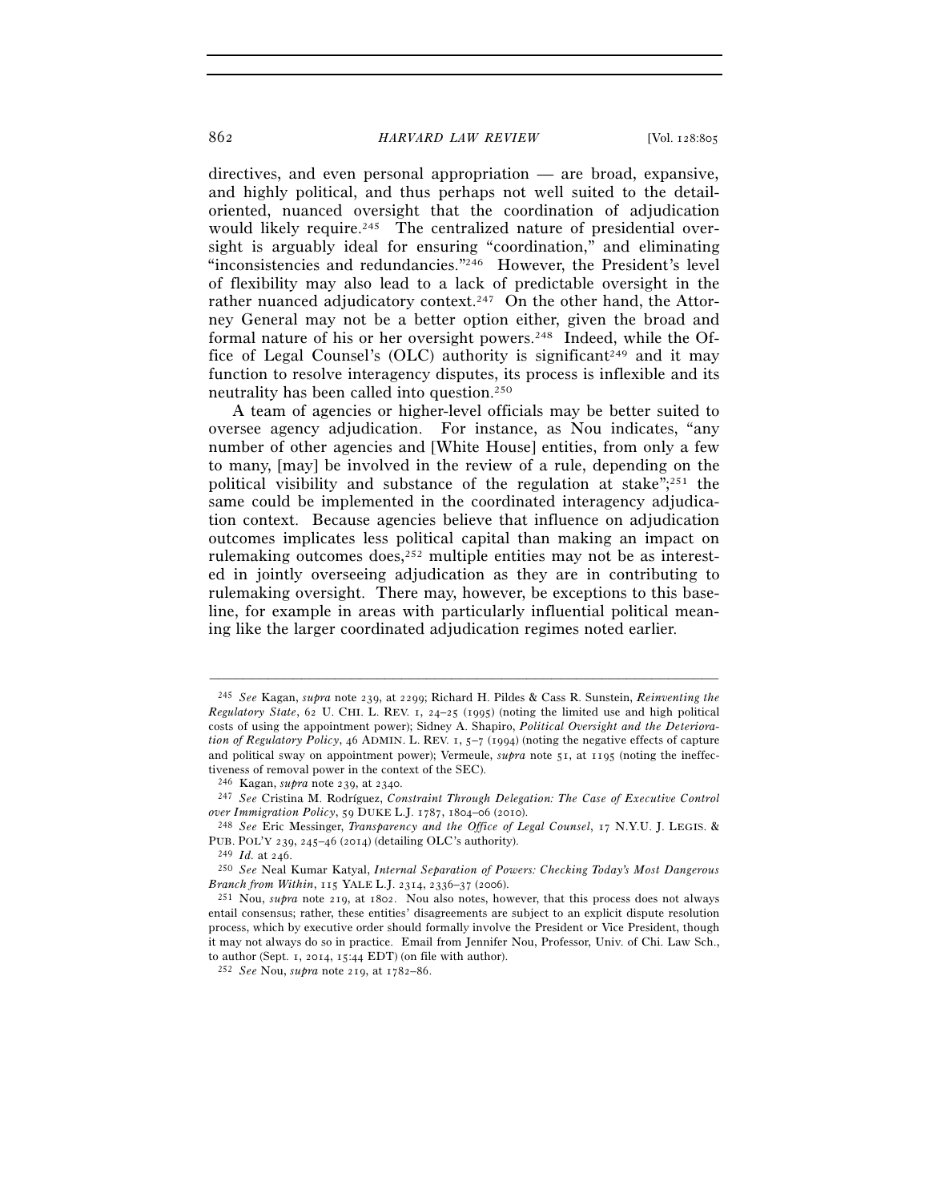### 862 *HARVARD LAW REVIEW* [Vol. 128:805

directives, and even personal appropriation — are broad, expansive, and highly political, and thus perhaps not well suited to the detailoriented, nuanced oversight that the coordination of adjudication would likely require.<sup>245</sup> The centralized nature of presidential oversight is arguably ideal for ensuring "coordination," and eliminating "inconsistencies and redundancies."<sup>246</sup> However, the President's level of flexibility may also lead to a lack of predictable oversight in the rather nuanced adjudicatory context.<sup>247</sup> On the other hand, the Attorney General may not be a better option either, given the broad and formal nature of his or her oversight powers.248 Indeed, while the Office of Legal Counsel's (OLC) authority is significant<sup>249</sup> and it may function to resolve interagency disputes, its process is inflexible and its neutrality has been called into question.250

A team of agencies or higher-level officials may be better suited to oversee agency adjudication. For instance, as Nou indicates, "any number of other agencies and [White House] entities, from only a few to many, [may] be involved in the review of a rule, depending on the political visibility and substance of the regulation at stake";251 the same could be implemented in the coordinated interagency adjudication context. Because agencies believe that influence on adjudication outcomes implicates less political capital than making an impact on rulemaking outcomes does, $252$  multiple entities may not be as interested in jointly overseeing adjudication as they are in contributing to rulemaking oversight. There may, however, be exceptions to this baseline, for example in areas with particularly influential political meaning like the larger coordinated adjudication regimes noted earlier.

<sup>245</sup> *See* Kagan, *supra* note 239, at 2299; Richard H. Pildes & Cass R. Sunstein, *Reinventing the Regulatory State*, 62 U. CHI. L. REV. 1, 24–25 (1995) (noting the limited use and high political costs of using the appointment power); Sidney A. Shapiro, *Political Oversight and the Deterioration of Regulatory Policy*, 46 ADMIN. L. REV. 1, 5–7 (1994) (noting the negative effects of capture and political sway on appointment power); Vermeule, *supra* note 51, at 1195 (noting the ineffectiveness of removal power in the context of the SEC).<br><sup>246</sup> Kagan, *supra* note 239, at 2340.

<sup>&</sup>lt;sup>247</sup> See Cristina M. Rodríguez, *Constraint Through Delegation: The Case of Executive Control over Immigration Policy*, 59 DUKE L.J. 1787, 1804–06 (2010). 248 *See* Eric Messinger, *Transparency and the Office of Legal Counsel*, 17 N.Y.U. J. LEGIS. &

PUB. POL'Y <sup>239</sup>, 245–46 (2014) (detailing OLC's authority). 249 *Id.* at 246.

<sup>250</sup> *See* Neal Kumar Katyal, *Internal Separation of Powers: Checking Today's Most Dangerous Branch from Within*, 115 YALE L.J. 2314, 2336–37 (2006).<br><sup>251</sup> Nou, *supra* note 219, at 1802. Nou also notes, however, that this process does not always

entail consensus; rather, these entities' disagreements are subject to an explicit dispute resolution process, which by executive order should formally involve the President or Vice President, though it may not always do so in practice. Email from Jennifer Nou, Professor, Univ. of Chi. Law Sch., to author (Sept. 1, 2014, 15:44 EDT) (on file with author). 252 *See* Nou, *supra* note 219, at 1782–86.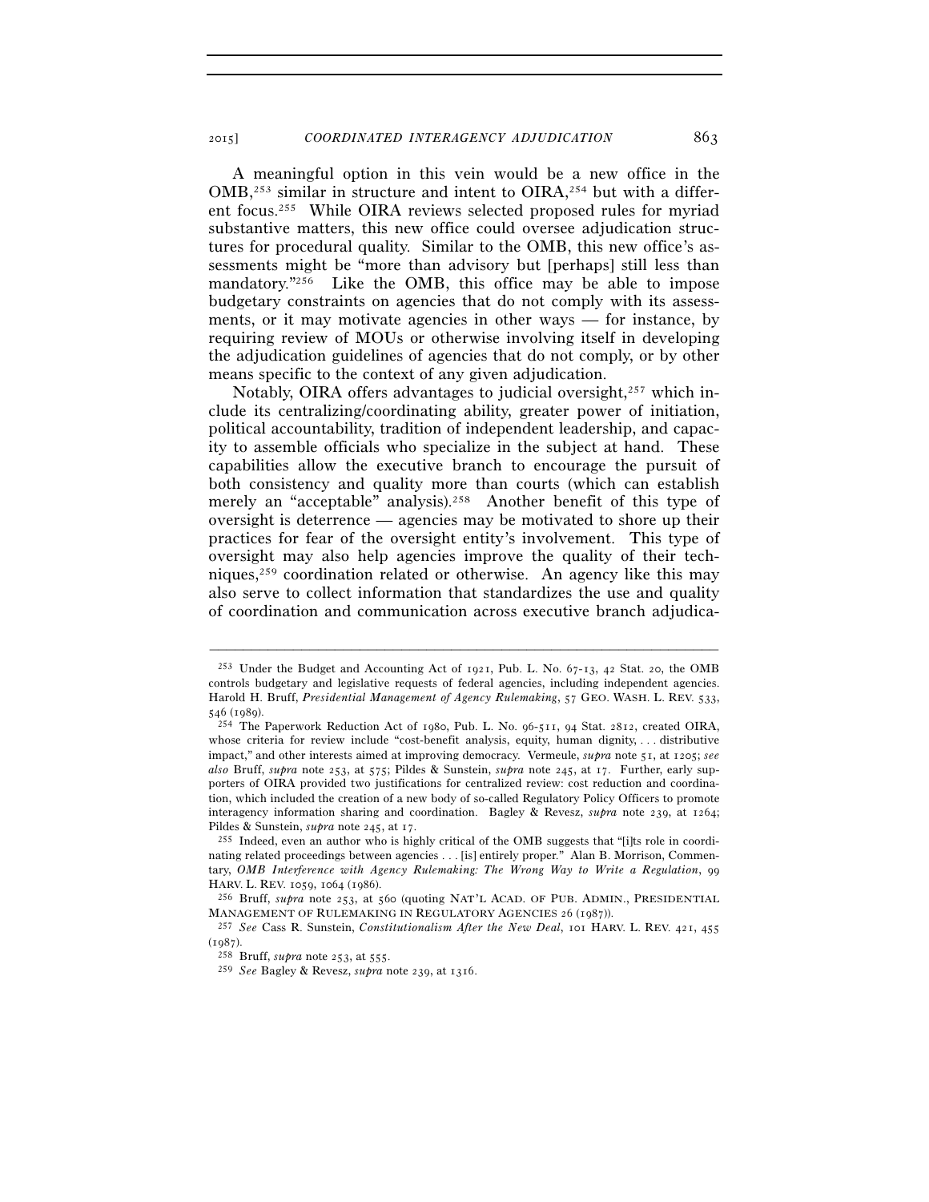A meaningful option in this vein would be a new office in the  $OMB<sub>1</sub><sup>253</sup>$  similar in structure and intent to  $OIRA<sub>1</sub><sup>254</sup>$  but with a different focus.255 While OIRA reviews selected proposed rules for myriad substantive matters, this new office could oversee adjudication structures for procedural quality. Similar to the OMB, this new office's assessments might be "more than advisory but [perhaps] still less than mandatory."<sup>256</sup> Like the OMB, this office may be able to impose budgetary constraints on agencies that do not comply with its assessments, or it may motivate agencies in other ways — for instance, by requiring review of MOUs or otherwise involving itself in developing the adjudication guidelines of agencies that do not comply, or by other means specific to the context of any given adjudication.

Notably, OIRA offers advantages to judicial oversight,<sup>257</sup> which include its centralizing/coordinating ability, greater power of initiation, political accountability, tradition of independent leadership, and capacity to assemble officials who specialize in the subject at hand. These capabilities allow the executive branch to encourage the pursuit of both consistency and quality more than courts (which can establish merely an "acceptable" analysis).<sup>258</sup> Another benefit of this type of oversight is deterrence — agencies may be motivated to shore up their practices for fear of the oversight entity's involvement. This type of oversight may also help agencies improve the quality of their techniques,259 coordination related or otherwise. An agency like this may also serve to collect information that standardizes the use and quality of coordination and communication across executive branch adjudica-

<sup>253</sup> Under the Budget and Accounting Act of 1921, Pub. L. No. 67-13, 42 Stat. 20, the OMB controls budgetary and legislative requests of federal agencies, including independent agencies. Harold H. Bruff, *Presidential Management of Agency Rulemaking*, 57 GEO. WASH. L. REV. 533, 546 (1989).<br><sup>254</sup> The Paperwork Reduction Act of 1980, Pub. L. No. 96-511, 94 Stat. 2812, created OIRA,

whose criteria for review include "cost-benefit analysis, equity, human dignity, . . . distributive impact," and other interests aimed at improving democracy. Vermeule, *supra* note 51, at 1205; *see also* Bruff, *supra* note 253, at 575; Pildes & Sunstein, *supra* note 245, at 17. Further, early supporters of OIRA provided two justifications for centralized review: cost reduction and coordination, which included the creation of a new body of so-called Regulatory Policy Officers to promote interagency information sharing and coordination. Bagley & Revesz, *supra* note 239, at 1264; Pildes & Sunstein, *supra* note 245, at 17.<br><sup>255</sup> Indeed, even an author who is highly critical of the OMB suggests that "[i]ts role in coordi-

nating related proceedings between agencies . . . [is] entirely proper." Alan B. Morrison, Commentary, *OMB Interference with Agency Rulemaking: The Wrong Way to Write a Regulation*, 99 HARV. L. REV. 1059, 1064 (1986).<br><sup>256</sup> Bruff, *supra* note 253, at 560 (quoting NAT'L ACAD. OF PUB. ADMIN., PRESIDENTIAL

MANAGEMENT OF RULEMAKING IN REGULATORY AGENCIES <sup>26</sup> (1987)). 257 *See* Cass R. Sunstein, *Constitutionalism After the New Deal*, 101 HARV. L. REV. 421, <sup>455</sup>

<sup>(</sup>1987). 258 Bruff, *supra* note 253, at 555. 259 *See* Bagley & Revesz, *supra* note 239, at 1316.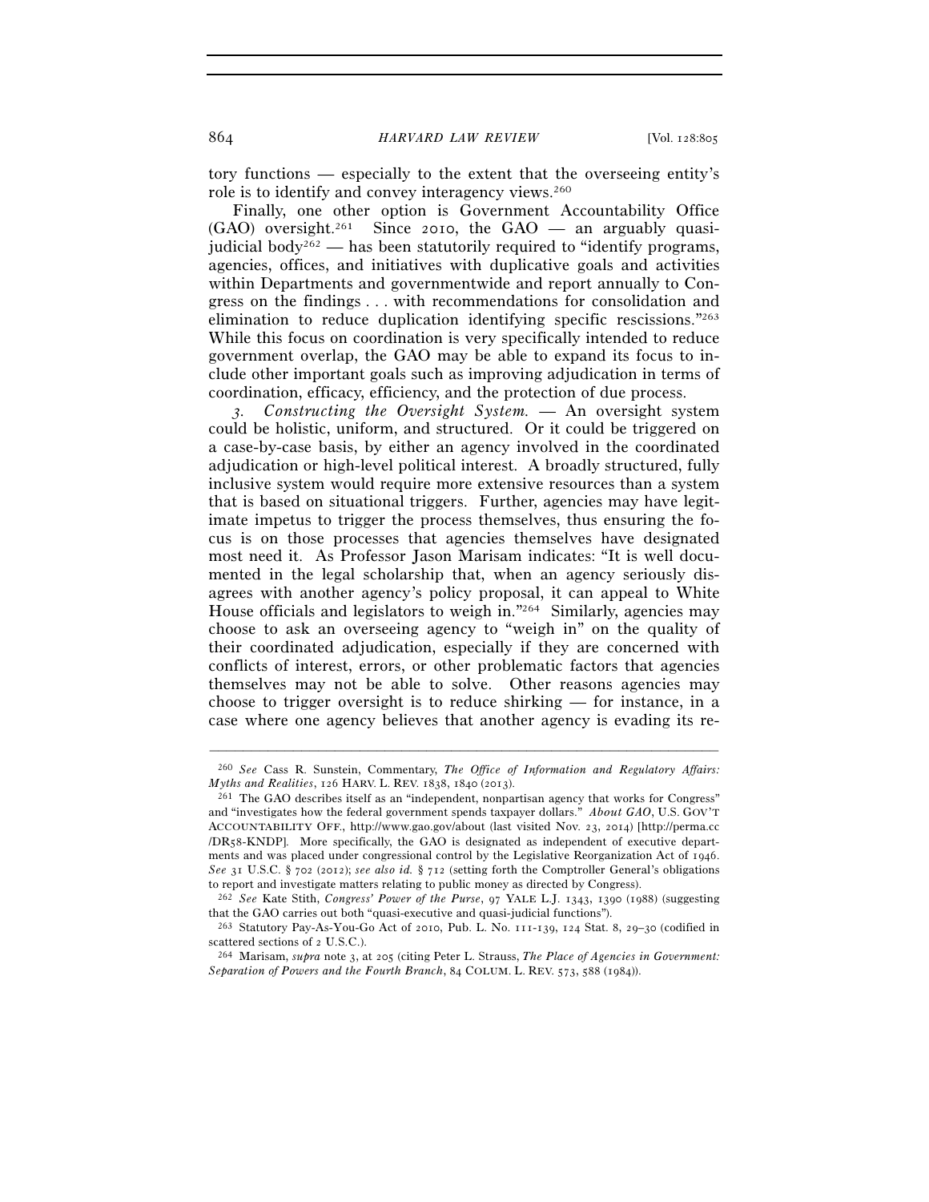tory functions — especially to the extent that the overseeing entity's role is to identify and convey interagency views.260

Finally, one other option is Government Accountability Office  $(GAO)$  oversight.<sup>261</sup> Since 2010, the  $GAO$  — an arguably quasijudicial body<sup> $262$ </sup> — has been statutorily required to "identify programs, agencies, offices, and initiatives with duplicative goals and activities within Departments and governmentwide and report annually to Congress on the findings . . . with recommendations for consolidation and elimination to reduce duplication identifying specific rescissions."263 While this focus on coordination is very specifically intended to reduce government overlap, the GAO may be able to expand its focus to include other important goals such as improving adjudication in terms of coordination, efficacy, efficiency, and the protection of due process.

*3. Constructing the Oversight System.* — An oversight system could be holistic, uniform, and structured. Or it could be triggered on a case-by-case basis, by either an agency involved in the coordinated adjudication or high-level political interest. A broadly structured, fully inclusive system would require more extensive resources than a system that is based on situational triggers. Further, agencies may have legitimate impetus to trigger the process themselves, thus ensuring the focus is on those processes that agencies themselves have designated most need it. As Professor Jason Marisam indicates: "It is well documented in the legal scholarship that, when an agency seriously disagrees with another agency's policy proposal, it can appeal to White House officials and legislators to weigh in."264 Similarly, agencies may choose to ask an overseeing agency to "weigh in" on the quality of their coordinated adjudication, especially if they are concerned with conflicts of interest, errors, or other problematic factors that agencies themselves may not be able to solve. Other reasons agencies may choose to trigger oversight is to reduce shirking — for instance, in a case where one agency believes that another agency is evading its re-

<sup>–––––––––––––––––––––––––––––––––––––––––––––––––––––––––––––</sup> 260 *See* Cass R. Sunstein, Commentary, *The Office of Information and Regulatory Affairs:* 

*Myths and Realities*, 126 HARV. L. REV. 1838, 1840 (2013).<br><sup>261</sup> The GAO describes itself as an "independent, nonpartisan agency that works for Congress" and "investigates how the federal government spends taxpayer dollars." *About GAO*, U.S. GOV'T ACCOUNTABILITY OFF., http://www.gao.gov/about (last visited Nov. 23, 2014) [http://perma.cc /DR58-KNDP]. More specifically, the GAO is designated as independent of executive departments and was placed under congressional control by the Legislative Reorganization Act of 1946. *See* 31 U.S.C. § 702 (2012); *see also id.* § 712 (setting forth the Comptroller General's obligations to report and investigate matters relating to public money as directed by Congress).

<sup>262</sup> *See* Kate Stith, *Congress' Power of the Purse*, 97 YALE L.J. 1343, 1390 (1988) (suggesting that the GAO carries out both "quasi-executive and quasi-judicial functions").

<sup>&</sup>lt;sup>263</sup> Statutory Pay-As-You-Go Act of 2010, Pub. L. No. 111-139, 124 Stat. 8, 29–30 (codified in scattered sections of 2 U.S.C.).

scattered sections of 2 U.S.C.). 264 Marisam, *supra* note 3, at 205 (citing Peter L. Strauss, *The Place of Agencies in Government: Separation of Powers and the Fourth Branch*, 84 COLUM. L. REV. 573, 588 (1984)).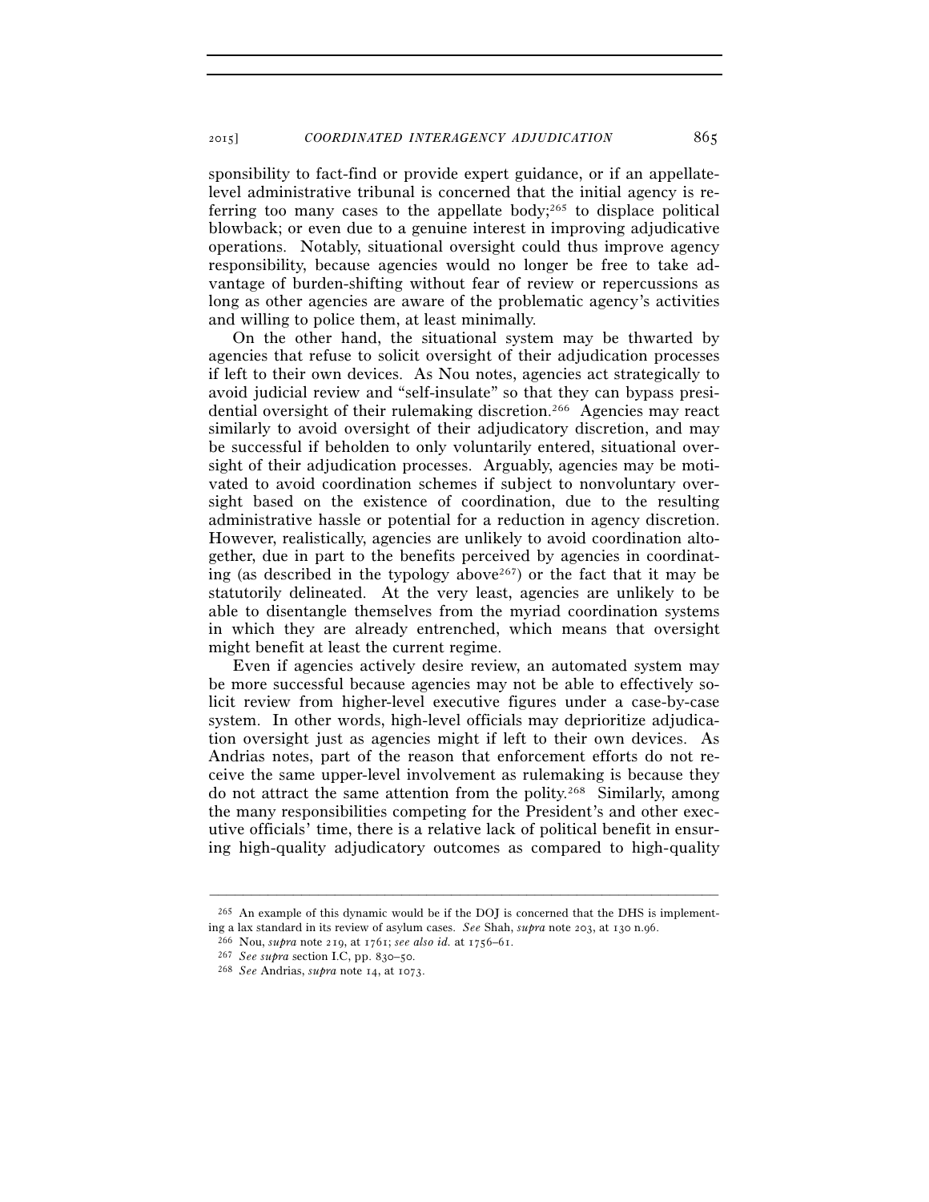sponsibility to fact-find or provide expert guidance, or if an appellatelevel administrative tribunal is concerned that the initial agency is referring too many cases to the appellate body;<sup>265</sup> to displace political blowback; or even due to a genuine interest in improving adjudicative operations. Notably, situational oversight could thus improve agency responsibility, because agencies would no longer be free to take advantage of burden-shifting without fear of review or repercussions as long as other agencies are aware of the problematic agency's activities and willing to police them, at least minimally.

On the other hand, the situational system may be thwarted by agencies that refuse to solicit oversight of their adjudication processes if left to their own devices. As Nou notes, agencies act strategically to avoid judicial review and "self-insulate" so that they can bypass presidential oversight of their rulemaking discretion.266 Agencies may react similarly to avoid oversight of their adjudicatory discretion, and may be successful if beholden to only voluntarily entered, situational oversight of their adjudication processes. Arguably, agencies may be motivated to avoid coordination schemes if subject to nonvoluntary oversight based on the existence of coordination, due to the resulting administrative hassle or potential for a reduction in agency discretion. However, realistically, agencies are unlikely to avoid coordination altogether, due in part to the benefits perceived by agencies in coordinating (as described in the typology above<sup>267</sup>) or the fact that it may be statutorily delineated. At the very least, agencies are unlikely to be able to disentangle themselves from the myriad coordination systems in which they are already entrenched, which means that oversight might benefit at least the current regime.

Even if agencies actively desire review, an automated system may be more successful because agencies may not be able to effectively solicit review from higher-level executive figures under a case-by-case system. In other words, high-level officials may deprioritize adjudication oversight just as agencies might if left to their own devices. As Andrias notes, part of the reason that enforcement efforts do not receive the same upper-level involvement as rulemaking is because they do not attract the same attention from the polity.268 Similarly, among the many responsibilities competing for the President's and other executive officials' time, there is a relative lack of political benefit in ensuring high-quality adjudicatory outcomes as compared to high-quality

<sup>–––––––––––––––––––––––––––––––––––––––––––––––––––––––––––––</sup> 265 An example of this dynamic would be if the DOJ is concerned that the DHS is implementing a lax standard in its review of asylum cases. See Shah, *supra* note 203, at 130 n.96.<br><sup>266</sup> Nou, *supra* note 219, at 1761; *see also id.* at 1756–61.<br><sup>267</sup> See supra section I.C, pp. 830–50.<br><sup>268</sup> See Andrias, *supr*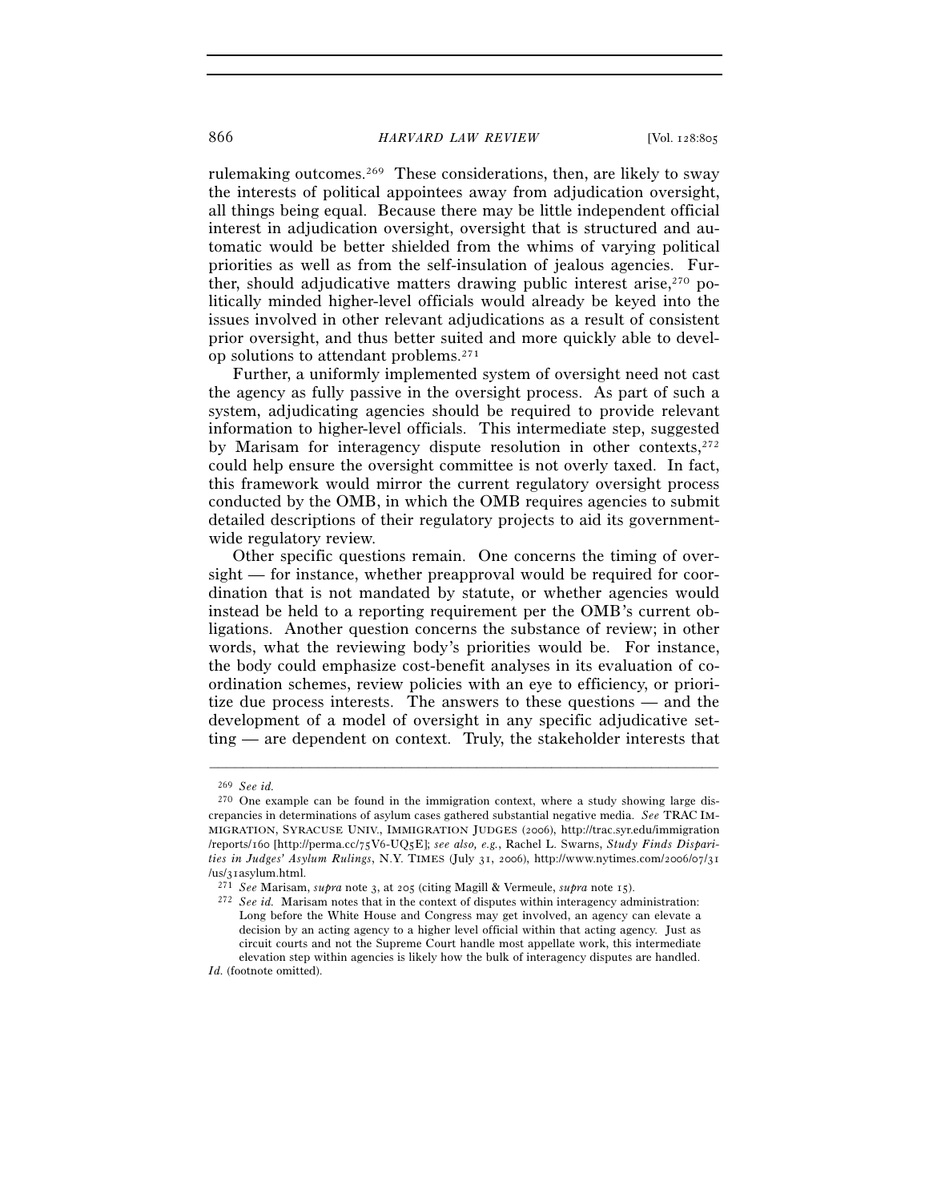rulemaking outcomes.269 These considerations, then, are likely to sway the interests of political appointees away from adjudication oversight, all things being equal. Because there may be little independent official interest in adjudication oversight, oversight that is structured and automatic would be better shielded from the whims of varying political priorities as well as from the self-insulation of jealous agencies. Further, should adjudicative matters drawing public interest arise, $270$  politically minded higher-level officials would already be keyed into the issues involved in other relevant adjudications as a result of consistent prior oversight, and thus better suited and more quickly able to develop solutions to attendant problems.271

Further, a uniformly implemented system of oversight need not cast the agency as fully passive in the oversight process. As part of such a system, adjudicating agencies should be required to provide relevant information to higher-level officials. This intermediate step, suggested by Marisam for interagency dispute resolution in other contexts,272 could help ensure the oversight committee is not overly taxed. In fact, this framework would mirror the current regulatory oversight process conducted by the OMB, in which the OMB requires agencies to submit detailed descriptions of their regulatory projects to aid its governmentwide regulatory review.

Other specific questions remain. One concerns the timing of oversight — for instance, whether preapproval would be required for coordination that is not mandated by statute, or whether agencies would instead be held to a reporting requirement per the OMB's current obligations. Another question concerns the substance of review; in other words, what the reviewing body's priorities would be. For instance, the body could emphasize cost-benefit analyses in its evaluation of coordination schemes, review policies with an eye to efficiency, or prioritize due process interests. The answers to these questions — and the development of a model of oversight in any specific adjudicative setting — are dependent on context. Truly, the stakeholder interests that

–––––––––––––––––––––––––––––––––––––––––––––––––––––––––––––

*Id.* (footnote omitted).

<sup>269</sup> *See id.*

<sup>270</sup> One example can be found in the immigration context, where a study showing large discrepancies in determinations of asylum cases gathered substantial negative media. *See* TRAC IM-MIGRATION, SYRACUSE UNIV., IMMIGRATION JUDGES (2006), http://trac.syr.edu/immigration /reports/160 [http://perma.cc/75V6-UQ5E]; *see also, e.g.*, Rachel L. Swarns, *Study Finds Disparities in Judges' Asylum Rulings*, N.Y. TIMES (July 31, 2006), http://www.nytimes.com/2006/07/31

<sup>(</sup>us/31asylum.html.<br><sup>271</sup> See Marisam, *supra* note 3, at 205 (citing Magill & Vermeule, *supra* note 15).<br><sup>272</sup> See id. Marisam notes that in the context of disputes within interagency administration: Long before the White House and Congress may get involved, an agency can elevate a decision by an acting agency to a higher level official within that acting agency. Just as circuit courts and not the Supreme Court handle most appellate work, this intermediate elevation step within agencies is likely how the bulk of interagency disputes are handled.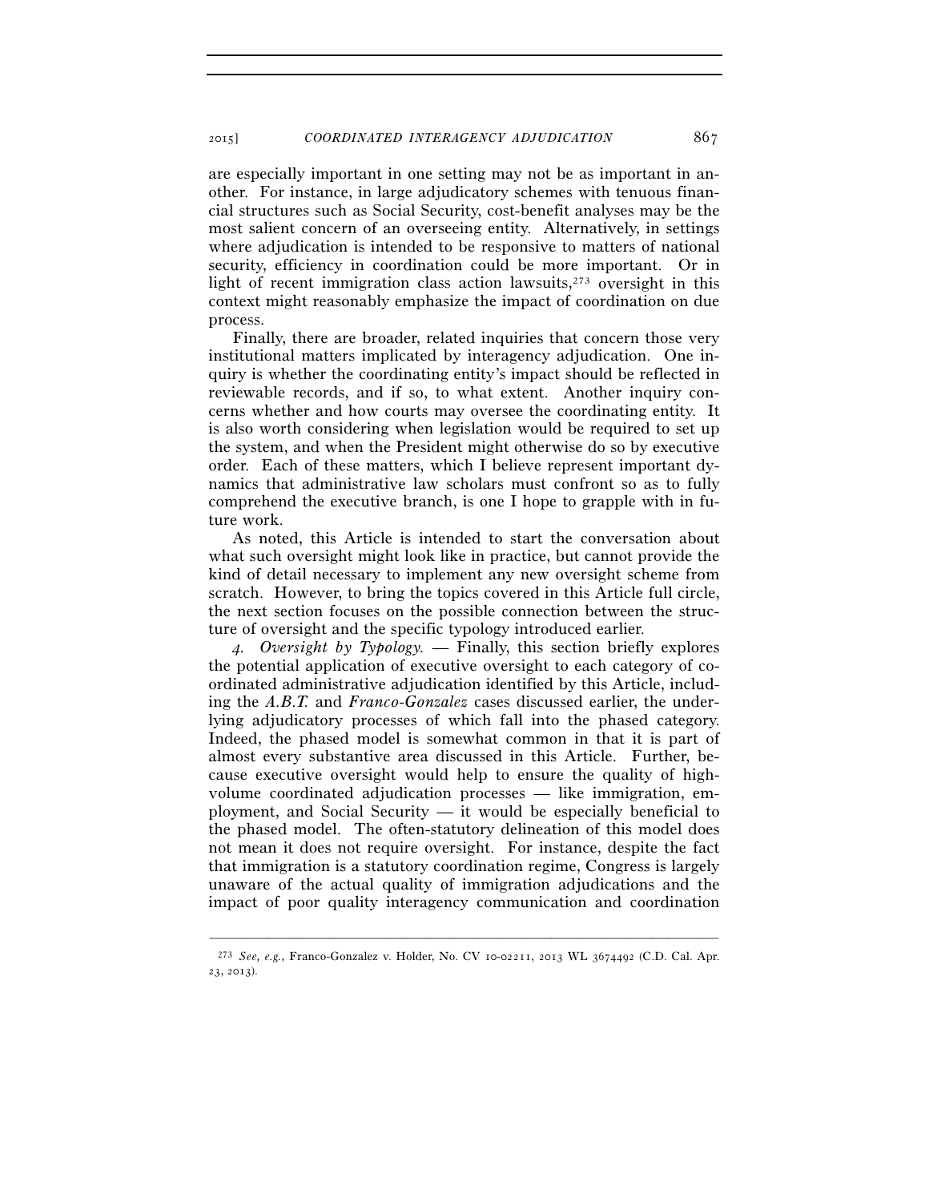are especially important in one setting may not be as important in another. For instance, in large adjudicatory schemes with tenuous financial structures such as Social Security, cost-benefit analyses may be the most salient concern of an overseeing entity. Alternatively, in settings where adjudication is intended to be responsive to matters of national security, efficiency in coordination could be more important. Or in light of recent immigration class action lawsuits, $273$  oversight in this context might reasonably emphasize the impact of coordination on due process.

Finally, there are broader, related inquiries that concern those very institutional matters implicated by interagency adjudication. One inquiry is whether the coordinating entity's impact should be reflected in reviewable records, and if so, to what extent. Another inquiry concerns whether and how courts may oversee the coordinating entity. It is also worth considering when legislation would be required to set up the system, and when the President might otherwise do so by executive order. Each of these matters, which I believe represent important dynamics that administrative law scholars must confront so as to fully comprehend the executive branch, is one I hope to grapple with in future work.

As noted, this Article is intended to start the conversation about what such oversight might look like in practice, but cannot provide the kind of detail necessary to implement any new oversight scheme from scratch. However, to bring the topics covered in this Article full circle, the next section focuses on the possible connection between the structure of oversight and the specific typology introduced earlier.

*4. Oversight by Typology.* — Finally, this section briefly explores the potential application of executive oversight to each category of coordinated administrative adjudication identified by this Article, including the *A.B.T.* and *Franco-Gonzalez* cases discussed earlier, the underlying adjudicatory processes of which fall into the phased category. Indeed, the phased model is somewhat common in that it is part of almost every substantive area discussed in this Article. Further, because executive oversight would help to ensure the quality of highvolume coordinated adjudication processes — like immigration, employment, and Social Security — it would be especially beneficial to the phased model. The often-statutory delineation of this model does not mean it does not require oversight. For instance, despite the fact that immigration is a statutory coordination regime, Congress is largely unaware of the actual quality of immigration adjudications and the impact of poor quality interagency communication and coordination

<sup>–––––––––––––––––––––––––––––––––––––––––––––––––––––––––––––</sup> 273 *See, e.g.*, Franco-Gonzalez v. Holder, No. CV 10-02211, 2013 WL 3674492 (C.D. Cal. Apr. 23, 2013).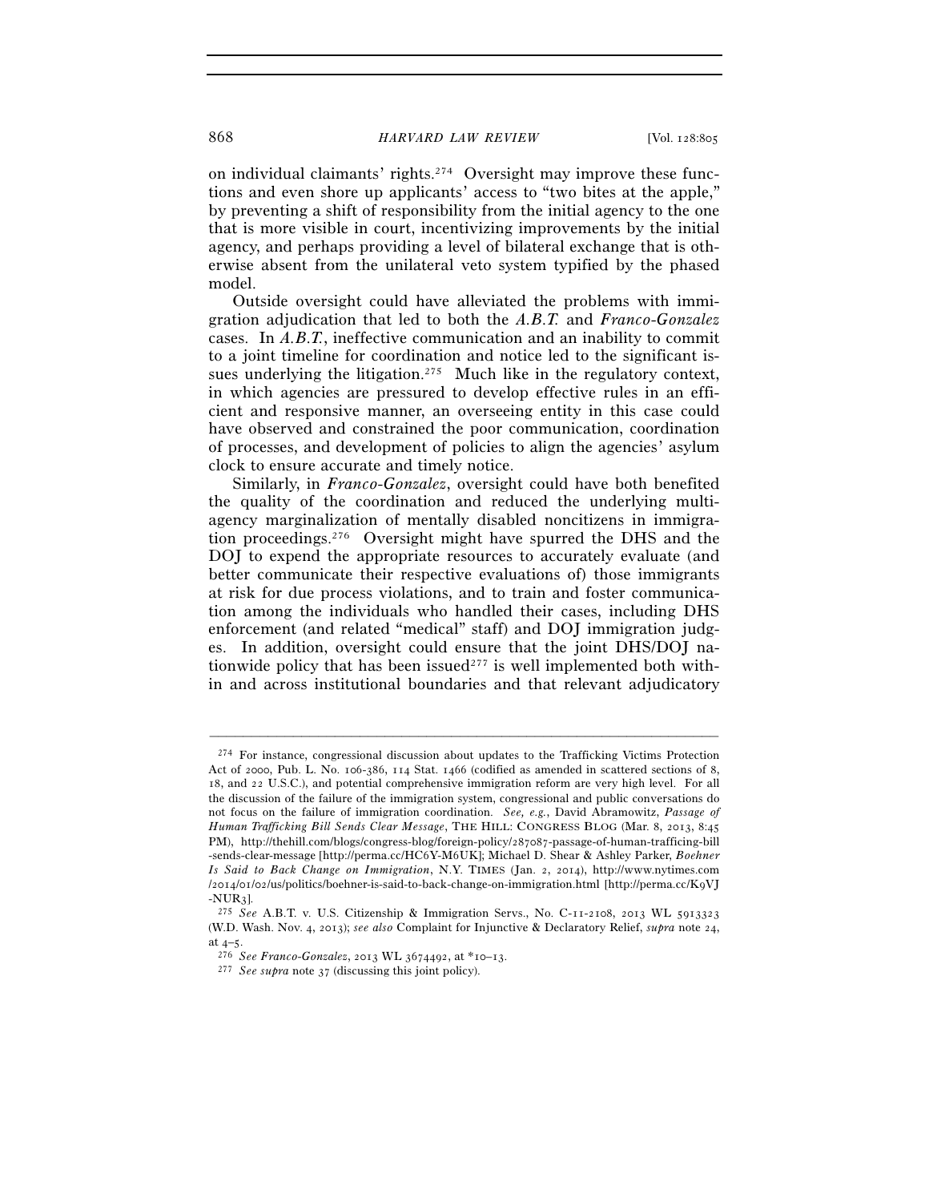on individual claimants' rights.274 Oversight may improve these functions and even shore up applicants' access to "two bites at the apple," by preventing a shift of responsibility from the initial agency to the one that is more visible in court, incentivizing improvements by the initial agency, and perhaps providing a level of bilateral exchange that is otherwise absent from the unilateral veto system typified by the phased model.

Outside oversight could have alleviated the problems with immigration adjudication that led to both the *A.B.T.* and *Franco-Gonzalez* cases. In *A.B.T.*, ineffective communication and an inability to commit to a joint timeline for coordination and notice led to the significant issues underlying the litigation.<sup>275</sup> Much like in the regulatory context, in which agencies are pressured to develop effective rules in an efficient and responsive manner, an overseeing entity in this case could have observed and constrained the poor communication, coordination of processes, and development of policies to align the agencies' asylum clock to ensure accurate and timely notice.

Similarly, in *Franco-Gonzalez*, oversight could have both benefited the quality of the coordination and reduced the underlying multiagency marginalization of mentally disabled noncitizens in immigration proceedings.276 Oversight might have spurred the DHS and the DOJ to expend the appropriate resources to accurately evaluate (and better communicate their respective evaluations of) those immigrants at risk for due process violations, and to train and foster communication among the individuals who handled their cases, including DHS enforcement (and related "medical" staff) and DOJ immigration judges. In addition, oversight could ensure that the joint DHS/DOJ nationwide policy that has been issued<sup>277</sup> is well implemented both within and across institutional boundaries and that relevant adjudicatory

<sup>274</sup> For instance, congressional discussion about updates to the Trafficking Victims Protection Act of 2000, Pub. L. No. 106-386, 114 Stat. 1466 (codified as amended in scattered sections of 8, 18, and 22 U.S.C.), and potential comprehensive immigration reform are very high level. For all the discussion of the failure of the immigration system, congressional and public conversations do not focus on the failure of immigration coordination. *See, e.g.*, David Abramowitz, *Passage of Human Trafficking Bill Sends Clear Message*, THE HILL: CONGRESS BLOG (Mar. 8, 2013, 8:45 PM), http://thehill.com/blogs/congress-blog/foreign-policy/287087-passage-of-human-trafficing-bill -sends-clear-message [http://perma.cc/HC6Y-M6UK]; Michael D. Shear & Ashley Parker, *Boehner Is Said to Back Change on Immigration*, N.Y. TIMES (Jan. 2, 2014), http://www.nytimes.com /2014/01/02/us/politics/boehner-is-said-to-back-change-on-immigration.html [http://perma.cc/K9VJ -NUR3]. 275 *See* A.B.T. v. U.S. Citizenship & Immigration Servs., No. C-11-2108, 2013 WL <sup>5913323</sup>

<sup>(</sup>W.D. Wash. Nov. 4, 2013); *see also* Complaint for Injunctive & Declaratory Relief, *supra* note 24, at 4–5. 276 *See Franco-Gonzalez*, 2013 WL 3674492, at \*10–13. 277 *See supra* note 37 (discussing this joint policy).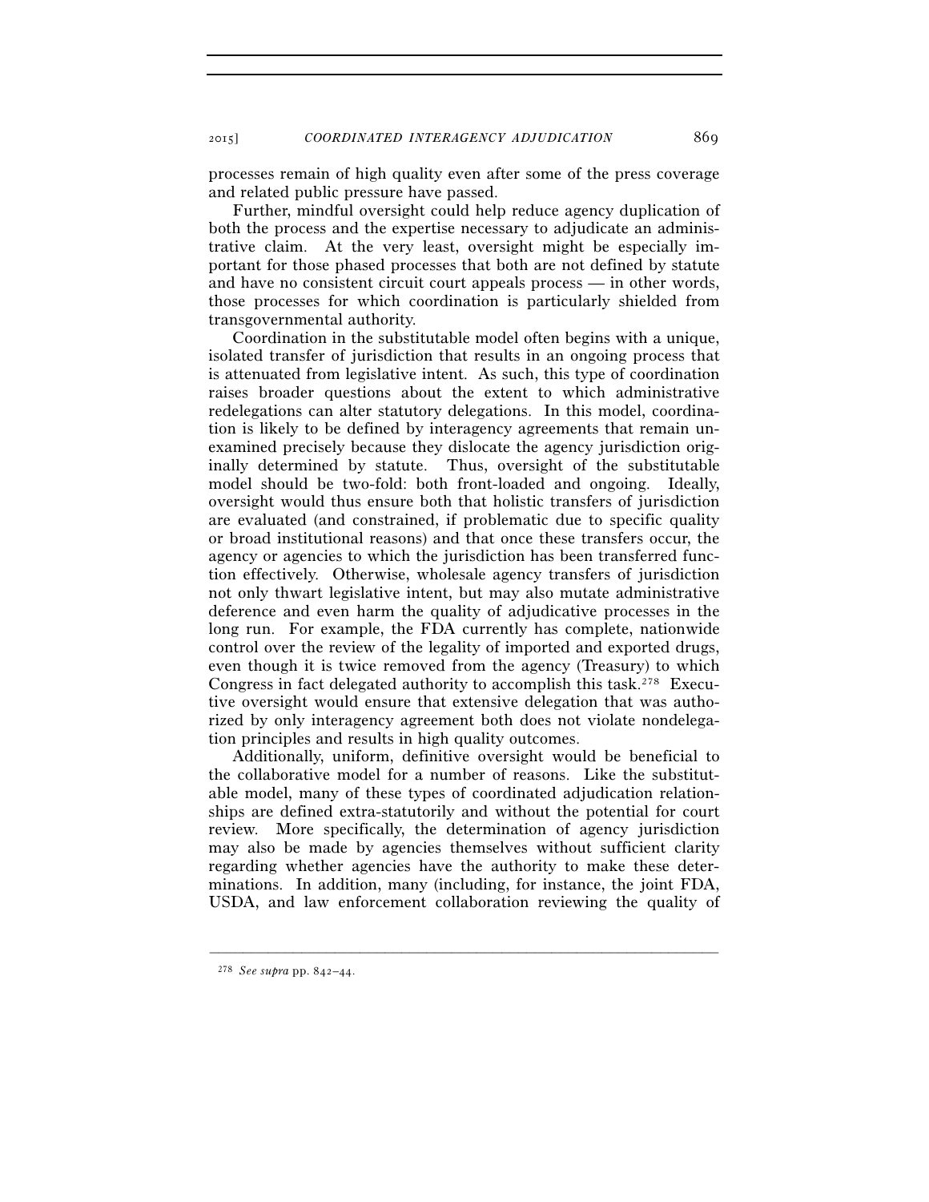processes remain of high quality even after some of the press coverage and related public pressure have passed.

Further, mindful oversight could help reduce agency duplication of both the process and the expertise necessary to adjudicate an administrative claim. At the very least, oversight might be especially important for those phased processes that both are not defined by statute and have no consistent circuit court appeals process — in other words, those processes for which coordination is particularly shielded from transgovernmental authority.

Coordination in the substitutable model often begins with a unique, isolated transfer of jurisdiction that results in an ongoing process that is attenuated from legislative intent. As such, this type of coordination raises broader questions about the extent to which administrative redelegations can alter statutory delegations. In this model, coordination is likely to be defined by interagency agreements that remain unexamined precisely because they dislocate the agency jurisdiction originally determined by statute. Thus, oversight of the substitutable model should be two-fold: both front-loaded and ongoing. Ideally, oversight would thus ensure both that holistic transfers of jurisdiction are evaluated (and constrained, if problematic due to specific quality or broad institutional reasons) and that once these transfers occur, the agency or agencies to which the jurisdiction has been transferred function effectively. Otherwise, wholesale agency transfers of jurisdiction not only thwart legislative intent, but may also mutate administrative deference and even harm the quality of adjudicative processes in the long run. For example, the FDA currently has complete, nationwide control over the review of the legality of imported and exported drugs, even though it is twice removed from the agency (Treasury) to which Congress in fact delegated authority to accomplish this task.278 Executive oversight would ensure that extensive delegation that was authorized by only interagency agreement both does not violate nondelegation principles and results in high quality outcomes.

Additionally, uniform, definitive oversight would be beneficial to the collaborative model for a number of reasons. Like the substitutable model, many of these types of coordinated adjudication relationships are defined extra-statutorily and without the potential for court review. More specifically, the determination of agency jurisdiction may also be made by agencies themselves without sufficient clarity regarding whether agencies have the authority to make these determinations. In addition, many (including, for instance, the joint FDA, USDA, and law enforcement collaboration reviewing the quality of

<sup>278</sup> *See supra* pp. 842–44.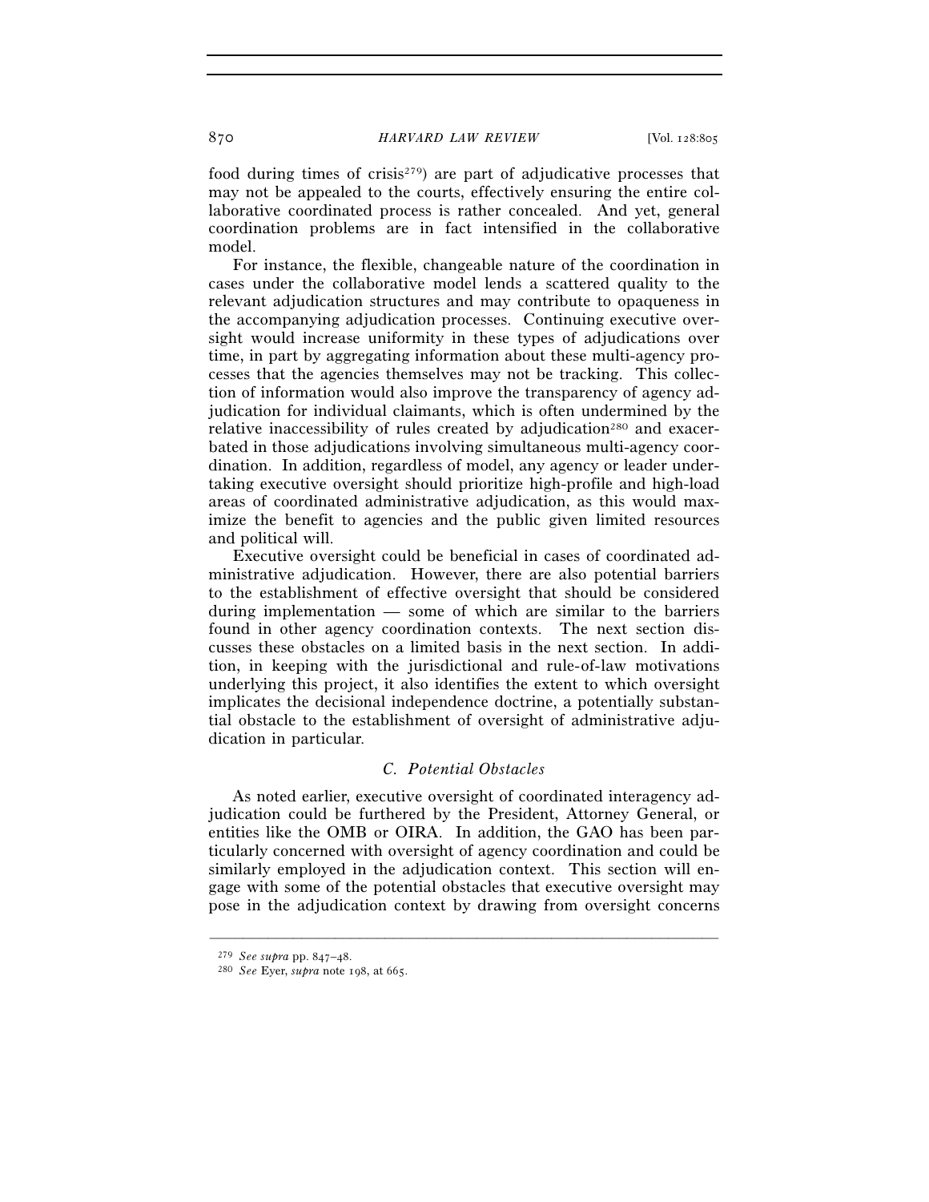food during times of crisis<sup> $279$ </sup>) are part of adjudicative processes that may not be appealed to the courts, effectively ensuring the entire collaborative coordinated process is rather concealed. And yet, general coordination problems are in fact intensified in the collaborative model.

For instance, the flexible, changeable nature of the coordination in cases under the collaborative model lends a scattered quality to the relevant adjudication structures and may contribute to opaqueness in the accompanying adjudication processes. Continuing executive oversight would increase uniformity in these types of adjudications over time, in part by aggregating information about these multi-agency processes that the agencies themselves may not be tracking. This collection of information would also improve the transparency of agency adjudication for individual claimants, which is often undermined by the relative inaccessibility of rules created by adjudication<sup>280</sup> and exacerbated in those adjudications involving simultaneous multi-agency coordination. In addition, regardless of model, any agency or leader undertaking executive oversight should prioritize high-profile and high-load areas of coordinated administrative adjudication, as this would maximize the benefit to agencies and the public given limited resources and political will.

Executive oversight could be beneficial in cases of coordinated administrative adjudication. However, there are also potential barriers to the establishment of effective oversight that should be considered during implementation — some of which are similar to the barriers found in other agency coordination contexts. The next section discusses these obstacles on a limited basis in the next section. In addition, in keeping with the jurisdictional and rule-of-law motivations underlying this project, it also identifies the extent to which oversight implicates the decisional independence doctrine, a potentially substantial obstacle to the establishment of oversight of administrative adjudication in particular.

# *C. Potential Obstacles*

As noted earlier, executive oversight of coordinated interagency adjudication could be furthered by the President, Attorney General, or entities like the OMB or OIRA. In addition, the GAO has been particularly concerned with oversight of agency coordination and could be similarly employed in the adjudication context. This section will engage with some of the potential obstacles that executive oversight may pose in the adjudication context by drawing from oversight concerns

<sup>279</sup> *See supra* pp. 847–48.

<sup>280</sup> *See* Eyer, *supra* note 198, at 665.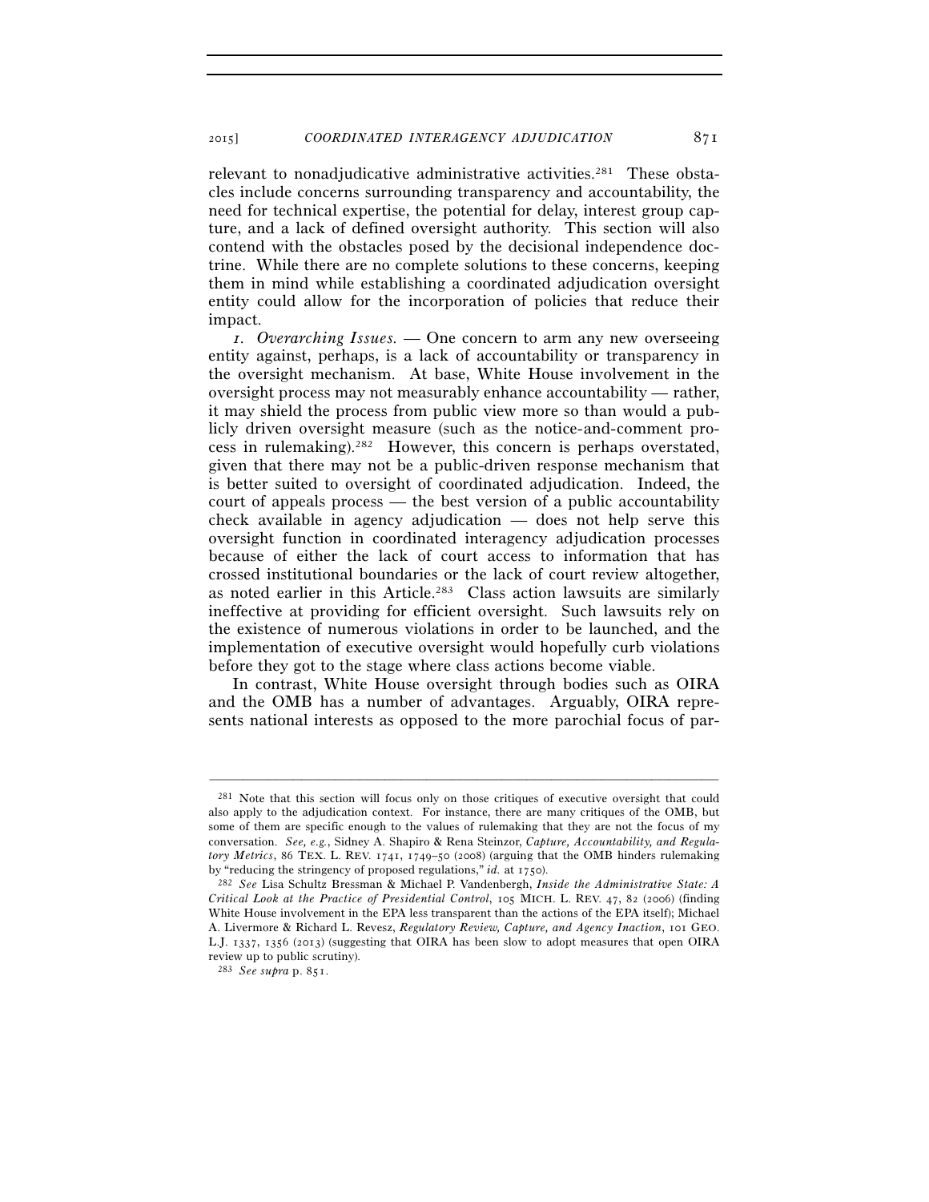relevant to nonadjudicative administrative activities.281 These obstacles include concerns surrounding transparency and accountability, the need for technical expertise, the potential for delay, interest group capture, and a lack of defined oversight authority. This section will also contend with the obstacles posed by the decisional independence doctrine. While there are no complete solutions to these concerns, keeping them in mind while establishing a coordinated adjudication oversight entity could allow for the incorporation of policies that reduce their impact.

*1. Overarching Issues.* — One concern to arm any new overseeing entity against, perhaps, is a lack of accountability or transparency in the oversight mechanism. At base, White House involvement in the oversight process may not measurably enhance accountability — rather, it may shield the process from public view more so than would a publicly driven oversight measure (such as the notice-and-comment process in rulemaking).282 However, this concern is perhaps overstated, given that there may not be a public-driven response mechanism that is better suited to oversight of coordinated adjudication. Indeed, the court of appeals process — the best version of a public accountability check available in agency adjudication — does not help serve this oversight function in coordinated interagency adjudication processes because of either the lack of court access to information that has crossed institutional boundaries or the lack of court review altogether, as noted earlier in this Article.283 Class action lawsuits are similarly ineffective at providing for efficient oversight. Such lawsuits rely on the existence of numerous violations in order to be launched, and the implementation of executive oversight would hopefully curb violations before they got to the stage where class actions become viable.

In contrast, White House oversight through bodies such as OIRA and the OMB has a number of advantages. Arguably, OIRA represents national interests as opposed to the more parochial focus of par-

<sup>281</sup> Note that this section will focus only on those critiques of executive oversight that could also apply to the adjudication context. For instance, there are many critiques of the OMB, but some of them are specific enough to the values of rulemaking that they are not the focus of my conversation. *See, e.g.*, Sidney A. Shapiro & Rena Steinzor, *Capture, Accountability, and Regulatory Metrics*, 86 TEX. L. REV. 1741, 1749–50 (2008) (arguing that the OMB hinders rulemaking by "reducing the stringency of proposed regulations," *id.* at 1750). 282 *See* Lisa Schultz Bressman & Michael P. Vandenbergh, *Inside the Administrative State: A* 

*Critical Look at the Practice of Presidential Control*, 105 MICH. L. REV. 47, 82 (2006) (finding White House involvement in the EPA less transparent than the actions of the EPA itself); Michael A. Livermore & Richard L. Revesz, *Regulatory Review, Capture, and Agency Inaction*, 101 GEO. L.J. 1337, 1356 (2013) (suggesting that OIRA has been slow to adopt measures that open OIRA review up to public scrutiny).

<sup>283</sup> *See supra* p. 851.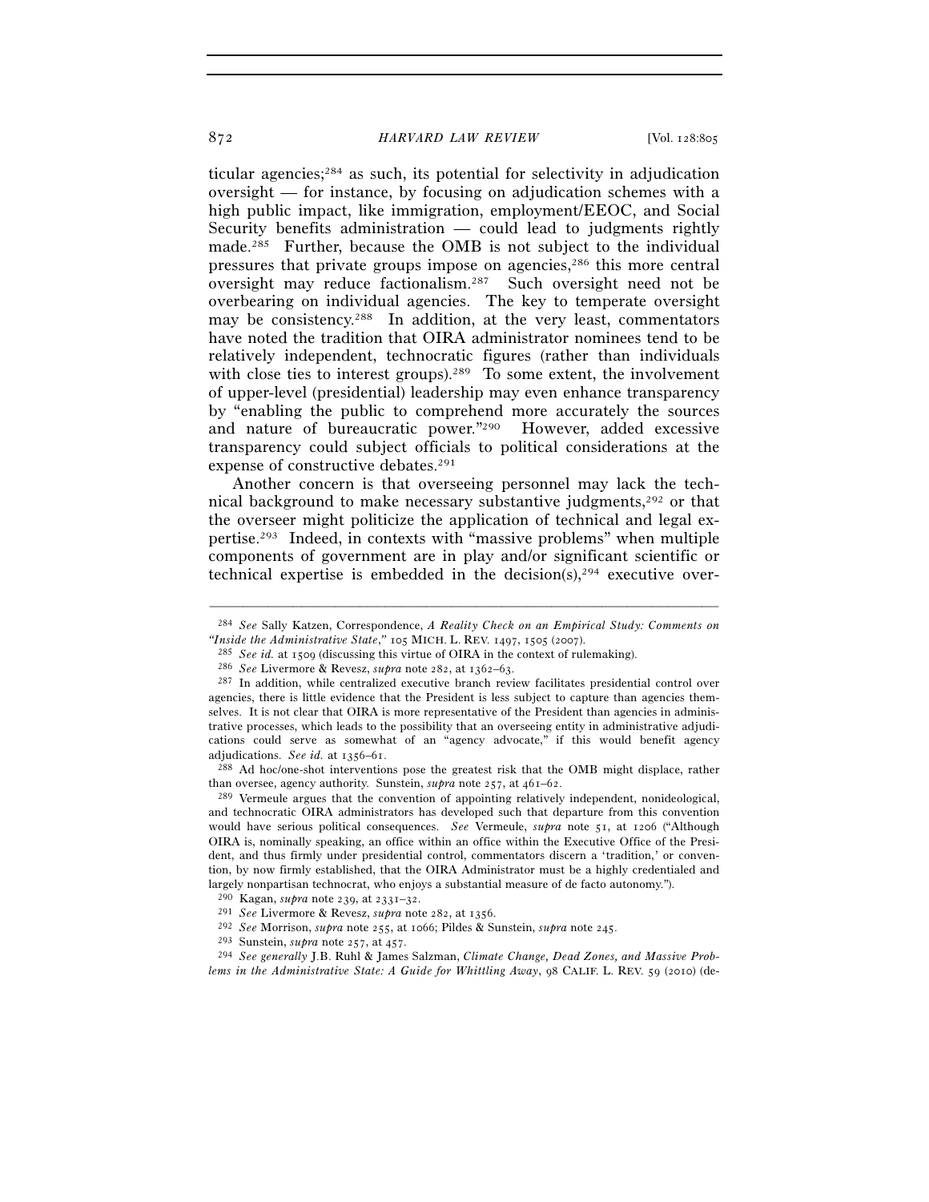ticular agencies;284 as such, its potential for selectivity in adjudication oversight — for instance, by focusing on adjudication schemes with a high public impact, like immigration, employment/EEOC, and Social Security benefits administration — could lead to judgments rightly made.285 Further, because the OMB is not subject to the individual pressures that private groups impose on agencies,286 this more central oversight may reduce factionalism.287 Such oversight need not be overbearing on individual agencies. The key to temperate oversight may be consistency.<sup>288</sup> In addition, at the very least, commentators have noted the tradition that OIRA administrator nominees tend to be relatively independent, technocratic figures (rather than individuals with close ties to interest groups).<sup>289</sup> To some extent, the involvement of upper-level (presidential) leadership may even enhance transparency by "enabling the public to comprehend more accurately the sources and nature of bureaucratic power."290 However, added excessive transparency could subject officials to political considerations at the expense of constructive debates.291

Another concern is that overseeing personnel may lack the technical background to make necessary substantive judgments,<sup>292</sup> or that the overseer might politicize the application of technical and legal expertise.293 Indeed, in contexts with "massive problems" when multiple components of government are in play and/or significant scientific or technical expertise is embedded in the decision(s), $294$  executive over-

than oversee, agency authority. Sunstein, *supra* note 257, at 461–62.<br><sup>289</sup> Vermeule argues that the convention of appointing relatively independent, nonideological,

and technocratic OIRA administrators has developed such that departure from this convention would have serious political consequences. *See* Vermeule, *supra* note 51, at 1206 ("Although OIRA is, nominally speaking, an office within an office within the Executive Office of the President, and thus firmly under presidential control, commentators discern a 'tradition,' or convention, by now firmly established, that the OIRA Administrator must be a highly credentialed and dargely nonpartisan technocrat, who enjoys a substantial measure of de facto autonomy.").<br>
<sup>290</sup> Kagan, *supra* note 239, at 2331–32.<br>
<sup>291</sup> See Livermore & Revesz, *supra* note 282, at 1356.<br>
<sup>292</sup> See Morrison, *supra*

<sup>–––––––––––––––––––––––––––––––––––––––––––––––––––––––––––––</sup> <sup>284</sup> *See* Sally Katzen, Correspondence, *A Reality Check on an Empirical Study: Comments on* "Inside the Administrative State," 105 MICH. L. REV. 1497, 1505 (2007).

<sup>&</sup>lt;sup>285</sup> See id. at 1509 (discussing this virtue of OIRA in the context of rulemaking).<br><sup>286</sup> See Livermore & Revesz, *supra* note 282, at 1362–63.<br><sup>287</sup> In addition, while centralized executive branch review facilitates pre

agencies, there is little evidence that the President is less subject to capture than agencies themselves. It is not clear that OIRA is more representative of the President than agencies in administrative processes, which leads to the possibility that an overseeing entity in administrative adjudications could serve as somewhat of an "agency advocate," if this would benefit agency adjudications. *See id.* at 1356–61. 288 Ad hoc/one-shot interventions pose the greatest risk that the OMB might displace, rather

*lems in the Administrative State: A Guide for Whittling Away*, 98 CALIF. L. REV. 59 (2010) (de-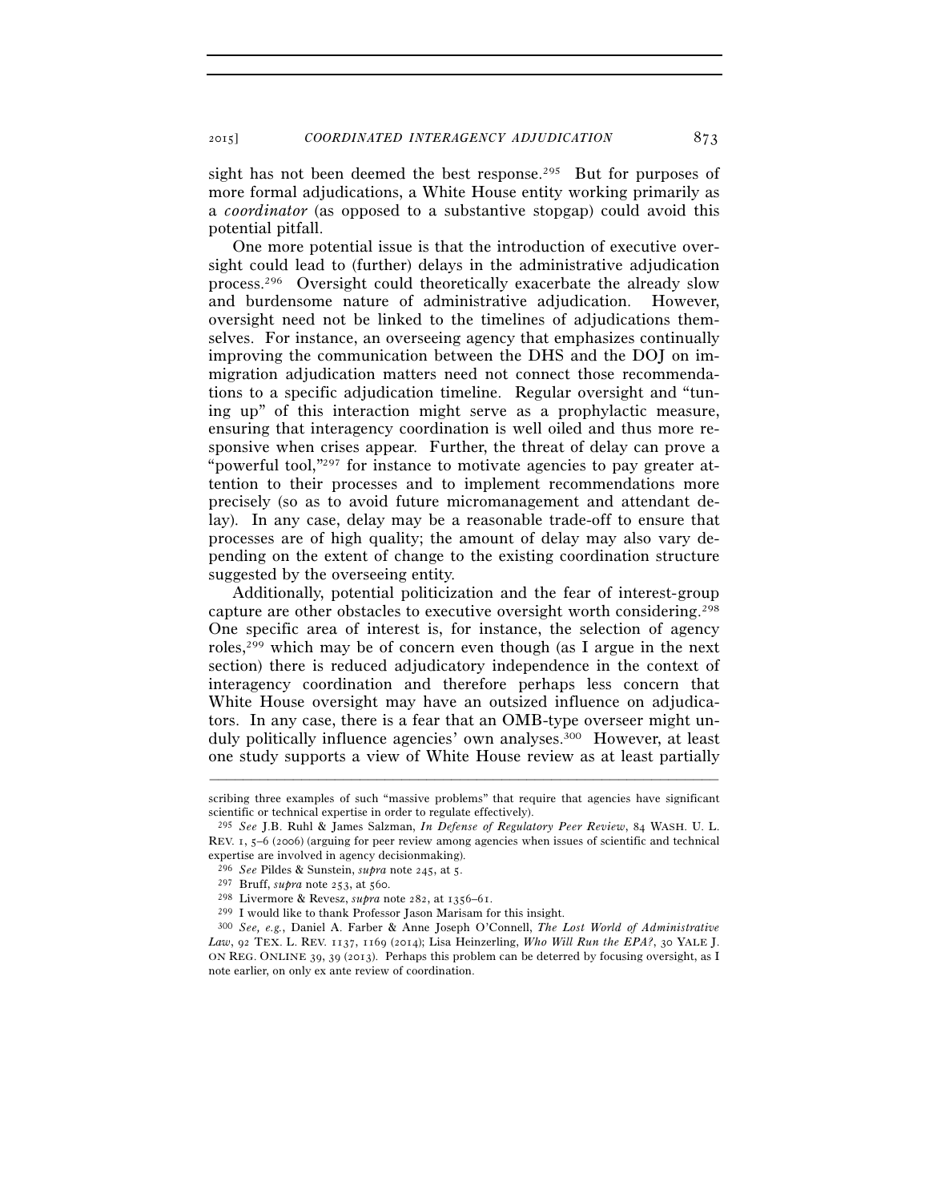sight has not been deemed the best response.<sup>295</sup> But for purposes of more formal adjudications, a White House entity working primarily as a *coordinator* (as opposed to a substantive stopgap) could avoid this potential pitfall.

One more potential issue is that the introduction of executive oversight could lead to (further) delays in the administrative adjudication process.296 Oversight could theoretically exacerbate the already slow and burdensome nature of administrative adjudication. However, oversight need not be linked to the timelines of adjudications themselves. For instance, an overseeing agency that emphasizes continually improving the communication between the DHS and the DOJ on immigration adjudication matters need not connect those recommendations to a specific adjudication timeline. Regular oversight and "tuning up" of this interaction might serve as a prophylactic measure, ensuring that interagency coordination is well oiled and thus more responsive when crises appear. Further, the threat of delay can prove a "powerful tool,"297 for instance to motivate agencies to pay greater attention to their processes and to implement recommendations more precisely (so as to avoid future micromanagement and attendant delay). In any case, delay may be a reasonable trade-off to ensure that processes are of high quality; the amount of delay may also vary depending on the extent of change to the existing coordination structure suggested by the overseeing entity.

Additionally, potential politicization and the fear of interest-group capture are other obstacles to executive oversight worth considering.298 One specific area of interest is, for instance, the selection of agency roles,299 which may be of concern even though (as I argue in the next section) there is reduced adjudicatory independence in the context of interagency coordination and therefore perhaps less concern that White House oversight may have an outsized influence on adjudicators. In any case, there is a fear that an OMB-type overseer might unduly politically influence agencies' own analyses.300 However, at least one study supports a view of White House review as at least partially

<sup>–––––––––––––––––––––––––––––––––––––––––––––––––––––––––––––</sup> scribing three examples of such "massive problems" that require that agencies have significant scientific or technical expertise in order to regulate effectively).

<sup>295</sup> *See* J.B. Ruhl & James Salzman, *In Defense of Regulatory Peer Review*, 84 WASH. U. L. REV. 1, 5–6 (2006) (arguing for peer review among agencies when issues of scientific and technical expertise are involved in agency decision making).<br><sup>296</sup> See Pildes & Sunstein, *supra* note 245, at 5.

<sup>&</sup>lt;sup>297</sup> Bruff, *supra* note 253, at 560.<br><sup>298</sup> Livermore & Revesz, *supra* note 282, at 1356–61.<br><sup>299</sup> I would like to thank Professor Jason Marisam for this insight.<br><sup>300</sup> *See, e.g.*, Daniel A. Farber & Anne Joseph O'Conn *Law*, 92 TEX. L. REV. 1137, 1169 (2014); Lisa Heinzerling, *Who Will Run the EPA?*, 30 YALE J. ON REG. ONLINE 39, 39 (2013). Perhaps this problem can be deterred by focusing oversight, as I note earlier, on only ex ante review of coordination.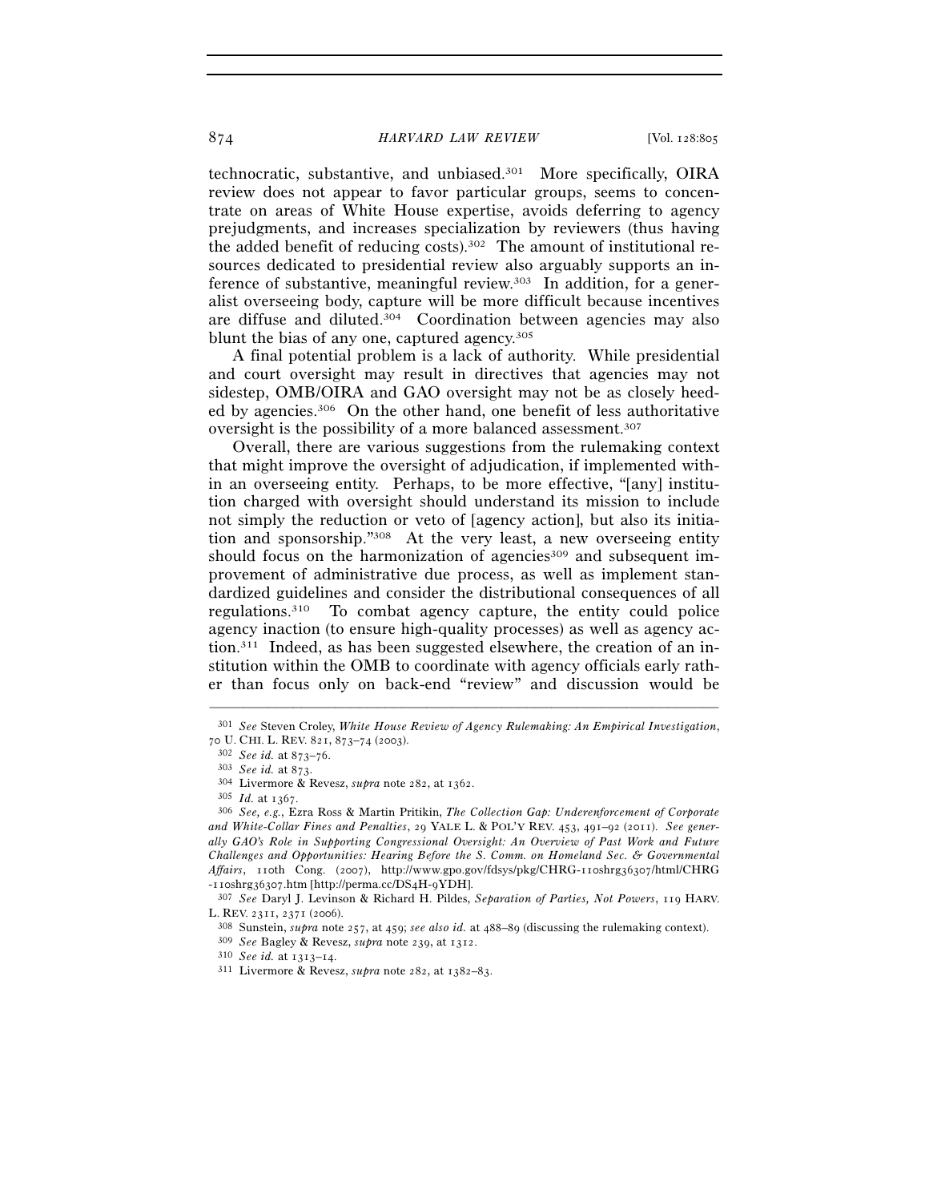technocratic, substantive, and unbiased.301 More specifically, OIRA review does not appear to favor particular groups, seems to concentrate on areas of White House expertise, avoids deferring to agency prejudgments, and increases specialization by reviewers (thus having the added benefit of reducing costs).302 The amount of institutional resources dedicated to presidential review also arguably supports an inference of substantive, meaningful review.303 In addition, for a generalist overseeing body, capture will be more difficult because incentives are diffuse and diluted.304 Coordination between agencies may also blunt the bias of any one, captured agency.305

A final potential problem is a lack of authority. While presidential and court oversight may result in directives that agencies may not sidestep, OMB/OIRA and GAO oversight may not be as closely heeded by agencies.306 On the other hand, one benefit of less authoritative oversight is the possibility of a more balanced assessment.307

Overall, there are various suggestions from the rulemaking context that might improve the oversight of adjudication, if implemented within an overseeing entity. Perhaps, to be more effective, "[any] institution charged with oversight should understand its mission to include not simply the reduction or veto of [agency action], but also its initiation and sponsorship."308 At the very least, a new overseeing entity should focus on the harmonization of agencies<sup>309</sup> and subsequent improvement of administrative due process, as well as implement standardized guidelines and consider the distributional consequences of all regulations.310 To combat agency capture, the entity could police agency inaction (to ensure high-quality processes) as well as agency action.311 Indeed, as has been suggested elsewhere, the creation of an institution within the OMB to coordinate with agency officials early rather than focus only on back-end "review" and discussion would be

<sup>–––––––––––––––––––––––––––––––––––––––––––––––––––––––––––––</sup> 301 *See* Steven Croley, *White House Review of Agency Rulemaking: An Empirical Investigation*, 70 U. CHI. L. REV. 821, 873–74 (2003).<br>
<sup>302</sup> See id. at 873–76.<br>
<sup>303</sup> See id. at 873.<br>
<sup>304</sup> Livermore & Revesz, *supra* note 282, at 1362.<br>
<sup>305</sup> Id. at 1367.<br>
<sup>305</sup> See, e.g., Ezra Ross & Martin Pritikin, *The Collecti* 

*and White-Collar Fines and Penalties*, 29 YALE L. & POL'Y REV. 453, 491–92 (2011). *See generally GAO's Role in Supporting Congressional Oversight: An Overview of Past Work and Future Challenges and Opportunities: Hearing Before the S. Comm. on Homeland Sec. & Governmental Affairs*, 110th Cong. (2007), http://www.gpo.gov/fdsys/pkg/CHRG-110shrg36307/html/CHRG -110shrg36307.htm [http://perma.cc/DS4H-9YDH]. 307 *See* Daryl J. Levinson & Richard H. Pildes, *Separation of Parties, Not Powers*, 119 HARV.

L. REV. 2311, 2371 (2006).<br>
<sup>308</sup> Sunstein, *supra* note 257, at 459; *see also id.* at 488–89 (discussing the rulemaking context).<br>
<sup>309</sup> *See* Bagley & Revesz, *supra* note 239, at 1312.<br>
<sup>310</sup> *See id.* at 1313–14.<br>
<sup>3</sup>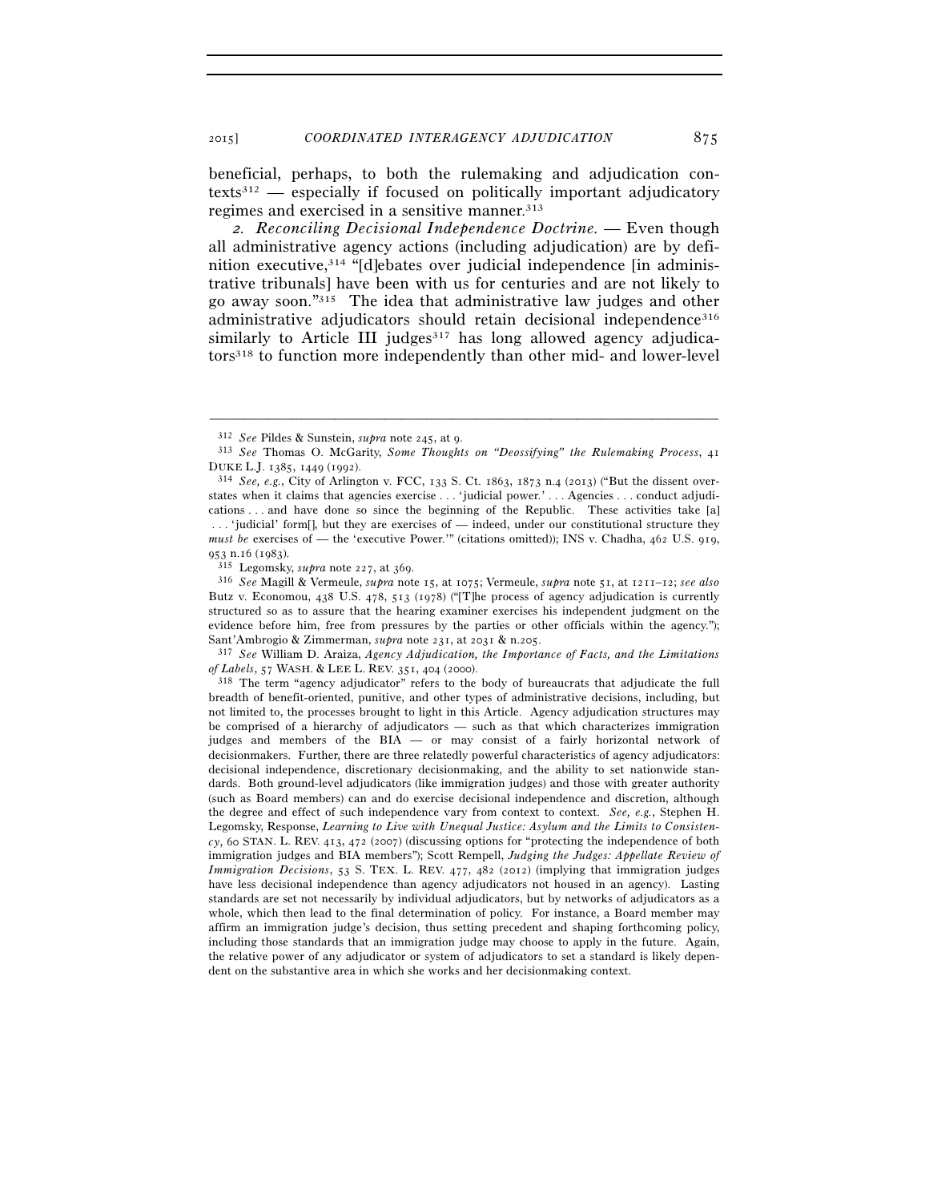beneficial, perhaps, to both the rulemaking and adjudication contexts312 — especially if focused on politically important adjudicatory regimes and exercised in a sensitive manner.<sup>313</sup>

*2. Reconciling Decisional Independence Doctrine.* — Even though all administrative agency actions (including adjudication) are by definition executive,314 "[d]ebates over judicial independence [in administrative tribunals] have been with us for centuries and are not likely to go away soon."315 The idea that administrative law judges and other administrative adjudicators should retain decisional independence<sup>316</sup> similarly to Article III judges $317$  has long allowed agency adjudicators318 to function more independently than other mid- and lower-level

–––––––––––––––––––––––––––––––––––––––––––––––––––––––––––––

<sup>318</sup> The term "agency adjudicator" refers to the body of bureaucrats that adjudicate the full breadth of benefit-oriented, punitive, and other types of administrative decisions, including, but not limited to, the processes brought to light in this Article. Agency adjudication structures may be comprised of a hierarchy of adjudicators — such as that which characterizes immigration judges and members of the BIA — or may consist of a fairly horizontal network of decisionmakers. Further, there are three relatedly powerful characteristics of agency adjudicators: decisional independence, discretionary decisionmaking, and the ability to set nationwide standards. Both ground-level adjudicators (like immigration judges) and those with greater authority (such as Board members) can and do exercise decisional independence and discretion, although the degree and effect of such independence vary from context to context. *See, e.g.*, Stephen H. Legomsky, Response, *Learning to Live with Unequal Justice: Asylum and the Limits to Consistency*, 60 STAN. L. REV. 413, 472 (2007) (discussing options for "protecting the independence of both immigration judges and BIA members"); Scott Rempell, *Judging the Judges: Appellate Review of Immigration Decisions*, 53 S. TEX. L. REV. 477, 482 (2012) (implying that immigration judges have less decisional independence than agency adjudicators not housed in an agency). Lasting standards are set not necessarily by individual adjudicators, but by networks of adjudicators as a whole, which then lead to the final determination of policy. For instance, a Board member may affirm an immigration judge's decision, thus setting precedent and shaping forthcoming policy, including those standards that an immigration judge may choose to apply in the future. Again, the relative power of any adjudicator or system of adjudicators to set a standard is likely dependent on the substantive area in which she works and her decisionmaking context.

<sup>312</sup> *See* Pildes & Sunstein, *supra* note 245, at 9. 313 *See* Thomas O. McGarity, *Some Thoughts on "Deossifying" the Rulemaking Process*, <sup>41</sup> DUKE L.J. 1385, 1449 (1992). 314 *See, e.g.*, City of Arlington v. FCC, 133 S. Ct. 1863, 1873 n.4 (2013) ("But the dissent over-

states when it claims that agencies exercise . . . 'judicial power.' . . . Agencies . . . conduct adjudications . . . and have done so since the beginning of the Republic. These activities take [a] . . . 'judicial' form[], but they are exercises of — indeed, under our constitutional structure they *must be* exercises of — the 'executive Power.'" (citations omitted)); INS v. Chadha, 462 U.S. 919, <sup>953</sup> n.16 (1983). 315 Legomsky, *supra* note 227, at 369. 316 *See* Magill & Vermeule, *supra* note 15, at 1075; Vermeule, *supra* note 51, at 1211–12; *see also*

Butz v. Economou, 438 U.S. 478, 513 (1978) ("[T]he process of agency adjudication is currently structured so as to assure that the hearing examiner exercises his independent judgment on the evidence before him, free from pressures by the parties or other officials within the agency.");

Sant'Ambrogio & Zimmerman, *supra* note 231, at 2031 & n.205.<br><sup>317</sup> *See* William D. Araiza, *Agency Adjudication, the Importance of Facts, and the Limitations of Labels*, 57 WASH. & LEE L. REV. 351, 404 (2000).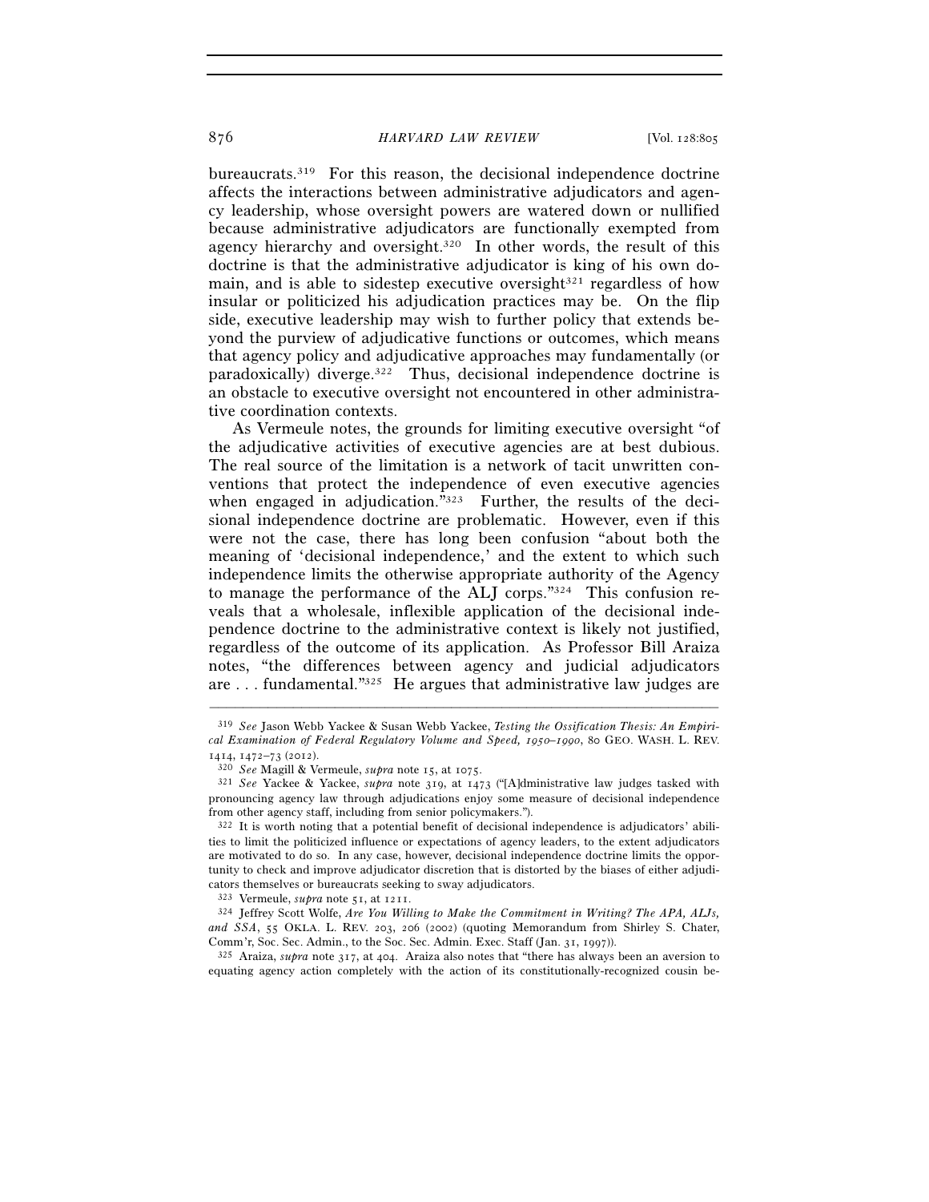bureaucrats.319 For this reason, the decisional independence doctrine affects the interactions between administrative adjudicators and agency leadership, whose oversight powers are watered down or nullified because administrative adjudicators are functionally exempted from agency hierarchy and oversight.320 In other words, the result of this doctrine is that the administrative adjudicator is king of his own domain, and is able to sidestep executive oversight $321$  regardless of how insular or politicized his adjudication practices may be. On the flip side, executive leadership may wish to further policy that extends beyond the purview of adjudicative functions or outcomes, which means that agency policy and adjudicative approaches may fundamentally (or paradoxically) diverge.322 Thus, decisional independence doctrine is an obstacle to executive oversight not encountered in other administrative coordination contexts.

As Vermeule notes, the grounds for limiting executive oversight "of the adjudicative activities of executive agencies are at best dubious. The real source of the limitation is a network of tacit unwritten conventions that protect the independence of even executive agencies when engaged in adjudication."323 Further, the results of the decisional independence doctrine are problematic. However, even if this were not the case, there has long been confusion "about both the meaning of 'decisional independence,' and the extent to which such independence limits the otherwise appropriate authority of the Agency to manage the performance of the ALJ corps."324 This confusion reveals that a wholesale, inflexible application of the decisional independence doctrine to the administrative context is likely not justified, regardless of the outcome of its application. As Professor Bill Araiza notes, "the differences between agency and judicial adjudicators are . . . fundamental."325 He argues that administrative law judges are

–––––––––––––––––––––––––––––––––––––––––––––––––––––––––––––

325 Araiza, *supra* note 317, at 404. Araiza also notes that "there has always been an aversion to equating agency action completely with the action of its constitutionally-recognized cousin be-

<sup>319</sup> *See* Jason Webb Yackee & Susan Webb Yackee, *Testing the Ossification Thesis: An Empirical Examination of Federal Regulatory Volume and Speed, 1950–1990*, 80 GEO. WASH. L. REV.

<sup>1414, 1472–73</sup> (2012). 320 *See* Magill & Vermeule, *supra* note 15, at 1075. 321 *See* Yackee & Yackee, *supra* note 319, at 1473 ("[A]dministrative law judges tasked with pronouncing agency law through adjudications enjoy some measure of decisional independence from other agency staff, including from senior policymakers.").

<sup>322</sup> It is worth noting that a potential benefit of decisional independence is adjudicators' abilities to limit the politicized influence or expectations of agency leaders, to the extent adjudicators are motivated to do so. In any case, however, decisional independence doctrine limits the opportunity to check and improve adjudicator discretion that is distorted by the biases of either adjudicators themselves or bureaucrats seeking to sway adjudicators.<br> $323$  Vermeule, *supra* note 51, at 1211.

<sup>&</sup>lt;sup>324</sup> Jeffrey Scott Wolfe, *Are You Willing to Make the Commitment in Writing? The APA, ALJs,* and SSA, 55 OKLA. L. REV. 203, 206 (2002) (quoting Memorandum from Shirley S. Chater, Comm'r, Soc. Sec. Admin., to the Soc. Sec. Admin. Exec. Staff (Jan. 31, 1997)).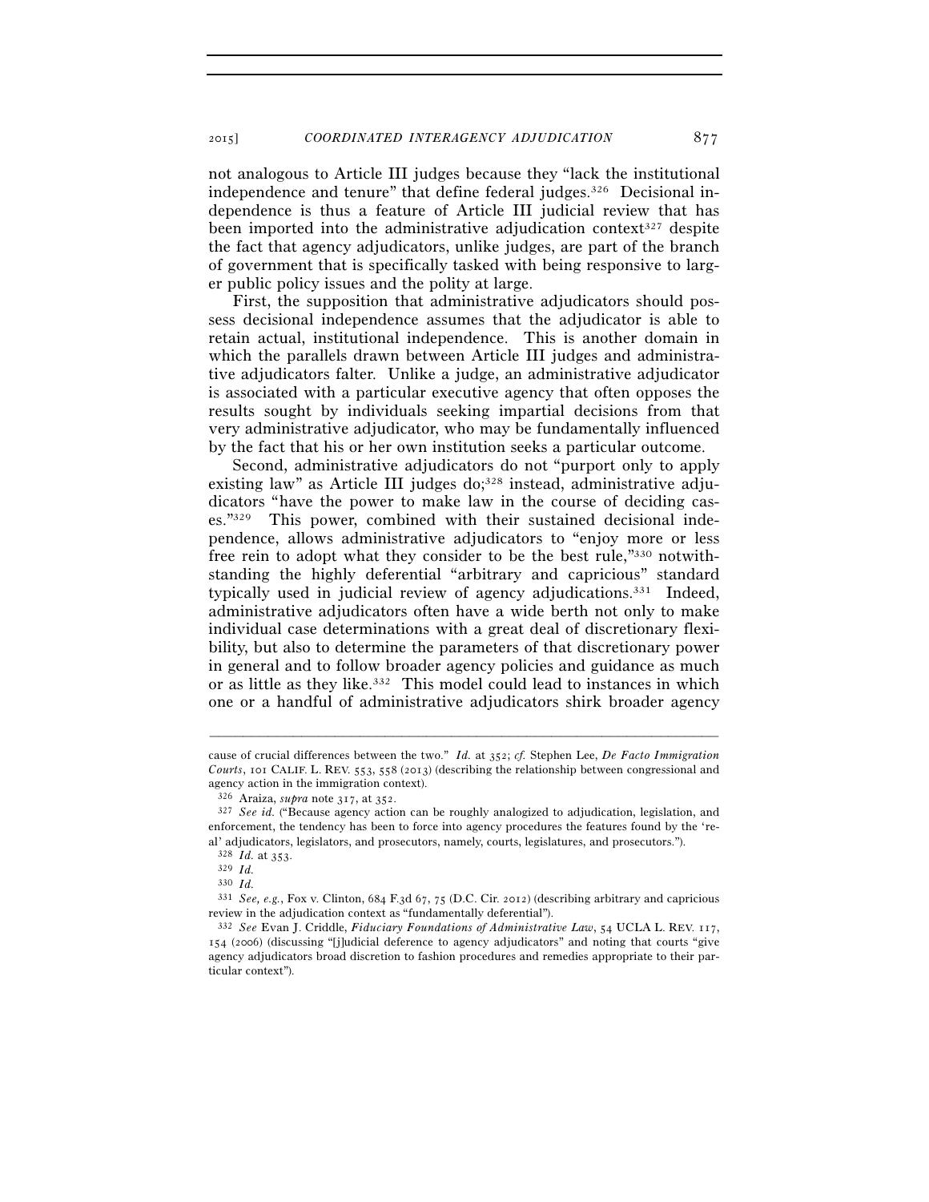2015] *COORDINATED INTERAGENCY ADJUDICATION* 877

not analogous to Article III judges because they "lack the institutional independence and tenure" that define federal judges.326 Decisional independence is thus a feature of Article III judicial review that has been imported into the administrative adjudication context<sup>327</sup> despite the fact that agency adjudicators, unlike judges, are part of the branch of government that is specifically tasked with being responsive to larger public policy issues and the polity at large.

First, the supposition that administrative adjudicators should possess decisional independence assumes that the adjudicator is able to retain actual, institutional independence. This is another domain in which the parallels drawn between Article III judges and administrative adjudicators falter. Unlike a judge, an administrative adjudicator is associated with a particular executive agency that often opposes the results sought by individuals seeking impartial decisions from that very administrative adjudicator, who may be fundamentally influenced by the fact that his or her own institution seeks a particular outcome.

Second, administrative adjudicators do not "purport only to apply existing law" as Article III judges  $do;^{328}$  instead, administrative adjudicators "have the power to make law in the course of deciding cases."329 This power, combined with their sustained decisional independence, allows administrative adjudicators to "enjoy more or less free rein to adopt what they consider to be the best rule,"330 notwithstanding the highly deferential "arbitrary and capricious" standard typically used in judicial review of agency adjudications.331 Indeed, administrative adjudicators often have a wide berth not only to make individual case determinations with a great deal of discretionary flexibility, but also to determine the parameters of that discretionary power in general and to follow broader agency policies and guidance as much or as little as they like.332 This model could lead to instances in which one or a handful of administrative adjudicators shirk broader agency

cause of crucial differences between the two." *Id.* at 352; *cf.* Stephen Lee, *De Facto Immigration Courts*, 101 CALIF. L. REV. 553, 558 (2013) (describing the relationship between congressional and agency action in the immigration context).<br> $326$  Araiza, *supra* note 317, at 352.

<sup>&</sup>lt;sup>327</sup> See *id.* ("Because agency action can be roughly analogized to adjudication, legislation, and enforcement, the tendency has been to force into agency procedures the features found by the 'real' adjudicators, legislators, and prosecutors, namely, courts, legislatures, and prosecutors.").

<sup>328</sup> *Id.* at 353. 329 *Id.*

<sup>330</sup> *Id.*

<sup>331</sup> *See, e.g.*, Fox v. Clinton, 684 F.3d 67, 75 (D.C. Cir. 2012) (describing arbitrary and capricious review in the adjudication context as "fundamentally deferential"). 332 *See* Evan J. Criddle, *Fiduciary Foundations of Administrative Law*, 54 UCLA L. REV. 117,

<sup>154</sup> (2006) (discussing "[j]udicial deference to agency adjudicators" and noting that courts "give agency adjudicators broad discretion to fashion procedures and remedies appropriate to their particular context").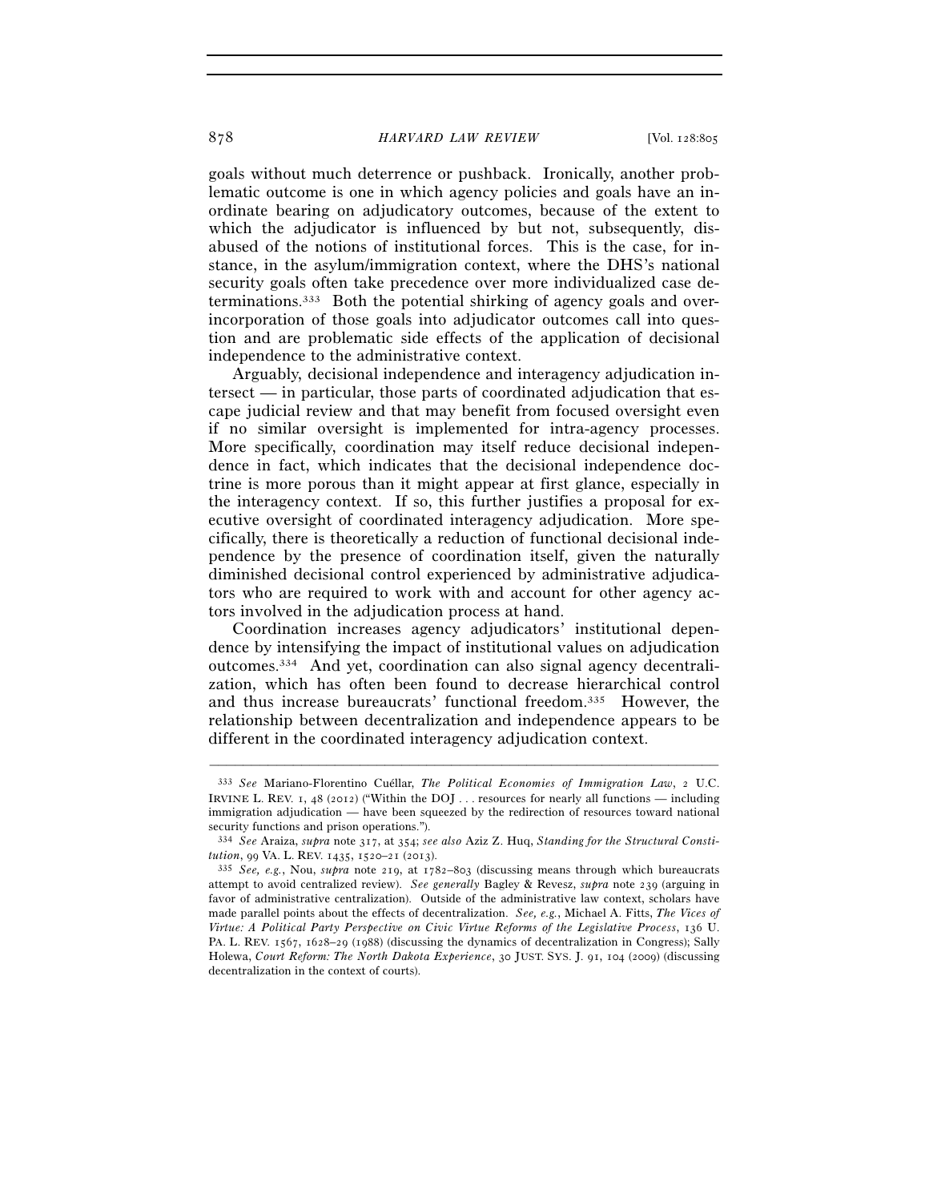goals without much deterrence or pushback. Ironically, another problematic outcome is one in which agency policies and goals have an inordinate bearing on adjudicatory outcomes, because of the extent to which the adjudicator is influenced by but not, subsequently, disabused of the notions of institutional forces. This is the case, for instance, in the asylum/immigration context, where the DHS's national security goals often take precedence over more individualized case determinations.333 Both the potential shirking of agency goals and overincorporation of those goals into adjudicator outcomes call into question and are problematic side effects of the application of decisional independence to the administrative context.

Arguably, decisional independence and interagency adjudication intersect — in particular, those parts of coordinated adjudication that escape judicial review and that may benefit from focused oversight even if no similar oversight is implemented for intra-agency processes. More specifically, coordination may itself reduce decisional independence in fact, which indicates that the decisional independence doctrine is more porous than it might appear at first glance, especially in the interagency context. If so, this further justifies a proposal for executive oversight of coordinated interagency adjudication. More specifically, there is theoretically a reduction of functional decisional independence by the presence of coordination itself, given the naturally diminished decisional control experienced by administrative adjudicators who are required to work with and account for other agency actors involved in the adjudication process at hand.

Coordination increases agency adjudicators' institutional dependence by intensifying the impact of institutional values on adjudication outcomes.334 And yet, coordination can also signal agency decentralization, which has often been found to decrease hierarchical control and thus increase bureaucrats' functional freedom.335 However, the relationship between decentralization and independence appears to be different in the coordinated interagency adjudication context.

<sup>333</sup> *See* Mariano-Florentino Cuéllar, *The Political Economies of Immigration Law*, 2 U.C. IRVINE L. REV. 1, 48 (2012) ("Within the DOJ . . . resources for nearly all functions — including immigration adjudication — have been squeezed by the redirection of resources toward national security functions and prison operations.").

<sup>334</sup> *See* Araiza, *supra* note 317, at 354; *see also* Aziz Z. Huq, *Standing for the Structural Constitution*, 99 VA. L. REV. 1435, 1520–21 (2013). 335 *See, e.g.*, Nou, *supra* note 219, at 1782–803 (discussing means through which bureaucrats

attempt to avoid centralized review). *See generally* Bagley & Revesz, *supra* note 239 (arguing in favor of administrative centralization). Outside of the administrative law context, scholars have made parallel points about the effects of decentralization. *See, e.g.*, Michael A. Fitts, *The Vices of Virtue: A Political Party Perspective on Civic Virtue Reforms of the Legislative Process*, 136 U. PA. L. REV. 1567, 1628–29 (1988) (discussing the dynamics of decentralization in Congress); Sally Holewa, *Court Reform: The North Dakota Experience*, 30 JUST. SYS. J. 91, 104 (2009) (discussing decentralization in the context of courts).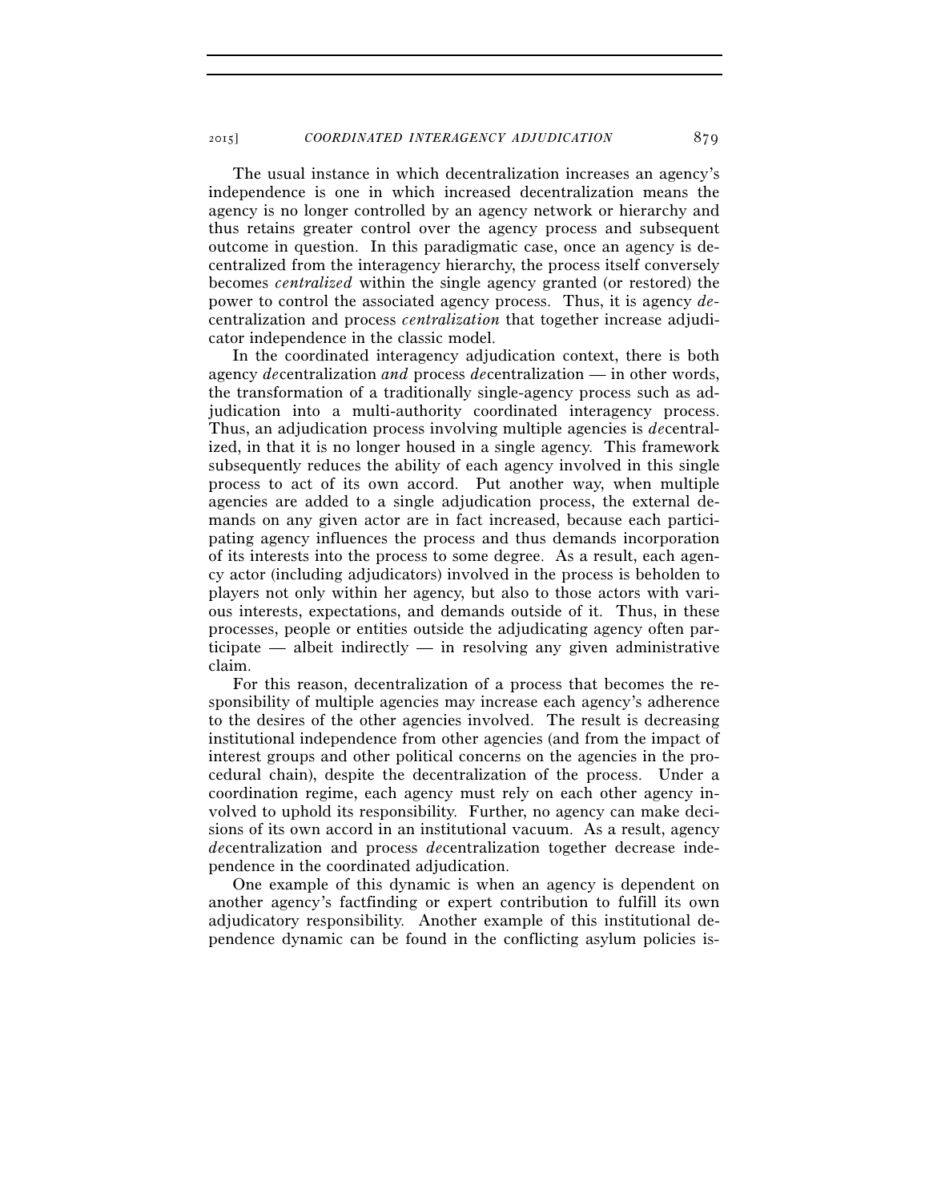The usual instance in which decentralization increases an agency's independence is one in which increased decentralization means the agency is no longer controlled by an agency network or hierarchy and thus retains greater control over the agency process and subsequent outcome in question. In this paradigmatic case, once an agency is decentralized from the interagency hierarchy, the process itself conversely becomes *centralized* within the single agency granted (or restored) the power to control the associated agency process. Thus, it is agency *de*centralization and process *centralization* that together increase adjudicator independence in the classic model.

In the coordinated interagency adjudication context, there is both agency *de*centralization *and* process *de*centralization — in other words, the transformation of a traditionally single-agency process such as adjudication into a multi-authority coordinated interagency process. Thus, an adjudication process involving multiple agencies is *de*centralized, in that it is no longer housed in a single agency. This framework subsequently reduces the ability of each agency involved in this single process to act of its own accord. Put another way, when multiple agencies are added to a single adjudication process, the external demands on any given actor are in fact increased, because each participating agency influences the process and thus demands incorporation of its interests into the process to some degree. As a result, each agency actor (including adjudicators) involved in the process is beholden to players not only within her agency, but also to those actors with various interests, expectations, and demands outside of it. Thus, in these processes, people or entities outside the adjudicating agency often participate — albeit indirectly — in resolving any given administrative claim.

For this reason, decentralization of a process that becomes the responsibility of multiple agencies may increase each agency's adherence to the desires of the other agencies involved. The result is decreasing institutional independence from other agencies (and from the impact of interest groups and other political concerns on the agencies in the procedural chain), despite the decentralization of the process. Under a coordination regime, each agency must rely on each other agency involved to uphold its responsibility. Further, no agency can make decisions of its own accord in an institutional vacuum. As a result, agency *de*centralization and process *de*centralization together decrease independence in the coordinated adjudication.

One example of this dynamic is when an agency is dependent on another agency's factfinding or expert contribution to fulfill its own adjudicatory responsibility. Another example of this institutional dependence dynamic can be found in the conflicting asylum policies is-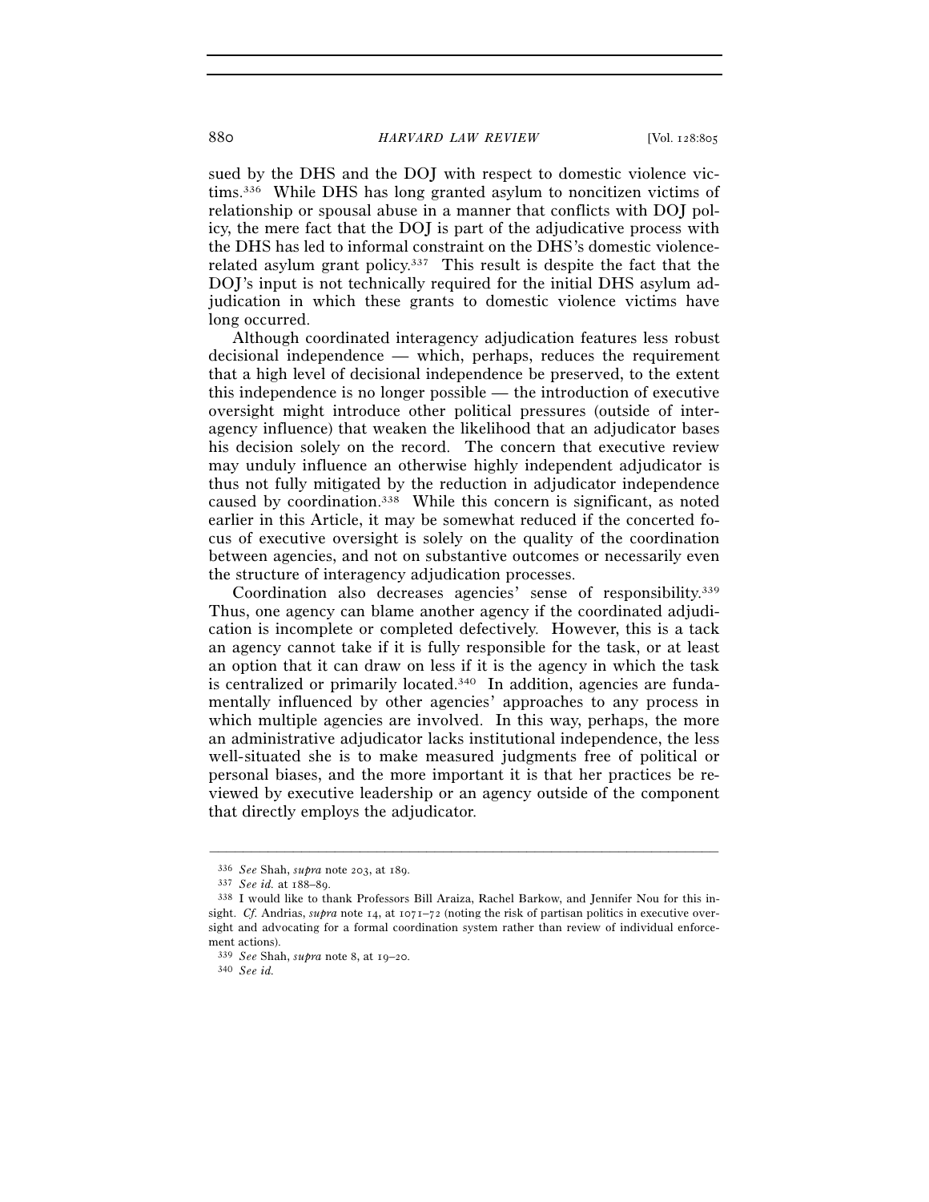sued by the DHS and the DOJ with respect to domestic violence victims.336 While DHS has long granted asylum to noncitizen victims of relationship or spousal abuse in a manner that conflicts with DOJ policy, the mere fact that the DOJ is part of the adjudicative process with the DHS has led to informal constraint on the DHS's domestic violencerelated asylum grant policy.337 This result is despite the fact that the DOJ's input is not technically required for the initial DHS asylum adjudication in which these grants to domestic violence victims have long occurred.

Although coordinated interagency adjudication features less robust decisional independence — which, perhaps, reduces the requirement that a high level of decisional independence be preserved, to the extent this independence is no longer possible — the introduction of executive oversight might introduce other political pressures (outside of interagency influence) that weaken the likelihood that an adjudicator bases his decision solely on the record. The concern that executive review may unduly influence an otherwise highly independent adjudicator is thus not fully mitigated by the reduction in adjudicator independence caused by coordination.338 While this concern is significant, as noted earlier in this Article, it may be somewhat reduced if the concerted focus of executive oversight is solely on the quality of the coordination between agencies, and not on substantive outcomes or necessarily even the structure of interagency adjudication processes.

Coordination also decreases agencies' sense of responsibility.339 Thus, one agency can blame another agency if the coordinated adjudication is incomplete or completed defectively. However, this is a tack an agency cannot take if it is fully responsible for the task, or at least an option that it can draw on less if it is the agency in which the task is centralized or primarily located.<sup>340</sup> In addition, agencies are fundamentally influenced by other agencies' approaches to any process in which multiple agencies are involved. In this way, perhaps, the more an administrative adjudicator lacks institutional independence, the less well-situated she is to make measured judgments free of political or personal biases, and the more important it is that her practices be reviewed by executive leadership or an agency outside of the component that directly employs the adjudicator.

<sup>336</sup> *See* Shah, *supra* note 203, at 189. 337 *See id.* at 188–89. 338 I would like to thank Professors Bill Araiza, Rachel Barkow, and Jennifer Nou for this insight. *Cf.* Andrias, *supra* note  $14$ , at  $1071-72$  (noting the risk of partisan politics in executive oversight and advocating for a formal coordination system rather than review of individual enforcement actions).

<sup>339</sup> *See* Shah, *supra* note 8, at 19–20. 340 *See id.*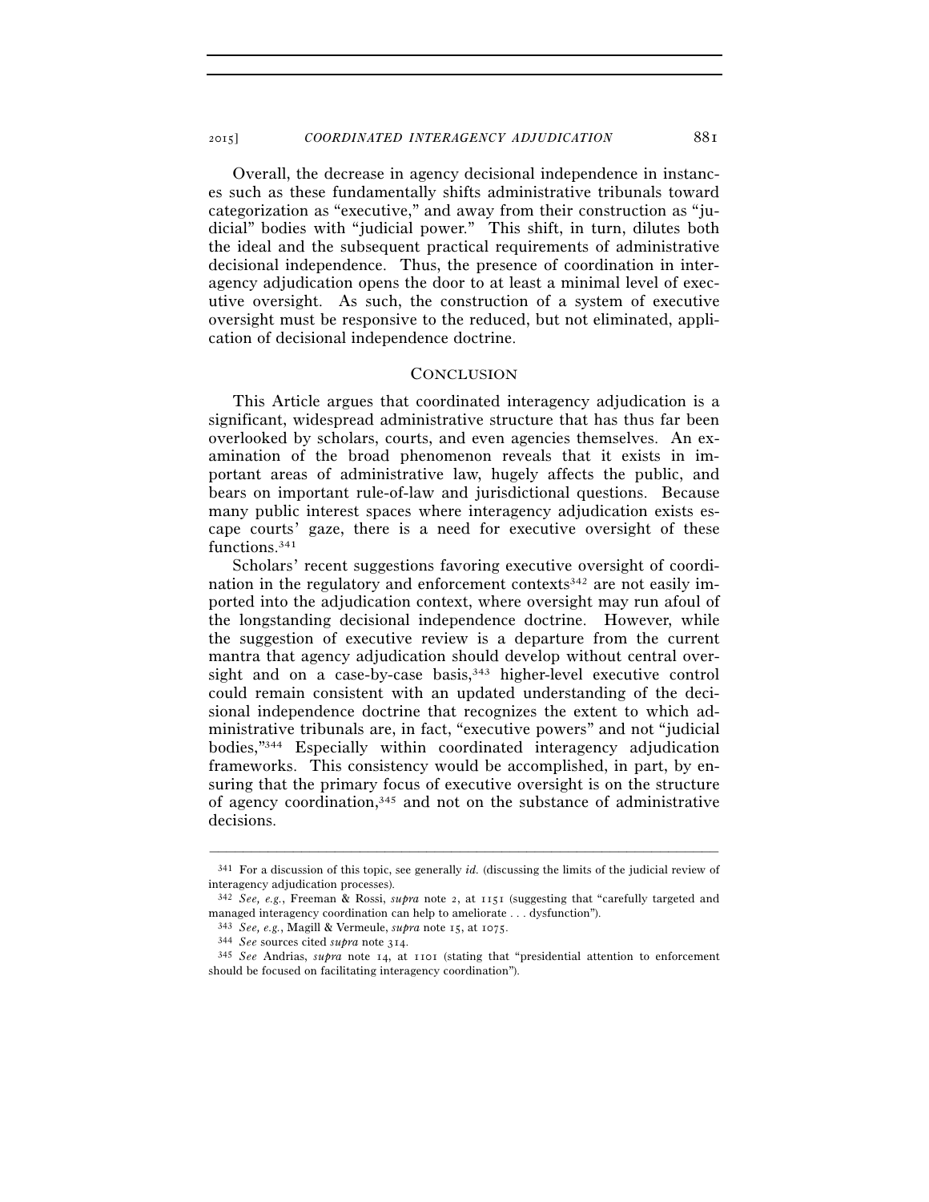2015] *COORDINATED INTERAGENCY ADJUDICATION* 881

Overall, the decrease in agency decisional independence in instances such as these fundamentally shifts administrative tribunals toward categorization as "executive," and away from their construction as "judicial" bodies with "judicial power." This shift, in turn, dilutes both the ideal and the subsequent practical requirements of administrative decisional independence. Thus, the presence of coordination in interagency adjudication opens the door to at least a minimal level of executive oversight. As such, the construction of a system of executive oversight must be responsive to the reduced, but not eliminated, application of decisional independence doctrine.

## **CONCLUSION**

This Article argues that coordinated interagency adjudication is a significant, widespread administrative structure that has thus far been overlooked by scholars, courts, and even agencies themselves. An examination of the broad phenomenon reveals that it exists in important areas of administrative law, hugely affects the public, and bears on important rule-of-law and jurisdictional questions. Because many public interest spaces where interagency adjudication exists escape courts' gaze, there is a need for executive oversight of these functions.341

Scholars' recent suggestions favoring executive oversight of coordination in the regulatory and enforcement contexts<sup>342</sup> are not easily imported into the adjudication context, where oversight may run afoul of the longstanding decisional independence doctrine. However, while the suggestion of executive review is a departure from the current mantra that agency adjudication should develop without central oversight and on a case-by-case basis,<sup>343</sup> higher-level executive control could remain consistent with an updated understanding of the decisional independence doctrine that recognizes the extent to which administrative tribunals are, in fact, "executive powers" and not "judicial bodies,"344 Especially within coordinated interagency adjudication frameworks. This consistency would be accomplished, in part, by ensuring that the primary focus of executive oversight is on the structure of agency coordination,345 and not on the substance of administrative decisions.

<sup>–––––––––––––––––––––––––––––––––––––––––––––––––––––––––––––</sup> 341 For a discussion of this topic, see generally *id.* (discussing the limits of the judicial review of interagency adjudication processes).

<sup>342</sup> *See, e.g.*, Freeman & Rossi, *supra* note 2, at 1151 (suggesting that "carefully targeted and managed interagency coordination can help to ameliorate . . . dysfunction").

<sup>343</sup> *See, e.g.*, Magill & Vermeule, *supra* note 15, at 1075. 344 *See* sources cited *supra* note 314.

<sup>345</sup> *See* Andrias, *supra* note 14, at 1101 (stating that "presidential attention to enforcement should be focused on facilitating interagency coordination").